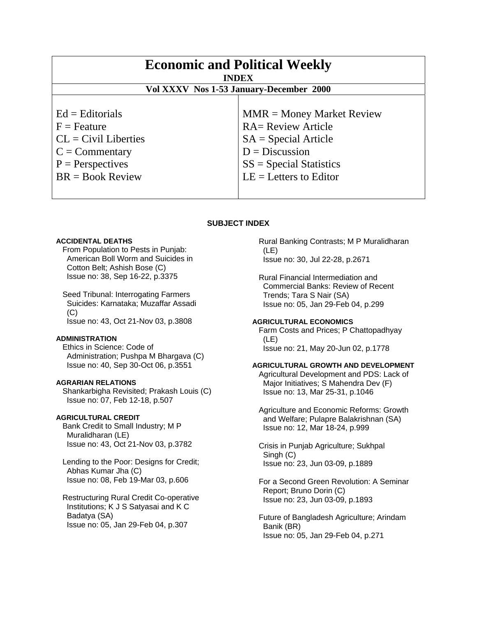| <b>Economic and Political Weekly</b><br><b>INDEX</b><br>Vol XXXV Nos 1-53 January-December 2000 |                             |
|-------------------------------------------------------------------------------------------------|-----------------------------|
| $Ed =$ Editorials                                                                               | $MMR = Money Market Review$ |
| $F =$ Feature                                                                                   | <b>RA= Review Article</b>   |
| $CL = Civil Libraries$                                                                          | $SA = Special Article$      |
| $C = \text{Commentary}$                                                                         | $D = Discussion$            |
| $P =$ Perspectives                                                                              | $SS = Special Statistics$   |
| $BR = Book Review$                                                                              | $LE = Letters to Editor$    |

# **SUBJECT INDEX**

# **ACCIDENTAL DEATHS**

 From Population to Pests in Punjab: American Boll Worm and Suicides in Cotton Belt; Ashish Bose (C) Issue no: 38, Sep 16-22, p.3375

 Seed Tribunal: Interrogating Farmers Suicides: Karnataka; Muzaffar Assadi (C) Issue no: 43, Oct 21-Nov 03, p.3808

# **ADMINISTRATION**

 Ethics in Science: Code of Administration; Pushpa M Bhargava (C) Issue no: 40, Sep 30-Oct 06, p.3551

#### **AGRARIAN RELATIONS**

 Shankarbigha Revisited; Prakash Louis (C) Issue no: 07, Feb 12-18, p.507

## **AGRICULTURAL CREDIT**

 Bank Credit to Small Industry; M P Muralidharan (LE) Issue no: 43, Oct 21-Nov 03, p.3782

 Lending to the Poor: Designs for Credit; Abhas Kumar Jha (C) Issue no: 08, Feb 19-Mar 03, p.606

 Restructuring Rural Credit Co-operative Institutions; K J S Satyasai and K C Badatya (SA) Issue no: 05, Jan 29-Feb 04, p.307

 Rural Banking Contrasts; M P Muralidharan (LE) Issue no: 30, Jul 22-28, p.2671

 Rural Financial Intermediation and Commercial Banks: Review of Recent Trends; Tara S Nair (SA) Issue no: 05, Jan 29-Feb 04, p.299

## **AGRICULTURAL ECONOMICS**

 Farm Costs and Prices; P Chattopadhyay (LE) Issue no: 21, May 20-Jun 02, p.1778

# **AGRICULTURAL GROWTH AND DEVELOPMENT**

 Agricultural Development and PDS: Lack of Major Initiatives; S Mahendra Dev (F) Issue no: 13, Mar 25-31, p.1046

 Agriculture and Economic Reforms: Growth and Welfare; Pulapre Balakrishnan (SA) Issue no: 12, Mar 18-24, p.999

 Crisis in Punjab Agriculture; Sukhpal Singh (C) Issue no: 23, Jun 03-09, p.1889

 For a Second Green Revolution: A Seminar Report; Bruno Dorin (C) Issue no: 23, Jun 03-09, p.1893

 Future of Bangladesh Agriculture; Arindam Banik (BR) Issue no: 05, Jan 29-Feb 04, p.271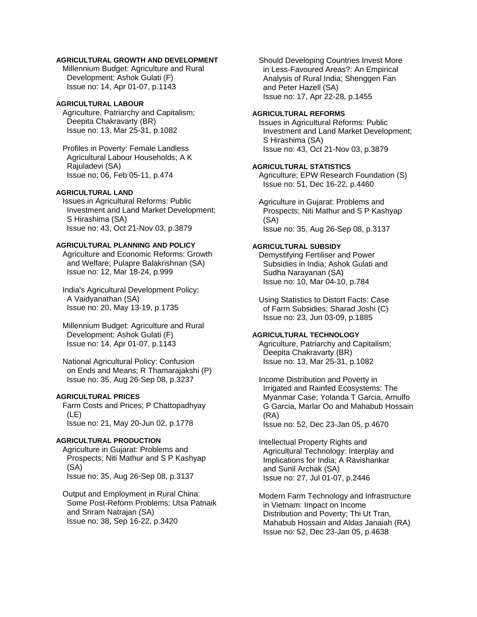# **AGRICULTURAL GROWTH AND DEVELOPMENT**

 Millennium Budget: Agriculture and Rural Development; Ashok Gulati (F) Issue no: 14, Apr 01-07, p.1143

# **AGRICULTURAL LABOUR**

 Agriculture, Patriarchy and Capitalism; Deepita Chakravarty (BR) Issue no: 13, Mar 25-31, p.1082

 Profiles in Poverty: Female Landless Agricultural Labour Households; A K Rajuladevi (SA) Issue no: 06, Feb 05-11, p.474

# **AGRICULTURAL LAND**

 Issues in Agricultural Reforms: Public Investment and Land Market Development; S Hirashima (SA) Issue no: 43, Oct 21-Nov 03, p.3879

# **AGRICULTURAL PLANNING AND POLICY**

 Agriculture and Economic Reforms: Growth and Welfare; Pulapre Balakrishnan (SA) Issue no: 12, Mar 18-24, p.999

 India's Agricultural Development Policy; A Vaidyanathan (SA) Issue no: 20, May 13-19, p.1735

 Millennium Budget: Agriculture and Rural Development; Ashok Gulati (F) Issue no: 14, Apr 01-07, p.1143

 National Agricultural Policy: Confusion on Ends and Means; R Thamarajakshi (P) Issue no: 35, Aug 26-Sep 08, p.3237

#### **AGRICULTURAL PRICES**

 Farm Costs and Prices; P Chattopadhyay (LE) Issue no: 21, May 20-Jun 02, p.1778

## **AGRICULTURAL PRODUCTION**

 Agriculture in Gujarat: Problems and Prospects; Niti Mathur and S P Kashyap (SA) Issue no: 35, Aug 26-Sep 08, p.3137

 Output and Employment in Rural China: Some Post-Reform Problems; Utsa Patnaik and Sriram Natrajan (SA) Issue no: 38, Sep 16-22, p.3420

 Should Developing Countries Invest More in Less-Favoured Areas?: An Empirical Analysis of Rural India; Shenggen Fan and Peter Hazell (SA) Issue no: 17, Apr 22-28, p.1455

#### **AGRICULTURAL REFORMS**

 Issues in Agricultural Reforms: Public Investment and Land Market Development; S Hirashima (SA) Issue no: 43, Oct 21-Nov 03, p.3879

## **AGRICULTURAL STATISTICS**

 Agriculture; EPW Research Foundation (S) Issue no: 51, Dec 16-22, p.4460

 Agriculture in Gujarat: Problems and Prospects; Niti Mathur and S P Kashyap (SA) Issue no: 35, Aug 26-Sep 08, p.3137

# **AGRICULTURAL SUBSIDY**

 Demystifying Fertiliser and Power Subsidies in India; Ashok Gulati and Sudha Narayanan (SA) Issue no: 10, Mar 04-10, p.784

 Using Statistics to Distort Facts: Case of Farm Subsidies; Sharad Joshi (C) Issue no: 23, Jun 03-09, p.1885

# **AGRICULTURAL TECHNOLOGY**

 Agriculture, Patriarchy and Capitalism; Deepita Chakravarty (BR) Issue no: 13, Mar 25-31, p.1082

 Income Distribution and Poverty in Irrigated and Rainfed Ecosystems: The Myanmar Case; Yolanda T Garcia, Arnulfo G Garcia, Marlar Oo and Mahabub Hossain (RA)

Issue no: 52, Dec 23-Jan 05, p.4670

 Intellectual Property Rights and Agricultural Technology: Interplay and Implications for India; A Ravishankar and Sunil Archak (SA) Issue no: 27, Jul 01-07, p.2446

 Modern Farm Technology and Infrastructure in Vietnam: Impact on Income Distribution and Poverty; Thi Ut Tran, Mahabub Hossain and Aldas Janaiah (RA) Issue no: 52, Dec 23-Jan 05, p.4638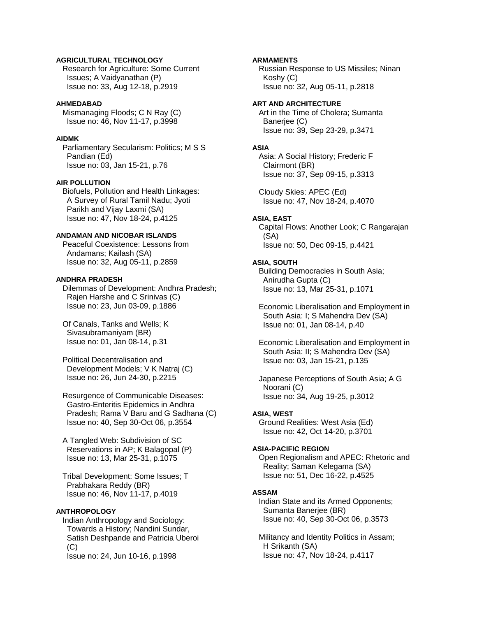# **AGRICULTURAL TECHNOLOGY**

 Research for Agriculture: Some Current Issues; A Vaidyanathan (P) Issue no: 33, Aug 12-18, p.2919

# **AHMEDABAD**

 Mismanaging Floods; C N Ray (C) Issue no: 46, Nov 11-17, p.3998

# **AIDMK**

 Parliamentary Secularism: Politics; M S S Pandian (Ed) Issue no: 03, Jan 15-21, p.76

## **AIR POLLUTION**

 Biofuels, Pollution and Health Linkages: A Survey of Rural Tamil Nadu; Jyoti Parikh and Vijay Laxmi (SA) Issue no: 47, Nov 18-24, p.4125

# **ANDAMAN AND NICOBAR ISLANDS**

 Peaceful Coexistence: Lessons from Andamans; Kailash (SA) Issue no: 32, Aug 05-11, p.2859

## **ANDHRA PRADESH**

 Dilemmas of Development: Andhra Pradesh; Rajen Harshe and C Srinivas (C) Issue no: 23, Jun 03-09, p.1886

 Of Canals, Tanks and Wells; K Sivasubramaniyam (BR) Issue no: 01, Jan 08-14, p.31

 Political Decentralisation and Development Models; V K Natraj (C) Issue no: 26, Jun 24-30, p.2215

 Resurgence of Communicable Diseases: Gastro-Enteritis Epidemics in Andhra Pradesh; Rama V Baru and G Sadhana (C) Issue no: 40, Sep 30-Oct 06, p.3554

 A Tangled Web: Subdivision of SC Reservations in AP; K Balagopal (P) Issue no: 13, Mar 25-31, p.1075

 Tribal Development: Some Issues; T Prabhakara Reddy (BR) Issue no: 46, Nov 11-17, p.4019

# **ANTHROPOLOGY**

 Indian Anthropology and Sociology: Towards a History; Nandini Sundar, Satish Deshpande and Patricia Uberoi (C) Issue no: 24, Jun 10-16, p.1998

## **ARMAMENTS**

 Russian Response to US Missiles; Ninan Koshy (C) Issue no: 32, Aug 05-11, p.2818

# **ART AND ARCHITECTURE**

 Art in the Time of Cholera; Sumanta Banerjee (C) Issue no: 39, Sep 23-29, p.3471

#### **ASIA**

 Asia: A Social History; Frederic F Clairmont (BR) Issue no: 37, Sep 09-15, p.3313

 Cloudy Skies: APEC (Ed) Issue no: 47, Nov 18-24, p.4070

#### **ASIA, EAST**

 Capital Flows: Another Look; C Rangarajan (SA) Issue no: 50, Dec 09-15, p.4421

## **ASIA, SOUTH**

 Building Democracies in South Asia; Anirudha Gupta (C) Issue no: 13, Mar 25-31, p.1071

 Economic Liberalisation and Employment in South Asia: I; S Mahendra Dev (SA) Issue no: 01, Jan 08-14, p.40

 Economic Liberalisation and Employment in South Asia: II; S Mahendra Dev (SA) Issue no: 03, Jan 15-21, p.135

 Japanese Perceptions of South Asia; A G Noorani (C) Issue no: 34, Aug 19-25, p.3012

#### **ASIA, WEST**

 Ground Realities: West Asia (Ed) Issue no: 42, Oct 14-20, p.3701

#### **ASIA-PACIFIC REGION**

 Open Regionalism and APEC: Rhetoric and Reality; Saman Kelegama (SA) Issue no: 51, Dec 16-22, p.4525

#### **ASSAM**

 Indian State and its Armed Opponents; Sumanta Banerjee (BR) Issue no: 40, Sep 30-Oct 06, p.3573

 Militancy and Identity Politics in Assam; H Srikanth (SA) Issue no: 47, Nov 18-24, p.4117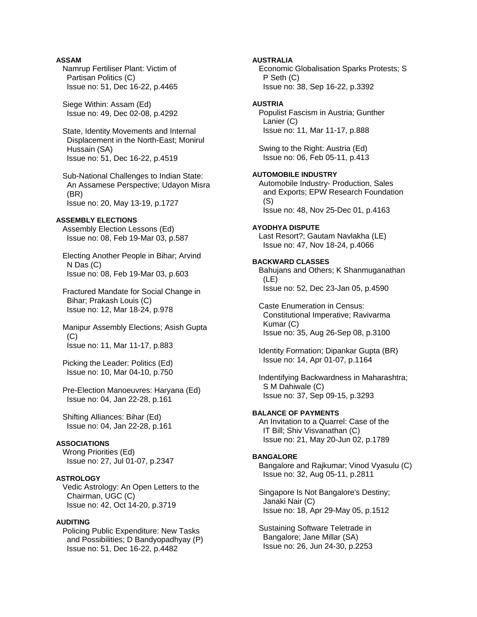# **ASSAM**

 Namrup Fertiliser Plant: Victim of Partisan Politics (C) Issue no: 51, Dec 16-22, p.4465

 Siege Within: Assam (Ed) Issue no: 49, Dec 02-08, p.4292

 State, Identity Movements and Internal Displacement in the North-East; Monirul Hussain (SA) Issue no: 51, Dec 16-22, p.4519

 Sub-National Challenges to Indian State: An Assamese Perspective; Udayon Misra (BR) Issue no: 20, May 13-19, p.1727

# **ASSEMBLY ELECTIONS**

 Assembly Election Lessons (Ed) Issue no: 08, Feb 19-Mar 03, p.587

 Electing Another People in Bihar; Arvind N Das (C) Issue no: 08, Feb 19-Mar 03, p.603

 Fractured Mandate for Social Change in Bihar; Prakash Louis (C) Issue no: 12, Mar 18-24, p.978

 Manipur Assembly Elections; Asish Gupta (C) Issue no: 11, Mar 11-17, p.883

 Picking the Leader: Politics (Ed) Issue no: 10, Mar 04-10, p.750

 Pre-Election Manoeuvres: Haryana (Ed) Issue no: 04, Jan 22-28, p.161

 Shifting Alliances: Bihar (Ed) Issue no: 04, Jan 22-28, p.161

# **ASSOCIATIONS**

 Wrong Priorities (Ed) Issue no: 27, Jul 01-07, p.2347

#### **ASTROLOGY**

 Vedic Astrology: An Open Letters to the Chairman, UGC (C) Issue no: 42, Oct 14-20, p.3719

# **AUDITING**

 Policing Public Expenditure: New Tasks and Possibilities; D Bandyopadhyay (P) Issue no: 51, Dec 16-22, p.4482

# **AUSTRALIA**

 Economic Globalisation Sparks Protests; S P Seth (C) Issue no: 38, Sep 16-22, p.3392

# **AUSTRIA**

 Populist Fascism in Austria; Gunther Lanier (C) Issue no: 11, Mar 11-17, p.888

 Swing to the Right: Austria (Ed) Issue no: 06, Feb 05-11, p.413

#### **AUTOMOBILE INDUSTRY**

 Automobile Industry- Production, Sales and Exports; EPW Research Foundation (S) Issue no: 48, Nov 25-Dec 01, p.4163

#### **AYODHYA DISPUTE**

 Last Resort?; Gautam Navlakha (LE) Issue no: 47, Nov 18-24, p.4066

# **BACKWARD CLASSES**

 Bahujans and Others; K Shanmuganathan (LE) Issue no: 52, Dec 23-Jan 05, p.4590

 Caste Enumeration in Census: Constitutional Imperative; Ravivarma Kumar (C) Issue no: 35, Aug 26-Sep 08, p.3100

 Identity Formation; Dipankar Gupta (BR) Issue no: 14, Apr 01-07, p.1164

 Indentifying Backwardness in Maharashtra; S M Dahiwale (C) Issue no: 37, Sep 09-15, p.3293

# **BALANCE OF PAYMENTS**

 An Invitation to a Quarrel: Case of the IT Bill; Shiv Visvanathan (C) Issue no: 21, May 20-Jun 02, p.1789

#### **BANGALORE**

 Bangalore and Rajkumar; Vinod Vyasulu (C) Issue no: 32, Aug 05-11, p.2811

 Singapore Is Not Bangalore's Destiny; Janaki Nair (C) Issue no: 18, Apr 29-May 05, p.1512

 Sustaining Software Teletrade in Bangalore; Jane Millar (SA) Issue no: 26, Jun 24-30, p.2253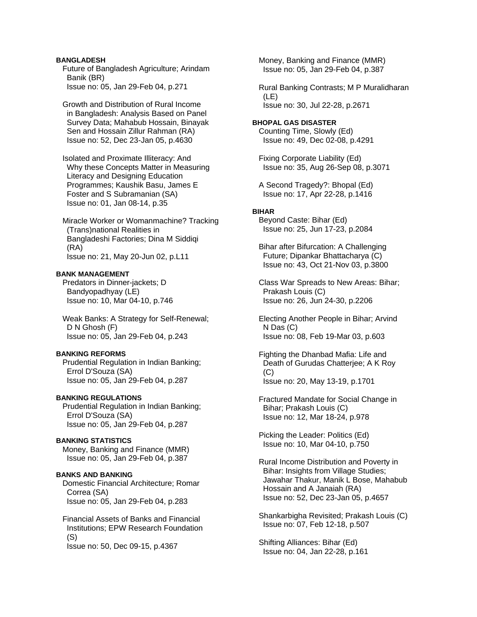# **BANGLADESH**

 Future of Bangladesh Agriculture; Arindam Banik (BR) Issue no: 05, Jan 29-Feb 04, p.271

 Growth and Distribution of Rural Income in Bangladesh: Analysis Based on Panel Survey Data; Mahabub Hossain, Binayak Sen and Hossain Zillur Rahman (RA) Issue no: 52, Dec 23-Jan 05, p.4630

 Isolated and Proximate Illiteracy: And Why these Concepts Matter in Measuring Literacy and Designing Education Programmes; Kaushik Basu, James E Foster and S Subramanian (SA) Issue no: 01, Jan 08-14, p.35

 Miracle Worker or Womanmachine? Tracking (Trans)national Realities in Bangladeshi Factories; Dina M Siddiqi (RA) Issue no: 21, May 20-Jun 02, p.L11

## **BANK MANAGEMENT**

 Predators in Dinner-jackets; D Bandyopadhyay (LE) Issue no: 10, Mar 04-10, p.746

 Weak Banks: A Strategy for Self-Renewal; D N Ghosh (F) Issue no: 05, Jan 29-Feb 04, p.243

## **BANKING REFORMS**

 Prudential Regulation in Indian Banking; Errol D'Souza (SA) Issue no: 05, Jan 29-Feb 04, p.287

# **BANKING REGULATIONS**

 Prudential Regulation in Indian Banking; Errol D'Souza (SA) Issue no: 05, Jan 29-Feb 04, p.287

# **BANKING STATISTICS**

 Money, Banking and Finance (MMR) Issue no: 05, Jan 29-Feb 04, p.387

# **BANKS AND BANKING**

 Domestic Financial Architecture; Romar Correa (SA) Issue no: 05, Jan 29-Feb 04, p.283

 Financial Assets of Banks and Financial Institutions; EPW Research Foundation (S) Issue no: 50, Dec 09-15, p.4367

 Money, Banking and Finance (MMR) Issue no: 05, Jan 29-Feb 04, p.387

 Rural Banking Contrasts; M P Muralidharan (LE) Issue no: 30, Jul 22-28, p.2671

# **BHOPAL GAS DISASTER**

 Counting Time, Slowly (Ed) Issue no: 49, Dec 02-08, p.4291

 Fixing Corporate Liability (Ed) Issue no: 35, Aug 26-Sep 08, p.3071

 A Second Tragedy?: Bhopal (Ed) Issue no: 17, Apr 22-28, p.1416

#### **BIHAR**

 Beyond Caste: Bihar (Ed) Issue no: 25, Jun 17-23, p.2084

 Bihar after Bifurcation: A Challenging Future; Dipankar Bhattacharya (C) Issue no: 43, Oct 21-Nov 03, p.3800

 Class War Spreads to New Areas: Bihar; Prakash Louis (C) Issue no: 26, Jun 24-30, p.2206

 Electing Another People in Bihar; Arvind N Das (C) Issue no: 08, Feb 19-Mar 03, p.603

 Fighting the Dhanbad Mafia: Life and Death of Gurudas Chatterjee; A K Roy (C) Issue no: 20, May 13-19, p.1701

 Fractured Mandate for Social Change in Bihar; Prakash Louis (C) Issue no: 12, Mar 18-24, p.978

 Picking the Leader: Politics (Ed) Issue no: 10, Mar 04-10, p.750

 Rural Income Distribution and Poverty in Bihar: Insights from Village Studies; Jawahar Thakur, Manik L Bose, Mahabub Hossain and A Janaiah (RA) Issue no: 52, Dec 23-Jan 05, p.4657

 Shankarbigha Revisited; Prakash Louis (C) Issue no: 07, Feb 12-18, p.507

 Shifting Alliances: Bihar (Ed) Issue no: 04, Jan 22-28, p.161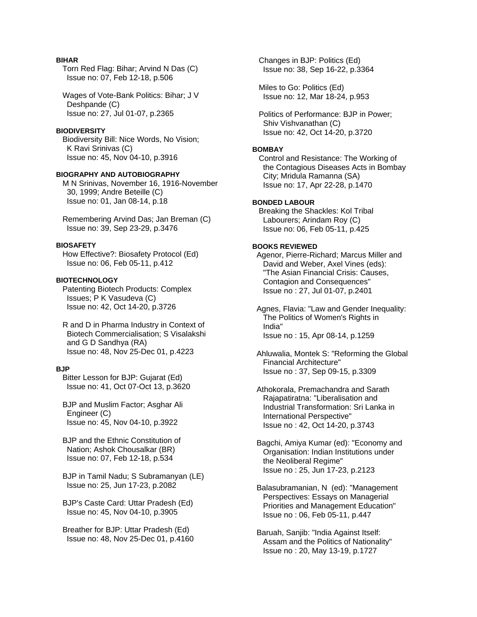# **BIHAR**

 Torn Red Flag: Bihar; Arvind N Das (C) Issue no: 07, Feb 12-18, p.506

 Wages of Vote-Bank Politics: Bihar; J V Deshpande (C) Issue no: 27, Jul 01-07, p.2365

#### **BIODIVERSITY**

 Biodiversity Bill: Nice Words, No Vision; K Ravi Srinivas (C) Issue no: 45, Nov 04-10, p.3916

#### **BIOGRAPHY AND AUTOBIOGRAPHY**

 M N Srinivas, November 16, 1916-November 30, 1999; Andre Beteille (C) Issue no: 01, Jan 08-14, p.18

 Remembering Arvind Das; Jan Breman (C) Issue no: 39, Sep 23-29, p.3476

# **BIOSAFETY**

 How Effective?: Biosafety Protocol (Ed) Issue no: 06, Feb 05-11, p.412

#### **BIOTECHNOLOGY**

 Patenting Biotech Products: Complex Issues; P K Vasudeva (C) Issue no: 42, Oct 14-20, p.3726

 R and D in Pharma Industry in Context of Biotech Commercialisation; S Visalakshi and G D Sandhya (RA) Issue no: 48, Nov 25-Dec 01, p.4223

# **BJP**

 Bitter Lesson for BJP: Gujarat (Ed) Issue no: 41, Oct 07-Oct 13, p.3620

 BJP and Muslim Factor; Asghar Ali Engineer (C) Issue no: 45, Nov 04-10, p.3922

 BJP and the Ethnic Constitution of Nation; Ashok Chousalkar (BR) Issue no: 07, Feb 12-18, p.534

 BJP in Tamil Nadu; S Subramanyan (LE) Issue no: 25, Jun 17-23, p.2082

 BJP's Caste Card: Uttar Pradesh (Ed) Issue no: 45, Nov 04-10, p.3905

 Breather for BJP: Uttar Pradesh (Ed) Issue no: 48, Nov 25-Dec 01, p.4160  Changes in BJP: Politics (Ed) Issue no: 38, Sep 16-22, p.3364

 Miles to Go: Politics (Ed) Issue no: 12, Mar 18-24, p.953

 Politics of Performance: BJP in Power; Shiv Vishvanathan (C) Issue no: 42, Oct 14-20, p.3720

#### **BOMBAY**

 Control and Resistance: The Working of the Contagious Diseases Acts in Bombay City; Mridula Ramanna (SA) Issue no: 17, Apr 22-28, p.1470

#### **BONDED LABOUR**

 Breaking the Shackles: Kol Tribal Labourers; Arindam Roy (C) Issue no: 06, Feb 05-11, p.425

#### **BOOKS REVIEWED**

 Agenor, Pierre-Richard; Marcus Miller and David and Weber, Axel Vines (eds): "The Asian Financial Crisis: Causes, Contagion and Consequences" Issue no : 27, Jul 01-07, p.2401

 Agnes, Flavia: "Law and Gender Inequality: The Politics of Women's Rights in India" Issue no : 15, Apr 08-14, p.1259

 Ahluwalia, Montek S: "Reforming the Global Financial Architecture" Issue no : 37, Sep 09-15, p.3309

 Athokorala, Premachandra and Sarath Rajapatiratna: "Liberalisation and Industrial Transformation: Sri Lanka in International Perspective" Issue no : 42, Oct 14-20, p.3743

 Bagchi, Amiya Kumar (ed): "Economy and Organisation: Indian Institutions under the Neoliberal Regime" Issue no : 25, Jun 17-23, p.2123

 Balasubramanian, N (ed): "Management Perspectives: Essays on Managerial Priorities and Management Education" Issue no : 06, Feb 05-11, p.447

 Baruah, Sanjib: "India Against Itself: Assam and the Politics of Nationality" Issue no : 20, May 13-19, p.1727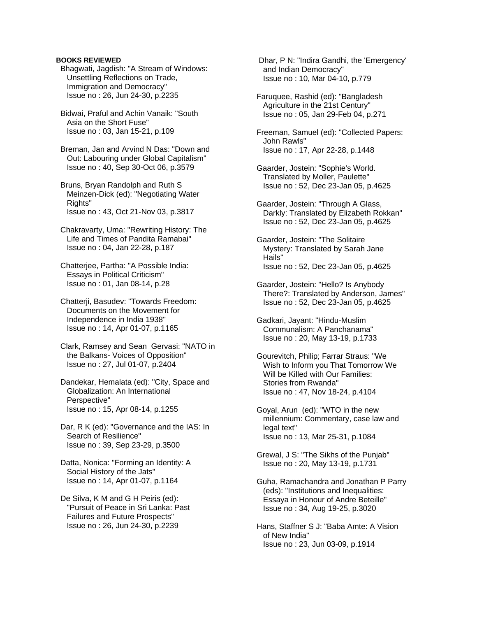- Bhagwati, Jagdish: "A Stream of Windows: Unsettling Reflections on Trade, Immigration and Democracy" Issue no : 26, Jun 24-30, p.2235
- Bidwai, Praful and Achin Vanaik: "South Asia on the Short Fuse" Issue no : 03, Jan 15-21, p.109

 Breman, Jan and Arvind N Das: "Down and Out: Labouring under Global Capitalism" Issue no : 40, Sep 30-Oct 06, p.3579

- Bruns, Bryan Randolph and Ruth S Meinzen-Dick (ed): "Negotiating Water Rights" Issue no : 43, Oct 21-Nov 03, p.3817
- Chakravarty, Uma: "Rewriting History: The Life and Times of Pandita Ramabai" Issue no : 04, Jan 22-28, p.187
- Chatterjee, Partha: "A Possible India: Essays in Political Criticism" Issue no : 01, Jan 08-14, p.28
- Chatterji, Basudev: "Towards Freedom: Documents on the Movement for Independence in India 1938" Issue no : 14, Apr 01-07, p.1165
- Clark, Ramsey and Sean Gervasi: "NATO in the Balkans- Voices of Opposition" Issue no : 27, Jul 01-07, p.2404
- Dandekar, Hemalata (ed): "City, Space and Globalization: An International Perspective" Issue no : 15, Apr 08-14, p.1255
- Dar, R K (ed): "Governance and the IAS: In Search of Resilience" Issue no : 39, Sep 23-29, p.3500
- Datta, Nonica: "Forming an Identity: A Social History of the Jats" Issue no : 14, Apr 01-07, p.1164
- De Silva, K M and G H Peiris (ed): "Pursuit of Peace in Sri Lanka: Past Failures and Future Prospects" Issue no : 26, Jun 24-30, p.2239

 Dhar, P N: "Indira Gandhi, the 'Emergency' and Indian Democracy" Issue no : 10, Mar 04-10, p.779

 Faruquee, Rashid (ed): "Bangladesh Agriculture in the 21st Century" Issue no : 05, Jan 29-Feb 04, p.271

 Freeman, Samuel (ed): "Collected Papers: John Rawls" Issue no : 17, Apr 22-28, p.1448

- Gaarder, Jostein: "Sophie's World. Translated by Moller, Paulette" Issue no : 52, Dec 23-Jan 05, p.4625
- Gaarder, Jostein: "Through A Glass, Darkly: Translated by Elizabeth Rokkan" Issue no : 52, Dec 23-Jan 05, p.4625
- Gaarder, Jostein: "The Solitaire Mystery: Translated by Sarah Jane Hails" Issue no : 52, Dec 23-Jan 05, p.4625
- Gaarder, Jostein: "Hello? Is Anybody There?: Translated by Anderson, James" Issue no : 52, Dec 23-Jan 05, p.4625

 Gadkari, Jayant: "Hindu-Muslim Communalism: A Panchanama" Issue no : 20, May 13-19, p.1733

- Gourevitch, Philip; Farrar Straus: "We Wish to Inform you That Tomorrow We Will be Killed with Our Families: Stories from Rwanda" Issue no : 47, Nov 18-24, p.4104
- Goyal, Arun (ed): "WTO in the new millennium: Commentary, case law and legal text" Issue no : 13, Mar 25-31, p.1084
- Grewal, J S: "The Sikhs of the Punjab" Issue no : 20, May 13-19, p.1731
- Guha, Ramachandra and Jonathan P Parry (eds): "Institutions and Inequalities: Essaya in Honour of Andre Beteille" Issue no : 34, Aug 19-25, p.3020
- Hans, Staffner S J: "Baba Amte: A Vision of New India" Issue no : 23, Jun 03-09, p.1914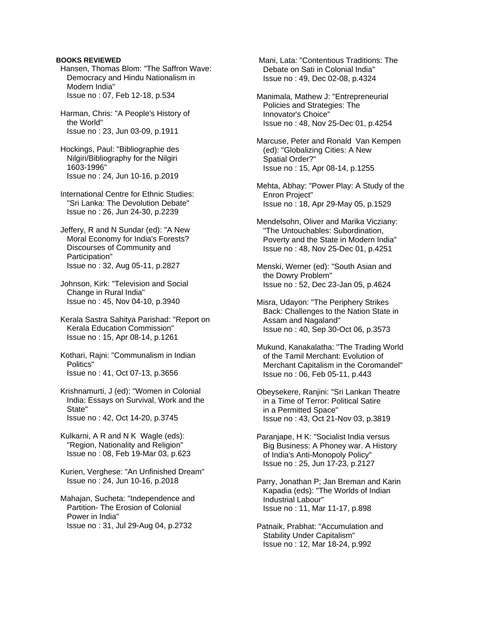- Hansen, Thomas Blom: "The Saffron Wave: Democracy and Hindu Nationalism in Modern India" Issue no : 07, Feb 12-18, p.534
- Harman, Chris: "A People's History of the World" Issue no : 23, Jun 03-09, p.1911
- Hockings, Paul: "Bibliographie des Nilgiri/Bibliography for the Nilgiri 1603-1996" Issue no : 24, Jun 10-16, p.2019
- International Centre for Ethnic Studies: "Sri Lanka: The Devolution Debate" Issue no : 26, Jun 24-30, p.2239
- Jeffery, R and N Sundar (ed): "A New Moral Economy for India's Forests? Discourses of Community and Participation" Issue no : 32, Aug 05-11, p.2827
- Johnson, Kirk: "Television and Social Change in Rural India" Issue no : 45, Nov 04-10, p.3940
- Kerala Sastra Sahitya Parishad: "Report on Kerala Education Commission" Issue no : 15, Apr 08-14, p.1261
- Kothari, Rajni: "Communalism in Indian Politics" Issue no : 41, Oct 07-13, p.3656
- Krishnamurti, J (ed): "Women in Colonial India: Essays on Survival, Work and the State" Issue no : 42, Oct 14-20, p.3745
- Kulkarni, A R and N K Wagle (eds): "Region, Nationality and Religion" Issue no : 08, Feb 19-Mar 03, p.623
- Kurien, Verghese: "An Unfinished Dream" Issue no : 24, Jun 10-16, p.2018
- Mahajan, Sucheta: "Independence and Partition- The Erosion of Colonial Power in India" Issue no : 31, Jul 29-Aug 04, p.2732

 Mani, Lata: "Contentious Traditions: The Debate on Sati in Colonial India" Issue no : 49, Dec 02-08, p.4324

- Manimala, Mathew J: "Entrepreneurial Policies and Strategies: The Innovator's Choice" Issue no : 48, Nov 25-Dec 01, p.4254
- Marcuse, Peter and Ronald Van Kempen (ed): "Globalizing Cities: A New Spatial Order?" Issue no : 15, Apr 08-14, p.1255
- Mehta, Abhay: "Power Play: A Study of the Enron Project" Issue no : 18, Apr 29-May 05, p.1529
- Mendelsohn, Oliver and Marika Vicziany: "The Untouchables: Subordination, Poverty and the State in Modern India" Issue no : 48, Nov 25-Dec 01, p.4251
- Menski, Werner (ed): "South Asian and the Dowry Problem" Issue no : 52, Dec 23-Jan 05, p.4624
- Misra, Udayon: "The Periphery Strikes Back: Challenges to the Nation State in Assam and Nagaland" Issue no : 40, Sep 30-Oct 06, p.3573
- Mukund, Kanakalatha: "The Trading World of the Tamil Merchant: Evolution of Merchant Capitalism in the Coromandel" Issue no : 06, Feb 05-11, p.443
- Obeysekere, Ranjini: "Sri Lankan Theatre in a Time of Terror: Political Satire in a Permitted Space" Issue no : 43, Oct 21-Nov 03, p.3819
- Paranjape, H K: "Socialist India versus Big Business: A Phoney war. A History of India's Anti-Monopoly Policy" Issue no : 25, Jun 17-23, p.2127
- Parry, Jonathan P; Jan Breman and Karin Kapadia (eds): "The Worlds of Indian Industrial Labour" Issue no : 11, Mar 11-17, p.898
- Patnaik, Prabhat: "Accumulation and Stability Under Capitalism" Issue no : 12, Mar 18-24, p.992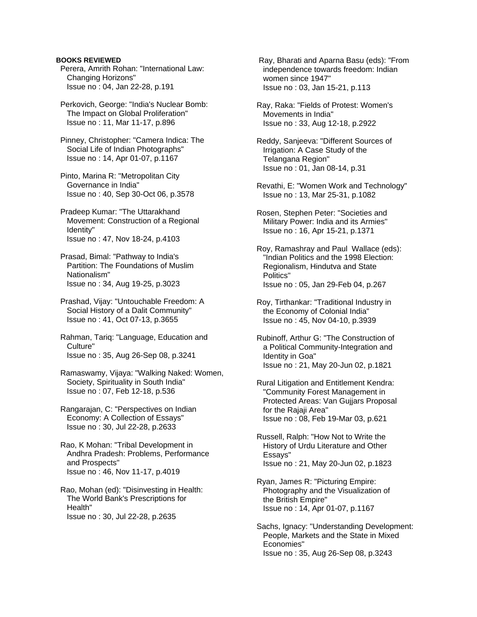Perera, Amrith Rohan: "International Law: Changing Horizons" Issue no : 04, Jan 22-28, p.191

 Perkovich, George: "India's Nuclear Bomb: The Impact on Global Proliferation" Issue no : 11, Mar 11-17, p.896

 Pinney, Christopher: "Camera Indica: The Social Life of Indian Photographs" Issue no : 14, Apr 01-07, p.1167

 Pinto, Marina R: "Metropolitan City Governance in India" Issue no : 40, Sep 30-Oct 06, p.3578

 Pradeep Kumar: "The Uttarakhand Movement: Construction of a Regional Identity" Issue no : 47, Nov 18-24, p.4103

 Prasad, Bimal: "Pathway to India's Partition: The Foundations of Muslim Nationalism" Issue no : 34, Aug 19-25, p.3023

 Prashad, Vijay: "Untouchable Freedom: A Social History of a Dalit Community" Issue no : 41, Oct 07-13, p.3655

 Rahman, Tariq: "Language, Education and Culture" Issue no : 35, Aug 26-Sep 08, p.3241

 Ramaswamy, Vijaya: "Walking Naked: Women, Society, Spirituality in South India" Issue no : 07, Feb 12-18, p.536

 Rangarajan, C: "Perspectives on Indian Economy: A Collection of Essays" Issue no : 30, Jul 22-28, p.2633

 Rao, K Mohan: "Tribal Development in Andhra Pradesh: Problems, Performance and Prospects" Issue no : 46, Nov 11-17, p.4019

 Rao, Mohan (ed): "Disinvesting in Health: The World Bank's Prescriptions for Health" Issue no : 30, Jul 22-28, p.2635

 Ray, Bharati and Aparna Basu (eds): "From independence towards freedom: Indian women since 1947" Issue no : 03, Jan 15-21, p.113

 Ray, Raka: "Fields of Protest: Women's Movements in India" Issue no : 33, Aug 12-18, p.2922

 Reddy, Sanjeeva: "Different Sources of Irrigation: A Case Study of the Telangana Region" Issue no : 01, Jan 08-14, p.31

 Revathi, E: "Women Work and Technology" Issue no : 13, Mar 25-31, p.1082

 Rosen, Stephen Peter: "Societies and Military Power: India and its Armies" Issue no : 16, Apr 15-21, p.1371

 Roy, Ramashray and Paul Wallace (eds): "Indian Politics and the 1998 Election: Regionalism, Hindutva and State Politics" Issue no : 05, Jan 29-Feb 04, p.267

 Roy, Tirthankar: "Traditional Industry in the Economy of Colonial India" Issue no : 45, Nov 04-10, p.3939

 Rubinoff, Arthur G: "The Construction of a Political Community-Integration and Identity in Goa" Issue no : 21, May 20-Jun 02, p.1821

 Rural Litigation and Entitlement Kendra: "Community Forest Management in Protected Areas: Van Gujjars Proposal for the Rajaji Area" Issue no : 08, Feb 19-Mar 03, p.621

 Russell, Ralph: "How Not to Write the History of Urdu Literature and Other Essays" Issue no : 21, May 20-Jun 02, p.1823

 Ryan, James R: "Picturing Empire: Photography and the Visualization of the British Empire" Issue no : 14, Apr 01-07, p.1167

 Sachs, Ignacy: "Understanding Development: People, Markets and the State in Mixed Economies" Issue no : 35, Aug 26-Sep 08, p.3243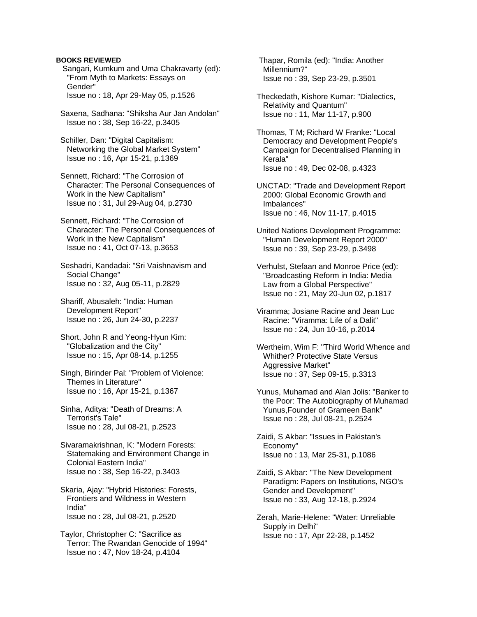Sangari, Kumkum and Uma Chakravarty (ed): "From Myth to Markets: Essays on Gender" Issue no : 18, Apr 29-May 05, p.1526

 Saxena, Sadhana: "Shiksha Aur Jan Andolan" Issue no : 38, Sep 16-22, p.3405

 Schiller, Dan: "Digital Capitalism: Networking the Global Market System" Issue no : 16, Apr 15-21, p.1369

 Sennett, Richard: "The Corrosion of Character: The Personal Consequences of Work in the New Capitalism" Issue no : 31, Jul 29-Aug 04, p.2730

 Sennett, Richard: "The Corrosion of Character: The Personal Consequences of Work in the New Capitalism" Issue no : 41, Oct 07-13, p.3653

 Seshadri, Kandadai: "Sri Vaishnavism and Social Change" Issue no : 32, Aug 05-11, p.2829

 Shariff, Abusaleh: "India: Human Development Report" Issue no : 26, Jun 24-30, p.2237

 Short, John R and Yeong-Hyun Kim: "Globalization and the City" Issue no : 15, Apr 08-14, p.1255

 Singh, Birinder Pal: "Problem of Violence: Themes in Literature" Issue no : 16, Apr 15-21, p.1367

 Sinha, Aditya: "Death of Dreams: A Terrorist's Tale" Issue no : 28, Jul 08-21, p.2523

 Sivaramakrishnan, K: "Modern Forests: Statemaking and Environment Change in Colonial Eastern India" Issue no : 38, Sep 16-22, p.3403

 Skaria, Ajay: "Hybrid Histories: Forests, Frontiers and Wildness in Western India" Issue no : 28, Jul 08-21, p.2520

 Taylor, Christopher C: "Sacrifice as Terror: The Rwandan Genocide of 1994" Issue no : 47, Nov 18-24, p.4104

 Thapar, Romila (ed): "India: Another Millennium?" Issue no : 39, Sep 23-29, p.3501

 Theckedath, Kishore Kumar: "Dialectics, Relativity and Quantum" Issue no : 11, Mar 11-17, p.900

 Thomas, T M; Richard W Franke: "Local Democracy and Development People's Campaign for Decentralised Planning in Kerala" Issue no : 49, Dec 02-08, p.4323

 UNCTAD: "Trade and Development Report 2000: Global Economic Growth and Imbalances" Issue no : 46, Nov 11-17, p.4015

 United Nations Development Programme: "Human Development Report 2000" Issue no : 39, Sep 23-29, p.3498

 Verhulst, Stefaan and Monroe Price (ed): "Broadcasting Reform in India: Media Law from a Global Perspective" Issue no : 21, May 20-Jun 02, p.1817

 Viramma; Josiane Racine and Jean Luc Racine: "Viramma: Life of a Dalit" Issue no : 24, Jun 10-16, p.2014

 Wertheim, Wim F: "Third World Whence and Whither? Protective State Versus Aggressive Market" Issue no : 37, Sep 09-15, p.3313

 Yunus, Muhamad and Alan Jolis: "Banker to the Poor: The Autobiography of Muhamad Yunus,Founder of Grameen Bank" Issue no : 28, Jul 08-21, p.2524

 Zaidi, S Akbar: "Issues in Pakistan's Economy" Issue no : 13, Mar 25-31, p.1086

 Zaidi, S Akbar: "The New Development Paradigm: Papers on Institutions, NGO's Gender and Development" Issue no : 33, Aug 12-18, p.2924

 Zerah, Marie-Helene: "Water: Unreliable Supply in Delhi" Issue no : 17, Apr 22-28, p.1452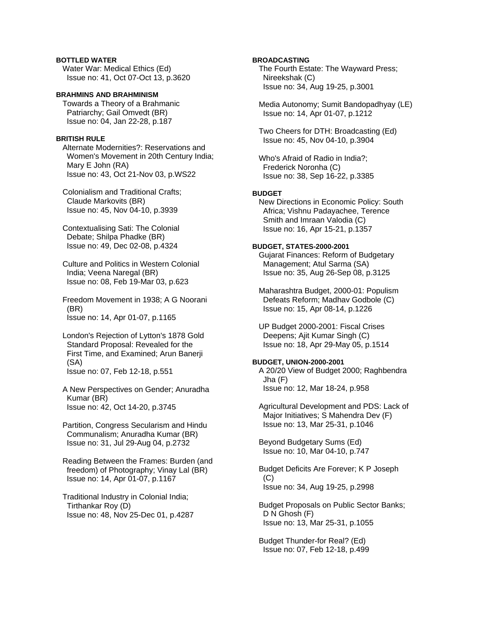# **BOTTLED WATER**

 Water War: Medical Ethics (Ed) Issue no: 41, Oct 07-Oct 13, p.3620

# **BRAHMINS AND BRAHMINISM**

 Towards a Theory of a Brahmanic Patriarchy; Gail Omvedt (BR) Issue no: 04, Jan 22-28, p.187

# **BRITISH RULE**

 Alternate Modernities?: Reservations and Women's Movement in 20th Century India; Mary E John (RA) Issue no: 43, Oct 21-Nov 03, p.WS22

 Colonialism and Traditional Crafts; Claude Markovits (BR) Issue no: 45, Nov 04-10, p.3939

 Contextualising Sati: The Colonial Debate; Shilpa Phadke (BR) Issue no: 49, Dec 02-08, p.4324

 Culture and Politics in Western Colonial India; Veena Naregal (BR) Issue no: 08, Feb 19-Mar 03, p.623

 Freedom Movement in 1938; A G Noorani (BR) Issue no: 14, Apr 01-07, p.1165

 London's Rejection of Lytton's 1878 Gold Standard Proposal: Revealed for the First Time, and Examined; Arun Banerji (SA) Issue no: 07, Feb 12-18, p.551

 A New Perspectives on Gender; Anuradha Kumar (BR) Issue no: 42, Oct 14-20, p.3745

 Partition, Congress Secularism and Hindu Communalism; Anuradha Kumar (BR) Issue no: 31, Jul 29-Aug 04, p.2732

 Reading Between the Frames: Burden (and freedom) of Photography; Vinay Lal (BR) Issue no: 14, Apr 01-07, p.1167

 Traditional Industry in Colonial India; Tirthankar Roy (D) Issue no: 48, Nov 25-Dec 01, p.4287

# **BROADCASTING**

 The Fourth Estate: The Wayward Press; Nireekshak (C) Issue no: 34, Aug 19-25, p.3001

 Media Autonomy; Sumit Bandopadhyay (LE) Issue no: 14, Apr 01-07, p.1212

 Two Cheers for DTH: Broadcasting (Ed) Issue no: 45, Nov 04-10, p.3904

 Who's Afraid of Radio in India?; Frederick Noronha (C) Issue no: 38, Sep 16-22, p.3385

# **BUDGET**

 New Directions in Economic Policy: South Africa; Vishnu Padayachee, Terence Smith and Imraan Valodia (C) Issue no: 16, Apr 15-21, p.1357

# **BUDGET, STATES-2000-2001**

 Gujarat Finances: Reform of Budgetary Management; Atul Sarma (SA) Issue no: 35, Aug 26-Sep 08, p.3125

 Maharashtra Budget, 2000-01: Populism Defeats Reform; Madhav Godbole (C) Issue no: 15, Apr 08-14, p.1226

 UP Budget 2000-2001: Fiscal Crises Deepens; Ajit Kumar Singh (C) Issue no: 18, Apr 29-May 05, p.1514

# **BUDGET, UNION-2000-2001**

 A 20/20 View of Budget 2000; Raghbendra Jha (F) Issue no: 12, Mar 18-24, p.958

 Agricultural Development and PDS: Lack of Major Initiatives; S Mahendra Dev (F) Issue no: 13, Mar 25-31, p.1046

 Beyond Budgetary Sums (Ed) Issue no: 10, Mar 04-10, p.747

 Budget Deficits Are Forever; K P Joseph  $(C)$ Issue no: 34, Aug 19-25, p.2998

 Budget Proposals on Public Sector Banks; D N Ghosh (F) Issue no: 13, Mar 25-31, p.1055

 Budget Thunder-for Real? (Ed) Issue no: 07, Feb 12-18, p.499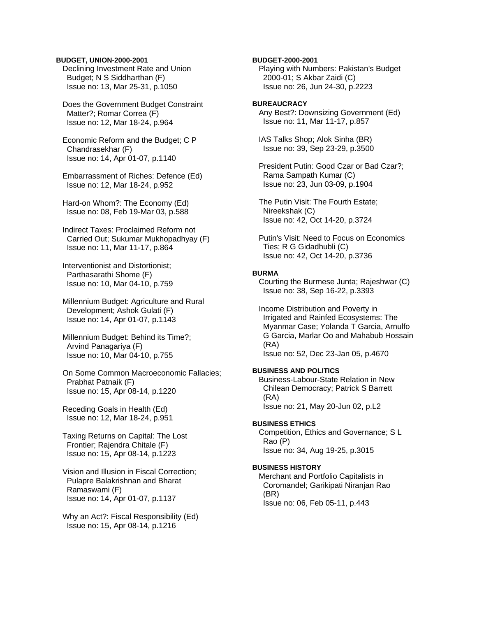#### **BUDGET, UNION-2000-2001**

 Declining Investment Rate and Union Budget; N S Siddharthan (F) Issue no: 13, Mar 25-31, p.1050

 Does the Government Budget Constraint Matter?; Romar Correa (F) Issue no: 12, Mar 18-24, p.964

 Economic Reform and the Budget; C P Chandrasekhar (F) Issue no: 14, Apr 01-07, p.1140

 Embarrassment of Riches: Defence (Ed) Issue no: 12, Mar 18-24, p.952

 Hard-on Whom?: The Economy (Ed) Issue no: 08, Feb 19-Mar 03, p.588

 Indirect Taxes: Proclaimed Reform not Carried Out; Sukumar Mukhopadhyay (F) Issue no: 11, Mar 11-17, p.864

 Interventionist and Distortionist; Parthasarathi Shome (F) Issue no: 10, Mar 04-10, p.759

 Millennium Budget: Agriculture and Rural Development; Ashok Gulati (F) Issue no: 14, Apr 01-07, p.1143

 Millennium Budget: Behind its Time?; Arvind Panagariya (F) Issue no: 10, Mar 04-10, p.755

 On Some Common Macroeconomic Fallacies; Prabhat Patnaik (F) Issue no: 15, Apr 08-14, p.1220

 Receding Goals in Health (Ed) Issue no: 12, Mar 18-24, p.951

 Taxing Returns on Capital: The Lost Frontier; Rajendra Chitale (F) Issue no: 15, Apr 08-14, p.1223

 Vision and Illusion in Fiscal Correction; Pulapre Balakrishnan and Bharat Ramaswami (F) Issue no: 14, Apr 01-07, p.1137

 Why an Act?: Fiscal Responsibility (Ed) Issue no: 15, Apr 08-14, p.1216

**BUDGET-2000-2001** 

 Playing with Numbers: Pakistan's Budget 2000-01; S Akbar Zaidi (C) Issue no: 26, Jun 24-30, p.2223

# **BUREAUCRACY**

 Any Best?: Downsizing Government (Ed) Issue no: 11, Mar 11-17, p.857

 IAS Talks Shop; Alok Sinha (BR) Issue no: 39, Sep 23-29, p.3500

 President Putin: Good Czar or Bad Czar?; Rama Sampath Kumar (C) Issue no: 23, Jun 03-09, p.1904

 The Putin Visit: The Fourth Estate; Nireekshak (C) Issue no: 42, Oct 14-20, p.3724

 Putin's Visit: Need to Focus on Economics Ties; R G Gidadhubli (C) Issue no: 42, Oct 14-20, p.3736

#### **BURMA**

 Courting the Burmese Junta; Rajeshwar (C) Issue no: 38, Sep 16-22, p.3393

 Income Distribution and Poverty in Irrigated and Rainfed Ecosystems: The Myanmar Case; Yolanda T Garcia, Arnulfo G Garcia, Marlar Oo and Mahabub Hossain (RA)

Issue no: 52, Dec 23-Jan 05, p.4670

# **BUSINESS AND POLITICS**

 Business-Labour-State Relation in New Chilean Democracy; Patrick S Barrett (RA) Issue no: 21, May 20-Jun 02, p.L2

#### **BUSINESS ETHICS**

 Competition, Ethics and Governance; S L Rao (P) Issue no: 34, Aug 19-25, p.3015

# **BUSINESS HISTORY**

 Merchant and Portfolio Capitalists in Coromandel; Garikipati Niranjan Rao (BR) Issue no: 06, Feb 05-11, p.443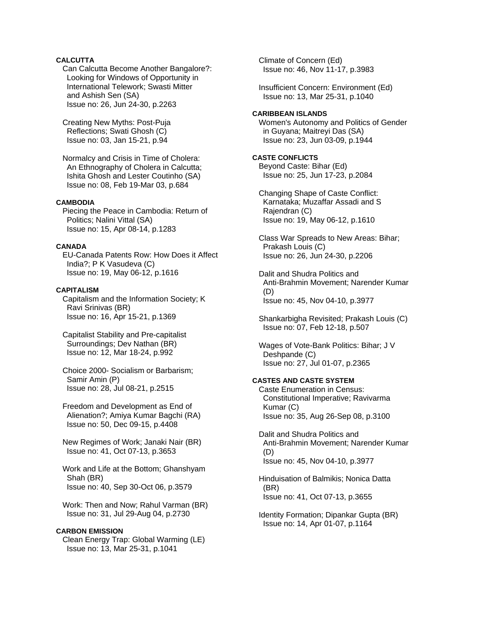# **CALCUTTA**

 Can Calcutta Become Another Bangalore?: Looking for Windows of Opportunity in International Telework; Swasti Mitter and Ashish Sen (SA) Issue no: 26, Jun 24-30, p.2263

 Creating New Myths: Post-Puja Reflections; Swati Ghosh (C) Issue no: 03, Jan 15-21, p.94

 Normalcy and Crisis in Time of Cholera: An Ethnography of Cholera in Calcutta; Ishita Ghosh and Lester Coutinho (SA) Issue no: 08, Feb 19-Mar 03, p.684

# **CAMBODIA**

 Piecing the Peace in Cambodia: Return of Politics; Nalini Vittal (SA) Issue no: 15, Apr 08-14, p.1283

#### **CANADA**

 EU-Canada Patents Row: How Does it Affect India?; P K Vasudeva (C) Issue no: 19, May 06-12, p.1616

#### **CAPITALISM**

 Capitalism and the Information Society; K Ravi Srinivas (BR) Issue no: 16, Apr 15-21, p.1369

 Capitalist Stability and Pre-capitalist Surroundings; Dev Nathan (BR) Issue no: 12, Mar 18-24, p.992

 Choice 2000- Socialism or Barbarism; Samir Amin (P) Issue no: 28, Jul 08-21, p.2515

 Freedom and Development as End of Alienation?; Amiya Kumar Bagchi (RA) Issue no: 50, Dec 09-15, p.4408

 New Regimes of Work; Janaki Nair (BR) Issue no: 41, Oct 07-13, p.3653

 Work and Life at the Bottom; Ghanshyam Shah (BR) Issue no: 40, Sep 30-Oct 06, p.3579

 Work: Then and Now; Rahul Varman (BR) Issue no: 31, Jul 29-Aug 04, p.2730

# **CARBON EMISSION**

 Clean Energy Trap: Global Warming (LE) Issue no: 13, Mar 25-31, p.1041

 Climate of Concern (Ed) Issue no: 46, Nov 11-17, p.3983

 Insufficient Concern: Environment (Ed) Issue no: 13, Mar 25-31, p.1040

## **CARIBBEAN ISLANDS**

 Women's Autonomy and Politics of Gender in Guyana; Maitreyi Das (SA) Issue no: 23, Jun 03-09, p.1944

# **CASTE CONFLICTS**

 Beyond Caste: Bihar (Ed) Issue no: 25, Jun 17-23, p.2084

 Changing Shape of Caste Conflict: Karnataka; Muzaffar Assadi and S Rajendran (C) Issue no: 19, May 06-12, p.1610

 Class War Spreads to New Areas: Bihar; Prakash Louis (C) Issue no: 26, Jun 24-30, p.2206

 Dalit and Shudra Politics and Anti-Brahmin Movement; Narender Kumar (D) Issue no: 45, Nov 04-10, p.3977

 Shankarbigha Revisited; Prakash Louis (C) Issue no: 07, Feb 12-18, p.507

 Wages of Vote-Bank Politics: Bihar; J V Deshpande (C) Issue no: 27, Jul 01-07, p.2365

# **CASTES AND CASTE SYSTEM**

 Caste Enumeration in Census: Constitutional Imperative; Ravivarma Kumar (C) Issue no: 35, Aug 26-Sep 08, p.3100

 Dalit and Shudra Politics and Anti-Brahmin Movement; Narender Kumar (D) Issue no: 45, Nov 04-10, p.3977

 Hinduisation of Balmikis; Nonica Datta (BR) Issue no: 41, Oct 07-13, p.3655

 Identity Formation; Dipankar Gupta (BR) Issue no: 14, Apr 01-07, p.1164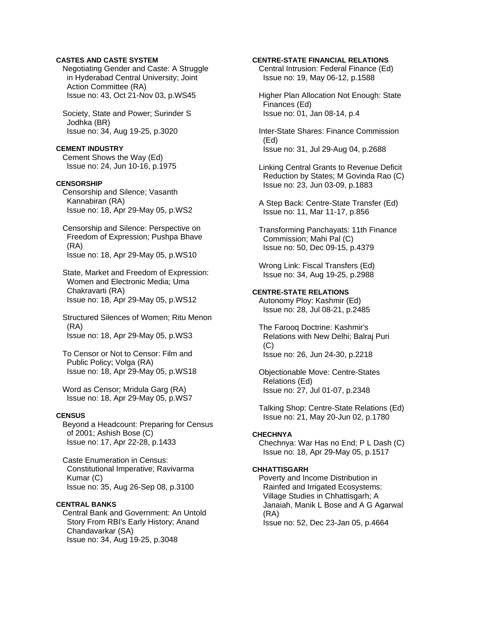# **CASTES AND CASTE SYSTEM**

 Negotiating Gender and Caste: A Struggle in Hyderabad Central University; Joint Action Committee (RA) Issue no: 43, Oct 21-Nov 03, p.WS45

 Society, State and Power; Surinder S Jodhka (BR) Issue no: 34, Aug 19-25, p.3020

#### **CEMENT INDUSTRY**

 Cement Shows the Way (Ed) Issue no: 24, Jun 10-16, p.1975

## **CENSORSHIP**

 Censorship and Silence; Vasanth Kannabiran (RA) Issue no: 18, Apr 29-May 05, p.WS2

 Censorship and Silence: Perspective on Freedom of Expression; Pushpa Bhave (RA) Issue no: 18, Apr 29-May 05, p.WS10

 State, Market and Freedom of Expression: Women and Electronic Media; Uma Chakravarti (RA) Issue no: 18, Apr 29-May 05, p.WS12

 Structured Silences of Women; Ritu Menon (RA) Issue no: 18, Apr 29-May 05, p.WS3

 To Censor or Not to Censor: Film and Public Policy; Volga (RA) Issue no: 18, Apr 29-May 05, p.WS18

 Word as Censor; Mridula Garg (RA) Issue no: 18, Apr 29-May 05, p.WS7

# **CENSUS**

 Beyond a Headcount: Preparing for Census of 2001; Ashish Bose (C) Issue no: 17, Apr 22-28, p.1433

 Caste Enumeration in Census: Constitutional Imperative; Ravivarma Kumar (C) Issue no: 35, Aug 26-Sep 08, p.3100

## **CENTRAL BANKS**

 Central Bank and Government: An Untold Story From RBI's Early History; Anand Chandavarkar (SA) Issue no: 34, Aug 19-25, p.3048

#### **CENTRE-STATE FINANCIAL RELATIONS**

 Central Intrusion: Federal Finance (Ed) Issue no: 19, May 06-12, p.1588

 Higher Plan Allocation Not Enough: State Finances (Ed) Issue no: 01, Jan 08-14, p.4

 Inter-State Shares: Finance Commission (Ed) Issue no: 31, Jul 29-Aug 04, p.2688

 Linking Central Grants to Revenue Deficit Reduction by States; M Govinda Rao (C) Issue no: 23, Jun 03-09, p.1883

 A Step Back: Centre-State Transfer (Ed) Issue no: 11, Mar 11-17, p.856

 Transforming Panchayats: 11th Finance Commission; Mahi Pal (C) Issue no: 50, Dec 09-15, p.4379

 Wrong Link: Fiscal Transfers (Ed) Issue no: 34, Aug 19-25, p.2988

# **CENTRE-STATE RELATIONS**

 Autonomy Ploy: Kashmir (Ed) Issue no: 28, Jul 08-21, p.2485

 The Farooq Doctrine: Kashmir's Relations with New Delhi; Balraj Puri  $(C)$ Issue no: 26, Jun 24-30, p.2218

 Objectionable Move: Centre-States Relations (Ed) Issue no: 27, Jul 01-07, p.2348

 Talking Shop: Centre-State Relations (Ed) Issue no: 21, May 20-Jun 02, p.1780

#### **CHECHNYA**

 Chechnya: War Has no End; P L Dash (C) Issue no: 18, Apr 29-May 05, p.1517

# **CHHATTISGARH**

 Poverty and Income Distribution in Rainfed and Irrigated Ecosystems: Village Studies in Chhattisgarh; A Janaiah, Manik L Bose and A G Agarwal (RA) Issue no: 52, Dec 23-Jan 05, p.4664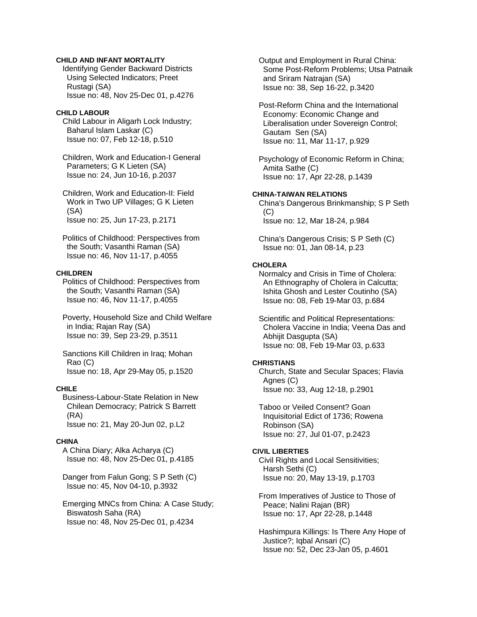## **CHILD AND INFANT MORTALITY**

 Identifying Gender Backward Districts Using Selected Indicators; Preet Rustagi (SA) Issue no: 48, Nov 25-Dec 01, p.4276

#### **CHILD LABOUR**

 Child Labour in Aligarh Lock Industry; Baharul Islam Laskar (C) Issue no: 07, Feb 12-18, p.510

 Children, Work and Education-I General Parameters; G K Lieten (SA) Issue no: 24, Jun 10-16, p.2037

 Children, Work and Education-II: Field Work in Two UP Villages; G K Lieten (SA) Issue no: 25, Jun 17-23, p.2171

 Politics of Childhood: Perspectives from the South; Vasanthi Raman (SA) Issue no: 46, Nov 11-17, p.4055

#### **CHILDREN**

 Politics of Childhood: Perspectives from the South; Vasanthi Raman (SA) Issue no: 46, Nov 11-17, p.4055

 Poverty, Household Size and Child Welfare in India; Rajan Ray (SA) Issue no: 39, Sep 23-29, p.3511

 Sanctions Kill Children in Iraq; Mohan Rao (C) Issue no: 18, Apr 29-May 05, p.1520

#### **CHILE**

 Business-Labour-State Relation in New Chilean Democracy; Patrick S Barrett (RA) Issue no: 21, May 20-Jun 02, p.L2

## **CHINA**

 A China Diary; Alka Acharya (C) Issue no: 48, Nov 25-Dec 01, p.4185

 Danger from Falun Gong; S P Seth (C) Issue no: 45, Nov 04-10, p.3932

 Emerging MNCs from China: A Case Study; Biswatosh Saha (RA) Issue no: 48, Nov 25-Dec 01, p.4234

 Output and Employment in Rural China: Some Post-Reform Problems; Utsa Patnaik and Sriram Natrajan (SA) Issue no: 38, Sep 16-22, p.3420

 Post-Reform China and the International Economy: Economic Change and Liberalisation under Sovereign Control; Gautam Sen (SA) Issue no: 11, Mar 11-17, p.929

 Psychology of Economic Reform in China; Amita Sathe (C) Issue no: 17, Apr 22-28, p.1439

# **CHINA-TAIWAN RELATIONS**

 China's Dangerous Brinkmanship; S P Seth  $(C)$ Issue no: 12, Mar 18-24, p.984

 China's Dangerous Crisis; S P Seth (C) Issue no: 01, Jan 08-14, p.23

# **CHOLERA**

 Normalcy and Crisis in Time of Cholera: An Ethnography of Cholera in Calcutta; Ishita Ghosh and Lester Coutinho (SA) Issue no: 08, Feb 19-Mar 03, p.684

 Scientific and Political Representations: Cholera Vaccine in India; Veena Das and Abhijit Dasgupta (SA) Issue no: 08, Feb 19-Mar 03, p.633

## **CHRISTIANS**

 Church, State and Secular Spaces; Flavia Agnes (C) Issue no: 33, Aug 12-18, p.2901

 Taboo or Veiled Consent? Goan Inquisitorial Edict of 1736; Rowena Robinson (SA) Issue no: 27, Jul 01-07, p.2423

# **CIVIL LIBERTIES**

 Civil Rights and Local Sensitivities; Harsh Sethi (C) Issue no: 20, May 13-19, p.1703

 From Imperatives of Justice to Those of Peace; Nalini Rajan (BR) Issue no: 17, Apr 22-28, p.1448

 Hashimpura Killings: Is There Any Hope of Justice?; Iqbal Ansari (C) Issue no: 52, Dec 23-Jan 05, p.4601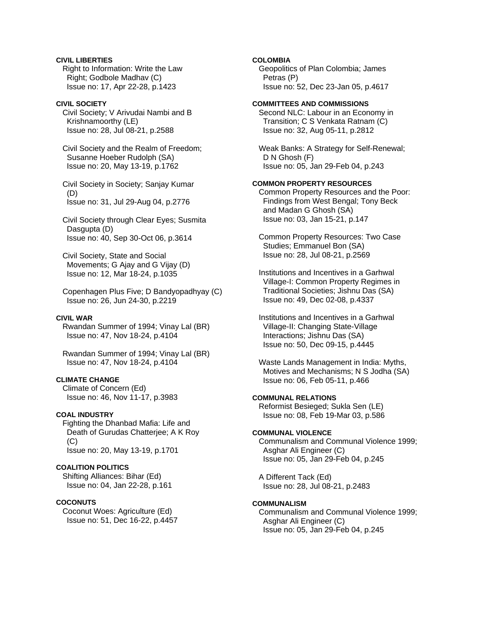# **CIVIL LIBERTIES**

 Right to Information: Write the Law Right; Godbole Madhav (C) Issue no: 17, Apr 22-28, p.1423

# **CIVIL SOCIETY**

 Civil Society; V Arivudai Nambi and B Krishnamoorthy (LE) Issue no: 28, Jul 08-21, p.2588

 Civil Society and the Realm of Freedom; Susanne Hoeber Rudolph (SA) Issue no: 20, May 13-19, p.1762

 Civil Society in Society; Sanjay Kumar (D) Issue no: 31, Jul 29-Aug 04, p.2776

 Civil Society through Clear Eyes; Susmita Dasgupta (D) Issue no: 40, Sep 30-Oct 06, p.3614

 Civil Society, State and Social Movements; G Ajay and G Vijay (D) Issue no: 12, Mar 18-24, p.1035

 Copenhagen Plus Five; D Bandyopadhyay (C) Issue no: 26, Jun 24-30, p.2219

# **CIVIL WAR**

 Rwandan Summer of 1994; Vinay Lal (BR) Issue no: 47, Nov 18-24, p.4104

 Rwandan Summer of 1994; Vinay Lal (BR) Issue no: 47, Nov 18-24, p.4104

# **CLIMATE CHANGE**

 Climate of Concern (Ed) Issue no: 46, Nov 11-17, p.3983

#### **COAL INDUSTRY**

 Fighting the Dhanbad Mafia: Life and Death of Gurudas Chatterjee; A K Roy (C) Issue no: 20, May 13-19, p.1701

# **COALITION POLITICS**

 Shifting Alliances: Bihar (Ed) Issue no: 04, Jan 22-28, p.161

# **COCONUTS**

 Coconut Woes: Agriculture (Ed) Issue no: 51, Dec 16-22, p.4457

# **COLOMBIA**

 Geopolitics of Plan Colombia; James Petras (P) Issue no: 52, Dec 23-Jan 05, p.4617

#### **COMMITTEES AND COMMISSIONS**

 Second NLC: Labour in an Economy in Transition; C S Venkata Ratnam (C) Issue no: 32, Aug 05-11, p.2812

 Weak Banks: A Strategy for Self-Renewal; D N Ghosh (F) Issue no: 05, Jan 29-Feb 04, p.243

# **COMMON PROPERTY RESOURCES**

 Common Property Resources and the Poor: Findings from West Bengal; Tony Beck and Madan G Ghosh (SA) Issue no: 03, Jan 15-21, p.147

 Common Property Resources: Two Case Studies; Emmanuel Bon (SA) Issue no: 28, Jul 08-21, p.2569

 Institutions and Incentives in a Garhwal Village-I: Common Property Regimes in Traditional Societies; Jishnu Das (SA) Issue no: 49, Dec 02-08, p.4337

 Institutions and Incentives in a Garhwal Village-II: Changing State-Village Interactions; Jishnu Das (SA) Issue no: 50, Dec 09-15, p.4445

 Waste Lands Management in India: Myths, Motives and Mechanisms; N S Jodha (SA) Issue no: 06, Feb 05-11, p.466

# **COMMUNAL RELATIONS**

 Reformist Besieged; Sukla Sen (LE) Issue no: 08, Feb 19-Mar 03, p.586

# **COMMUNAL VIOLENCE**

 Communalism and Communal Violence 1999; Asghar Ali Engineer (C) Issue no: 05, Jan 29-Feb 04, p.245

 A Different Tack (Ed) Issue no: 28, Jul 08-21, p.2483

### **COMMUNALISM**

 Communalism and Communal Violence 1999; Asghar Ali Engineer (C) Issue no: 05, Jan 29-Feb 04, p.245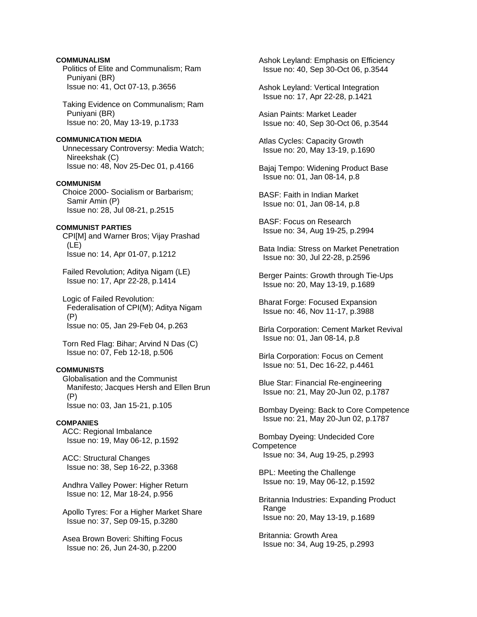# **COMMUNALISM**

 Politics of Elite and Communalism; Ram Puniyani (BR) Issue no: 41, Oct 07-13, p.3656

 Taking Evidence on Communalism; Ram Puniyani (BR) Issue no: 20, May 13-19, p.1733

# **COMMUNICATION MEDIA**

 Unnecessary Controversy: Media Watch; Nireekshak (C) Issue no: 48, Nov 25-Dec 01, p.4166

# **COMMUNISM**

 Choice 2000- Socialism or Barbarism; Samir Amin (P) Issue no: 28, Jul 08-21, p.2515

# **COMMUNIST PARTIES**

 CPI[M] and Warner Bros; Vijay Prashad (LE) Issue no: 14, Apr 01-07, p.1212

 Failed Revolution; Aditya Nigam (LE) Issue no: 17, Apr 22-28, p.1414

 Logic of Failed Revolution: Federalisation of CPI(M); Aditya Nigam (P) Issue no: 05, Jan 29-Feb 04, p.263

 Torn Red Flag: Bihar; Arvind N Das (C) Issue no: 07, Feb 12-18, p.506

# **COMMUNISTS**

 Globalisation and the Communist Manifesto; Jacques Hersh and Ellen Brun (P) Issue no: 03, Jan 15-21, p.105

## **COMPANIES**

 ACC: Regional Imbalance Issue no: 19, May 06-12, p.1592

 ACC: Structural Changes Issue no: 38, Sep 16-22, p.3368

 Andhra Valley Power: Higher Return Issue no: 12, Mar 18-24, p.956

 Apollo Tyres: For a Higher Market Share Issue no: 37, Sep 09-15, p.3280

 Asea Brown Boveri: Shifting Focus Issue no: 26, Jun 24-30, p.2200

 Ashok Leyland: Emphasis on Efficiency Issue no: 40, Sep 30-Oct 06, p.3544

 Ashok Leyland: Vertical Integration Issue no: 17, Apr 22-28, p.1421

 Asian Paints: Market Leader Issue no: 40, Sep 30-Oct 06, p.3544

 Atlas Cycles: Capacity Growth Issue no: 20, May 13-19, p.1690

 Bajaj Tempo: Widening Product Base Issue no: 01, Jan 08-14, p.8

 BASF: Faith in Indian Market Issue no: 01, Jan 08-14, p.8

 BASF: Focus on Research Issue no: 34, Aug 19-25, p.2994

 Bata India: Stress on Market Penetration Issue no: 30, Jul 22-28, p.2596

 Berger Paints: Growth through Tie-Ups Issue no: 20, May 13-19, p.1689

 Bharat Forge: Focused Expansion Issue no: 46, Nov 11-17, p.3988

 Birla Corporation: Cement Market Revival Issue no: 01, Jan 08-14, p.8

 Birla Corporation: Focus on Cement Issue no: 51, Dec 16-22, p.4461

 Blue Star: Financial Re-engineering Issue no: 21, May 20-Jun 02, p.1787

 Bombay Dyeing: Back to Core Competence Issue no: 21, May 20-Jun 02, p.1787

 Bombay Dyeing: Undecided Core **Competence** Issue no: 34, Aug 19-25, p.2993

 BPL: Meeting the Challenge Issue no: 19, May 06-12, p.1592

 Britannia Industries: Expanding Product Range Issue no: 20, May 13-19, p.1689

 Britannia: Growth Area Issue no: 34, Aug 19-25, p.2993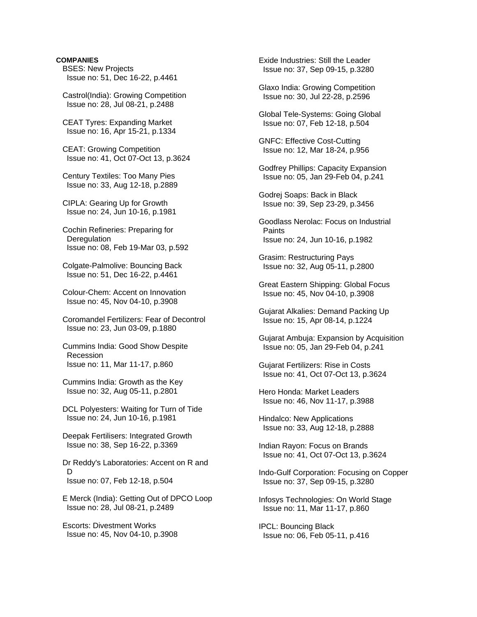# **COMPANIES**

- BSES: New Projects Issue no: 51, Dec 16-22, p.4461
- Castrol(India): Growing Competition Issue no: 28, Jul 08-21, p.2488
- CEAT Tyres: Expanding Market Issue no: 16, Apr 15-21, p.1334
- CEAT: Growing Competition Issue no: 41, Oct 07-Oct 13, p.3624
- Century Textiles: Too Many Pies Issue no: 33, Aug 12-18, p.2889
- CIPLA: Gearing Up for Growth Issue no: 24, Jun 10-16, p.1981
- Cochin Refineries: Preparing for **Deregulation** Issue no: 08, Feb 19-Mar 03, p.592
- Colgate-Palmolive: Bouncing Back Issue no: 51, Dec 16-22, p.4461
- Colour-Chem: Accent on Innovation Issue no: 45, Nov 04-10, p.3908
- Coromandel Fertilizers: Fear of Decontrol Issue no: 23, Jun 03-09, p.1880
- Cummins India: Good Show Despite Recession Issue no: 11, Mar 11-17, p.860
- Cummins India: Growth as the Key Issue no: 32, Aug 05-11, p.2801
- DCL Polyesters: Waiting for Turn of Tide Issue no: 24, Jun 10-16, p.1981
- Deepak Fertilisers: Integrated Growth Issue no: 38, Sep 16-22, p.3369
- Dr Reddy's Laboratories: Accent on R and  $\mathsf{D}$ Issue no: 07, Feb 12-18, p.504
- E Merck (India): Getting Out of DPCO Loop Issue no: 28, Jul 08-21, p.2489
- Escorts: Divestment Works Issue no: 45, Nov 04-10, p.3908

 Exide Industries: Still the Leader Issue no: 37, Sep 09-15, p.3280

- Glaxo India: Growing Competition Issue no: 30, Jul 22-28, p.2596
- Global Tele-Systems: Going Global Issue no: 07, Feb 12-18, p.504
- GNFC: Effective Cost-Cutting Issue no: 12, Mar 18-24, p.956
- Godfrey Phillips: Capacity Expansion Issue no: 05, Jan 29-Feb 04, p.241
- Godrej Soaps: Back in Black Issue no: 39, Sep 23-29, p.3456
- Goodlass Nerolac: Focus on Industrial Paints Issue no: 24, Jun 10-16, p.1982
- Grasim: Restructuring Pays Issue no: 32, Aug 05-11, p.2800
- Great Eastern Shipping: Global Focus Issue no: 45, Nov 04-10, p.3908
- Gujarat Alkalies: Demand Packing Up Issue no: 15, Apr 08-14, p.1224
- Gujarat Ambuja: Expansion by Acquisition Issue no: 05, Jan 29-Feb 04, p.241
- Gujarat Fertilizers: Rise in Costs Issue no: 41, Oct 07-Oct 13, p.3624
- Hero Honda: Market Leaders Issue no: 46, Nov 11-17, p.3988
- Hindalco: New Applications Issue no: 33, Aug 12-18, p.2888
- Indian Rayon: Focus on Brands Issue no: 41, Oct 07-Oct 13, p.3624
- Indo-Gulf Corporation: Focusing on Copper Issue no: 37, Sep 09-15, p.3280
- Infosys Technologies: On World Stage Issue no: 11, Mar 11-17, p.860
- IPCL: Bouncing Black Issue no: 06, Feb 05-11, p.416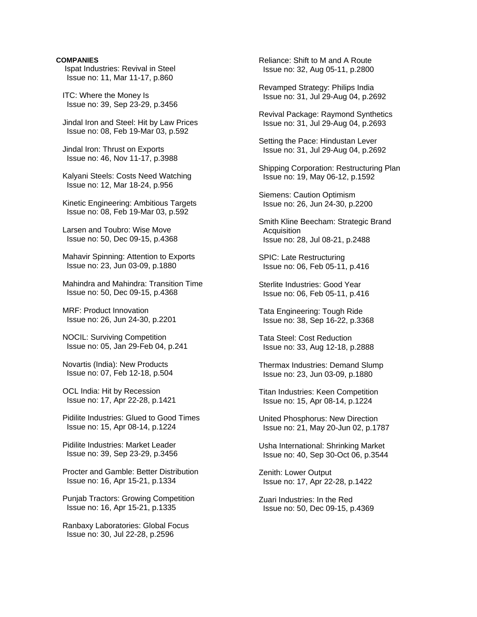# **COMPANIES**

 Ispat Industries: Revival in Steel Issue no: 11, Mar 11-17, p.860

 ITC: Where the Money Is Issue no: 39, Sep 23-29, p.3456

 Jindal Iron and Steel: Hit by Law Prices Issue no: 08, Feb 19-Mar 03, p.592

 Jindal Iron: Thrust on Exports Issue no: 46, Nov 11-17, p.3988

 Kalyani Steels: Costs Need Watching Issue no: 12, Mar 18-24, p.956

 Kinetic Engineering: Ambitious Targets Issue no: 08, Feb 19-Mar 03, p.592

 Larsen and Toubro: Wise Move Issue no: 50, Dec 09-15, p.4368

 Mahavir Spinning: Attention to Exports Issue no: 23, Jun 03-09, p.1880

 Mahindra and Mahindra: Transition Time Issue no: 50, Dec 09-15, p.4368

 MRF: Product Innovation Issue no: 26, Jun 24-30, p.2201

 NOCIL: Surviving Competition Issue no: 05, Jan 29-Feb 04, p.241

 Novartis (India): New Products Issue no: 07, Feb 12-18, p.504

 OCL India: Hit by Recession Issue no: 17, Apr 22-28, p.1421

 Pidilite Industries: Glued to Good Times Issue no: 15, Apr 08-14, p.1224

 Pidilite Industries: Market Leader Issue no: 39, Sep 23-29, p.3456

 Procter and Gamble: Better Distribution Issue no: 16, Apr 15-21, p.1334

 Punjab Tractors: Growing Competition Issue no: 16, Apr 15-21, p.1335

 Ranbaxy Laboratories: Global Focus Issue no: 30, Jul 22-28, p.2596

 Reliance: Shift to M and A Route Issue no: 32, Aug 05-11, p.2800

 Revamped Strategy: Philips India Issue no: 31, Jul 29-Aug 04, p.2692

 Revival Package: Raymond Synthetics Issue no: 31, Jul 29-Aug 04, p.2693

 Setting the Pace: Hindustan Lever Issue no: 31, Jul 29-Aug 04, p.2692

 Shipping Corporation: Restructuring Plan Issue no: 19, May 06-12, p.1592

 Siemens: Caution Optimism Issue no: 26, Jun 24-30, p.2200

 Smith Kline Beecham: Strategic Brand **Acquisition** Issue no: 28, Jul 08-21, p.2488

 SPIC: Late Restructuring Issue no: 06, Feb 05-11, p.416

 Sterlite Industries: Good Year Issue no: 06, Feb 05-11, p.416

 Tata Engineering: Tough Ride Issue no: 38, Sep 16-22, p.3368

 Tata Steel: Cost Reduction Issue no: 33, Aug 12-18, p.2888

 Thermax Industries: Demand Slump Issue no: 23, Jun 03-09, p.1880

 Titan Industries: Keen Competition Issue no: 15, Apr 08-14, p.1224

 United Phosphorus: New Direction Issue no: 21, May 20-Jun 02, p.1787

 Usha International: Shrinking Market Issue no: 40, Sep 30-Oct 06, p.3544

 Zenith: Lower Output Issue no: 17, Apr 22-28, p.1422

 Zuari Industries: In the Red Issue no: 50, Dec 09-15, p.4369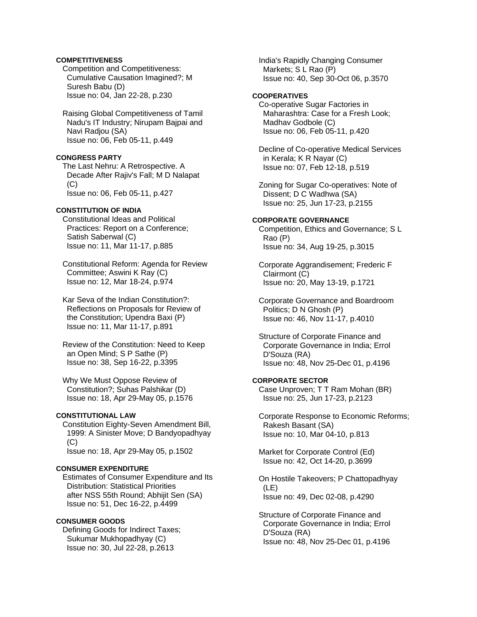# **COMPETITIVENESS**

 Competition and Competitiveness: Cumulative Causation Imagined?; M Suresh Babu (D) Issue no: 04, Jan 22-28, p.230

 Raising Global Competitiveness of Tamil Nadu's IT Industry; Nirupam Bajpai and Navi Radjou (SA) Issue no: 06, Feb 05-11, p.449

#### **CONGRESS PARTY**

 The Last Nehru: A Retrospective. A Decade After Rajiv's Fall; M D Nalapat  $(C)$ Issue no: 06, Feb 05-11, p.427

# **CONSTITUTION OF INDIA**

 Constitutional Ideas and Political Practices: Report on a Conference; Satish Saberwal (C) Issue no: 11, Mar 11-17, p.885

 Constitutional Reform: Agenda for Review Committee; Aswini K Ray (C) Issue no: 12, Mar 18-24, p.974

 Kar Seva of the Indian Constitution?: Reflections on Proposals for Review of the Constitution; Upendra Baxi (P) Issue no: 11, Mar 11-17, p.891

 Review of the Constitution: Need to Keep an Open Mind; S P Sathe (P) Issue no: 38, Sep 16-22, p.3395

 Why We Must Oppose Review of Constitution?; Suhas Palshikar (D) Issue no: 18, Apr 29-May 05, p.1576

# **CONSTITUTIONAL LAW**

 Constitution Eighty-Seven Amendment Bill, 1999: A Sinister Move; D Bandyopadhyay  $(C)$ Issue no: 18, Apr 29-May 05, p.1502

## **CONSUMER EXPENDITURE**

 Estimates of Consumer Expenditure and Its Distribution: Statistical Priorities after NSS 55th Round; Abhijit Sen (SA) Issue no: 51, Dec 16-22, p.4499

#### **CONSUMER GOODS**

 Defining Goods for Indirect Taxes; Sukumar Mukhopadhyay (C) Issue no: 30, Jul 22-28, p.2613

 India's Rapidly Changing Consumer Markets; S L Rao (P) Issue no: 40, Sep 30-Oct 06, p.3570

# **COOPERATIVES**

 Co-operative Sugar Factories in Maharashtra: Case for a Fresh Look; Madhav Godbole (C) Issue no: 06, Feb 05-11, p.420

 Decline of Co-operative Medical Services in Kerala; K R Nayar (C) Issue no: 07, Feb 12-18, p.519

 Zoning for Sugar Co-operatives: Note of Dissent; D C Wadhwa (SA) Issue no: 25, Jun 17-23, p.2155

# **CORPORATE GOVERNANCE**

 Competition, Ethics and Governance; S L Rao (P) Issue no: 34, Aug 19-25, p.3015

 Corporate Aggrandisement; Frederic F Clairmont (C) Issue no: 20, May 13-19, p.1721

 Corporate Governance and Boardroom Politics; D N Ghosh (P) Issue no: 46, Nov 11-17, p.4010

 Structure of Corporate Finance and Corporate Governance in India; Errol D'Souza (RA) Issue no: 48, Nov 25-Dec 01, p.4196

# **CORPORATE SECTOR**

 Case Unproven; T T Ram Mohan (BR) Issue no: 25, Jun 17-23, p.2123

 Corporate Response to Economic Reforms; Rakesh Basant (SA) Issue no: 10, Mar 04-10, p.813

 Market for Corporate Control (Ed) Issue no: 42, Oct 14-20, p.3699

 On Hostile Takeovers; P Chattopadhyay (LE) Issue no: 49, Dec 02-08, p.4290

 Structure of Corporate Finance and Corporate Governance in India; Errol D'Souza (RA) Issue no: 48, Nov 25-Dec 01, p.4196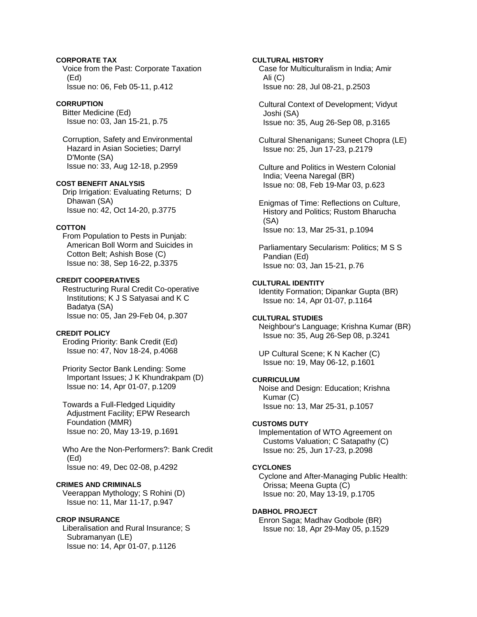# **CORPORATE TAX**

 Voice from the Past: Corporate Taxation (Ed) Issue no: 06, Feb 05-11, p.412

# **CORRUPTION**

 Bitter Medicine (Ed) Issue no: 03, Jan 15-21, p.75

 Corruption, Safety and Environmental Hazard in Asian Societies; Darryl D'Monte (SA) Issue no: 33, Aug 12-18, p.2959

## **COST BENEFIT ANALYSIS**

 Drip Irrigation: Evaluating Returns; D Dhawan (SA) Issue no: 42, Oct 14-20, p.3775

## **COTTON**

 From Population to Pests in Punjab: American Boll Worm and Suicides in Cotton Belt; Ashish Bose (C) Issue no: 38, Sep 16-22, p.3375

# **CREDIT COOPERATIVES**

 Restructuring Rural Credit Co-operative Institutions; K J S Satyasai and K C Badatya (SA) Issue no: 05, Jan 29-Feb 04, p.307

# **CREDIT POLICY**

 Eroding Priority: Bank Credit (Ed) Issue no: 47, Nov 18-24, p.4068

 Priority Sector Bank Lending: Some Important Issues; J K Khundrakpam (D) Issue no: 14, Apr 01-07, p.1209

 Towards a Full-Fledged Liquidity Adjustment Facility; EPW Research Foundation (MMR) Issue no: 20, May 13-19, p.1691

 Who Are the Non-Performers?: Bank Credit (Ed) Issue no: 49, Dec 02-08, p.4292

# **CRIMES AND CRIMINALS**

 Veerappan Mythology; S Rohini (D) Issue no: 11, Mar 11-17, p.947

## **CROP INSURANCE**

 Liberalisation and Rural Insurance; S Subramanyan (LE) Issue no: 14, Apr 01-07, p.1126

# **CULTURAL HISTORY**

 Case for Multiculturalism in India; Amir Ali (C) Issue no: 28, Jul 08-21, p.2503

 Cultural Context of Development; Vidyut Joshi (SA) Issue no: 35, Aug 26-Sep 08, p.3165

 Cultural Shenanigans; Suneet Chopra (LE) Issue no: 25, Jun 17-23, p.2179

 Culture and Politics in Western Colonial India; Veena Naregal (BR) Issue no: 08, Feb 19-Mar 03, p.623

 Enigmas of Time: Reflections on Culture, History and Politics; Rustom Bharucha (SA) Issue no: 13, Mar 25-31, p.1094

 Parliamentary Secularism: Politics; M S S Pandian (Ed) Issue no: 03, Jan 15-21, p.76

# **CULTURAL IDENTITY**

 Identity Formation; Dipankar Gupta (BR) Issue no: 14, Apr 01-07, p.1164

# **CULTURAL STUDIES**

 Neighbour's Language; Krishna Kumar (BR) Issue no: 35, Aug 26-Sep 08, p.3241

 UP Cultural Scene; K N Kacher (C) Issue no: 19, May 06-12, p.1601

#### **CURRICULUM**

 Noise and Design: Education; Krishna Kumar (C) Issue no: 13, Mar 25-31, p.1057

# **CUSTOMS DUTY**

 Implementation of WTO Agreement on Customs Valuation; C Satapathy (C) Issue no: 25, Jun 17-23, p.2098

# **CYCLONES**

 Cyclone and After-Managing Public Health: Orissa; Meena Gupta (C) Issue no: 20, May 13-19, p.1705

# **DABHOL PROJECT**

 Enron Saga; Madhav Godbole (BR) Issue no: 18, Apr 29-May 05, p.1529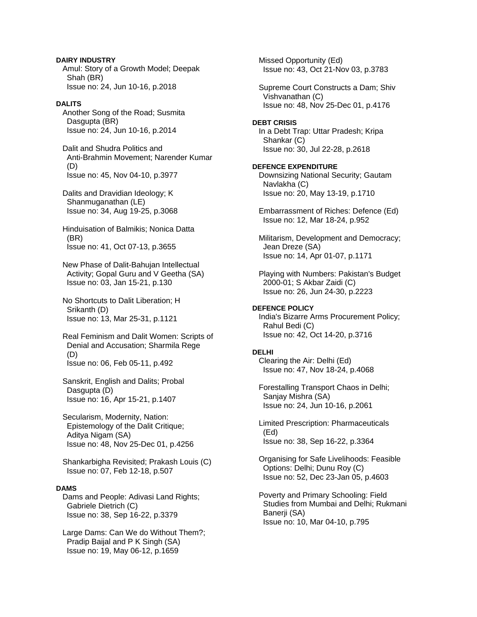**DAIRY INDUSTRY**  Amul: Story of a Growth Model; Deepak Shah (BR) Issue no: 24, Jun 10-16, p.2018

# **DALITS**

 Another Song of the Road; Susmita Dasgupta (BR) Issue no: 24, Jun 10-16, p.2014

 Dalit and Shudra Politics and Anti-Brahmin Movement; Narender Kumar (D) Issue no: 45, Nov 04-10, p.3977

 Dalits and Dravidian Ideology; K Shanmuganathan (LE) Issue no: 34, Aug 19-25, p.3068

 Hinduisation of Balmikis; Nonica Datta (BR) Issue no: 41, Oct 07-13, p.3655

 New Phase of Dalit-Bahujan Intellectual Activity; Gopal Guru and V Geetha (SA) Issue no: 03, Jan 15-21, p.130

 No Shortcuts to Dalit Liberation; H Srikanth (D) Issue no: 13, Mar 25-31, p.1121

 Real Feminism and Dalit Women: Scripts of Denial and Accusation; Sharmila Rege (D) Issue no: 06, Feb 05-11, p.492

 Sanskrit, English and Dalits; Probal Dasgupta (D) Issue no: 16, Apr 15-21, p.1407

 Secularism, Modernity, Nation: Epistemology of the Dalit Critique; Aditya Nigam (SA) Issue no: 48, Nov 25-Dec 01, p.4256

 Shankarbigha Revisited; Prakash Louis (C) Issue no: 07, Feb 12-18, p.507

## **DAMS**

 Dams and People: Adivasi Land Rights; Gabriele Dietrich (C) Issue no: 38, Sep 16-22, p.3379

 Large Dams: Can We do Without Them?; Pradip Baijal and P K Singh (SA) Issue no: 19, May 06-12, p.1659

 Missed Opportunity (Ed) Issue no: 43, Oct 21-Nov 03, p.3783 Supreme Court Constructs a Dam; Shiv Vishvanathan (C) Issue no: 48, Nov 25-Dec 01, p.4176 **DEBT CRISIS**  In a Debt Trap: Uttar Pradesh; Kripa Shankar (C) Issue no: 30, Jul 22-28, p.2618 **DEFENCE EXPENDITURE**  Downsizing National Security; Gautam Navlakha (C) Issue no: 20, May 13-19, p.1710 Embarrassment of Riches: Defence (Ed) Issue no: 12, Mar 18-24, p.952 Militarism, Development and Democracy; Jean Dreze (SA) Issue no: 14, Apr 01-07, p.1171 Playing with Numbers: Pakistan's Budget 2000-01; S Akbar Zaidi (C) Issue no: 26, Jun 24-30, p.2223 **DEFENCE POLICY**  India's Bizarre Arms Procurement Policy; Rahul Bedi (C) Issue no: 42, Oct 14-20, p.3716 **DELHI**  Clearing the Air: Delhi (Ed) Issue no: 47, Nov 18-24, p.4068 Forestalling Transport Chaos in Delhi; Sanjay Mishra (SA) Issue no: 24, Jun 10-16, p.2061 Limited Prescription: Pharmaceuticals (Ed) Issue no: 38, Sep 16-22, p.3364 Organising for Safe Livelihoods: Feasible Options: Delhi; Dunu Roy (C) Issue no: 52, Dec 23-Jan 05, p.4603

 Poverty and Primary Schooling: Field Studies from Mumbai and Delhi; Rukmani Banerji (SA) Issue no: 10, Mar 04-10, p.795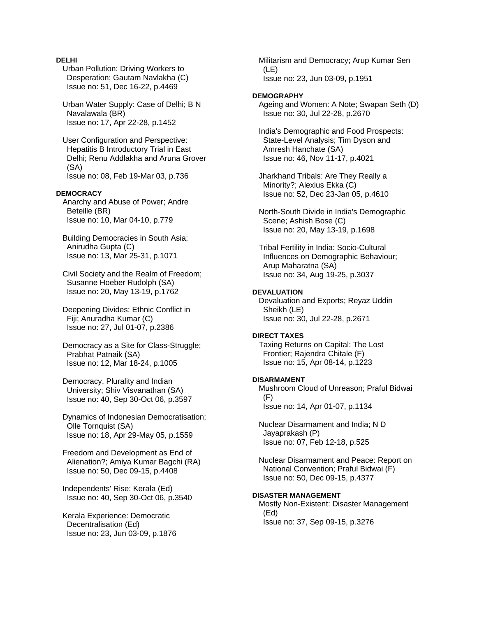# **DELHI**

 Urban Pollution: Driving Workers to Desperation; Gautam Navlakha (C) Issue no: 51, Dec 16-22, p.4469

 Urban Water Supply: Case of Delhi; B N Navalawala (BR) Issue no: 17, Apr 22-28, p.1452

 User Configuration and Perspective: Hepatitis B Introductory Trial in East Delhi; Renu Addlakha and Aruna Grover (SA) Issue no: 08, Feb 19-Mar 03, p.736

## **DEMOCRACY**

 Anarchy and Abuse of Power; Andre Beteille (BR) Issue no: 10, Mar 04-10, p.779

 Building Democracies in South Asia; Anirudha Gupta (C) Issue no: 13, Mar 25-31, p.1071

 Civil Society and the Realm of Freedom; Susanne Hoeber Rudolph (SA) Issue no: 20, May 13-19, p.1762

 Deepening Divides: Ethnic Conflict in Fiii: Anuradha Kumar (C) Issue no: 27, Jul 01-07, p.2386

 Democracy as a Site for Class-Struggle; Prabhat Patnaik (SA) Issue no: 12, Mar 18-24, p.1005

 Democracy, Plurality and Indian University; Shiv Visvanathan (SA) Issue no: 40, Sep 30-Oct 06, p.3597

 Dynamics of Indonesian Democratisation; Olle Tornquist (SA) Issue no: 18, Apr 29-May 05, p.1559

 Freedom and Development as End of Alienation?; Amiya Kumar Bagchi (RA) Issue no: 50, Dec 09-15, p.4408

 Independents' Rise: Kerala (Ed) Issue no: 40, Sep 30-Oct 06, p.3540

 Kerala Experience: Democratic Decentralisation (Ed) Issue no: 23, Jun 03-09, p.1876  Militarism and Democracy; Arup Kumar Sen (LE) Issue no: 23, Jun 03-09, p.1951

#### **DEMOGRAPHY**

 Ageing and Women: A Note; Swapan Seth (D) Issue no: 30, Jul 22-28, p.2670

 India's Demographic and Food Prospects: State-Level Analysis; Tim Dyson and Amresh Hanchate (SA) Issue no: 46, Nov 11-17, p.4021

 Jharkhand Tribals: Are They Really a Minority?; Alexius Ekka (C) Issue no: 52, Dec 23-Jan 05, p.4610

 North-South Divide in India's Demographic Scene; Ashish Bose (C) Issue no: 20, May 13-19, p.1698

 Tribal Fertility in India: Socio-Cultural Influences on Demographic Behaviour; Arup Maharatna (SA) Issue no: 34, Aug 19-25, p.3037

#### **DEVALUATION**

 Devaluation and Exports; Reyaz Uddin Sheikh (LE) Issue no: 30, Jul 22-28, p.2671

#### **DIRECT TAXES**

 Taxing Returns on Capital: The Lost Frontier; Rajendra Chitale (F) Issue no: 15, Apr 08-14, p.1223

#### **DISARMAMENT**

 Mushroom Cloud of Unreason; Praful Bidwai (F) Issue no: 14, Apr 01-07, p.1134

 Nuclear Disarmament and India; N D Jayaprakash (P) Issue no: 07, Feb 12-18, p.525

 Nuclear Disarmament and Peace: Report on National Convention; Praful Bidwai (F) Issue no: 50, Dec 09-15, p.4377

#### **DISASTER MANAGEMENT**

 Mostly Non-Existent: Disaster Management (Ed) Issue no: 37, Sep 09-15, p.3276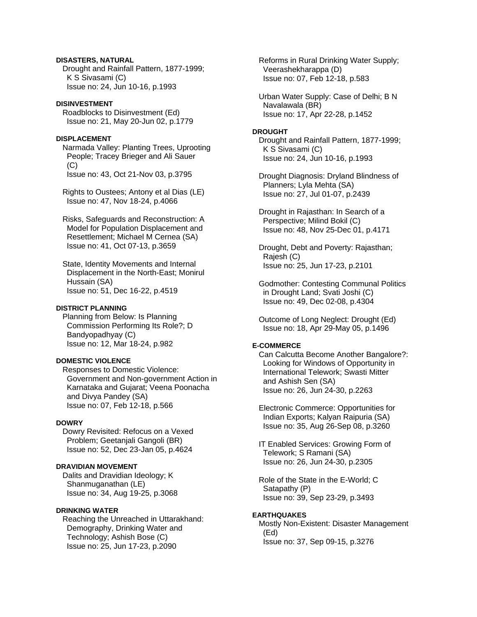# **DISASTERS, NATURAL**

 Drought and Rainfall Pattern, 1877-1999; K S Sivasami (C) Issue no: 24, Jun 10-16, p.1993

# **DISINVESTMENT**

 Roadblocks to Disinvestment (Ed) Issue no: 21, May 20-Jun 02, p.1779

# **DISPLACEMENT**

 Narmada Valley: Planting Trees, Uprooting People; Tracey Brieger and Ali Sauer (C) Issue no: 43, Oct 21-Nov 03, p.3795

 Rights to Oustees; Antony et al Dias (LE) Issue no: 47, Nov 18-24, p.4066

 Risks, Safeguards and Reconstruction: A Model for Population Displacement and Resettlement; Michael M Cernea (SA) Issue no: 41, Oct 07-13, p.3659

 State, Identity Movements and Internal Displacement in the North-East; Monirul Hussain (SA) Issue no: 51, Dec 16-22, p.4519

# **DISTRICT PLANNING**

 Planning from Below: Is Planning Commission Performing Its Role?; D Bandyopadhyay (C) Issue no: 12, Mar 18-24, p.982

# **DOMESTIC VIOLENCE**

 Responses to Domestic Violence: Government and Non-government Action in Karnataka and Gujarat; Veena Poonacha and Divya Pandey (SA) Issue no: 07, Feb 12-18, p.566

#### **DOWRY**

 Dowry Revisited: Refocus on a Vexed Problem; Geetanjali Gangoli (BR) Issue no: 52, Dec 23-Jan 05, p.4624

# **DRAVIDIAN MOVEMENT**

 Dalits and Dravidian Ideology; K Shanmuganathan (LE) Issue no: 34, Aug 19-25, p.3068

# **DRINKING WATER**

 Reaching the Unreached in Uttarakhand: Demography, Drinking Water and Technology; Ashish Bose (C) Issue no: 25, Jun 17-23, p.2090

 Reforms in Rural Drinking Water Supply; Veerashekharappa (D) Issue no: 07, Feb 12-18, p.583

 Urban Water Supply: Case of Delhi; B N Navalawala (BR) Issue no: 17, Apr 22-28, p.1452

#### **DROUGHT**

 Drought and Rainfall Pattern, 1877-1999; K S Sivasami (C) Issue no: 24, Jun 10-16, p.1993

 Drought Diagnosis: Dryland Blindness of Planners; Lyla Mehta (SA) Issue no: 27, Jul 01-07, p.2439

 Drought in Rajasthan: In Search of a Perspective; Milind Bokil (C) Issue no: 48, Nov 25-Dec 01, p.4171

 Drought, Debt and Poverty: Rajasthan; Rajesh (C) Issue no: 25, Jun 17-23, p.2101

 Godmother: Contesting Communal Politics in Drought Land; Svati Joshi (C) Issue no: 49, Dec 02-08, p.4304

 Outcome of Long Neglect: Drought (Ed) Issue no: 18, Apr 29-May 05, p.1496

#### **E-COMMERCE**

 Can Calcutta Become Another Bangalore?: Looking for Windows of Opportunity in International Telework; Swasti Mitter and Ashish Sen (SA) Issue no: 26, Jun 24-30, p.2263

 Electronic Commerce: Opportunities for Indian Exports; Kalyan Raipuria (SA) Issue no: 35, Aug 26-Sep 08, p.3260

 IT Enabled Services: Growing Form of Telework; S Ramani (SA) Issue no: 26, Jun 24-30, p.2305

 Role of the State in the E-World; C Satapathy (P) Issue no: 39, Sep 23-29, p.3493

# **EARTHQUAKES**

 Mostly Non-Existent: Disaster Management (Ed) Issue no: 37, Sep 09-15, p.3276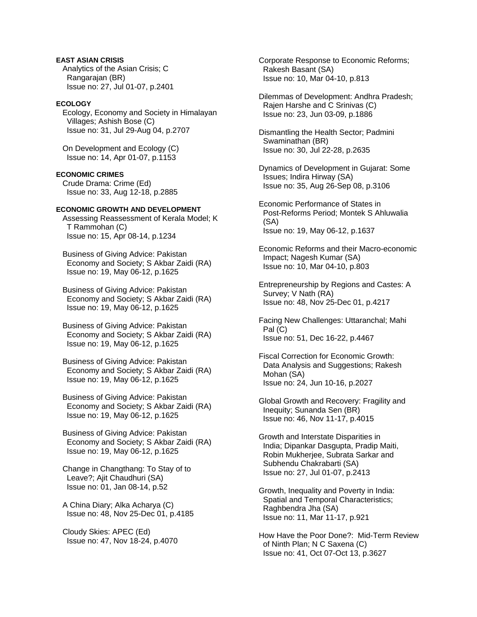# **EAST ASIAN CRISIS**

 Analytics of the Asian Crisis; C Rangarajan (BR) Issue no: 27, Jul 01-07, p.2401

# **ECOLOGY**

 Ecology, Economy and Society in Himalayan Villages; Ashish Bose (C) Issue no: 31, Jul 29-Aug 04, p.2707

 On Development and Ecology (C) Issue no: 14, Apr 01-07, p.1153

## **ECONOMIC CRIMES**

 Crude Drama: Crime (Ed) Issue no: 33, Aug 12-18, p.2885

# **ECONOMIC GROWTH AND DEVELOPMENT**

 Assessing Reassessment of Kerala Model; K T Rammohan (C) Issue no: 15, Apr 08-14, p.1234

 Business of Giving Advice: Pakistan Economy and Society; S Akbar Zaidi (RA) Issue no: 19, May 06-12, p.1625

 Business of Giving Advice: Pakistan Economy and Society; S Akbar Zaidi (RA) Issue no: 19, May 06-12, p.1625

 Business of Giving Advice: Pakistan Economy and Society; S Akbar Zaidi (RA) Issue no: 19, May 06-12, p.1625

 Business of Giving Advice: Pakistan Economy and Society; S Akbar Zaidi (RA) Issue no: 19, May 06-12, p.1625

 Business of Giving Advice: Pakistan Economy and Society; S Akbar Zaidi (RA) Issue no: 19, May 06-12, p.1625

 Business of Giving Advice: Pakistan Economy and Society; S Akbar Zaidi (RA) Issue no: 19, May 06-12, p.1625

 Change in Changthang: To Stay of to Leave?; Ajit Chaudhuri (SA) Issue no: 01, Jan 08-14, p.52

 A China Diary; Alka Acharya (C) Issue no: 48, Nov 25-Dec 01, p.4185

 Cloudy Skies: APEC (Ed) Issue no: 47, Nov 18-24, p.4070  Corporate Response to Economic Reforms; Rakesh Basant (SA) Issue no: 10, Mar 04-10, p.813

 Dilemmas of Development: Andhra Pradesh; Rajen Harshe and C Srinivas (C) Issue no: 23, Jun 03-09, p.1886

 Dismantling the Health Sector; Padmini Swaminathan (BR) Issue no: 30, Jul 22-28, p.2635

 Dynamics of Development in Gujarat: Some Issues; Indira Hirway (SA) Issue no: 35, Aug 26-Sep 08, p.3106

 Economic Performance of States in Post-Reforms Period; Montek S Ahluwalia (SA) Issue no: 19, May 06-12, p.1637

 Economic Reforms and their Macro-economic Impact; Nagesh Kumar (SA) Issue no: 10, Mar 04-10, p.803

 Entrepreneurship by Regions and Castes: A Survey; V Nath (RA) Issue no: 48, Nov 25-Dec 01, p.4217

 Facing New Challenges: Uttaranchal; Mahi Pal (C) Issue no: 51, Dec 16-22, p.4467

 Fiscal Correction for Economic Growth: Data Analysis and Suggestions; Rakesh Mohan (SA) Issue no: 24, Jun 10-16, p.2027

 Global Growth and Recovery: Fragility and Inequity; Sunanda Sen (BR) Issue no: 46, Nov 11-17, p.4015

 Growth and Interstate Disparities in India; Dipankar Dasgupta, Pradip Maiti, Robin Mukherjee, Subrata Sarkar and Subhendu Chakrabarti (SA) Issue no: 27, Jul 01-07, p.2413

 Growth, Inequality and Poverty in India: Spatial and Temporal Characteristics; Raghbendra Jha (SA) Issue no: 11, Mar 11-17, p.921

 How Have the Poor Done?: Mid-Term Review of Ninth Plan; N C Saxena (C) Issue no: 41, Oct 07-Oct 13, p.3627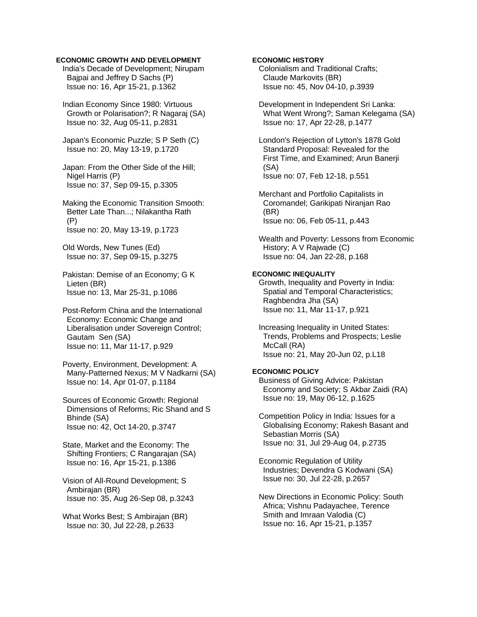## **ECONOMIC GROWTH AND DEVELOPMENT**

 India's Decade of Development; Nirupam Bajpai and Jeffrey D Sachs (P) Issue no: 16, Apr 15-21, p.1362

 Indian Economy Since 1980: Virtuous Growth or Polarisation?; R Nagaraj (SA) Issue no: 32, Aug 05-11, p.2831

 Japan's Economic Puzzle; S P Seth (C) Issue no: 20, May 13-19, p.1720

 Japan: From the Other Side of the Hill; Nigel Harris (P) Issue no: 37, Sep 09-15, p.3305

 Making the Economic Transition Smooth: Better Late Than...; Nilakantha Rath (P) Issue no: 20, May 13-19, p.1723

 Old Words, New Tunes (Ed) Issue no: 37, Sep 09-15, p.3275

 Pakistan: Demise of an Economy; G K Lieten (BR) Issue no: 13, Mar 25-31, p.1086

 Post-Reform China and the International Economy: Economic Change and Liberalisation under Sovereign Control; Gautam Sen (SA) Issue no: 11, Mar 11-17, p.929

 Poverty, Environment, Development: A Many-Patterned Nexus; M V Nadkarni (SA) Issue no: 14, Apr 01-07, p.1184

 Sources of Economic Growth: Regional Dimensions of Reforms; Ric Shand and S Bhinde (SA) Issue no: 42, Oct 14-20, p.3747

 State, Market and the Economy: The Shifting Frontiers; C Rangarajan (SA) Issue no: 16, Apr 15-21, p.1386

 Vision of All-Round Development; S Ambirajan (BR) Issue no: 35, Aug 26-Sep 08, p.3243

 What Works Best; S Ambirajan (BR) Issue no: 30, Jul 22-28, p.2633

## **ECONOMIC HISTORY**

 Colonialism and Traditional Crafts; Claude Markovits (BR) Issue no: 45, Nov 04-10, p.3939

 Development in Independent Sri Lanka: What Went Wrong?; Saman Kelegama (SA) Issue no: 17, Apr 22-28, p.1477

 London's Rejection of Lytton's 1878 Gold Standard Proposal: Revealed for the First Time, and Examined; Arun Banerji (SA) Issue no: 07, Feb 12-18, p.551

 Merchant and Portfolio Capitalists in Coromandel; Garikipati Niranjan Rao (BR) Issue no: 06, Feb 05-11, p.443

 Wealth and Poverty: Lessons from Economic History; A V Rajwade (C) Issue no: 04, Jan 22-28, p.168

# **ECONOMIC INEQUALITY**

 Growth, Inequality and Poverty in India: Spatial and Temporal Characteristics; Raghbendra Jha (SA) Issue no: 11, Mar 11-17, p.921

 Increasing Inequality in United States: Trends, Problems and Prospects; Leslie McCall (RA) Issue no: 21, May 20-Jun 02, p.L18

## **ECONOMIC POLICY**

 Business of Giving Advice: Pakistan Economy and Society; S Akbar Zaidi (RA) Issue no: 19, May 06-12, p.1625

 Competition Policy in India: Issues for a Globalising Economy; Rakesh Basant and Sebastian Morris (SA) Issue no: 31, Jul 29-Aug 04, p.2735

 Economic Regulation of Utility Industries; Devendra G Kodwani (SA) Issue no: 30, Jul 22-28, p.2657

 New Directions in Economic Policy: South Africa; Vishnu Padayachee, Terence Smith and Imraan Valodia (C) Issue no: 16, Apr 15-21, p.1357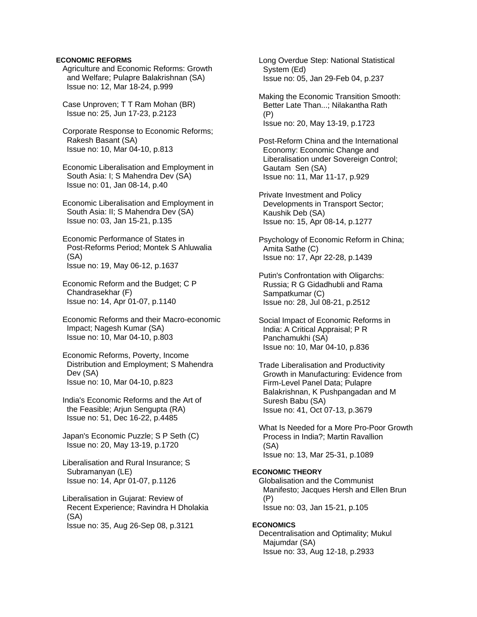# **ECONOMIC REFORMS**

 Agriculture and Economic Reforms: Growth and Welfare; Pulapre Balakrishnan (SA) Issue no: 12, Mar 18-24, p.999

 Case Unproven; T T Ram Mohan (BR) Issue no: 25, Jun 17-23, p.2123

 Corporate Response to Economic Reforms; Rakesh Basant (SA) Issue no: 10, Mar 04-10, p.813

 Economic Liberalisation and Employment in South Asia: I; S Mahendra Dev (SA) Issue no: 01, Jan 08-14, p.40

 Economic Liberalisation and Employment in South Asia: II; S Mahendra Dev (SA) Issue no: 03, Jan 15-21, p.135

 Economic Performance of States in Post-Reforms Period; Montek S Ahluwalia (SA) Issue no: 19, May 06-12, p.1637

 Economic Reform and the Budget; C P Chandrasekhar (F) Issue no: 14, Apr 01-07, p.1140

 Economic Reforms and their Macro-economic Impact; Nagesh Kumar (SA) Issue no: 10, Mar 04-10, p.803

 Economic Reforms, Poverty, Income Distribution and Employment; S Mahendra Dev (SA) Issue no: 10, Mar 04-10, p.823

 India's Economic Reforms and the Art of the Feasible; Arjun Sengupta (RA) Issue no: 51, Dec 16-22, p.4485

 Japan's Economic Puzzle; S P Seth (C) Issue no: 20, May 13-19, p.1720

 Liberalisation and Rural Insurance; S Subramanyan (LE) Issue no: 14, Apr 01-07, p.1126

 Liberalisation in Gujarat: Review of Recent Experience; Ravindra H Dholakia (SA) Issue no: 35, Aug 26-Sep 08, p.3121

 Long Overdue Step: National Statistical System (Ed) Issue no: 05, Jan 29-Feb 04, p.237

 Making the Economic Transition Smooth: Better Late Than...; Nilakantha Rath (P) Issue no: 20, May 13-19, p.1723

 Post-Reform China and the International Economy: Economic Change and Liberalisation under Sovereign Control; Gautam Sen (SA) Issue no: 11, Mar 11-17, p.929

 Private Investment and Policy Developments in Transport Sector; Kaushik Deb (SA) Issue no: 15, Apr 08-14, p.1277

 Psychology of Economic Reform in China; Amita Sathe (C) Issue no: 17, Apr 22-28, p.1439

 Putin's Confrontation with Oligarchs: Russia; R G Gidadhubli and Rama Sampatkumar (C) Issue no: 28, Jul 08-21, p.2512

 Social Impact of Economic Reforms in India: A Critical Appraisal; P R Panchamukhi (SA) Issue no: 10, Mar 04-10, p.836

 Trade Liberalisation and Productivity Growth in Manufacturing: Evidence from Firm-Level Panel Data; Pulapre Balakrishnan, K Pushpangadan and M Suresh Babu (SA) Issue no: 41, Oct 07-13, p.3679

 What Is Needed for a More Pro-Poor Growth Process in India?; Martin Ravallion (SA) Issue no: 13, Mar 25-31, p.1089

# **ECONOMIC THEORY**  Globalisation and the Communist

 Manifesto; Jacques Hersh and Ellen Brun (P) Issue no: 03, Jan 15-21, p.105

# **ECONOMICS**

 Decentralisation and Optimality; Mukul Majumdar (SA) Issue no: 33, Aug 12-18, p.2933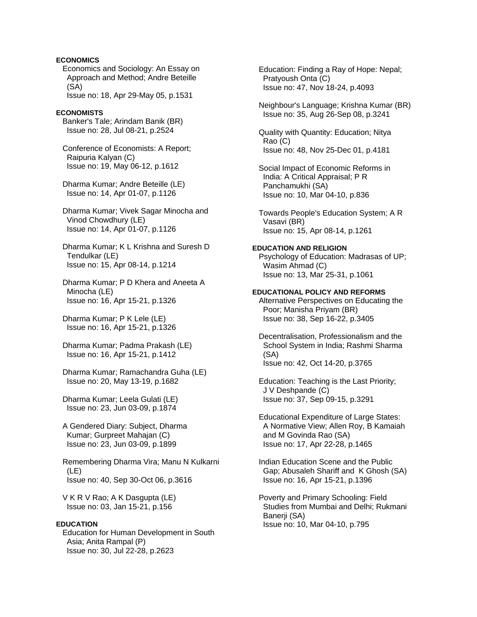# **ECONOMICS**

 Economics and Sociology: An Essay on Approach and Method; Andre Beteille (SA)

Issue no: 18, Apr 29-May 05, p.1531

# **ECONOMISTS**

 Banker's Tale; Arindam Banik (BR) Issue no: 28, Jul 08-21, p.2524

 Conference of Economists: A Report; Raipuria Kalyan (C) Issue no: 19, May 06-12, p.1612

 Dharma Kumar; Andre Beteille (LE) Issue no: 14, Apr 01-07, p.1126

 Dharma Kumar; Vivek Sagar Minocha and Vinod Chowdhury (LE) Issue no: 14, Apr 01-07, p.1126

 Dharma Kumar; K L Krishna and Suresh D Tendulkar (LE) Issue no: 15, Apr 08-14, p.1214

 Dharma Kumar; P D Khera and Aneeta A Minocha (LE) Issue no: 16, Apr 15-21, p.1326

 Dharma Kumar; P K Lele (LE) Issue no: 16, Apr 15-21, p.1326

 Dharma Kumar; Padma Prakash (LE) Issue no: 16, Apr 15-21, p.1412

 Dharma Kumar; Ramachandra Guha (LE) Issue no: 20, May 13-19, p.1682

 Dharma Kumar; Leela Gulati (LE) Issue no: 23, Jun 03-09, p.1874

 A Gendered Diary: Subject, Dharma Kumar; Gurpreet Mahajan (C) Issue no: 23, Jun 03-09, p.1899

 Remembering Dharma Vira; Manu N Kulkarni (LE) Issue no: 40, Sep 30-Oct 06, p.3616

 V K R V Rao; A K Dasgupta (LE) Issue no: 03, Jan 15-21, p.156

# **EDUCATION**

 Education for Human Development in South Asia; Anita Rampal (P) Issue no: 30, Jul 22-28, p.2623

 Education: Finding a Ray of Hope: Nepal; Pratyoush Onta (C) Issue no: 47, Nov 18-24, p.4093

 Neighbour's Language; Krishna Kumar (BR) Issue no: 35, Aug 26-Sep 08, p.3241

 Quality with Quantity: Education; Nitya Rao (C) Issue no: 48, Nov 25-Dec 01, p.4181

 Social Impact of Economic Reforms in India: A Critical Appraisal; P R Panchamukhi (SA) Issue no: 10, Mar 04-10, p.836

 Towards People's Education System; A R Vasavi (BR) Issue no: 15, Apr 08-14, p.1261

# **EDUCATION AND RELIGION**

 Psychology of Education: Madrasas of UP; Wasim Ahmad (C) Issue no: 13, Mar 25-31, p.1061

#### **EDUCATIONAL POLICY AND REFORMS**

 Alternative Perspectives on Educating the Poor; Manisha Priyam (BR) Issue no: 38, Sep 16-22, p.3405

 Decentralisation, Professionalism and the School System in India; Rashmi Sharma (SA) Issue no: 42, Oct 14-20, p.3765

 Education: Teaching is the Last Priority; J V Deshpande (C) Issue no: 37, Sep 09-15, p.3291

 Educational Expenditure of Large States: A Normative View; Allen Roy, B Kamaiah and M Govinda Rao (SA) Issue no: 17, Apr 22-28, p.1465

 Indian Education Scene and the Public Gap; Abusaleh Shariff and K Ghosh (SA) Issue no: 16, Apr 15-21, p.1396

 Poverty and Primary Schooling: Field Studies from Mumbai and Delhi; Rukmani Banerii (SA) Issue no: 10, Mar 04-10, p.795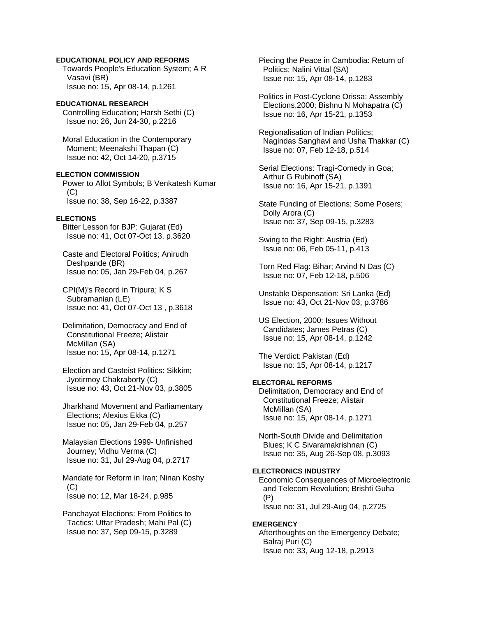# **EDUCATIONAL POLICY AND REFORMS**

 Towards People's Education System; A R Vasavi (BR) Issue no: 15, Apr 08-14, p.1261

### **EDUCATIONAL RESEARCH**

 Controlling Education; Harsh Sethi (C) Issue no: 26, Jun 24-30, p.2216

 Moral Education in the Contemporary Moment; Meenakshi Thapan (C) Issue no: 42, Oct 14-20, p.3715

#### **ELECTION COMMISSION**

 Power to Allot Symbols; B Venkatesh Kumar (C) Issue no: 38, Sep 16-22, p.3387

# **ELECTIONS**

 Bitter Lesson for BJP: Gujarat (Ed) Issue no: 41, Oct 07-Oct 13, p.3620

 Caste and Electoral Politics; Anirudh Deshpande (BR) Issue no: 05, Jan 29-Feb 04, p.267

 CPI(M)'s Record in Tripura; K S Subramanian (LE) Issue no: 41, Oct 07-Oct 13 , p.3618

- Delimitation, Democracy and End of Constitutional Freeze; Alistair McMillan (SA) Issue no: 15, Apr 08-14, p.1271
- Election and Casteist Politics: Sikkim; Jyotirmoy Chakraborty (C) Issue no: 43, Oct 21-Nov 03, p.3805

 Jharkhand Movement and Parliamentary Elections; Alexius Ekka (C) Issue no: 05, Jan 29-Feb 04, p.257

 Malaysian Elections 1999- Unfinished Journey; Vidhu Verma (C) Issue no: 31, Jul 29-Aug 04, p.2717

 Mandate for Reform in Iran; Ninan Koshy  $(C)$ Issue no: 12, Mar 18-24, p.985

 Panchayat Elections: From Politics to Tactics: Uttar Pradesh; Mahi Pal (C) Issue no: 37, Sep 09-15, p.3289

 Piecing the Peace in Cambodia: Return of Politics; Nalini Vittal (SA) Issue no: 15, Apr 08-14, p.1283

 Politics in Post-Cyclone Orissa: Assembly Elections,2000; Bishnu N Mohapatra (C) Issue no: 16, Apr 15-21, p.1353

 Regionalisation of Indian Politics; Nagindas Sanghavi and Usha Thakkar (C) Issue no: 07, Feb 12-18, p.514

 Serial Elections: Tragi-Comedy in Goa; Arthur G Rubinoff (SA) Issue no: 16, Apr 15-21, p.1391

 State Funding of Elections: Some Posers; Dolly Arora (C) Issue no: 37, Sep 09-15, p.3283

 Swing to the Right: Austria (Ed) Issue no: 06, Feb 05-11, p.413

 Torn Red Flag: Bihar; Arvind N Das (C) Issue no: 07, Feb 12-18, p.506

 Unstable Dispensation: Sri Lanka (Ed) Issue no: 43, Oct 21-Nov 03, p.3786

 US Election, 2000: Issues Without Candidates; James Petras (C) Issue no: 15, Apr 08-14, p.1242

 The Verdict: Pakistan (Ed) Issue no: 15, Apr 08-14, p.1217

## **ELECTORAL REFORMS**

 Delimitation, Democracy and End of Constitutional Freeze; Alistair McMillan (SA) Issue no: 15, Apr 08-14, p.1271

 North-South Divide and Delimitation Blues; K C Sivaramakrishnan (C) Issue no: 35, Aug 26-Sep 08, p.3093

## **ELECTRONICS INDUSTRY**

 Economic Consequences of Microelectronic and Telecom Revolution; Brishti Guha (P) Issue no: 31, Jul 29-Aug 04, p.2725

#### **EMERGENCY**

 Afterthoughts on the Emergency Debate; Balraj Puri (C) Issue no: 33, Aug 12-18, p.2913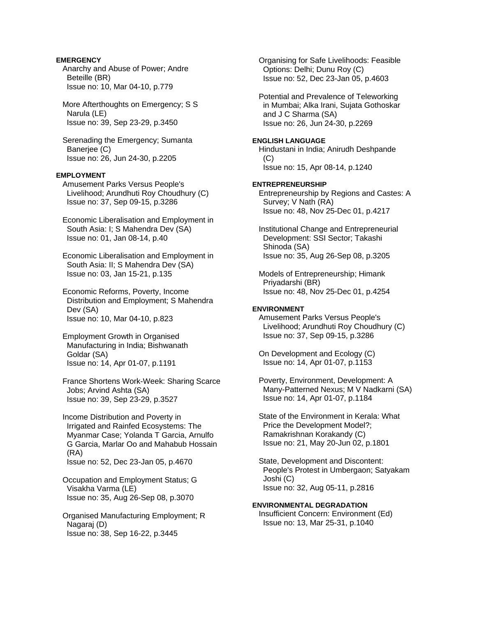# **EMERGENCY**

 Anarchy and Abuse of Power; Andre Beteille (BR) Issue no: 10, Mar 04-10, p.779

 More Afterthoughts on Emergency; S S Narula (LE) Issue no: 39, Sep 23-29, p.3450

 Serenading the Emergency; Sumanta Banerjee (C) Issue no: 26, Jun 24-30, p.2205

# **EMPLOYMENT**

 Amusement Parks Versus People's Livelihood; Arundhuti Roy Choudhury (C) Issue no: 37, Sep 09-15, p.3286

 Economic Liberalisation and Employment in South Asia: I; S Mahendra Dev (SA) Issue no: 01, Jan 08-14, p.40

 Economic Liberalisation and Employment in South Asia: II; S Mahendra Dev (SA) Issue no: 03, Jan 15-21, p.135

 Economic Reforms, Poverty, Income Distribution and Employment; S Mahendra Dev (SA) Issue no: 10, Mar 04-10, p.823

 Employment Growth in Organised Manufacturing in India; Bishwanath Goldar (SA) Issue no: 14, Apr 01-07, p.1191

 France Shortens Work-Week: Sharing Scarce Jobs; Arvind Ashta (SA) Issue no: 39, Sep 23-29, p.3527

 Income Distribution and Poverty in Irrigated and Rainfed Ecosystems: The Myanmar Case; Yolanda T Garcia, Arnulfo G Garcia, Marlar Oo and Mahabub Hossain (RA) Issue no: 52, Dec 23-Jan 05, p.4670

 Occupation and Employment Status; G Visakha Varma (LE) Issue no: 35, Aug 26-Sep 08, p.3070

 Organised Manufacturing Employment; R Nagaraj (D) Issue no: 38, Sep 16-22, p.3445

 Organising for Safe Livelihoods: Feasible Options: Delhi; Dunu Roy (C) Issue no: 52, Dec 23-Jan 05, p.4603

 Potential and Prevalence of Teleworking in Mumbai; Alka Irani, Sujata Gothoskar and J C Sharma (SA) Issue no: 26, Jun 24-30, p.2269

# **ENGLISH LANGUAGE**

 Hindustani in India; Anirudh Deshpande  $(C)$ Issue no: 15, Apr 08-14, p.1240

# **ENTREPRENEURSHIP**

 Entrepreneurship by Regions and Castes: A Survey; V Nath (RA) Issue no: 48, Nov 25-Dec 01, p.4217

 Institutional Change and Entrepreneurial Development: SSI Sector; Takashi Shinoda (SA) Issue no: 35, Aug 26-Sep 08, p.3205

 Models of Entrepreneurship; Himank Priyadarshi (BR) Issue no: 48, Nov 25-Dec 01, p.4254

# **ENVIRONMENT**

 Amusement Parks Versus People's Livelihood; Arundhuti Roy Choudhury (C) Issue no: 37, Sep 09-15, p.3286

 On Development and Ecology (C) Issue no: 14, Apr 01-07, p.1153

 Poverty, Environment, Development: A Many-Patterned Nexus; M V Nadkarni (SA) Issue no: 14, Apr 01-07, p.1184

 State of the Environment in Kerala: What Price the Development Model?; Ramakrishnan Korakandy (C) Issue no: 21, May 20-Jun 02, p.1801

 State, Development and Discontent: People's Protest in Umbergaon; Satyakam Joshi (C) Issue no: 32, Aug 05-11, p.2816

## **ENVIRONMENTAL DEGRADATION**

 Insufficient Concern: Environment (Ed) Issue no: 13, Mar 25-31, p.1040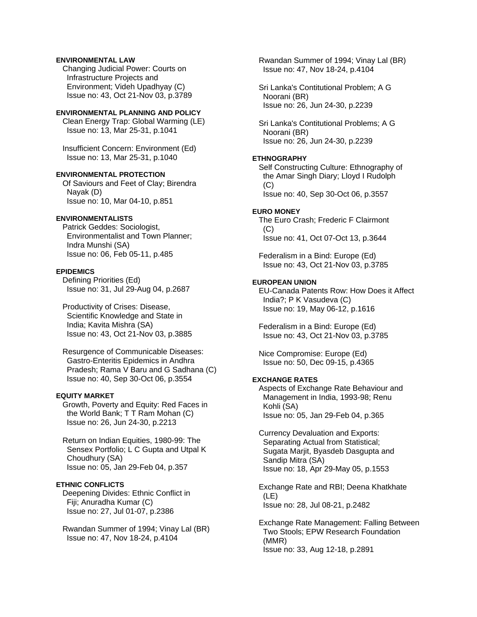# **ENVIRONMENTAL LAW**

 Changing Judicial Power: Courts on Infrastructure Projects and Environment; Videh Upadhyay (C) Issue no: 43, Oct 21-Nov 03, p.3789

#### **ENVIRONMENTAL PLANNING AND POLICY**

 Clean Energy Trap: Global Warming (LE) Issue no: 13, Mar 25-31, p.1041

 Insufficient Concern: Environment (Ed) Issue no: 13, Mar 25-31, p.1040

## **ENVIRONMENTAL PROTECTION**

 Of Saviours and Feet of Clay; Birendra Nayak (D) Issue no: 10, Mar 04-10, p.851

# **ENVIRONMENTALISTS**

 Patrick Geddes: Sociologist, Environmentalist and Town Planner; Indra Munshi (SA) Issue no: 06, Feb 05-11, p.485

#### **EPIDEMICS**

 Defining Priorities (Ed) Issue no: 31, Jul 29-Aug 04, p.2687

 Productivity of Crises: Disease, Scientific Knowledge and State in India; Kavita Mishra (SA) Issue no: 43, Oct 21-Nov 03, p.3885

 Resurgence of Communicable Diseases: Gastro-Enteritis Epidemics in Andhra Pradesh; Rama V Baru and G Sadhana (C) Issue no: 40, Sep 30-Oct 06, p.3554

# **EQUITY MARKET**

 Growth, Poverty and Equity: Red Faces in the World Bank; T T Ram Mohan (C) Issue no: 26, Jun 24-30, p.2213

 Return on Indian Equities, 1980-99: The Sensex Portfolio; L C Gupta and Utpal K Choudhury (SA) Issue no: 05, Jan 29-Feb 04, p.357

# **ETHNIC CONFLICTS**

 Deepening Divides: Ethnic Conflict in Fiji; Anuradha Kumar (C) Issue no: 27, Jul 01-07, p.2386

 Rwandan Summer of 1994; Vinay Lal (BR) Issue no: 47, Nov 18-24, p.4104

 Rwandan Summer of 1994; Vinay Lal (BR) Issue no: 47, Nov 18-24, p.4104

 Sri Lanka's Contitutional Problem; A G Noorani (BR) Issue no: 26, Jun 24-30, p.2239

 Sri Lanka's Contitutional Problems; A G Noorani (BR) Issue no: 26, Jun 24-30, p.2239

# **ETHNOGRAPHY**

 Self Constructing Culture: Ethnography of the Amar Singh Diary; Lloyd I Rudolph  $(C)$ Issue no: 40, Sep 30-Oct 06, p.3557

#### **EURO MONEY**

 The Euro Crash; Frederic F Clairmont (C) Issue no: 41, Oct 07-Oct 13, p.3644

 Federalism in a Bind: Europe (Ed) Issue no: 43, Oct 21-Nov 03, p.3785

# **EUROPEAN UNION**

 EU-Canada Patents Row: How Does it Affect India?; P K Vasudeva (C) Issue no: 19, May 06-12, p.1616

 Federalism in a Bind: Europe (Ed) Issue no: 43, Oct 21-Nov 03, p.3785

 Nice Compromise: Europe (Ed) Issue no: 50, Dec 09-15, p.4365

## **EXCHANGE RATES**

 Aspects of Exchange Rate Behaviour and Management in India, 1993-98; Renu Kohli (SA) Issue no: 05, Jan 29-Feb 04, p.365

 Currency Devaluation and Exports: Separating Actual from Statistical; Sugata Marjit, Byasdeb Dasgupta and Sandip Mitra (SA) Issue no: 18, Apr 29-May 05, p.1553

 Exchange Rate and RBI; Deena Khatkhate (LE) Issue no: 28, Jul 08-21, p.2482

 Exchange Rate Management: Falling Between Two Stools; EPW Research Foundation (MMR) Issue no: 33, Aug 12-18, p.2891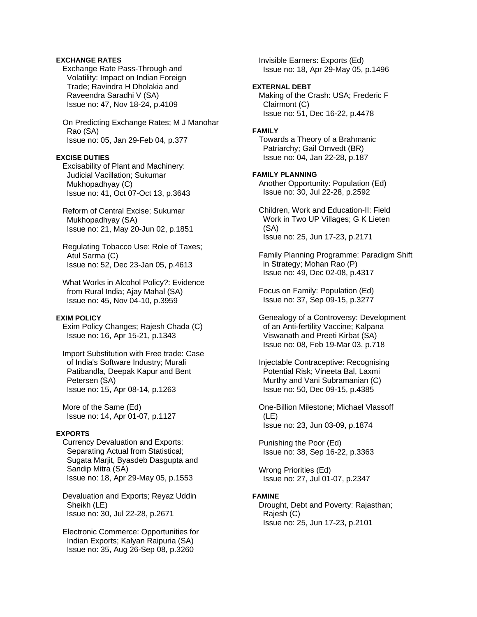# **EXCHANGE RATES**

 Exchange Rate Pass-Through and Volatility: Impact on Indian Foreign Trade; Ravindra H Dholakia and Raveendra Saradhi V (SA) Issue no: 47, Nov 18-24, p.4109

 On Predicting Exchange Rates; M J Manohar Rao (SA) Issue no: 05, Jan 29-Feb 04, p.377

#### **EXCISE DUTIES**

 Excisability of Plant and Machinery: Judicial Vacillation; Sukumar Mukhopadhyay (C) Issue no: 41, Oct 07-Oct 13, p.3643

 Reform of Central Excise; Sukumar Mukhopadhyay (SA) Issue no: 21, May 20-Jun 02, p.1851

 Regulating Tobacco Use: Role of Taxes; Atul Sarma (C) Issue no: 52, Dec 23-Jan 05, p.4613

 What Works in Alcohol Policy?: Evidence from Rural India; Ajay Mahal (SA) Issue no: 45, Nov 04-10, p.3959

# **EXIM POLICY**

 Exim Policy Changes; Rajesh Chada (C) Issue no: 16, Apr 15-21, p.1343

 Import Substitution with Free trade: Case of India's Software Industry; Murali Patibandla, Deepak Kapur and Bent Petersen (SA) Issue no: 15, Apr 08-14, p.1263

 More of the Same (Ed) Issue no: 14, Apr 01-07, p.1127

# **EXPORTS**

 Currency Devaluation and Exports: Separating Actual from Statistical; Sugata Marjit, Byasdeb Dasgupta and Sandip Mitra (SA) Issue no: 18, Apr 29-May 05, p.1553

 Devaluation and Exports; Reyaz Uddin Sheikh (LE) Issue no: 30, Jul 22-28, p.2671

 Electronic Commerce: Opportunities for Indian Exports; Kalyan Raipuria (SA) Issue no: 35, Aug 26-Sep 08, p.3260

 Invisible Earners: Exports (Ed) Issue no: 18, Apr 29-May 05, p.1496

## **EXTERNAL DEBT**

 Making of the Crash: USA; Frederic F Clairmont (C) Issue no: 51, Dec 16-22, p.4478

#### **FAMILY**

 Towards a Theory of a Brahmanic Patriarchy; Gail Omvedt (BR) Issue no: 04, Jan 22-28, p.187

#### **FAMILY PLANNING**

 Another Opportunity: Population (Ed) Issue no: 30, Jul 22-28, p.2592

 Children, Work and Education-II: Field Work in Two UP Villages; G K Lieten (SA) Issue no: 25, Jun 17-23, p.2171

 Family Planning Programme: Paradigm Shift in Strategy; Mohan Rao (P) Issue no: 49, Dec 02-08, p.4317

 Focus on Family: Population (Ed) Issue no: 37, Sep 09-15, p.3277

 Genealogy of a Controversy: Development of an Anti-fertility Vaccine; Kalpana Viswanath and Preeti Kirbat (SA) Issue no: 08, Feb 19-Mar 03, p.718

 Injectable Contraceptive: Recognising Potential Risk; Vineeta Bal, Laxmi Murthy and Vani Subramanian (C) Issue no: 50, Dec 09-15, p.4385

 One-Billion Milestone; Michael Vlassoff (LE) Issue no: 23, Jun 03-09, p.1874

 Punishing the Poor (Ed) Issue no: 38, Sep 16-22, p.3363

 Wrong Priorities (Ed) Issue no: 27, Jul 01-07, p.2347

# **FAMINE**

 Drought, Debt and Poverty: Rajasthan; Rajesh (C) Issue no: 25, Jun 17-23, p.2101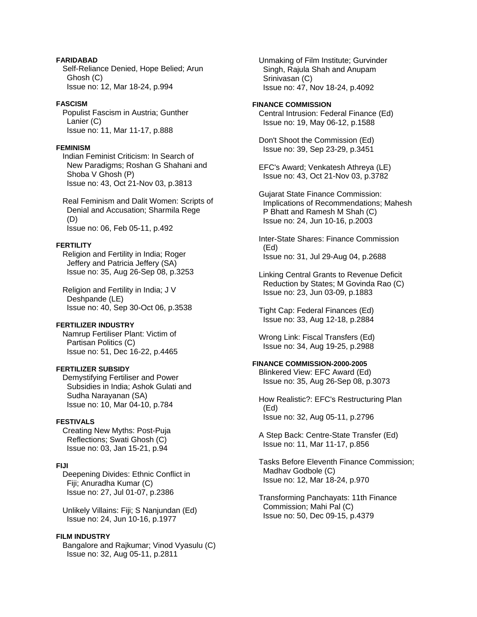# **FARIDABAD**

 Self-Reliance Denied, Hope Belied; Arun Ghosh (C) Issue no: 12, Mar 18-24, p.994

# **FASCISM**

 Populist Fascism in Austria; Gunther Lanier (C) Issue no: 11, Mar 11-17, p.888

## **FEMINISM**

 Indian Feminist Criticism: In Search of New Paradigms; Roshan G Shahani and Shoba V Ghosh (P) Issue no: 43, Oct 21-Nov 03, p.3813

 Real Feminism and Dalit Women: Scripts of Denial and Accusation; Sharmila Rege (D) Issue no: 06, Feb 05-11, p.492

## **FERTILITY**

 Religion and Fertility in India; Roger Jeffery and Patricia Jeffery (SA) Issue no: 35, Aug 26-Sep 08, p.3253

 Religion and Fertility in India; J V Deshpande (LE) Issue no: 40, Sep 30-Oct 06, p.3538

## **FERTILIZER INDUSTRY**

 Namrup Fertiliser Plant: Victim of Partisan Politics (C) Issue no: 51, Dec 16-22, p.4465

# **FERTILIZER SUBSIDY**

 Demystifying Fertiliser and Power Subsidies in India; Ashok Gulati and Sudha Narayanan (SA) Issue no: 10, Mar 04-10, p.784

## **FESTIVALS**

 Creating New Myths: Post-Puja Reflections; Swati Ghosh (C) Issue no: 03, Jan 15-21, p.94

# **FIJI**

 Deepening Divides: Ethnic Conflict in Fiji; Anuradha Kumar (C) Issue no: 27, Jul 01-07, p.2386

 Unlikely Villains: Fiji; S Nanjundan (Ed) Issue no: 24, Jun 10-16, p.1977

# **FILM INDUSTRY**

 Bangalore and Rajkumar; Vinod Vyasulu (C) Issue no: 32, Aug 05-11, p.2811

 Unmaking of Film Institute; Gurvinder Singh, Rajula Shah and Anupam Srinivasan (C) Issue no: 47, Nov 18-24, p.4092

#### **FINANCE COMMISSION**

 Central Intrusion: Federal Finance (Ed) Issue no: 19, May 06-12, p.1588

 Don't Shoot the Commission (Ed) Issue no: 39, Sep 23-29, p.3451

 EFC's Award; Venkatesh Athreya (LE) Issue no: 43, Oct 21-Nov 03, p.3782

 Gujarat State Finance Commission: Implications of Recommendations; Mahesh P Bhatt and Ramesh M Shah (C) Issue no: 24, Jun 10-16, p.2003

 Inter-State Shares: Finance Commission (Ed) Issue no: 31, Jul 29-Aug 04, p.2688

 Linking Central Grants to Revenue Deficit Reduction by States; M Govinda Rao (C) Issue no: 23, Jun 03-09, p.1883

 Tight Cap: Federal Finances (Ed) Issue no: 33, Aug 12-18, p.2884

 Wrong Link: Fiscal Transfers (Ed) Issue no: 34, Aug 19-25, p.2988

# **FINANCE COMMISSION-2000-2005**

 Blinkered View: EFC Award (Ed) Issue no: 35, Aug 26-Sep 08, p.3073

 How Realistic?: EFC's Restructuring Plan (Ed) Issue no: 32, Aug 05-11, p.2796

 A Step Back: Centre-State Transfer (Ed) Issue no: 11, Mar 11-17, p.856

 Tasks Before Eleventh Finance Commission; Madhav Godbole (C) Issue no: 12, Mar 18-24, p.970

 Transforming Panchayats: 11th Finance Commission; Mahi Pal (C) Issue no: 50, Dec 09-15, p.4379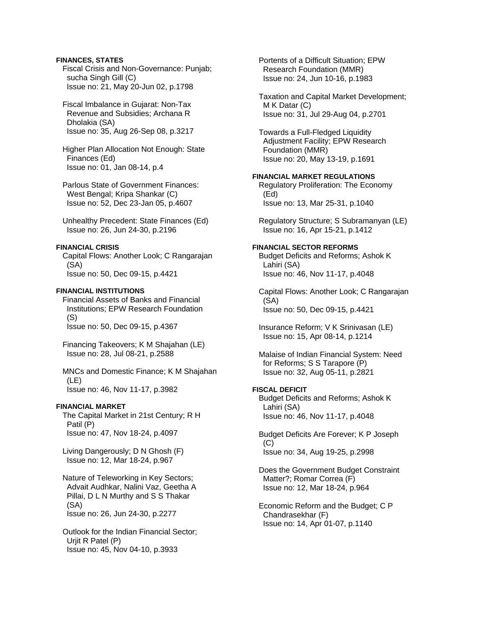# **FINANCES, STATES**

 Fiscal Crisis and Non-Governance: Punjab; sucha Singh Gill (C) Issue no: 21, May 20-Jun 02, p.1798

 Fiscal Imbalance in Gujarat: Non-Tax Revenue and Subsidies; Archana R Dholakia (SA) Issue no: 35, Aug 26-Sep 08, p.3217

 Higher Plan Allocation Not Enough: State Finances (Ed) Issue no: 01, Jan 08-14, p.4

 Parlous State of Government Finances: West Bengal; Kripa Shankar (C) Issue no: 52, Dec 23-Jan 05, p.4607

 Unhealthy Precedent: State Finances (Ed) Issue no: 26, Jun 24-30, p.2196

## **FINANCIAL CRISIS**

 Capital Flows: Another Look; C Rangarajan (SA) Issue no: 50, Dec 09-15, p.4421

# **FINANCIAL INSTITUTIONS**

 Financial Assets of Banks and Financial Institutions; EPW Research Foundation (S)

Issue no: 50, Dec 09-15, p.4367

 Financing Takeovers; K M Shajahan (LE) Issue no: 28, Jul 08-21, p.2588

 MNCs and Domestic Finance; K M Shajahan (LE) Issue no: 46, Nov 11-17, p.3982

## **FINANCIAL MARKET**

 The Capital Market in 21st Century; R H Patil (P) Issue no: 47, Nov 18-24, p.4097

 Living Dangerously; D N Ghosh (F) Issue no: 12, Mar 18-24, p.967

 Nature of Teleworking in Key Sectors; Advait Audhkar, Nalini Vaz, Geetha A Pillai, D L N Murthy and S S Thakar (SA) Issue no: 26, Jun 24-30, p.2277

 Outlook for the Indian Financial Sector; Urjit R Patel (P) Issue no: 45, Nov 04-10, p.3933

 Portents of a Difficult Situation; EPW Research Foundation (MMR) Issue no: 24, Jun 10-16, p.1983

 Taxation and Capital Market Development; M K Datar (C) Issue no: 31, Jul 29-Aug 04, p.2701

 Towards a Full-Fledged Liquidity Adjustment Facility; EPW Research Foundation (MMR) Issue no: 20, May 13-19, p.1691

# **FINANCIAL MARKET REGULATIONS**

 Regulatory Proliferation: The Economy (Ed) Issue no: 13, Mar 25-31, p.1040

 Regulatory Structure; S Subramanyan (LE) Issue no: 16, Apr 15-21, p.1412

# **FINANCIAL SECTOR REFORMS**

 Budget Deficits and Reforms; Ashok K Lahiri (SA) Issue no: 46, Nov 11-17, p.4048

 Capital Flows: Another Look; C Rangarajan (SA) Issue no: 50, Dec 09-15, p.4421

 Insurance Reform; V K Srinivasan (LE) Issue no: 15, Apr 08-14, p.1214

 Malaise of Indian Financial System: Need for Reforms; S S Tarapore (P) Issue no: 32, Aug 05-11, p.2821

# **FISCAL DEFICIT**

 Budget Deficits and Reforms; Ashok K Lahiri (SA) Issue no: 46, Nov 11-17, p.4048

 Budget Deficits Are Forever; K P Joseph (C) Issue no: 34, Aug 19-25, p.2998

 Does the Government Budget Constraint Matter?; Romar Correa (F) Issue no: 12, Mar 18-24, p.964

 Economic Reform and the Budget; C P Chandrasekhar (F) Issue no: 14, Apr 01-07, p.1140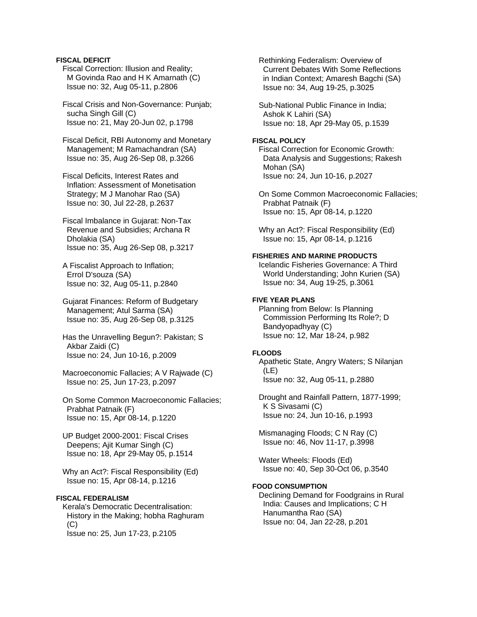## **FISCAL DEFICIT**

 Fiscal Correction: Illusion and Reality; M Govinda Rao and H K Amarnath (C) Issue no: 32, Aug 05-11, p.2806

 Fiscal Crisis and Non-Governance: Punjab; sucha Singh Gill (C) Issue no: 21, May 20-Jun 02, p.1798

 Fiscal Deficit, RBI Autonomy and Monetary Management; M Ramachandran (SA) Issue no: 35, Aug 26-Sep 08, p.3266

 Fiscal Deficits, Interest Rates and Inflation: Assessment of Monetisation Strategy; M J Manohar Rao (SA) Issue no: 30, Jul 22-28, p.2637

 Fiscal Imbalance in Gujarat: Non-Tax Revenue and Subsidies; Archana R Dholakia (SA) Issue no: 35, Aug 26-Sep 08, p.3217

 A Fiscalist Approach to Inflation; Errol D'souza (SA) Issue no: 32, Aug 05-11, p.2840

 Gujarat Finances: Reform of Budgetary Management; Atul Sarma (SA) Issue no: 35, Aug 26-Sep 08, p.3125

- Has the Unravelling Begun?: Pakistan; S Akbar Zaidi (C) Issue no: 24, Jun 10-16, p.2009
- Macroeconomic Fallacies; A V Rajwade (C) Issue no: 25, Jun 17-23, p.2097
- On Some Common Macroeconomic Fallacies; Prabhat Patnaik (F) Issue no: 15, Apr 08-14, p.1220

 UP Budget 2000-2001: Fiscal Crises Deepens; Ajit Kumar Singh (C) Issue no: 18, Apr 29-May 05, p.1514

 Why an Act?: Fiscal Responsibility (Ed) Issue no: 15, Apr 08-14, p.1216

# **FISCAL FEDERALISM**

 Kerala's Democratic Decentralisation: History in the Making; hobha Raghuram  $(C)$ Issue no: 25, Jun 17-23, p.2105

 Rethinking Federalism: Overview of Current Debates With Some Reflections in Indian Context; Amaresh Bagchi (SA) Issue no: 34, Aug 19-25, p.3025

 Sub-National Public Finance in India; Ashok K Lahiri (SA) Issue no: 18, Apr 29-May 05, p.1539

# **FISCAL POLICY**

 Fiscal Correction for Economic Growth: Data Analysis and Suggestions; Rakesh Mohan (SA) Issue no: 24, Jun 10-16, p.2027

 On Some Common Macroeconomic Fallacies; Prabhat Patnaik (F) Issue no: 15, Apr 08-14, p.1220

 Why an Act?: Fiscal Responsibility (Ed) Issue no: 15, Apr 08-14, p.1216

# **FISHERIES AND MARINE PRODUCTS**

 Icelandic Fisheries Governance: A Third World Understanding; John Kurien (SA) Issue no: 34, Aug 19-25, p.3061

# **FIVE YEAR PLANS**

 Planning from Below: Is Planning Commission Performing Its Role?; D Bandyopadhyay (C) Issue no: 12, Mar 18-24, p.982

## **FLOODS**

 Apathetic State, Angry Waters; S Nilanjan (LE) Issue no: 32, Aug 05-11, p.2880

 Drought and Rainfall Pattern, 1877-1999; K S Sivasami (C) Issue no: 24, Jun 10-16, p.1993

 Mismanaging Floods; C N Ray (C) Issue no: 46, Nov 11-17, p.3998

 Water Wheels: Floods (Ed) Issue no: 40, Sep 30-Oct 06, p.3540

## **FOOD CONSUMPTION**

 Declining Demand for Foodgrains in Rural India: Causes and Implications; C H Hanumantha Rao (SA) Issue no: 04, Jan 22-28, p.201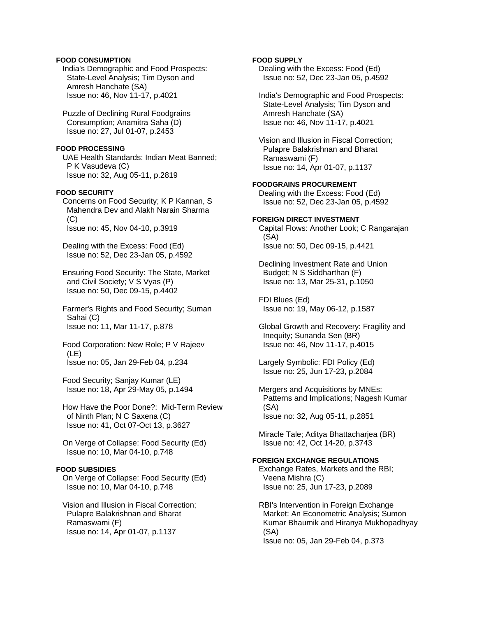## **FOOD CONSUMPTION**

 India's Demographic and Food Prospects: State-Level Analysis; Tim Dyson and Amresh Hanchate (SA) Issue no: 46, Nov 11-17, p.4021

 Puzzle of Declining Rural Foodgrains Consumption; Anamitra Saha (D) Issue no: 27, Jul 01-07, p.2453

#### **FOOD PROCESSING**

 UAE Health Standards: Indian Meat Banned; P K Vasudeva (C) Issue no: 32, Aug 05-11, p.2819

# **FOOD SECURITY**

 Concerns on Food Security; K P Kannan, S Mahendra Dev and Alakh Narain Sharma (C) Issue no: 45, Nov 04-10, p.3919

 Dealing with the Excess: Food (Ed) Issue no: 52, Dec 23-Jan 05, p.4592

 Ensuring Food Security: The State, Market and Civil Society; V S Vyas (P) Issue no: 50, Dec 09-15, p.4402

 Farmer's Rights and Food Security; Suman Sahai (C) Issue no: 11, Mar 11-17, p.878

 Food Corporation: New Role; P V Rajeev (LE) Issue no: 05, Jan 29-Feb 04, p.234

 Food Security; Sanjay Kumar (LE) Issue no: 18, Apr 29-May 05, p.1494

 How Have the Poor Done?: Mid-Term Review of Ninth Plan; N C Saxena (C) Issue no: 41, Oct 07-Oct 13, p.3627

 On Verge of Collapse: Food Security (Ed) Issue no: 10, Mar 04-10, p.748

## **FOOD SUBSIDIES**

 On Verge of Collapse: Food Security (Ed) Issue no: 10, Mar 04-10, p.748

 Vision and Illusion in Fiscal Correction; Pulapre Balakrishnan and Bharat Ramaswami (F) Issue no: 14, Apr 01-07, p.1137

## **FOOD SUPPLY**

 Dealing with the Excess: Food (Ed) Issue no: 52, Dec 23-Jan 05, p.4592

 India's Demographic and Food Prospects: State-Level Analysis; Tim Dyson and Amresh Hanchate (SA) Issue no: 46, Nov 11-17, p.4021

 Vision and Illusion in Fiscal Correction; Pulapre Balakrishnan and Bharat Ramaswami (F) Issue no: 14, Apr 01-07, p.1137

#### **FOODGRAINS PROCUREMENT**

 Dealing with the Excess: Food (Ed) Issue no: 52, Dec 23-Jan 05, p.4592

## **FOREIGN DIRECT INVESTMENT**

 Capital Flows: Another Look; C Rangarajan (SA) Issue no: 50, Dec 09-15, p.4421

 Declining Investment Rate and Union Budget; N S Siddharthan (F) Issue no: 13, Mar 25-31, p.1050

 FDI Blues (Ed) Issue no: 19, May 06-12, p.1587

 Global Growth and Recovery: Fragility and Inequity; Sunanda Sen (BR) Issue no: 46, Nov 11-17, p.4015

 Largely Symbolic: FDI Policy (Ed) Issue no: 25, Jun 17-23, p.2084

 Mergers and Acquisitions by MNEs: Patterns and Implications; Nagesh Kumar (SA) Issue no: 32, Aug 05-11, p.2851

 Miracle Tale; Aditya Bhattacharjea (BR) Issue no: 42, Oct 14-20, p.3743

# **FOREIGN EXCHANGE REGULATIONS**

 Exchange Rates, Markets and the RBI; Veena Mishra (C) Issue no: 25, Jun 17-23, p.2089

 RBI's Intervention in Foreign Exchange Market: An Econometric Analysis; Sumon Kumar Bhaumik and Hiranya Mukhopadhyay (SA) Issue no: 05, Jan 29-Feb 04, p.373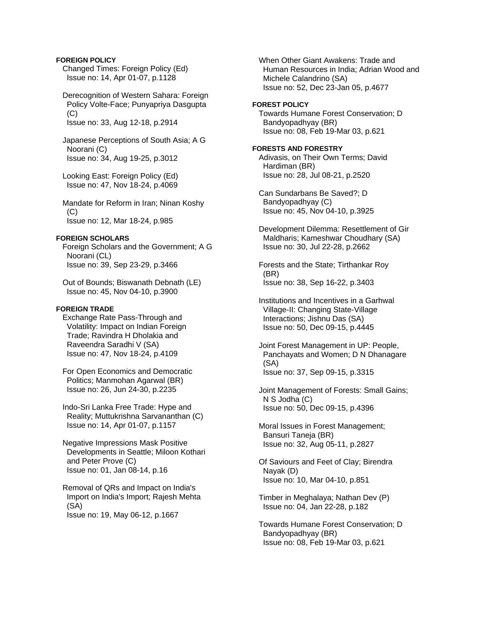## **FOREIGN POLICY**

 Changed Times: Foreign Policy (Ed) Issue no: 14, Apr 01-07, p.1128

 Derecognition of Western Sahara: Foreign Policy Volte-Face; Punyapriya Dasgupta (C) Issue no: 33, Aug 12-18, p.2914

 Japanese Perceptions of South Asia; A G Noorani (C) Issue no: 34, Aug 19-25, p.3012

 Looking East: Foreign Policy (Ed) Issue no: 47, Nov 18-24, p.4069

 Mandate for Reform in Iran; Ninan Koshy  $(C)$ Issue no: 12, Mar 18-24, p.985

# **FOREIGN SCHOLARS**

 Foreign Scholars and the Government; A G Noorani (CL) Issue no: 39, Sep 23-29, p.3466

 Out of Bounds; Biswanath Debnath (LE) Issue no: 45, Nov 04-10, p.3900

## **FOREIGN TRADE**

 Exchange Rate Pass-Through and Volatility: Impact on Indian Foreign Trade; Ravindra H Dholakia and Raveendra Saradhi V (SA) Issue no: 47, Nov 18-24, p.4109

 For Open Economics and Democratic Politics; Manmohan Agarwal (BR) Issue no: 26, Jun 24-30, p.2235

 Indo-Sri Lanka Free Trade: Hype and Reality; Muttukrishna Sarvananthan (C) Issue no: 14, Apr 01-07, p.1157

 Negative Impressions Mask Positive Developments in Seattle; Miloon Kothari and Peter Prove (C) Issue no: 01, Jan 08-14, p.16

 Removal of QRs and Impact on India's Import on India's Import; Rajesh Mehta (SA) Issue no: 19, May 06-12, p.1667

 When Other Giant Awakens: Trade and Human Resources in India; Adrian Wood and Michele Calandrino (SA) Issue no: 52, Dec 23-Jan 05, p.4677

### **FOREST POLICY**

 Towards Humane Forest Conservation; D Bandyopadhyay (BR) Issue no: 08, Feb 19-Mar 03, p.621

## **FORESTS AND FORESTRY**

 Adivasis, on Their Own Terms; David Hardiman (BR) Issue no: 28, Jul 08-21, p.2520

 Can Sundarbans Be Saved?; D Bandyopadhyay (C) Issue no: 45, Nov 04-10, p.3925

 Development Dilemma: Resettlement of Gir Maldharis; Kameshwar Choudhary (SA) Issue no: 30, Jul 22-28, p.2662

 Forests and the State; Tirthankar Roy (BR) Issue no: 38, Sep 16-22, p.3403

 Institutions and Incentives in a Garhwal Village-II: Changing State-Village Interactions; Jishnu Das (SA) Issue no: 50, Dec 09-15, p.4445

 Joint Forest Management in UP: People, Panchayats and Women; D N Dhanagare (SA) Issue no: 37, Sep 09-15, p.3315

 Joint Management of Forests: Small Gains; N S Jodha (C) Issue no: 50, Dec 09-15, p.4396

 Moral Issues in Forest Management; Bansuri Taneja (BR) Issue no: 32, Aug 05-11, p.2827

 Of Saviours and Feet of Clay; Birendra Nayak (D) Issue no: 10, Mar 04-10, p.851

 Timber in Meghalaya; Nathan Dev (P) Issue no: 04, Jan 22-28, p.182

 Towards Humane Forest Conservation; D Bandyopadhyay (BR) Issue no: 08, Feb 19-Mar 03, p.621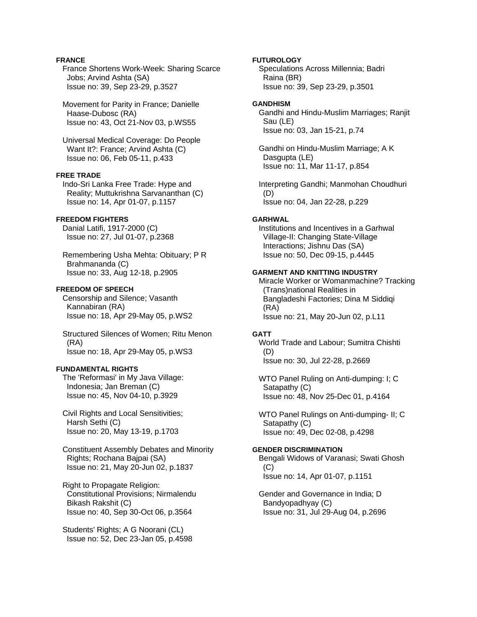# **FRANCE**

 France Shortens Work-Week: Sharing Scarce Jobs; Arvind Ashta (SA) Issue no: 39, Sep 23-29, p.3527

 Movement for Parity in France; Danielle Haase-Dubosc (RA) Issue no: 43, Oct 21-Nov 03, p.WS55

 Universal Medical Coverage: Do People Want It?: France; Arvind Ashta (C) Issue no: 06, Feb 05-11, p.433

# **FREE TRADE**

 Indo-Sri Lanka Free Trade: Hype and Reality; Muttukrishna Sarvananthan (C) Issue no: 14, Apr 01-07, p.1157

## **FREEDOM FIGHTERS**

 Danial Latifi, 1917-2000 (C) Issue no: 27, Jul 01-07, p.2368

 Remembering Usha Mehta: Obituary; P R Brahmananda (C) Issue no: 33, Aug 12-18, p.2905

### **FREEDOM OF SPEECH**

 Censorship and Silence; Vasanth Kannabiran (RA) Issue no: 18, Apr 29-May 05, p.WS2

 Structured Silences of Women; Ritu Menon (RA) Issue no: 18, Apr 29-May 05, p.WS3

# **FUNDAMENTAL RIGHTS**

 The 'Reformasi' in My Java Village: Indonesia; Jan Breman (C) Issue no: 45, Nov 04-10, p.3929

 Civil Rights and Local Sensitivities; Harsh Sethi (C) Issue no: 20, May 13-19, p.1703

 Constituent Assembly Debates and Minority Rights; Rochana Bajpai (SA) Issue no: 21, May 20-Jun 02, p.1837

 Right to Propagate Religion: Constitutional Provisions; Nirmalendu Bikash Rakshit (C) Issue no: 40, Sep 30-Oct 06, p.3564

 Students' Rights; A G Noorani (CL) Issue no: 52, Dec 23-Jan 05, p.4598

## **FUTUROLOGY**

 Speculations Across Millennia; Badri Raina (BR) Issue no: 39, Sep 23-29, p.3501

# **GANDHISM**

 Gandhi and Hindu-Muslim Marriages; Ranjit Sau (LE) Issue no: 03, Jan 15-21, p.74

 Gandhi on Hindu-Muslim Marriage; A K Dasgupta (LE) Issue no: 11, Mar 11-17, p.854

 Interpreting Gandhi; Manmohan Choudhuri (D) Issue no: 04, Jan 22-28, p.229

## **GARHWAL**

 Institutions and Incentives in a Garhwal Village-II: Changing State-Village Interactions; Jishnu Das (SA) Issue no: 50, Dec 09-15, p.4445

## **GARMENT AND KNITTING INDUSTRY**

 Miracle Worker or Womanmachine? Tracking (Trans)national Realities in Bangladeshi Factories; Dina M Siddiqi (RA) Issue no: 21, May 20-Jun 02, p.L11

## **GATT**

 World Trade and Labour; Sumitra Chishti (D) Issue no: 30, Jul 22-28, p.2669

 WTO Panel Ruling on Anti-dumping: I; C Satapathy (C) Issue no: 48, Nov 25-Dec 01, p.4164

 WTO Panel Rulings on Anti-dumping- II; C Satapathy (C) Issue no: 49, Dec 02-08, p.4298

# **GENDER DISCRIMINATION**

 Bengali Widows of Varanasi; Swati Ghosh  $(C)$ Issue no: 14, Apr 01-07, p.1151

 Gender and Governance in India; D Bandyopadhyay (C) Issue no: 31, Jul 29-Aug 04, p.2696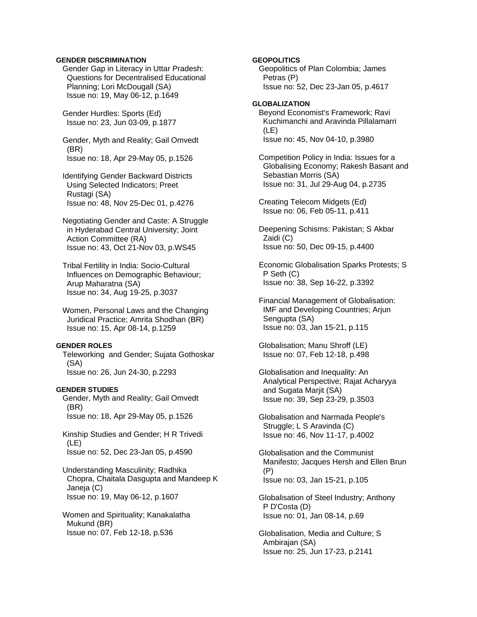### **GENDER DISCRIMINATION**

 Gender Gap in Literacy in Uttar Pradesh: Questions for Decentralised Educational Planning; Lori McDougall (SA) Issue no: 19, May 06-12, p.1649

 Gender Hurdles: Sports (Ed) Issue no: 23, Jun 03-09, p.1877

 Gender, Myth and Reality; Gail Omvedt (BR) Issue no: 18, Apr 29-May 05, p.1526

 Identifying Gender Backward Districts Using Selected Indicators; Preet Rustagi (SA) Issue no: 48, Nov 25-Dec 01, p.4276

 Negotiating Gender and Caste: A Struggle in Hyderabad Central University; Joint Action Committee (RA) Issue no: 43, Oct 21-Nov 03, p.WS45

 Tribal Fertility in India: Socio-Cultural Influences on Demographic Behaviour; Arup Maharatna (SA) Issue no: 34, Aug 19-25, p.3037

 Women, Personal Laws and the Changing Juridical Practice; Amrita Shodhan (BR) Issue no: 15, Apr 08-14, p.1259

## **GENDER ROLES**

 Teleworking and Gender; Sujata Gothoskar (SA) Issue no: 26, Jun 24-30, p.2293

## **GENDER STUDIES**

 Gender, Myth and Reality; Gail Omvedt (BR) Issue no: 18, Apr 29-May 05, p.1526

 Kinship Studies and Gender; H R Trivedi (LE) Issue no: 52, Dec 23-Jan 05, p.4590

 Understanding Masculinity; Radhika Chopra, Chaitala Dasgupta and Mandeep K Janeja (C) Issue no: 19, May 06-12, p.1607

 Women and Spirituality; Kanakalatha Mukund (BR) Issue no: 07, Feb 12-18, p.536

## **GEOPOLITICS**

 Geopolitics of Plan Colombia; James Petras (P) Issue no: 52, Dec 23-Jan 05, p.4617

## **GLOBALIZATION**

 Beyond Economist's Framework; Ravi Kuchimanchi and Aravinda Pillalamarri (LE) Issue no: 45, Nov 04-10, p.3980

 Competition Policy in India: Issues for a Globalising Economy; Rakesh Basant and Sebastian Morris (SA) Issue no: 31, Jul 29-Aug 04, p.2735

 Creating Telecom Midgets (Ed) Issue no: 06, Feb 05-11, p.411

 Deepening Schisms: Pakistan; S Akbar Zaidi (C) Issue no: 50, Dec 09-15, p.4400

 Economic Globalisation Sparks Protests; S P Seth (C) Issue no: 38, Sep 16-22, p.3392

 Financial Management of Globalisation: IMF and Developing Countries; Arjun Sengupta (SA) Issue no: 03, Jan 15-21, p.115

 Globalisation; Manu Shroff (LE) Issue no: 07, Feb 12-18, p.498

 Globalisation and Inequality: An Analytical Perspective; Rajat Acharyya and Sugata Marjit (SA) Issue no: 39, Sep 23-29, p.3503

 Globalisation and Narmada People's Struggle; L S Aravinda (C) Issue no: 46, Nov 11-17, p.4002

 Globalisation and the Communist Manifesto; Jacques Hersh and Ellen Brun (P) Issue no: 03, Jan 15-21, p.105

 Globalisation of Steel Industry; Anthony P D'Costa (D) Issue no: 01, Jan 08-14, p.69

 Globalisation, Media and Culture; S Ambirajan (SA) Issue no: 25, Jun 17-23, p.2141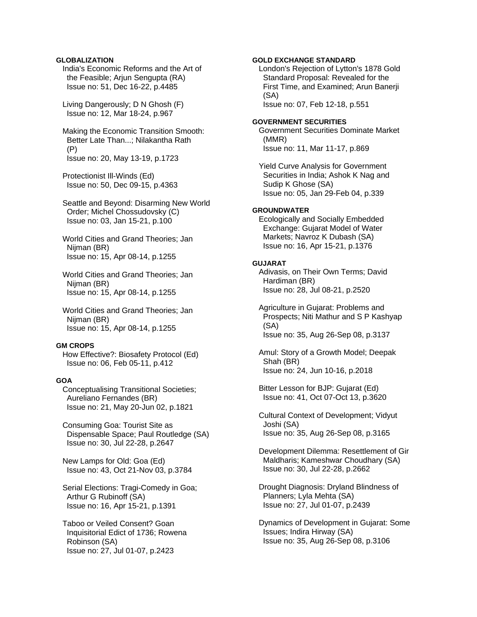## **GLOBALIZATION**

 India's Economic Reforms and the Art of the Feasible; Arjun Sengupta (RA) Issue no: 51, Dec 16-22, p.4485

 Living Dangerously; D N Ghosh (F) Issue no: 12, Mar 18-24, p.967

### Making the Economic Transition Smooth: Better Late Than...; Nilakantha Rath (P) Issue no: 20, May 13-19, p.1723

 Protectionist Ill-Winds (Ed) Issue no: 50, Dec 09-15, p.4363

 Seattle and Beyond: Disarming New World Order; Michel Chossudovsky (C) Issue no: 03, Jan 15-21, p.100

 World Cities and Grand Theories; Jan Nijman (BR) Issue no: 15, Apr 08-14, p.1255

 World Cities and Grand Theories; Jan Nijman (BR) Issue no: 15, Apr 08-14, p.1255

 World Cities and Grand Theories; Jan Nijman (BR) Issue no: 15, Apr 08-14, p.1255

### **GM CROPS**

 How Effective?: Biosafety Protocol (Ed) Issue no: 06, Feb 05-11, p.412

## **GOA**

 Conceptualising Transitional Societies; Aureliano Fernandes (BR) Issue no: 21, May 20-Jun 02, p.1821

 Consuming Goa: Tourist Site as Dispensable Space; Paul Routledge (SA) Issue no: 30, Jul 22-28, p.2647

 New Lamps for Old: Goa (Ed) Issue no: 43, Oct 21-Nov 03, p.3784

 Serial Elections: Tragi-Comedy in Goa; Arthur G Rubinoff (SA) Issue no: 16, Apr 15-21, p.1391

 Taboo or Veiled Consent? Goan Inquisitorial Edict of 1736; Rowena Robinson (SA) Issue no: 27, Jul 01-07, p.2423

## **GOLD EXCHANGE STANDARD**

 London's Rejection of Lytton's 1878 Gold Standard Proposal: Revealed for the First Time, and Examined; Arun Banerji (SA) Issue no: 07, Feb 12-18, p.551

#### **GOVERNMENT SECURITIES**

 Government Securities Dominate Market (MMR) Issue no: 11, Mar 11-17, p.869

 Yield Curve Analysis for Government Securities in India; Ashok K Nag and Sudip K Ghose (SA) Issue no: 05, Jan 29-Feb 04, p.339

# **GROUNDWATER**

 Ecologically and Socially Embedded Exchange: Gujarat Model of Water Markets; Navroz K Dubash (SA) Issue no: 16, Apr 15-21, p.1376

#### **GUJARAT**

 Adivasis, on Their Own Terms; David Hardiman (BR) Issue no: 28, Jul 08-21, p.2520

 Agriculture in Gujarat: Problems and Prospects; Niti Mathur and S P Kashyap (SA) Issue no: 35, Aug 26-Sep 08, p.3137

 Amul: Story of a Growth Model; Deepak Shah (BR) Issue no: 24, Jun 10-16, p.2018

 Bitter Lesson for BJP: Gujarat (Ed) Issue no: 41, Oct 07-Oct 13, p.3620

 Cultural Context of Development; Vidyut Joshi (SA) Issue no: 35, Aug 26-Sep 08, p.3165

 Development Dilemma: Resettlement of Gir Maldharis; Kameshwar Choudhary (SA) Issue no: 30, Jul 22-28, p.2662

 Drought Diagnosis: Dryland Blindness of Planners; Lyla Mehta (SA) Issue no: 27, Jul 01-07, p.2439

 Dynamics of Development in Gujarat: Some Issues; Indira Hirway (SA) Issue no: 35, Aug 26-Sep 08, p.3106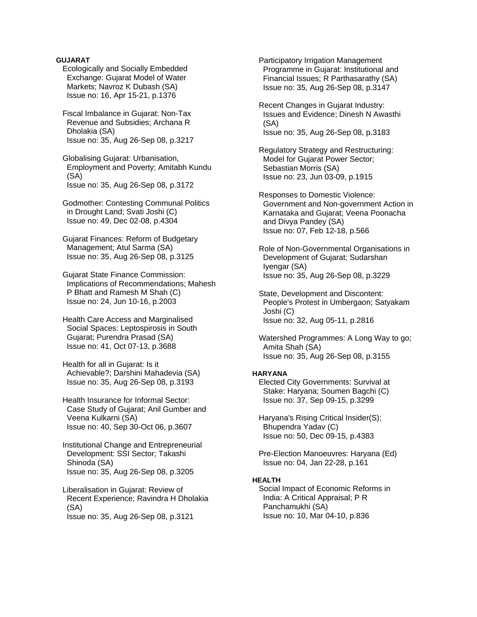## **GUJARAT**

- Ecologically and Socially Embedded Exchange: Gujarat Model of Water Markets; Navroz K Dubash (SA) Issue no: 16, Apr 15-21, p.1376
- Fiscal Imbalance in Gujarat: Non-Tax Revenue and Subsidies; Archana R Dholakia (SA) Issue no: 35, Aug 26-Sep 08, p.3217

 Globalising Gujarat: Urbanisation, Employment and Poverty; Amitabh Kundu (SA) Issue no: 35, Aug 26-Sep 08, p.3172

 Godmother: Contesting Communal Politics in Drought Land; Svati Joshi (C) Issue no: 49, Dec 02-08, p.4304

 Gujarat Finances: Reform of Budgetary Management; Atul Sarma (SA) Issue no: 35, Aug 26-Sep 08, p.3125

 Gujarat State Finance Commission: Implications of Recommendations; Mahesh P Bhatt and Ramesh M Shah (C) Issue no: 24, Jun 10-16, p.2003

 Health Care Access and Marginalised Social Spaces: Leptospirosis in South Gujarat; Purendra Prasad (SA) Issue no: 41, Oct 07-13, p.3688

 Health for all in Gujarat: Is it Achievable?; Darshini Mahadevia (SA) Issue no: 35, Aug 26-Sep 08, p.3193

 Health Insurance for Informal Sector: Case Study of Gujarat; Anil Gumber and Veena Kulkarni (SA) Issue no: 40, Sep 30-Oct 06, p.3607

 Institutional Change and Entrepreneurial Development: SSI Sector; Takashi Shinoda (SA) Issue no: 35, Aug 26-Sep 08, p.3205

 Liberalisation in Gujarat: Review of Recent Experience; Ravindra H Dholakia (SA) Issue no: 35, Aug 26-Sep 08, p.3121

 Participatory Irrigation Management Programme in Gujarat: Institutional and Financial Issues; R Parthasarathy (SA) Issue no: 35, Aug 26-Sep 08, p.3147

 Recent Changes in Gujarat Industry: Issues and Evidence; Dinesh N Awasthi (SA) Issue no: 35, Aug 26-Sep 08, p.3183

 Regulatory Strategy and Restructuring: Model for Gujarat Power Sector; Sebastian Morris (SA) Issue no: 23, Jun 03-09, p.1915

 Responses to Domestic Violence: Government and Non-government Action in Karnataka and Gujarat; Veena Poonacha and Divya Pandey (SA) Issue no: 07, Feb 12-18, p.566

 Role of Non-Governmental Organisations in Development of Gujarat; Sudarshan Iyengar (SA) Issue no: 35, Aug 26-Sep 08, p.3229

 State, Development and Discontent: People's Protest in Umbergaon; Satyakam Joshi (C) Issue no: 32, Aug 05-11, p.2816

 Watershed Programmes: A Long Way to go; Amita Shah (SA) Issue no: 35, Aug 26-Sep 08, p.3155

## **HARYANA**

 Elected City Governments: Survival at Stake: Haryana; Soumen Bagchi (C) Issue no: 37, Sep 09-15, p.3299

 Haryana's Rising Critical Insider(S); Bhupendra Yadav (C) Issue no: 50, Dec 09-15, p.4383

 Pre-Election Manoeuvres: Haryana (Ed) Issue no: 04, Jan 22-28, p.161

## **HEALTH**

 Social Impact of Economic Reforms in India: A Critical Appraisal; P R Panchamukhi (SA) Issue no: 10, Mar 04-10, p.836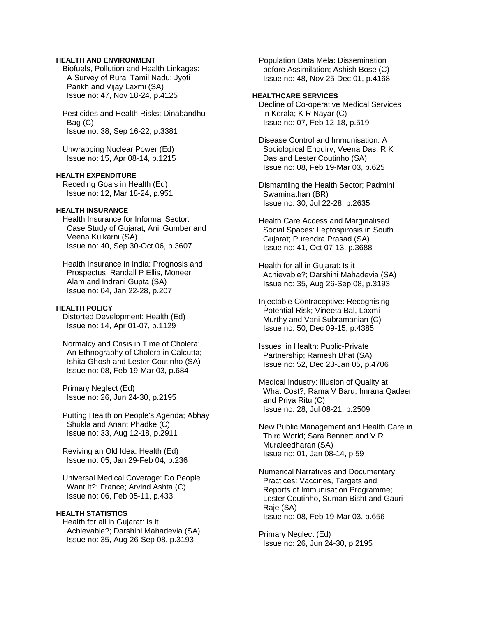## **HEALTH AND ENVIRONMENT**

 Biofuels, Pollution and Health Linkages: A Survey of Rural Tamil Nadu; Jyoti Parikh and Vijay Laxmi (SA) Issue no: 47, Nov 18-24, p.4125

 Pesticides and Health Risks; Dinabandhu Bag (C) Issue no: 38, Sep 16-22, p.3381

 Unwrapping Nuclear Power (Ed) Issue no: 15, Apr 08-14, p.1215

## **HEALTH EXPENDITURE**

 Receding Goals in Health (Ed) Issue no: 12, Mar 18-24, p.951

## **HEALTH INSURANCE**

 Health Insurance for Informal Sector: Case Study of Gujarat; Anil Gumber and Veena Kulkarni (SA) Issue no: 40, Sep 30-Oct 06, p.3607

 Health Insurance in India: Prognosis and Prospectus; Randall P Ellis, Moneer Alam and Indrani Gupta (SA) Issue no: 04, Jan 22-28, p.207

### **HEALTH POLICY**

 Distorted Development: Health (Ed) Issue no: 14, Apr 01-07, p.1129

 Normalcy and Crisis in Time of Cholera: An Ethnography of Cholera in Calcutta; Ishita Ghosh and Lester Coutinho (SA) Issue no: 08, Feb 19-Mar 03, p.684

 Primary Neglect (Ed) Issue no: 26, Jun 24-30, p.2195

 Putting Health on People's Agenda; Abhay Shukla and Anant Phadke (C) Issue no: 33, Aug 12-18, p.2911

 Reviving an Old Idea: Health (Ed) Issue no: 05, Jan 29-Feb 04, p.236

 Universal Medical Coverage: Do People Want It?: France; Arvind Ashta (C) Issue no: 06, Feb 05-11, p.433

### **HEALTH STATISTICS**

 Health for all in Gujarat: Is it Achievable?; Darshini Mahadevia (SA) Issue no: 35, Aug 26-Sep 08, p.3193

 Population Data Mela: Dissemination before Assimilation; Ashish Bose (C) Issue no: 48, Nov 25-Dec 01, p.4168

## **HEALTHCARE SERVICES**

 Decline of Co-operative Medical Services in Kerala; K R Nayar (C) Issue no: 07, Feb 12-18, p.519

 Disease Control and Immunisation: A Sociological Enquiry; Veena Das, R K Das and Lester Coutinho (SA) Issue no: 08, Feb 19-Mar 03, p.625

 Dismantling the Health Sector; Padmini Swaminathan (BR) Issue no: 30, Jul 22-28, p.2635

 Health Care Access and Marginalised Social Spaces: Leptospirosis in South Gujarat; Purendra Prasad (SA) Issue no: 41, Oct 07-13, p.3688

 Health for all in Gujarat: Is it Achievable?; Darshini Mahadevia (SA) Issue no: 35, Aug 26-Sep 08, p.3193

 Injectable Contraceptive: Recognising Potential Risk; Vineeta Bal, Laxmi Murthy and Vani Subramanian (C) Issue no: 50, Dec 09-15, p.4385

 Issues in Health: Public-Private Partnership; Ramesh Bhat (SA) Issue no: 52, Dec 23-Jan 05, p.4706

 Medical Industry: Illusion of Quality at What Cost?; Rama V Baru, Imrana Qadeer and Priya Ritu (C) Issue no: 28, Jul 08-21, p.2509

 New Public Management and Health Care in Third World; Sara Bennett and V R Muraleedharan (SA) Issue no: 01, Jan 08-14, p.59

 Numerical Narratives and Documentary Practices: Vaccines, Targets and Reports of Immunisation Programme; Lester Coutinho, Suman Bisht and Gauri Raje (SA) Issue no: 08, Feb 19-Mar 03, p.656

 Primary Neglect (Ed) Issue no: 26, Jun 24-30, p.2195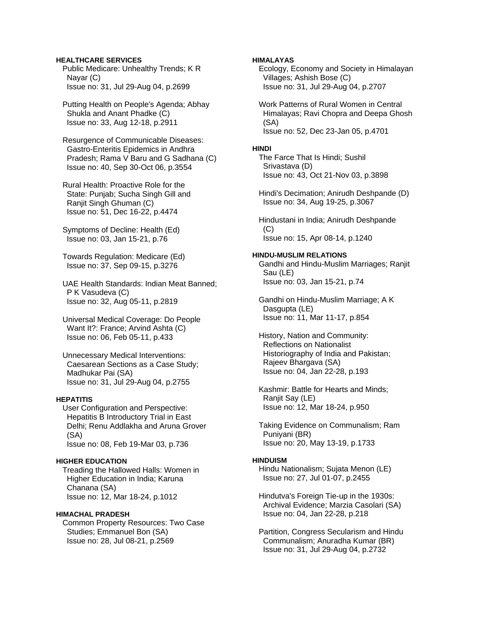## **HEALTHCARE SERVICES**

 Public Medicare: Unhealthy Trends; K R Nayar (C) Issue no: 31, Jul 29-Aug 04, p.2699

 Putting Health on People's Agenda; Abhay Shukla and Anant Phadke (C) Issue no: 33, Aug 12-18, p.2911

 Resurgence of Communicable Diseases: Gastro-Enteritis Epidemics in Andhra Pradesh; Rama V Baru and G Sadhana (C) Issue no: 40, Sep 30-Oct 06, p.3554

 Rural Health: Proactive Role for the State: Punjab; Sucha Singh Gill and Ranjit Singh Ghuman (C) Issue no: 51, Dec 16-22, p.4474

 Symptoms of Decline: Health (Ed) Issue no: 03, Jan 15-21, p.76

 Towards Regulation: Medicare (Ed) Issue no: 37, Sep 09-15, p.3276

 UAE Health Standards: Indian Meat Banned; P K Vasudeva (C) Issue no: 32, Aug 05-11, p.2819

 Universal Medical Coverage: Do People Want It?: France; Arvind Ashta (C) Issue no: 06, Feb 05-11, p.433

 Unnecessary Medical Interventions: Caesarean Sections as a Case Study; Madhukar Pai (SA) Issue no: 31, Jul 29-Aug 04, p.2755

## **HEPATITIS**

 User Configuration and Perspective: Hepatitis B Introductory Trial in East Delhi; Renu Addlakha and Aruna Grover (SA) Issue no: 08, Feb 19-Mar 03, p.736

#### **HIGHER EDUCATION**

 Treading the Hallowed Halls: Women in Higher Education in India; Karuna Chanana (SA) Issue no: 12, Mar 18-24, p.1012

### **HIMACHAL PRADESH**

 Common Property Resources: Two Case Studies; Emmanuel Bon (SA) Issue no: 28, Jul 08-21, p.2569

## **HIMALAYAS**

 Ecology, Economy and Society in Himalayan Villages; Ashish Bose (C) Issue no: 31, Jul 29-Aug 04, p.2707

 Work Patterns of Rural Women in Central Himalayas; Ravi Chopra and Deepa Ghosh (SA) Issue no: 52, Dec 23-Jan 05, p.4701

#### **HINDI**

 The Farce That Is Hindi; Sushil Srivastava (D) Issue no: 43, Oct 21-Nov 03, p.3898

 Hindi's Decimation; Anirudh Deshpande (D) Issue no: 34, Aug 19-25, p.3067

 Hindustani in India; Anirudh Deshpande (C) Issue no: 15, Apr 08-14, p.1240

#### **HINDU-MUSLIM RELATIONS**

 Gandhi and Hindu-Muslim Marriages; Ranjit Sau (LE) Issue no: 03, Jan 15-21, p.74

 Gandhi on Hindu-Muslim Marriage; A K Dasgupta (LE) Issue no: 11, Mar 11-17, p.854

 History, Nation and Community: Reflections on Nationalist Historiography of India and Pakistan; Rajeev Bhargava (SA) Issue no: 04, Jan 22-28, p.193

 Kashmir: Battle for Hearts and Minds; Ranjit Say (LE) Issue no: 12, Mar 18-24, p.950

 Taking Evidence on Communalism; Ram Puniyani (BR) Issue no: 20, May 13-19, p.1733

#### **HINDUISM**

 Hindu Nationalism; Sujata Menon (LE) Issue no: 27, Jul 01-07, p.2455

 Hindutva's Foreign Tie-up in the 1930s: Archival Evidence; Marzia Casolari (SA) Issue no: 04, Jan 22-28, p.218

 Partition, Congress Secularism and Hindu Communalism; Anuradha Kumar (BR) Issue no: 31, Jul 29-Aug 04, p.2732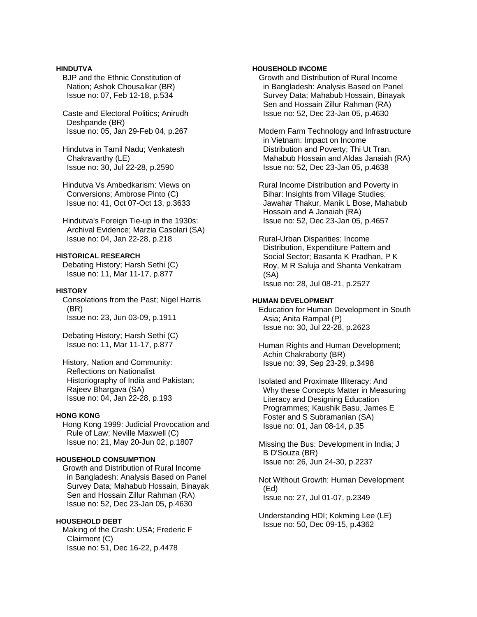## **HINDUTVA**

- BJP and the Ethnic Constitution of Nation; Ashok Chousalkar (BR) Issue no: 07, Feb 12-18, p.534
- Caste and Electoral Politics; Anirudh Deshpande (BR) Issue no: 05, Jan 29-Feb 04, p.267

 Hindutva in Tamil Nadu; Venkatesh Chakravarthy (LE) Issue no: 30, Jul 22-28, p.2590

- Hindutva Vs Ambedkarism: Views on Conversions; Ambrose Pinto (C) Issue no: 41, Oct 07-Oct 13, p.3633
- Hindutva's Foreign Tie-up in the 1930s: Archival Evidence; Marzia Casolari (SA) Issue no: 04, Jan 22-28, p.218

# **HISTORICAL RESEARCH**

 Debating History; Harsh Sethi (C) Issue no: 11, Mar 11-17, p.877

## **HISTORY**

 Consolations from the Past; Nigel Harris (BR) Issue no: 23, Jun 03-09, p.1911

 Debating History; Harsh Sethi (C) Issue no: 11, Mar 11-17, p.877

 History, Nation and Community: Reflections on Nationalist Historiography of India and Pakistan; Rajeev Bhargava (SA) Issue no: 04, Jan 22-28, p.193

# **HONG KONG**

 Hong Kong 1999: Judicial Provocation and Rule of Law; Neville Maxwell (C) Issue no: 21, May 20-Jun 02, p.1807

# **HOUSEHOLD CONSUMPTION**

 Growth and Distribution of Rural Income in Bangladesh: Analysis Based on Panel Survey Data; Mahabub Hossain, Binayak Sen and Hossain Zillur Rahman (RA) Issue no: 52, Dec 23-Jan 05, p.4630

### **HOUSEHOLD DEBT**

 Making of the Crash: USA; Frederic F Clairmont (C) Issue no: 51, Dec 16-22, p.4478

## **HOUSEHOLD INCOME**

 Growth and Distribution of Rural Income in Bangladesh: Analysis Based on Panel Survey Data; Mahabub Hossain, Binayak Sen and Hossain Zillur Rahman (RA) Issue no: 52, Dec 23-Jan 05, p.4630

 Modern Farm Technology and Infrastructure in Vietnam: Impact on Income Distribution and Poverty; Thi Ut Tran, Mahabub Hossain and Aldas Janaiah (RA) Issue no: 52, Dec 23-Jan 05, p.4638

 Rural Income Distribution and Poverty in Bihar: Insights from Village Studies; Jawahar Thakur, Manik L Bose, Mahabub Hossain and A Janaiah (RA) Issue no: 52, Dec 23-Jan 05, p.4657

 Rural-Urban Disparities: Income Distribution, Expenditure Pattern and Social Sector; Basanta K Pradhan, P K Roy, M R Saluja and Shanta Venkatram (SA) Issue no: 28, Jul 08-21, p.2527

# **HUMAN DEVELOPMENT**

 Education for Human Development in South Asia; Anita Rampal (P) Issue no: 30, Jul 22-28, p.2623

 Human Rights and Human Development; Achin Chakraborty (BR) Issue no: 39, Sep 23-29, p.3498

 Isolated and Proximate Illiteracy: And Why these Concepts Matter in Measuring Literacy and Designing Education Programmes; Kaushik Basu, James E Foster and S Subramanian (SA) Issue no: 01, Jan 08-14, p.35

 Missing the Bus: Development in India; J B D'Souza (BR) Issue no: 26, Jun 24-30, p.2237

 Not Without Growth: Human Development (Ed) Issue no: 27, Jul 01-07, p.2349

 Understanding HDI; Kokming Lee (LE) Issue no: 50, Dec 09-15, p.4362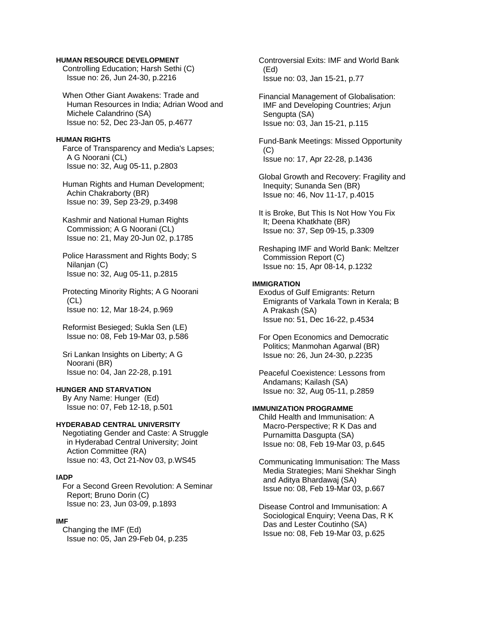### **HUMAN RESOURCE DEVELOPMENT**

 Controlling Education; Harsh Sethi (C) Issue no: 26, Jun 24-30, p.2216

 When Other Giant Awakens: Trade and Human Resources in India; Adrian Wood and Michele Calandrino (SA) Issue no: 52, Dec 23-Jan 05, p.4677

### **HUMAN RIGHTS**

 Farce of Transparency and Media's Lapses; A G Noorani (CL) Issue no: 32, Aug 05-11, p.2803

 Human Rights and Human Development; Achin Chakraborty (BR) Issue no: 39, Sep 23-29, p.3498

 Kashmir and National Human Rights Commission; A G Noorani (CL) Issue no: 21, May 20-Jun 02, p.1785

 Police Harassment and Rights Body; S Nilanjan (C) Issue no: 32, Aug 05-11, p.2815

 Protecting Minority Rights; A G Noorani  $(CL)$ Issue no: 12, Mar 18-24, p.969

 Reformist Besieged; Sukla Sen (LE) Issue no: 08, Feb 19-Mar 03, p.586

 Sri Lankan Insights on Liberty; A G Noorani (BR) Issue no: 04, Jan 22-28, p.191

# **HUNGER AND STARVATION**

 By Any Name: Hunger (Ed) Issue no: 07, Feb 12-18, p.501

#### **HYDERABAD CENTRAL UNIVERSITY**

 Negotiating Gender and Caste: A Struggle in Hyderabad Central University; Joint Action Committee (RA) Issue no: 43, Oct 21-Nov 03, p.WS45

### **IADP**

 For a Second Green Revolution: A Seminar Report; Bruno Dorin (C) Issue no: 23, Jun 03-09, p.1893

#### **IMF**

 Changing the IMF (Ed) Issue no: 05, Jan 29-Feb 04, p.235  Controversial Exits: IMF and World Bank (Ed) Issue no: 03, Jan 15-21, p.77

 Financial Management of Globalisation: IMF and Developing Countries; Arjun Sengupta (SA) Issue no: 03, Jan 15-21, p.115

 Fund-Bank Meetings: Missed Opportunity (C) Issue no: 17, Apr 22-28, p.1436

 Global Growth and Recovery: Fragility and Inequity; Sunanda Sen (BR) Issue no: 46, Nov 11-17, p.4015

 It is Broke, But This Is Not How You Fix It; Deena Khatkhate (BR) Issue no: 37, Sep 09-15, p.3309

 Reshaping IMF and World Bank: Meltzer Commission Report (C) Issue no: 15, Apr 08-14, p.1232

### **IMMIGRATION**

 Exodus of Gulf Emigrants: Return Emigrants of Varkala Town in Kerala; B A Prakash (SA) Issue no: 51, Dec 16-22, p.4534

 For Open Economics and Democratic Politics; Manmohan Agarwal (BR) Issue no: 26, Jun 24-30, p.2235

 Peaceful Coexistence: Lessons from Andamans; Kailash (SA) Issue no: 32, Aug 05-11, p.2859

## **IMMUNIZATION PROGRAMME**

 Child Health and Immunisation: A Macro-Perspective; R K Das and Purnamitta Dasgupta (SA) Issue no: 08, Feb 19-Mar 03, p.645

 Communicating Immunisation: The Mass Media Strategies; Mani Shekhar Singh and Aditya Bhardawaj (SA) Issue no: 08, Feb 19-Mar 03, p.667

 Disease Control and Immunisation: A Sociological Enquiry; Veena Das, R K Das and Lester Coutinho (SA) Issue no: 08, Feb 19-Mar 03, p.625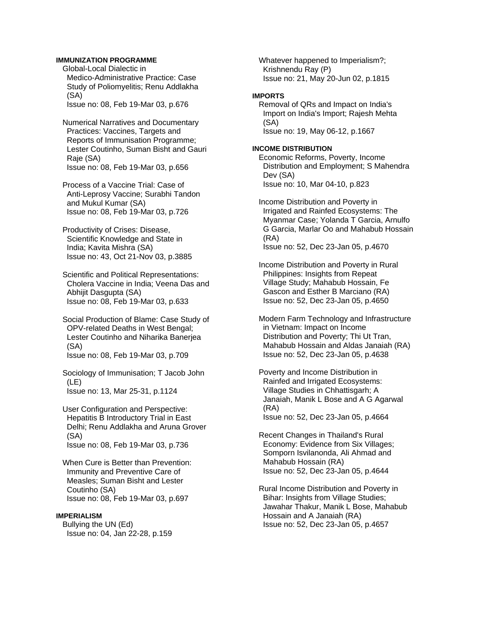## **IMMUNIZATION PROGRAMME**

 Global-Local Dialectic in Medico-Administrative Practice: Case Study of Poliomyelitis; Renu Addlakha (SA)

Issue no: 08, Feb 19-Mar 03, p.676

 Numerical Narratives and Documentary Practices: Vaccines, Targets and Reports of Immunisation Programme; Lester Coutinho, Suman Bisht and Gauri Raje (SA) Issue no: 08, Feb 19-Mar 03, p.656

 Process of a Vaccine Trial: Case of Anti-Leprosy Vaccine; Surabhi Tandon and Mukul Kumar (SA) Issue no: 08, Feb 19-Mar 03, p.726

 Productivity of Crises: Disease, Scientific Knowledge and State in India; Kavita Mishra (SA) Issue no: 43, Oct 21-Nov 03, p.3885

 Scientific and Political Representations: Cholera Vaccine in India; Veena Das and Abhijit Dasgupta (SA) Issue no: 08, Feb 19-Mar 03, p.633

 Social Production of Blame: Case Study of OPV-related Deaths in West Bengal; Lester Coutinho and Niharika Banerjea (SA) Issue no: 08, Feb 19-Mar 03, p.709

 Sociology of Immunisation; T Jacob John (LE) Issue no: 13, Mar 25-31, p.1124

 User Configuration and Perspective: Hepatitis B Introductory Trial in East Delhi; Renu Addlakha and Aruna Grover (SA) Issue no: 08, Feb 19-Mar 03, p.736

 When Cure is Better than Prevention: Immunity and Preventive Care of Measles; Suman Bisht and Lester Coutinho (SA) Issue no: 08, Feb 19-Mar 03, p.697

### **IMPERIALISM**

 Bullying the UN (Ed) Issue no: 04, Jan 22-28, p.159  Whatever happened to Imperialism?; Krishnendu Ray (P) Issue no: 21, May 20-Jun 02, p.1815

## **IMPORTS**

 Removal of QRs and Impact on India's Import on India's Import; Rajesh Mehta (SA) Issue no: 19, May 06-12, p.1667

### **INCOME DISTRIBUTION**

 Economic Reforms, Poverty, Income Distribution and Employment; S Mahendra Dev (SA) Issue no: 10, Mar 04-10, p.823

 Income Distribution and Poverty in Irrigated and Rainfed Ecosystems: The Myanmar Case; Yolanda T Garcia, Arnulfo G Garcia, Marlar Oo and Mahabub Hossain (RA) Issue no: 52, Dec 23-Jan 05, p.4670

 Income Distribution and Poverty in Rural Philippines: Insights from Repeat Village Study; Mahabub Hossain, Fe Gascon and Esther B Marciano (RA) Issue no: 52, Dec 23-Jan 05, p.4650

 Modern Farm Technology and Infrastructure in Vietnam: Impact on Income Distribution and Poverty; Thi Ut Tran, Mahabub Hossain and Aldas Janaiah (RA) Issue no: 52, Dec 23-Jan 05, p.4638

 Poverty and Income Distribution in Rainfed and Irrigated Ecosystems: Village Studies in Chhattisgarh; A Janaiah, Manik L Bose and A G Agarwal (RA) Issue no: 52, Dec 23-Jan 05, p.4664

 Recent Changes in Thailand's Rural Economy: Evidence from Six Villages; Somporn Isvilanonda, Ali Ahmad and Mahabub Hossain (RA) Issue no: 52, Dec 23-Jan 05, p.4644

 Rural Income Distribution and Poverty in Bihar: Insights from Village Studies; Jawahar Thakur, Manik L Bose, Mahabub Hossain and A Janaiah (RA) Issue no: 52, Dec 23-Jan 05, p.4657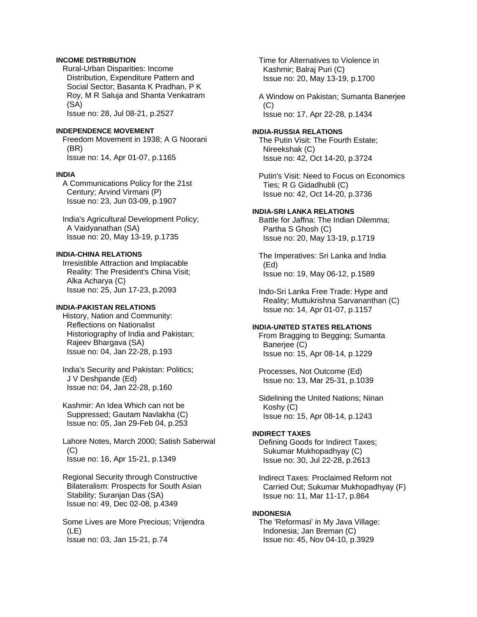## **INCOME DISTRIBUTION**

 Rural-Urban Disparities: Income Distribution, Expenditure Pattern and Social Sector; Basanta K Pradhan, P K Roy, M R Saluja and Shanta Venkatram (SA)

Issue no: 28, Jul 08-21, p.2527

# **INDEPENDENCE MOVEMENT**

 Freedom Movement in 1938; A G Noorani (BR) Issue no: 14, Apr 01-07, p.1165

#### **INDIA**

 A Communications Policy for the 21st Century; Arvind Virmani (P) Issue no: 23, Jun 03-09, p.1907

 India's Agricultural Development Policy; A Vaidyanathan (SA) Issue no: 20, May 13-19, p.1735

# **INDIA-CHINA RELATIONS**

 Irresistible Attraction and Implacable Reality: The President's China Visit; Alka Acharya (C) Issue no: 25, Jun 17-23, p.2093

### **INDIA-PAKISTAN RELATIONS**

 History, Nation and Community: Reflections on Nationalist Historiography of India and Pakistan; Rajeev Bhargava (SA) Issue no: 04, Jan 22-28, p.193

 India's Security and Pakistan: Politics; J V Deshpande (Ed) Issue no: 04, Jan 22-28, p.160

 Kashmir: An Idea Which can not be Suppressed; Gautam Navlakha (C) Issue no: 05, Jan 29-Feb 04, p.253

 Lahore Notes, March 2000; Satish Saberwal  $(C)$ Issue no: 16, Apr 15-21, p.1349

 Regional Security through Constructive Bilateralism: Prospects for South Asian Stability; Suranjan Das (SA) Issue no: 49, Dec 02-08, p.4349

 Some Lives are More Precious; Vrijendra (LE) Issue no: 03, Jan 15-21, p.74

 Time for Alternatives to Violence in Kashmir; Balraj Puri (C) Issue no: 20, May 13-19, p.1700

 A Window on Pakistan; Sumanta Banerjee (C) Issue no: 17, Apr 22-28, p.1434

### **INDIA-RUSSIA RELATIONS**  The Putin Visit: The Fourth Estate; Nireekshak (C) Issue no: 42, Oct 14-20, p.3724

 Putin's Visit: Need to Focus on Economics Ties; R G Gidadhubli (C) Issue no: 42, Oct 14-20, p.3736

## **INDIA-SRI LANKA RELATIONS**

 Battle for Jaffna: The Indian Dilemma; Partha S Ghosh (C) Issue no: 20, May 13-19, p.1719

 The Imperatives: Sri Lanka and India (Ed) Issue no: 19, May 06-12, p.1589

 Indo-Sri Lanka Free Trade: Hype and Reality; Muttukrishna Sarvananthan (C) Issue no: 14, Apr 01-07, p.1157

#### **INDIA-UNITED STATES RELATIONS**

 From Bragging to Begging; Sumanta Banerjee (C) Issue no: 15, Apr 08-14, p.1229

 Processes, Not Outcome (Ed) Issue no: 13, Mar 25-31, p.1039

 Sidelining the United Nations; Ninan Koshy (C) Issue no: 15, Apr 08-14, p.1243

## **INDIRECT TAXES**

 Defining Goods for Indirect Taxes; Sukumar Mukhopadhyay (C) Issue no: 30, Jul 22-28, p.2613

 Indirect Taxes: Proclaimed Reform not Carried Out; Sukumar Mukhopadhyay (F) Issue no: 11, Mar 11-17, p.864

### **INDONESIA**

 The 'Reformasi' in My Java Village: Indonesia; Jan Breman (C) Issue no: 45, Nov 04-10, p.3929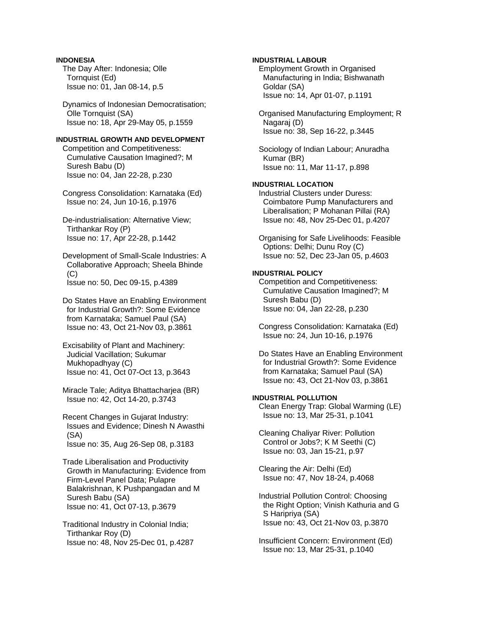# **INDONESIA**

 The Day After: Indonesia; Olle Tornquist (Ed) Issue no: 01, Jan 08-14, p.5

 Dynamics of Indonesian Democratisation; Olle Tornquist (SA) Issue no: 18, Apr 29-May 05, p.1559

### **INDUSTRIAL GROWTH AND DEVELOPMENT**

 Competition and Competitiveness: Cumulative Causation Imagined?; M Suresh Babu (D) Issue no: 04, Jan 22-28, p.230

 Congress Consolidation: Karnataka (Ed) Issue no: 24, Jun 10-16, p.1976

 De-industrialisation: Alternative View; Tirthankar Roy (P) Issue no: 17, Apr 22-28, p.1442

 Development of Small-Scale Industries: A Collaborative Approach; Sheela Bhinde  $(C)$ Issue no: 50, Dec 09-15, p.4389

 Do States Have an Enabling Environment for Industrial Growth?: Some Evidence from Karnataka; Samuel Paul (SA) Issue no: 43, Oct 21-Nov 03, p.3861

 Excisability of Plant and Machinery: Judicial Vacillation; Sukumar Mukhopadhyay (C) Issue no: 41, Oct 07-Oct 13, p.3643

 Miracle Tale; Aditya Bhattacharjea (BR) Issue no: 42, Oct 14-20, p.3743

 Recent Changes in Gujarat Industry: Issues and Evidence; Dinesh N Awasthi (SA) Issue no: 35, Aug 26-Sep 08, p.3183

 Trade Liberalisation and Productivity Growth in Manufacturing: Evidence from Firm-Level Panel Data; Pulapre Balakrishnan, K Pushpangadan and M Suresh Babu (SA) Issue no: 41, Oct 07-13, p.3679

 Traditional Industry in Colonial India; Tirthankar Roy (D) Issue no: 48, Nov 25-Dec 01, p.4287

## **INDUSTRIAL LABOUR**

 Employment Growth in Organised Manufacturing in India; Bishwanath Goldar (SA) Issue no: 14, Apr 01-07, p.1191

 Organised Manufacturing Employment; R Nagaraj (D) Issue no: 38, Sep 16-22, p.3445

 Sociology of Indian Labour; Anuradha Kumar (BR) Issue no: 11, Mar 11-17, p.898

# **INDUSTRIAL LOCATION**

 Industrial Clusters under Duress: Coimbatore Pump Manufacturers and Liberalisation; P Mohanan Pillai (RA) Issue no: 48, Nov 25-Dec 01, p.4207

 Organising for Safe Livelihoods: Feasible Options: Delhi; Dunu Roy (C) Issue no: 52, Dec 23-Jan 05, p.4603

# **INDUSTRIAL POLICY**

 Competition and Competitiveness: Cumulative Causation Imagined?; M Suresh Babu (D) Issue no: 04, Jan 22-28, p.230

 Congress Consolidation: Karnataka (Ed) Issue no: 24, Jun 10-16, p.1976

 Do States Have an Enabling Environment for Industrial Growth?: Some Evidence from Karnataka; Samuel Paul (SA) Issue no: 43, Oct 21-Nov 03, p.3861

## **INDUSTRIAL POLLUTION**

 Clean Energy Trap: Global Warming (LE) Issue no: 13, Mar 25-31, p.1041

 Cleaning Chaliyar River: Pollution Control or Jobs?; K M Seethi (C) Issue no: 03, Jan 15-21, p.97

 Clearing the Air: Delhi (Ed) Issue no: 47, Nov 18-24, p.4068

 Industrial Pollution Control: Choosing the Right Option; Vinish Kathuria and G S Haripriya (SA) Issue no: 43, Oct 21-Nov 03, p.3870

 Insufficient Concern: Environment (Ed) Issue no: 13, Mar 25-31, p.1040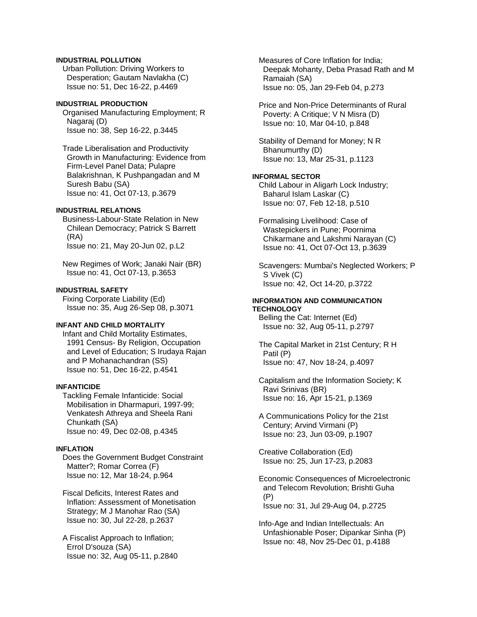# **INDUSTRIAL POLLUTION**

 Urban Pollution: Driving Workers to Desperation; Gautam Navlakha (C) Issue no: 51, Dec 16-22, p.4469

## **INDUSTRIAL PRODUCTION**

 Organised Manufacturing Employment; R Nagaraj (D) Issue no: 38, Sep 16-22, p.3445

 Trade Liberalisation and Productivity Growth in Manufacturing: Evidence from Firm-Level Panel Data; Pulapre Balakrishnan, K Pushpangadan and M Suresh Babu (SA) Issue no: 41, Oct 07-13, p.3679

# **INDUSTRIAL RELATIONS**

 Business-Labour-State Relation in New Chilean Democracy; Patrick S Barrett (RA) Issue no: 21, May 20-Jun 02, p.L2

 New Regimes of Work; Janaki Nair (BR) Issue no: 41, Oct 07-13, p.3653

### **INDUSTRIAL SAFETY**

 Fixing Corporate Liability (Ed) Issue no: 35, Aug 26-Sep 08, p.3071

## **INFANT AND CHILD MORTALITY**

 Infant and Child Mortality Estimates, 1991 Census- By Religion, Occupation and Level of Education; S Irudaya Rajan and P Mohanachandran (SS) Issue no: 51, Dec 16-22, p.4541

### **INFANTICIDE**

 Tackling Female Infanticide: Social Mobilisation in Dharmapuri, 1997-99; Venkatesh Athreya and Sheela Rani Chunkath (SA) Issue no: 49, Dec 02-08, p.4345

### **INFLATION**

 Does the Government Budget Constraint Matter?; Romar Correa (F) Issue no: 12, Mar 18-24, p.964

 Fiscal Deficits, Interest Rates and Inflation: Assessment of Monetisation Strategy; M J Manohar Rao (SA) Issue no: 30, Jul 22-28, p.2637

 A Fiscalist Approach to Inflation; Errol D'souza (SA) Issue no: 32, Aug 05-11, p.2840  Measures of Core Inflation for India; Deepak Mohanty, Deba Prasad Rath and M Ramaiah (SA) Issue no: 05, Jan 29-Feb 04, p.273

 Price and Non-Price Determinants of Rural Poverty: A Critique; V N Misra (D) Issue no: 10, Mar 04-10, p.848

 Stability of Demand for Money; N R Bhanumurthy (D) Issue no: 13, Mar 25-31, p.1123

# **INFORMAL SECTOR**

 Child Labour in Aligarh Lock Industry; Baharul Islam Laskar (C) Issue no: 07, Feb 12-18, p.510

 Formalising Livelihood: Case of Wastepickers in Pune; Poornima Chikarmane and Lakshmi Narayan (C) Issue no: 41, Oct 07-Oct 13, p.3639

 Scavengers: Mumbai's Neglected Workers; P S Vivek (C) Issue no: 42, Oct 14-20, p.3722

### **INFORMATION AND COMMUNICATION TECHNOLOGY**

 Belling the Cat: Internet (Ed) Issue no: 32, Aug 05-11, p.2797

 The Capital Market in 21st Century; R H Patil (P) Issue no: 47, Nov 18-24, p.4097

 Capitalism and the Information Society; K Ravi Srinivas (BR) Issue no: 16, Apr 15-21, p.1369

 A Communications Policy for the 21st Century; Arvind Virmani (P) Issue no: 23, Jun 03-09, p.1907

 Creative Collaboration (Ed) Issue no: 25, Jun 17-23, p.2083

 Economic Consequences of Microelectronic and Telecom Revolution; Brishti Guha (P) Issue no: 31, Jul 29-Aug 04, p.2725

 Info-Age and Indian Intellectuals: An Unfashionable Poser; Dipankar Sinha (P) Issue no: 48, Nov 25-Dec 01, p.4188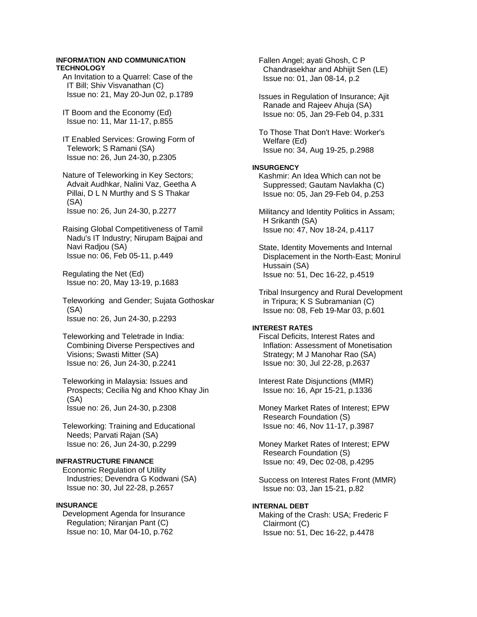### **INFORMATION AND COMMUNICATION TECHNOLOGY**

 An Invitation to a Quarrel: Case of the IT Bill; Shiv Visvanathan (C) Issue no: 21, May 20-Jun 02, p.1789

 IT Boom and the Economy (Ed) Issue no: 11, Mar 11-17, p.855

 IT Enabled Services: Growing Form of Telework; S Ramani (SA) Issue no: 26, Jun 24-30, p.2305

 Nature of Teleworking in Key Sectors; Advait Audhkar, Nalini Vaz, Geetha A Pillai, D L N Murthy and S S Thakar (SA) Issue no: 26, Jun 24-30, p.2277

 Raising Global Competitiveness of Tamil Nadu's IT Industry; Nirupam Bajpai and Navi Radjou (SA) Issue no: 06, Feb 05-11, p.449

 Regulating the Net (Ed) Issue no: 20, May 13-19, p.1683

 Teleworking and Gender; Sujata Gothoskar (SA) Issue no: 26, Jun 24-30, p.2293

 Teleworking and Teletrade in India: Combining Diverse Perspectives and Visions; Swasti Mitter (SA) Issue no: 26, Jun 24-30, p.2241

 Teleworking in Malaysia: Issues and Prospects; Cecilia Ng and Khoo Khay Jin (SA) Issue no: 26, Jun 24-30, p.2308

 Teleworking: Training and Educational Needs; Parvati Rajan (SA) Issue no: 26, Jun 24-30, p.2299

#### **INFRASTRUCTURE FINANCE**

 Economic Regulation of Utility Industries; Devendra G Kodwani (SA) Issue no: 30, Jul 22-28, p.2657

## **INSURANCE**

 Development Agenda for Insurance Regulation; Niranjan Pant (C) Issue no: 10, Mar 04-10, p.762

 Fallen Angel; ayati Ghosh, C P Chandrasekhar and Abhijit Sen (LE) Issue no: 01, Jan 08-14, p.2

 Issues in Regulation of Insurance; Ajit Ranade and Rajeev Ahuja (SA) Issue no: 05, Jan 29-Feb 04, p.331

 To Those That Don't Have: Worker's Welfare (Ed) Issue no: 34, Aug 19-25, p.2988

### **INSURGENCY**

 Kashmir: An Idea Which can not be Suppressed; Gautam Navlakha (C) Issue no: 05, Jan 29-Feb 04, p.253

 Militancy and Identity Politics in Assam; H Srikanth (SA) Issue no: 47, Nov 18-24, p.4117

 State, Identity Movements and Internal Displacement in the North-East; Monirul Hussain (SA) Issue no: 51, Dec 16-22, p.4519

 Tribal Insurgency and Rural Development in Tripura; K S Subramanian (C) Issue no: 08, Feb 19-Mar 03, p.601

## **INTEREST RATES**

 Fiscal Deficits, Interest Rates and Inflation: Assessment of Monetisation Strategy; M J Manohar Rao (SA) Issue no: 30, Jul 22-28, p.2637

 Interest Rate Disjunctions (MMR) Issue no: 16, Apr 15-21, p.1336

 Money Market Rates of Interest; EPW Research Foundation (S) Issue no: 46, Nov 11-17, p.3987

 Money Market Rates of Interest; EPW Research Foundation (S) Issue no: 49, Dec 02-08, p.4295

 Success on Interest Rates Front (MMR) Issue no: 03, Jan 15-21, p.82

## **INTERNAL DEBT**

 Making of the Crash: USA; Frederic F Clairmont (C) Issue no: 51, Dec 16-22, p.4478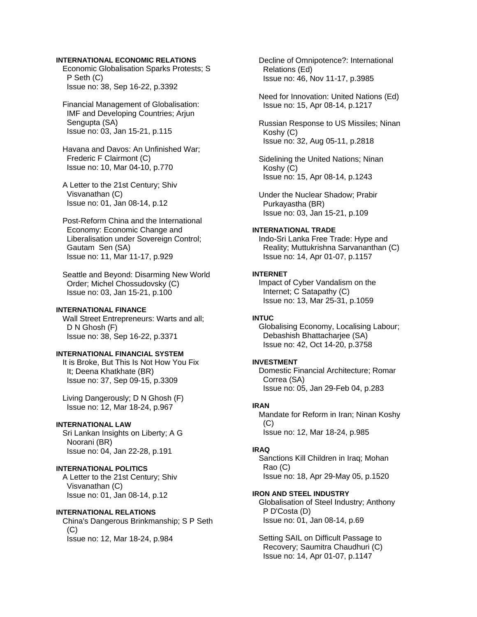## **INTERNATIONAL ECONOMIC RELATIONS**

 Economic Globalisation Sparks Protests; S P Seth (C) Issue no: 38, Sep 16-22, p.3392

- Financial Management of Globalisation: IMF and Developing Countries; Arjun Sengupta (SA) Issue no: 03, Jan 15-21, p.115
- Havana and Davos: An Unfinished War; Frederic F Clairmont (C) Issue no: 10, Mar 04-10, p.770
- A Letter to the 21st Century; Shiv Visvanathan (C) Issue no: 01, Jan 08-14, p.12
- Post-Reform China and the International Economy: Economic Change and Liberalisation under Sovereign Control; Gautam Sen (SA) Issue no: 11, Mar 11-17, p.929
- Seattle and Beyond: Disarming New World Order; Michel Chossudovsky (C) Issue no: 03, Jan 15-21, p.100

# **INTERNATIONAL FINANCE**

 Wall Street Entrepreneurs: Warts and all; D N Ghosh (F) Issue no: 38, Sep 16-22, p.3371

### **INTERNATIONAL FINANCIAL SYSTEM**

 It is Broke, But This Is Not How You Fix It; Deena Khatkhate (BR) Issue no: 37, Sep 09-15, p.3309

 Living Dangerously; D N Ghosh (F) Issue no: 12, Mar 18-24, p.967

## **INTERNATIONAL LAW**

 Sri Lankan Insights on Liberty; A G Noorani (BR) Issue no: 04, Jan 22-28, p.191

## **INTERNATIONAL POLITICS**

 A Letter to the 21st Century; Shiv Visvanathan (C) Issue no: 01, Jan 08-14, p.12

### **INTERNATIONAL RELATIONS**

 China's Dangerous Brinkmanship; S P Seth (C) Issue no: 12, Mar 18-24, p.984

 Decline of Omnipotence?: International Relations (Ed) Issue no: 46, Nov 11-17, p.3985

 Need for Innovation: United Nations (Ed) Issue no: 15, Apr 08-14, p.1217

 Russian Response to US Missiles; Ninan Koshy (C) Issue no: 32, Aug 05-11, p.2818

 Sidelining the United Nations; Ninan Koshy (C) Issue no: 15, Apr 08-14, p.1243

 Under the Nuclear Shadow; Prabir Purkayastha (BR) Issue no: 03, Jan 15-21, p.109

#### **INTERNATIONAL TRADE**

 Indo-Sri Lanka Free Trade: Hype and Reality; Muttukrishna Sarvananthan (C) Issue no: 14, Apr 01-07, p.1157

## **INTERNET**

 Impact of Cyber Vandalism on the Internet; C Satapathy (C) Issue no: 13, Mar 25-31, p.1059

## **INTUC**

 Globalising Economy, Localising Labour; Debashish Bhattacharjee (SA) Issue no: 42, Oct 14-20, p.3758

### **INVESTMENT**

 Domestic Financial Architecture; Romar Correa (SA) Issue no: 05, Jan 29-Feb 04, p.283

#### **IRAN**

 Mandate for Reform in Iran; Ninan Koshy  $(C)$ Issue no: 12, Mar 18-24, p.985

# **IRAQ**

 Sanctions Kill Children in Iraq; Mohan Rao (C) Issue no: 18, Apr 29-May 05, p.1520

#### **IRON AND STEEL INDUSTRY**

 Globalisation of Steel Industry; Anthony P D'Costa (D) Issue no: 01, Jan 08-14, p.69

 Setting SAIL on Difficult Passage to Recovery; Saumitra Chaudhuri (C) Issue no: 14, Apr 01-07, p.1147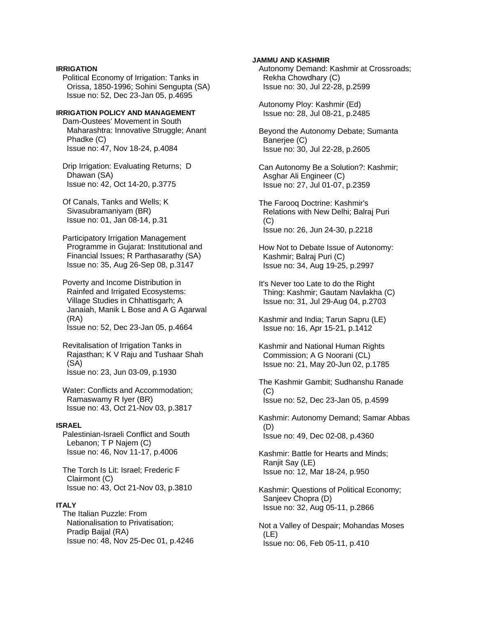## **IRRIGATION**

 Political Economy of Irrigation: Tanks in Orissa, 1850-1996; Sohini Sengupta (SA) Issue no: 52, Dec 23-Jan 05, p.4695

# **IRRIGATION POLICY AND MANAGEMENT**

 Dam-Oustees' Movement in South Maharashtra: Innovative Struggle; Anant Phadke (C) Issue no: 47, Nov 18-24, p.4084

 Drip Irrigation: Evaluating Returns; D Dhawan (SA) Issue no: 42, Oct 14-20, p.3775

 Of Canals, Tanks and Wells; K Sivasubramaniyam (BR) Issue no: 01, Jan 08-14, p.31

 Participatory Irrigation Management Programme in Gujarat: Institutional and Financial Issues; R Parthasarathy (SA) Issue no: 35, Aug 26-Sep 08, p.3147

 Poverty and Income Distribution in Rainfed and Irrigated Ecosystems: Village Studies in Chhattisgarh; A Janaiah, Manik L Bose and A G Agarwal (RA) Issue no: 52, Dec 23-Jan 05, p.4664

 Revitalisation of Irrigation Tanks in Rajasthan; K V Raju and Tushaar Shah (SA) Issue no: 23, Jun 03-09, p.1930

 Water: Conflicts and Accommodation; Ramaswamy R Iyer (BR) Issue no: 43, Oct 21-Nov 03, p.3817

### **ISRAEL**

 Palestinian-Israeli Conflict and South Lebanon; T P Najem (C) Issue no: 46, Nov 11-17, p.4006

 The Torch Is Lit: Israel; Frederic F Clairmont (C) Issue no: 43, Oct 21-Nov 03, p.3810

# **ITALY**

 The Italian Puzzle: From Nationalisation to Privatisation; Pradip Baijal (RA) Issue no: 48, Nov 25-Dec 01, p.4246

### **JAMMU AND KASHMIR**

 Autonomy Demand: Kashmir at Crossroads; Rekha Chowdhary (C) Issue no: 30, Jul 22-28, p.2599

 Autonomy Ploy: Kashmir (Ed) Issue no: 28, Jul 08-21, p.2485

 Beyond the Autonomy Debate; Sumanta Banerjee (C) Issue no: 30, Jul 22-28, p.2605

 Can Autonomy Be a Solution?: Kashmir; Asghar Ali Engineer (C) Issue no: 27, Jul 01-07, p.2359

 The Farooq Doctrine: Kashmir's Relations with New Delhi; Balraj Puri (C) Issue no: 26, Jun 24-30, p.2218

 How Not to Debate Issue of Autonomy: Kashmir; Balraj Puri (C) Issue no: 34, Aug 19-25, p.2997

 It's Never too Late to do the Right Thing: Kashmir; Gautam Navlakha (C) Issue no: 31, Jul 29-Aug 04, p.2703

 Kashmir and India; Tarun Sapru (LE) Issue no: 16, Apr 15-21, p.1412

 Kashmir and National Human Rights Commission; A G Noorani (CL) Issue no: 21, May 20-Jun 02, p.1785

 The Kashmir Gambit; Sudhanshu Ranade  $(C)$ Issue no: 52, Dec 23-Jan 05, p.4599

 Kashmir: Autonomy Demand; Samar Abbas (D) Issue no: 49, Dec 02-08, p.4360

 Kashmir: Battle for Hearts and Minds; Ranjit Say (LE) Issue no: 12, Mar 18-24, p.950

 Kashmir: Questions of Political Economy; Sanjeev Chopra (D) Issue no: 32, Aug 05-11, p.2866

 Not a Valley of Despair; Mohandas Moses (LE) Issue no: 06, Feb 05-11, p.410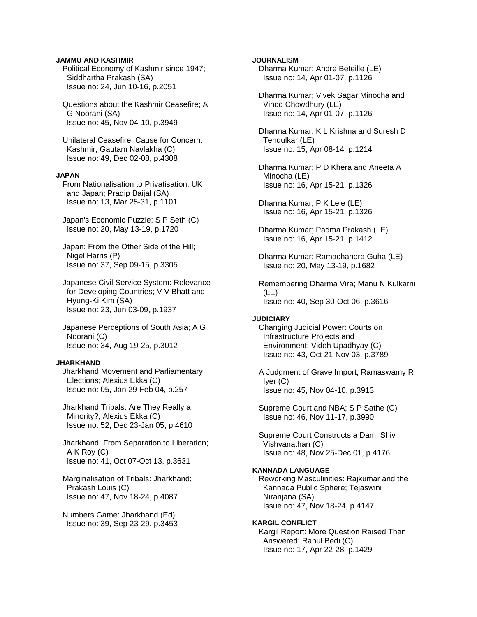### **JAMMU AND KASHMIR**

 Political Economy of Kashmir since 1947; Siddhartha Prakash (SA) Issue no: 24, Jun 10-16, p.2051

 Questions about the Kashmir Ceasefire; A G Noorani (SA) Issue no: 45, Nov 04-10, p.3949

 Unilateral Ceasefire: Cause for Concern: Kashmir; Gautam Navlakha (C) Issue no: 49, Dec 02-08, p.4308

### **JAPAN**

 From Nationalisation to Privatisation: UK and Japan; Pradip Baijal (SA) Issue no: 13, Mar 25-31, p.1101

 Japan's Economic Puzzle; S P Seth (C) Issue no: 20, May 13-19, p.1720

 Japan: From the Other Side of the Hill; Nigel Harris (P) Issue no: 37, Sep 09-15, p.3305

 Japanese Civil Service System: Relevance for Developing Countries; V V Bhatt and Hyung-Ki Kim (SA) Issue no: 23, Jun 03-09, p.1937

 Japanese Perceptions of South Asia; A G Noorani (C) Issue no: 34, Aug 19-25, p.3012

### **JHARKHAND**

 Jharkhand Movement and Parliamentary Elections; Alexius Ekka (C) Issue no: 05, Jan 29-Feb 04, p.257

 Jharkhand Tribals: Are They Really a Minority?; Alexius Ekka (C) Issue no: 52, Dec 23-Jan 05, p.4610

 Jharkhand: From Separation to Liberation; A K Roy (C) Issue no: 41, Oct 07-Oct 13, p.3631

 Marginalisation of Tribals: Jharkhand; Prakash Louis (C) Issue no: 47, Nov 18-24, p.4087

 Numbers Game: Jharkhand (Ed) Issue no: 39, Sep 23-29, p.3453

## **JOURNALISM**

 Dharma Kumar; Andre Beteille (LE) Issue no: 14, Apr 01-07, p.1126

 Dharma Kumar; Vivek Sagar Minocha and Vinod Chowdhury (LE) Issue no: 14, Apr 01-07, p.1126

 Dharma Kumar; K L Krishna and Suresh D Tendulkar (LE) Issue no: 15, Apr 08-14, p.1214

 Dharma Kumar; P D Khera and Aneeta A Minocha (LE) Issue no: 16, Apr 15-21, p.1326

 Dharma Kumar; P K Lele (LE) Issue no: 16, Apr 15-21, p.1326

 Dharma Kumar; Padma Prakash (LE) Issue no: 16, Apr 15-21, p.1412

 Dharma Kumar; Ramachandra Guha (LE) Issue no: 20, May 13-19, p.1682

 Remembering Dharma Vira; Manu N Kulkarni (LE) Issue no: 40, Sep 30-Oct 06, p.3616

#### **JUDICIARY**

 Changing Judicial Power: Courts on Infrastructure Projects and Environment; Videh Upadhyay (C) Issue no: 43, Oct 21-Nov 03, p.3789

 A Judgment of Grave Import; Ramaswamy R Iyer (C) Issue no: 45, Nov 04-10, p.3913

 Supreme Court and NBA; S P Sathe (C) Issue no: 46, Nov 11-17, p.3990

 Supreme Court Constructs a Dam; Shiv Vishvanathan (C) Issue no: 48, Nov 25-Dec 01, p.4176

#### **KANNADA LANGUAGE**

 Reworking Masculinities: Rajkumar and the Kannada Public Sphere; Tejaswini Niranjana (SA) Issue no: 47, Nov 18-24, p.4147

### **KARGIL CONFLICT**

 Kargil Report: More Question Raised Than Answered; Rahul Bedi (C) Issue no: 17, Apr 22-28, p.1429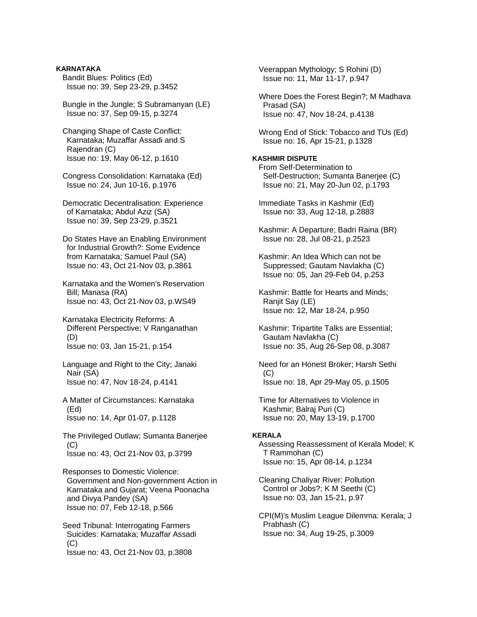**KARNATAKA**  Bandit Blues: Politics (Ed) Issue no: 39, Sep 23-29, p.3452

 Bungle in the Jungle; S Subramanyan (LE) Issue no: 37, Sep 09-15, p.3274

- Changing Shape of Caste Conflict: Karnataka; Muzaffar Assadi and S Rajendran (C) Issue no: 19, May 06-12, p.1610
- Congress Consolidation: Karnataka (Ed) Issue no: 24, Jun 10-16, p.1976

 Democratic Decentralisation: Experience of Karnataka; Abdul Aziz (SA) Issue no: 39, Sep 23-29, p.3521

 Do States Have an Enabling Environment for Industrial Growth?: Some Evidence from Karnataka; Samuel Paul (SA) Issue no: 43, Oct 21-Nov 03, p.3861

 Karnataka and the Women's Reservation Bill; Manasa (RA) Issue no: 43, Oct 21-Nov 03, p.WS49

 Karnataka Electricity Reforms: A Different Perspective; V Ranganathan (D) Issue no: 03, Jan 15-21, p.154

 Language and Right to the City; Janaki Nair (SA) Issue no: 47, Nov 18-24, p.4141

 A Matter of Circumstances: Karnataka (Ed) Issue no: 14, Apr 01-07, p.1128

 The Privileged Outlaw; Sumanta Banerjee  $(C)$ Issue no: 43, Oct 21-Nov 03, p.3799

 Responses to Domestic Violence: Government and Non-government Action in Karnataka and Gujarat; Veena Poonacha and Divya Pandey (SA) Issue no: 07, Feb 12-18, p.566

 Seed Tribunal: Interrogating Farmers Suicides: Karnataka; Muzaffar Assadi  $(C)$ Issue no: 43, Oct 21-Nov 03, p.3808

 Veerappan Mythology; S Rohini (D) Issue no: 11, Mar 11-17, p.947

 Where Does the Forest Begin?; M Madhava Prasad (SA) Issue no: 47, Nov 18-24, p.4138

 Wrong End of Stick: Tobacco and TUs (Ed) Issue no: 16, Apr 15-21, p.1328

# **KASHMIR DISPUTE**

 From Self-Determination to Self-Destruction; Sumanta Banerjee (C) Issue no: 21, May 20-Jun 02, p.1793

 Immediate Tasks in Kashmir (Ed) Issue no: 33, Aug 12-18, p.2883

 Kashmir: A Departure; Badri Raina (BR) Issue no: 28, Jul 08-21, p.2523

 Kashmir: An Idea Which can not be Suppressed; Gautam Navlakha (C) Issue no: 05, Jan 29-Feb 04, p.253

 Kashmir: Battle for Hearts and Minds; Ranjit Say (LE) Issue no: 12, Mar 18-24, p.950

 Kashmir: Tripartite Talks are Essential; Gautam Navlakha (C) Issue no: 35, Aug 26-Sep 08, p.3087

 Need for an Honest Broker; Harsh Sethi  $(C)$ Issue no: 18, Apr 29-May 05, p.1505

 Time for Alternatives to Violence in Kashmir; Balraj Puri (C) Issue no: 20, May 13-19, p.1700

#### **KERALA**

 Assessing Reassessment of Kerala Model; K T Rammohan (C) Issue no: 15, Apr 08-14, p.1234

 Cleaning Chaliyar River: Pollution Control or Jobs?; K M Seethi (C) Issue no: 03, Jan 15-21, p.97

 CPI(M)'s Muslim League Dilemma: Kerala; J Prabhash (C) Issue no: 34, Aug 19-25, p.3009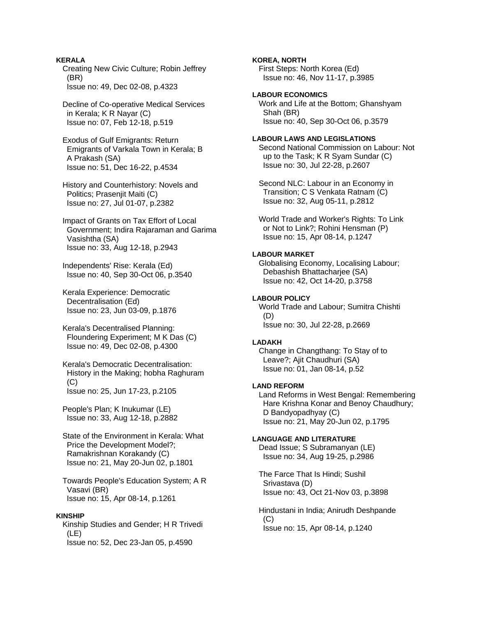**KERALA**  Creating New Civic Culture; Robin Jeffrey (BR) Issue no: 49, Dec 02-08, p.4323

 Decline of Co-operative Medical Services in Kerala; K R Nayar (C) Issue no: 07, Feb 12-18, p.519

 Exodus of Gulf Emigrants: Return Emigrants of Varkala Town in Kerala; B A Prakash (SA) Issue no: 51, Dec 16-22, p.4534

 History and Counterhistory: Novels and Politics; Prasenjit Maiti (C) Issue no: 27, Jul 01-07, p.2382

 Impact of Grants on Tax Effort of Local Government; Indira Rajaraman and Garima Vasishtha (SA) Issue no: 33, Aug 12-18, p.2943

 Independents' Rise: Kerala (Ed) Issue no: 40, Sep 30-Oct 06, p.3540

 Kerala Experience: Democratic Decentralisation (Ed) Issue no: 23, Jun 03-09, p.1876

 Kerala's Decentralised Planning: Floundering Experiment; M K Das (C) Issue no: 49, Dec 02-08, p.4300

 Kerala's Democratic Decentralisation: History in the Making; hobha Raghuram (C) Issue no: 25, Jun 17-23, p.2105

 People's Plan; K Inukumar (LE) Issue no: 33, Aug 12-18, p.2882

 State of the Environment in Kerala: What Price the Development Model?; Ramakrishnan Korakandy (C) Issue no: 21, May 20-Jun 02, p.1801

 Towards People's Education System; A R Vasavi (BR) Issue no: 15, Apr 08-14, p.1261

### **KINSHIP**

 Kinship Studies and Gender; H R Trivedi (LE) Issue no: 52, Dec 23-Jan 05, p.4590

**KOREA, NORTH** 

 First Steps: North Korea (Ed) Issue no: 46, Nov 11-17, p.3985

# **LABOUR ECONOMICS**

 Work and Life at the Bottom; Ghanshyam Shah (BR) Issue no: 40, Sep 30-Oct 06, p.3579

## **LABOUR LAWS AND LEGISLATIONS**

 Second National Commission on Labour: Not up to the Task; K R Syam Sundar (C) Issue no: 30, Jul 22-28, p.2607

 Second NLC: Labour in an Economy in Transition; C S Venkata Ratnam (C) Issue no: 32, Aug 05-11, p.2812

 World Trade and Worker's Rights: To Link or Not to Link?; Rohini Hensman (P) Issue no: 15, Apr 08-14, p.1247

# **LABOUR MARKET**

 Globalising Economy, Localising Labour; Debashish Bhattacharjee (SA) Issue no: 42, Oct 14-20, p.3758

### **LABOUR POLICY**

 World Trade and Labour; Sumitra Chishti (D) Issue no: 30, Jul 22-28, p.2669

### **LADAKH**

 Change in Changthang: To Stay of to Leave?; Ajit Chaudhuri (SA) Issue no: 01, Jan 08-14, p.52

## **LAND REFORM**

 Land Reforms in West Bengal: Remembering Hare Krishna Konar and Benoy Chaudhury; D Bandyopadhyay (C) Issue no: 21, May 20-Jun 02, p.1795

## **LANGUAGE AND LITERATURE**

 Dead Issue; S Subramanyan (LE) Issue no: 34, Aug 19-25, p.2986

 The Farce That Is Hindi; Sushil Srivastava (D) Issue no: 43, Oct 21-Nov 03, p.3898

 Hindustani in India; Anirudh Deshpande  $(C)$ Issue no: 15, Apr 08-14, p.1240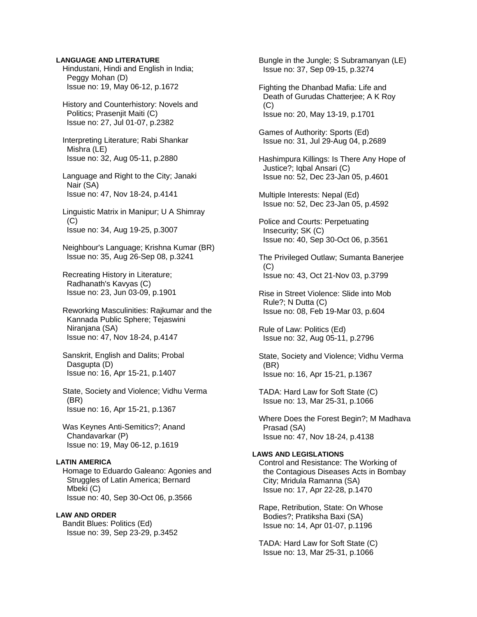### **LANGUAGE AND LITERATURE**

 Hindustani, Hindi and English in India; Peggy Mohan (D) Issue no: 19, May 06-12, p.1672

 History and Counterhistory: Novels and Politics: Praseniit Maiti (C) Issue no: 27, Jul 01-07, p.2382

 Interpreting Literature; Rabi Shankar Mishra (LE) Issue no: 32, Aug 05-11, p.2880

 Language and Right to the City; Janaki Nair (SA) Issue no: 47, Nov 18-24, p.4141

 Linguistic Matrix in Manipur; U A Shimray  $(C)$ Issue no: 34, Aug 19-25, p.3007

 Neighbour's Language; Krishna Kumar (BR) Issue no: 35, Aug 26-Sep 08, p.3241

 Recreating History in Literature; Radhanath's Kavyas (C) Issue no: 23, Jun 03-09, p.1901

 Reworking Masculinities: Rajkumar and the Kannada Public Sphere; Tejaswini Niranjana (SA) Issue no: 47, Nov 18-24, p.4147

 Sanskrit, English and Dalits; Probal Dasgupta (D) Issue no: 16, Apr 15-21, p.1407

 State, Society and Violence; Vidhu Verma (BR) Issue no: 16, Apr 15-21, p.1367

 Was Keynes Anti-Semitics?; Anand Chandavarkar (P) Issue no: 19, May 06-12, p.1619

# **LATIN AMERICA**

 Homage to Eduardo Galeano: Agonies and Struggles of Latin America; Bernard Mbeki (C) Issue no: 40, Sep 30-Oct 06, p.3566

## **LAW AND ORDER**

 Bandit Blues: Politics (Ed) Issue no: 39, Sep 23-29, p.3452  Bungle in the Jungle; S Subramanyan (LE) Issue no: 37, Sep 09-15, p.3274

 Fighting the Dhanbad Mafia: Life and Death of Gurudas Chatterjee; A K Roy (C) Issue no: 20, May 13-19, p.1701

 Games of Authority: Sports (Ed) Issue no: 31, Jul 29-Aug 04, p.2689

 Hashimpura Killings: Is There Any Hope of Justice?; Iqbal Ansari (C) Issue no: 52, Dec 23-Jan 05, p.4601

 Multiple Interests: Nepal (Ed) Issue no: 52, Dec 23-Jan 05, p.4592

 Police and Courts: Perpetuating Insecurity; SK (C) Issue no: 40, Sep 30-Oct 06, p.3561

 The Privileged Outlaw; Sumanta Banerjee (C) Issue no: 43, Oct 21-Nov 03, p.3799

 Rise in Street Violence: Slide into Mob Rule?; N Dutta (C) Issue no: 08, Feb 19-Mar 03, p.604

 Rule of Law: Politics (Ed) Issue no: 32, Aug 05-11, p.2796

 State, Society and Violence; Vidhu Verma (BR) Issue no: 16, Apr 15-21, p.1367

 TADA: Hard Law for Soft State (C) Issue no: 13, Mar 25-31, p.1066

 Where Does the Forest Begin?; M Madhava Prasad (SA) Issue no: 47, Nov 18-24, p.4138

## **LAWS AND LEGISLATIONS**

 Control and Resistance: The Working of the Contagious Diseases Acts in Bombay City; Mridula Ramanna (SA) Issue no: 17, Apr 22-28, p.1470

 Rape, Retribution, State: On Whose Bodies?; Pratiksha Baxi (SA) Issue no: 14, Apr 01-07, p.1196

 TADA: Hard Law for Soft State (C) Issue no: 13, Mar 25-31, p.1066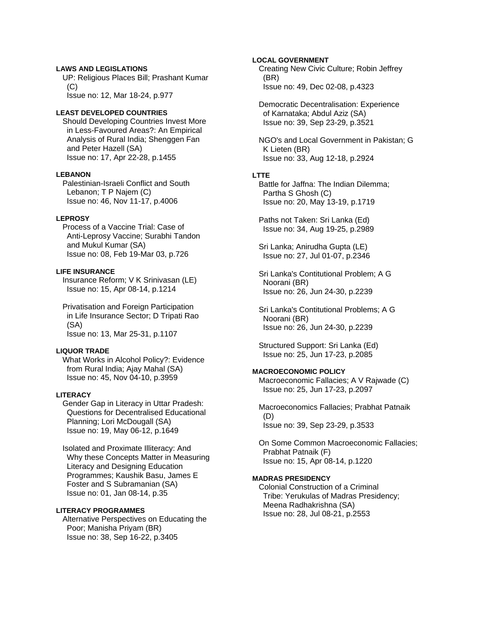# **LAWS AND LEGISLATIONS**

 UP: Religious Places Bill; Prashant Kumar (C) Issue no: 12, Mar 18-24, p.977

**LEAST DEVELOPED COUNTRIES** 

 Should Developing Countries Invest More in Less-Favoured Areas?: An Empirical Analysis of Rural India; Shenggen Fan and Peter Hazell (SA) Issue no: 17, Apr 22-28, p.1455

### **LEBANON**

 Palestinian-Israeli Conflict and South Lebanon; T P Najem (C) Issue no: 46, Nov 11-17, p.4006

## **LEPROSY**

 Process of a Vaccine Trial: Case of Anti-Leprosy Vaccine; Surabhi Tandon and Mukul Kumar (SA) Issue no: 08, Feb 19-Mar 03, p.726

#### **LIFE INSURANCE**

 Insurance Reform; V K Srinivasan (LE) Issue no: 15, Apr 08-14, p.1214

 Privatisation and Foreign Participation in Life Insurance Sector; D Tripati Rao (SA) Issue no: 13, Mar 25-31, p.1107

## **LIQUOR TRADE**

 What Works in Alcohol Policy?: Evidence from Rural India; Ajay Mahal (SA) Issue no: 45, Nov 04-10, p.3959

### **LITERACY**

 Gender Gap in Literacy in Uttar Pradesh: Questions for Decentralised Educational Planning; Lori McDougall (SA) Issue no: 19, May 06-12, p.1649

 Isolated and Proximate Illiteracy: And Why these Concepts Matter in Measuring Literacy and Designing Education Programmes; Kaushik Basu, James E Foster and S Subramanian (SA) Issue no: 01, Jan 08-14, p.35

# **LITERACY PROGRAMMES**

 Alternative Perspectives on Educating the Poor; Manisha Priyam (BR) Issue no: 38, Sep 16-22, p.3405

### **LOCAL GOVERNMENT**

 Creating New Civic Culture; Robin Jeffrey (BR) Issue no: 49, Dec 02-08, p.4323

 Democratic Decentralisation: Experience of Karnataka; Abdul Aziz (SA) Issue no: 39, Sep 23-29, p.3521

 NGO's and Local Government in Pakistan; G K Lieten (BR) Issue no: 33, Aug 12-18, p.2924

#### **LTTE**

 Battle for Jaffna: The Indian Dilemma; Partha S Ghosh (C) Issue no: 20, May 13-19, p.1719

 Paths not Taken: Sri Lanka (Ed) Issue no: 34, Aug 19-25, p.2989

 Sri Lanka; Anirudha Gupta (LE) Issue no: 27, Jul 01-07, p.2346

 Sri Lanka's Contitutional Problem; A G Noorani (BR) Issue no: 26, Jun 24-30, p.2239

 Sri Lanka's Contitutional Problems; A G Noorani (BR) Issue no: 26, Jun 24-30, p.2239

 Structured Support: Sri Lanka (Ed) Issue no: 25, Jun 17-23, p.2085

## **MACROECONOMIC POLICY**

 Macroeconomic Fallacies; A V Rajwade (C) Issue no: 25, Jun 17-23, p.2097

 Macroeconomics Fallacies; Prabhat Patnaik (D) Issue no: 39, Sep 23-29, p.3533

 On Some Common Macroeconomic Fallacies; Prabhat Patnaik (F) Issue no: 15, Apr 08-14, p.1220

### **MADRAS PRESIDENCY**

 Colonial Construction of a Criminal Tribe: Yerukulas of Madras Presidency; Meena Radhakrishna (SA) Issue no: 28, Jul 08-21, p.2553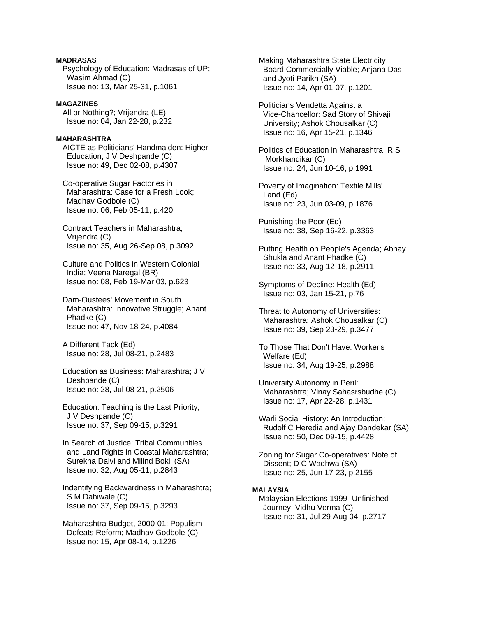# **MADRASAS**

 Psychology of Education: Madrasas of UP; Wasim Ahmad (C) Issue no: 13, Mar 25-31, p.1061

## **MAGAZINES**

 All or Nothing?; Vrijendra (LE) Issue no: 04, Jan 22-28, p.232

# **MAHARASHTRA**

 AICTE as Politicians' Handmaiden: Higher Education; J V Deshpande (C) Issue no: 49, Dec 02-08, p.4307

 Co-operative Sugar Factories in Maharashtra: Case for a Fresh Look; Madhav Godbole (C) Issue no: 06, Feb 05-11, p.420

 Contract Teachers in Maharashtra; Vrijendra (C) Issue no: 35, Aug 26-Sep 08, p.3092

 Culture and Politics in Western Colonial India; Veena Naregal (BR) Issue no: 08, Feb 19-Mar 03, p.623

 Dam-Oustees' Movement in South Maharashtra: Innovative Struggle; Anant Phadke (C) Issue no: 47, Nov 18-24, p.4084

 A Different Tack (Ed) Issue no: 28, Jul 08-21, p.2483

 Education as Business: Maharashtra; J V Deshpande (C) Issue no: 28, Jul 08-21, p.2506

 Education: Teaching is the Last Priority; J V Deshpande (C) Issue no: 37, Sep 09-15, p.3291

 In Search of Justice: Tribal Communities and Land Rights in Coastal Maharashtra; Surekha Dalvi and Milind Bokil (SA) Issue no: 32, Aug 05-11, p.2843

 Indentifying Backwardness in Maharashtra; S M Dahiwale (C) Issue no: 37, Sep 09-15, p.3293

 Maharashtra Budget, 2000-01: Populism Defeats Reform; Madhav Godbole (C) Issue no: 15, Apr 08-14, p.1226

 Making Maharashtra State Electricity Board Commercially Viable; Anjana Das and Jyoti Parikh (SA) Issue no: 14, Apr 01-07, p.1201

 Politicians Vendetta Against a Vice-Chancellor: Sad Story of Shivaji University; Ashok Chousalkar (C) Issue no: 16, Apr 15-21, p.1346

 Politics of Education in Maharashtra; R S Morkhandikar (C) Issue no: 24, Jun 10-16, p.1991

 Poverty of Imagination: Textile Mills' Land (Ed) Issue no: 23, Jun 03-09, p.1876

 Punishing the Poor (Ed) Issue no: 38, Sep 16-22, p.3363

 Putting Health on People's Agenda; Abhay Shukla and Anant Phadke (C) Issue no: 33, Aug 12-18, p.2911

 Symptoms of Decline: Health (Ed) Issue no: 03, Jan 15-21, p.76

 Threat to Autonomy of Universities: Maharashtra; Ashok Chousalkar (C) Issue no: 39, Sep 23-29, p.3477

 To Those That Don't Have: Worker's Welfare (Ed) Issue no: 34, Aug 19-25, p.2988

 University Autonomy in Peril: Maharashtra; Vinay Sahasrsbudhe (C) Issue no: 17, Apr 22-28, p.1431

 Warli Social History: An Introduction; Rudolf C Heredia and Ajay Dandekar (SA) Issue no: 50, Dec 09-15, p.4428

 Zoning for Sugar Co-operatives: Note of Dissent; D C Wadhwa (SA) Issue no: 25, Jun 17-23, p.2155

## **MALAYSIA**

 Malaysian Elections 1999- Unfinished Journey; Vidhu Verma (C) Issue no: 31, Jul 29-Aug 04, p.2717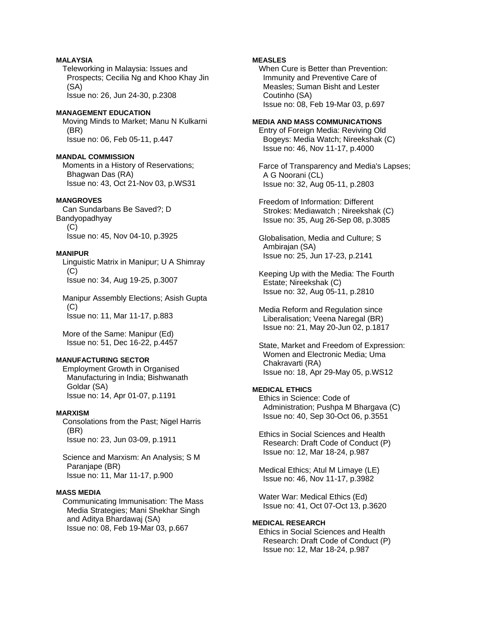# **MALAYSIA**

 Teleworking in Malaysia: Issues and Prospects; Cecilia Ng and Khoo Khay Jin (SA) Issue no: 26, Jun 24-30, p.2308

### **MANAGEMENT EDUCATION**

 Moving Minds to Market; Manu N Kulkarni (BR) Issue no: 06, Feb 05-11, p.447

## **MANDAL COMMISSION**

 Moments in a History of Reservations; Bhagwan Das (RA) Issue no: 43, Oct 21-Nov 03, p.WS31

# **MANGROVES**

 Can Sundarbans Be Saved?; D Bandyopadhyay (C) Issue no: 45, Nov 04-10, p.3925

## **MANIPUR**

 Linguistic Matrix in Manipur; U A Shimray (C) Issue no: 34, Aug 19-25, p.3007

 Manipur Assembly Elections; Asish Gupta (C) Issue no: 11, Mar 11-17, p.883

 More of the Same: Manipur (Ed) Issue no: 51, Dec 16-22, p.4457

## **MANUFACTURING SECTOR**

 Employment Growth in Organised Manufacturing in India; Bishwanath Goldar (SA) Issue no: 14, Apr 01-07, p.1191

## **MARXISM**

 Consolations from the Past; Nigel Harris (BR) Issue no: 23, Jun 03-09, p.1911

 Science and Marxism: An Analysis; S M Paranjape (BR) Issue no: 11, Mar 11-17, p.900

# **MASS MEDIA**

 Communicating Immunisation: The Mass Media Strategies; Mani Shekhar Singh and Aditya Bhardawaj (SA) Issue no: 08, Feb 19-Mar 03, p.667

## **MEASLES**

 When Cure is Better than Prevention: Immunity and Preventive Care of Measles; Suman Bisht and Lester Coutinho (SA) Issue no: 08, Feb 19-Mar 03, p.697

## **MEDIA AND MASS COMMUNICATIONS**

 Entry of Foreign Media: Reviving Old Bogeys: Media Watch; Nireekshak (C) Issue no: 46, Nov 11-17, p.4000

 Farce of Transparency and Media's Lapses; A G Noorani (CL) Issue no: 32, Aug 05-11, p.2803

 Freedom of Information: Different Strokes: Mediawatch ; Nireekshak (C) Issue no: 35, Aug 26-Sep 08, p.3085

 Globalisation, Media and Culture; S Ambirajan (SA) Issue no: 25, Jun 17-23, p.2141

 Keeping Up with the Media: The Fourth Estate; Nireekshak (C) Issue no: 32, Aug 05-11, p.2810

 Media Reform and Regulation since Liberalisation; Veena Naregal (BR) Issue no: 21, May 20-Jun 02, p.1817

 State, Market and Freedom of Expression: Women and Electronic Media; Uma Chakravarti (RA) Issue no: 18, Apr 29-May 05, p.WS12

# **MEDICAL ETHICS**

 Ethics in Science: Code of Administration; Pushpa M Bhargava (C) Issue no: 40, Sep 30-Oct 06, p.3551

 Ethics in Social Sciences and Health Research: Draft Code of Conduct (P) Issue no: 12, Mar 18-24, p.987

 Medical Ethics; Atul M Limaye (LE) Issue no: 46, Nov 11-17, p.3982

 Water War: Medical Ethics (Ed) Issue no: 41, Oct 07-Oct 13, p.3620

### **MEDICAL RESEARCH**

 Ethics in Social Sciences and Health Research: Draft Code of Conduct (P) Issue no: 12, Mar 18-24, p.987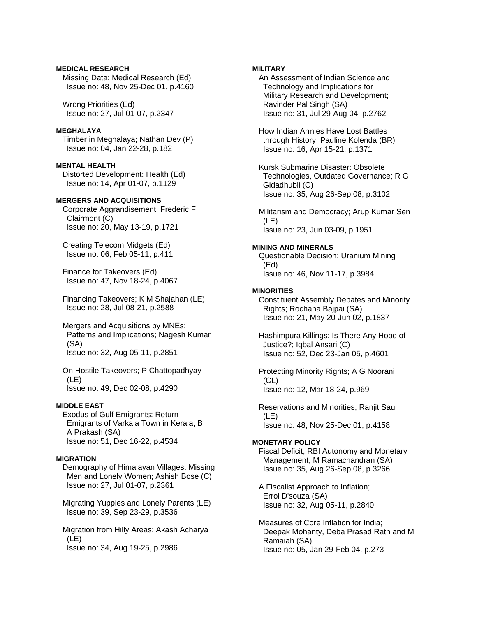**MEDICAL RESEARCH** Missing Data: Medical Research (Ed) Issue no: 48, Nov 25-Dec 01, p.4160

 Wrong Priorities (Ed) Issue no: 27, Jul 01-07, p.2347

## **MEGHALAYA**

 Timber in Meghalaya; Nathan Dev (P) Issue no: 04, Jan 22-28, p.182

# **MENTAL HEALTH**

 Distorted Development: Health (Ed) Issue no: 14, Apr 01-07, p.1129

# **MERGERS AND ACQUISITIONS**

 Corporate Aggrandisement; Frederic F Clairmont (C) Issue no: 20, May 13-19, p.1721

 Creating Telecom Midgets (Ed) Issue no: 06, Feb 05-11, p.411

 Finance for Takeovers (Ed) Issue no: 47, Nov 18-24, p.4067

 Financing Takeovers; K M Shajahan (LE) Issue no: 28, Jul 08-21, p.2588

 Mergers and Acquisitions by MNEs: Patterns and Implications; Nagesh Kumar (SA) Issue no: 32, Aug 05-11, p.2851

 On Hostile Takeovers; P Chattopadhyay (LE) Issue no: 49, Dec 02-08, p.4290

# **MIDDLE EAST**

 Exodus of Gulf Emigrants: Return Emigrants of Varkala Town in Kerala; B A Prakash (SA) Issue no: 51, Dec 16-22, p.4534

### **MIGRATION**

 Demography of Himalayan Villages: Missing Men and Lonely Women; Ashish Bose (C) Issue no: 27, Jul 01-07, p.2361

 Migrating Yuppies and Lonely Parents (LE) Issue no: 39, Sep 23-29, p.3536

 Migration from Hilly Areas; Akash Acharya (LE) Issue no: 34, Aug 19-25, p.2986

# **MILITARY**

 An Assessment of Indian Science and Technology and Implications for Military Research and Development; Ravinder Pal Singh (SA) Issue no: 31, Jul 29-Aug 04, p.2762

 How Indian Armies Have Lost Battles through History; Pauline Kolenda (BR) Issue no: 16, Apr 15-21, p.1371

 Kursk Submarine Disaster: Obsolete Technologies, Outdated Governance; R G Gidadhubli (C) Issue no: 35, Aug 26-Sep 08, p.3102

 Militarism and Democracy; Arup Kumar Sen (LE) Issue no: 23, Jun 03-09, p.1951

## **MINING AND MINERALS**

 Questionable Decision: Uranium Mining (Ed) Issue no: 46, Nov 11-17, p.3984

## **MINORITIES**

 Constituent Assembly Debates and Minority Rights; Rochana Bajpai (SA) Issue no: 21, May 20-Jun 02, p.1837

 Hashimpura Killings: Is There Any Hope of Justice?; Iqbal Ansari (C) Issue no: 52, Dec 23-Jan 05, p.4601

 Protecting Minority Rights; A G Noorani (CL) Issue no: 12, Mar 18-24, p.969

 Reservations and Minorities; Ranjit Sau (LE) Issue no: 48, Nov 25-Dec 01, p.4158

# **MONETARY POLICY**

 Fiscal Deficit, RBI Autonomy and Monetary Management; M Ramachandran (SA) Issue no: 35, Aug 26-Sep 08, p.3266

 A Fiscalist Approach to Inflation; Errol D'souza (SA) Issue no: 32, Aug 05-11, p.2840

 Measures of Core Inflation for India; Deepak Mohanty, Deba Prasad Rath and M Ramaiah (SA) Issue no: 05, Jan 29-Feb 04, p.273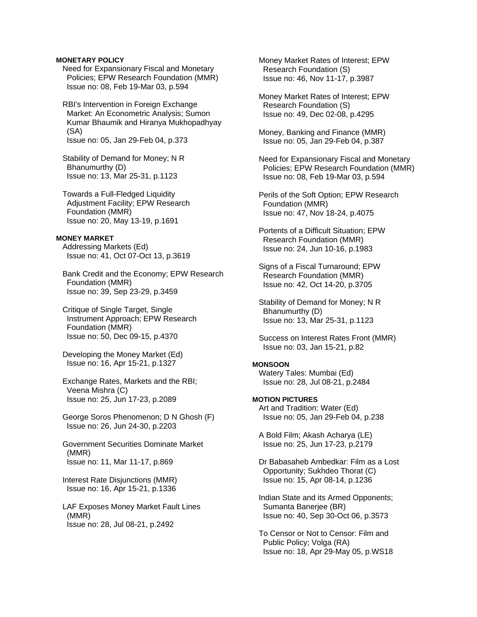## **MONETARY POLICY**

 Need for Expansionary Fiscal and Monetary Policies; EPW Research Foundation (MMR) Issue no: 08, Feb 19-Mar 03, p.594

 RBI's Intervention in Foreign Exchange Market: An Econometric Analysis; Sumon Kumar Bhaumik and Hiranya Mukhopadhyay (SA) Issue no: 05, Jan 29-Feb 04, p.373

 Stability of Demand for Money; N R Bhanumurthy (D) Issue no: 13, Mar 25-31, p.1123

 Towards a Full-Fledged Liquidity Adjustment Facility; EPW Research Foundation (MMR) Issue no: 20, May 13-19, p.1691

### **MONEY MARKET**

 Addressing Markets (Ed) Issue no: 41, Oct 07-Oct 13, p.3619

 Bank Credit and the Economy; EPW Research Foundation (MMR) Issue no: 39, Sep 23-29, p.3459

 Critique of Single Target, Single Instrument Approach; EPW Research Foundation (MMR) Issue no: 50, Dec 09-15, p.4370

 Developing the Money Market (Ed) Issue no: 16, Apr 15-21, p.1327

 Exchange Rates, Markets and the RBI; Veena Mishra (C) Issue no: 25, Jun 17-23, p.2089

 George Soros Phenomenon; D N Ghosh (F) Issue no: 26, Jun 24-30, p.2203

 Government Securities Dominate Market (MMR) Issue no: 11, Mar 11-17, p.869

 Interest Rate Disjunctions (MMR) Issue no: 16, Apr 15-21, p.1336

 LAF Exposes Money Market Fault Lines (MMR) Issue no: 28, Jul 08-21, p.2492

 Money Market Rates of Interest; EPW Research Foundation (S) Issue no: 46, Nov 11-17, p.3987

 Money Market Rates of Interest; EPW Research Foundation (S) Issue no: 49, Dec 02-08, p.4295

 Money, Banking and Finance (MMR) Issue no: 05, Jan 29-Feb 04, p.387

 Need for Expansionary Fiscal and Monetary Policies; EPW Research Foundation (MMR) Issue no: 08, Feb 19-Mar 03, p.594

 Perils of the Soft Option; EPW Research Foundation (MMR) Issue no: 47, Nov 18-24, p.4075

 Portents of a Difficult Situation; EPW Research Foundation (MMR) Issue no: 24, Jun 10-16, p.1983

 Signs of a Fiscal Turnaround; EPW Research Foundation (MMR) Issue no: 42, Oct 14-20, p.3705

 Stability of Demand for Money; N R Bhanumurthy (D) Issue no: 13, Mar 25-31, p.1123

 Success on Interest Rates Front (MMR) Issue no: 03, Jan 15-21, p.82

## **MONSOON**

 Watery Tales: Mumbai (Ed) Issue no: 28, Jul 08-21, p.2484

## **MOTION PICTURES**

 Art and Tradition: Water (Ed) Issue no: 05, Jan 29-Feb 04, p.238

 A Bold Film; Akash Acharya (LE) Issue no: 25, Jun 17-23, p.2179

 Dr Babasaheb Ambedkar: Film as a Lost Opportunity; Sukhdeo Thorat (C) Issue no: 15, Apr 08-14, p.1236

 Indian State and its Armed Opponents; Sumanta Banerjee (BR) Issue no: 40, Sep 30-Oct 06, p.3573

 To Censor or Not to Censor: Film and Public Policy; Volga (RA) Issue no: 18, Apr 29-May 05, p.WS18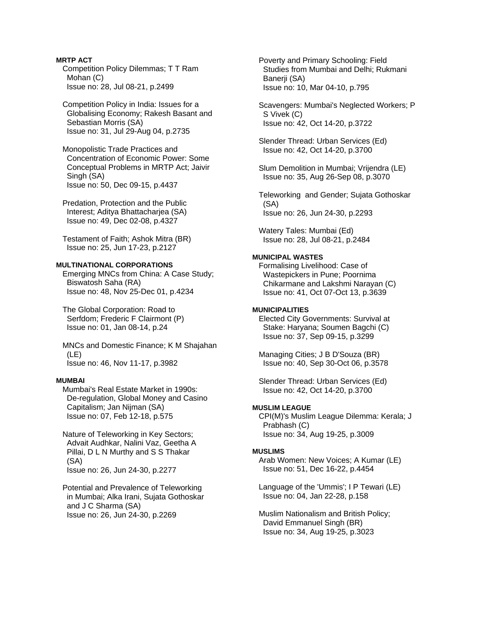**MRTP ACT**  Competition Policy Dilemmas; T T Ram Mohan (C) Issue no: 28, Jul 08-21, p.2499

 Competition Policy in India: Issues for a Globalising Economy; Rakesh Basant and Sebastian Morris (SA) Issue no: 31, Jul 29-Aug 04, p.2735

 Monopolistic Trade Practices and Concentration of Economic Power: Some Conceptual Problems in MRTP Act; Jaivir Singh (SA) Issue no: 50, Dec 09-15, p.4437

 Predation, Protection and the Public Interest; Aditya Bhattacharjea (SA) Issue no: 49, Dec 02-08, p.4327

 Testament of Faith; Ashok Mitra (BR) Issue no: 25, Jun 17-23, p.2127

## **MULTINATIONAL CORPORATIONS**

 Emerging MNCs from China: A Case Study; Biswatosh Saha (RA) Issue no: 48, Nov 25-Dec 01, p.4234

 The Global Corporation: Road to Serfdom; Frederic F Clairmont (P) Issue no: 01, Jan 08-14, p.24

 MNCs and Domestic Finance; K M Shajahan (LE) Issue no: 46, Nov 11-17, p.3982

## **MUMBAI**

 Mumbai's Real Estate Market in 1990s: De-regulation, Global Money and Casino Capitalism; Jan Nijman (SA) Issue no: 07, Feb 12-18, p.575

 Nature of Teleworking in Key Sectors; Advait Audhkar, Nalini Vaz, Geetha A Pillai, D L N Murthy and S S Thakar (SA) Issue no: 26, Jun 24-30, p.2277

 Potential and Prevalence of Teleworking in Mumbai; Alka Irani, Sujata Gothoskar and J C Sharma (SA) Issue no: 26, Jun 24-30, p.2269

 Poverty and Primary Schooling: Field Studies from Mumbai and Delhi; Rukmani Banerii (SA) Issue no: 10, Mar 04-10, p.795

 Scavengers: Mumbai's Neglected Workers; P S Vivek (C) Issue no: 42, Oct 14-20, p.3722

 Slender Thread: Urban Services (Ed) Issue no: 42, Oct 14-20, p.3700

 Slum Demolition in Mumbai; Vrijendra (LE) Issue no: 35, Aug 26-Sep 08, p.3070

 Teleworking and Gender; Sujata Gothoskar (SA) Issue no: 26, Jun 24-30, p.2293

 Watery Tales: Mumbai (Ed) Issue no: 28, Jul 08-21, p.2484

# **MUNICIPAL WASTES**

 Formalising Livelihood: Case of Wastepickers in Pune; Poornima Chikarmane and Lakshmi Narayan (C) Issue no: 41, Oct 07-Oct 13, p.3639

# **MUNICIPALITIES**

 Elected City Governments: Survival at Stake: Haryana; Soumen Bagchi (C) Issue no: 37, Sep 09-15, p.3299

 Managing Cities; J B D'Souza (BR) Issue no: 40, Sep 30-Oct 06, p.3578

 Slender Thread: Urban Services (Ed) Issue no: 42, Oct 14-20, p.3700

# **MUSLIM LEAGUE**

 CPI(M)'s Muslim League Dilemma: Kerala; J Prabhash (C) Issue no: 34, Aug 19-25, p.3009

#### **MUSLIMS**

 Arab Women: New Voices; A Kumar (LE) Issue no: 51, Dec 16-22, p.4454

 Language of the 'Ummis'; I P Tewari (LE) Issue no: 04, Jan 22-28, p.158

 Muslim Nationalism and British Policy; David Emmanuel Singh (BR) Issue no: 34, Aug 19-25, p.3023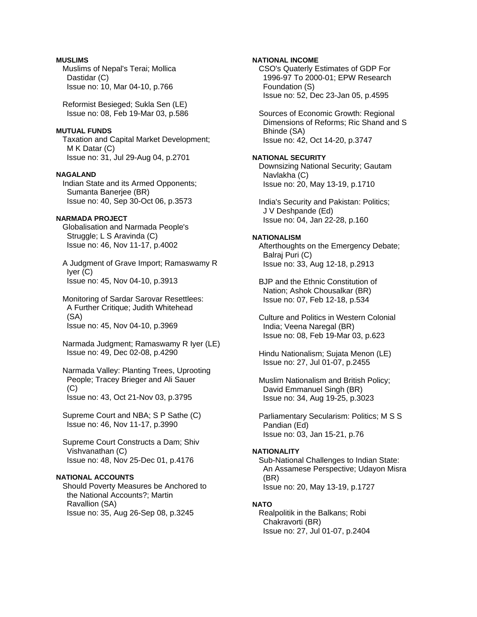## **MUSLIMS**

 Muslims of Nepal's Terai; Mollica Dastidar (C) Issue no: 10, Mar 04-10, p.766

 Reformist Besieged; Sukla Sen (LE) Issue no: 08, Feb 19-Mar 03, p.586

## **MUTUAL FUNDS**

 Taxation and Capital Market Development; M K Datar (C) Issue no: 31, Jul 29-Aug 04, p.2701

### **NAGALAND**

 Indian State and its Armed Opponents; Sumanta Banerjee (BR) Issue no: 40, Sep 30-Oct 06, p.3573

# **NARMADA PROJECT**

 Globalisation and Narmada People's Struggle; L S Aravinda (C) Issue no: 46, Nov 11-17, p.4002

 A Judgment of Grave Import; Ramaswamy R Iyer (C) Issue no: 45, Nov 04-10, p.3913

 Monitoring of Sardar Sarovar Resettlees: A Further Critique; Judith Whitehead (SA) Issue no: 45, Nov 04-10, p.3969

 Narmada Judgment; Ramaswamy R Iyer (LE) Issue no: 49, Dec 02-08, p.4290

 Narmada Valley: Planting Trees, Uprooting People; Tracey Brieger and Ali Sauer (C) Issue no: 43, Oct 21-Nov 03, p.3795

 Supreme Court and NBA; S P Sathe (C) Issue no: 46, Nov 11-17, p.3990

 Supreme Court Constructs a Dam; Shiv Vishvanathan (C) Issue no: 48, Nov 25-Dec 01, p.4176

# **NATIONAL ACCOUNTS**

 Should Poverty Measures be Anchored to the National Accounts?; Martin Ravallion (SA) Issue no: 35, Aug 26-Sep 08, p.3245

## **NATIONAL INCOME**

 CSO's Quaterly Estimates of GDP For 1996-97 To 2000-01; EPW Research Foundation (S) Issue no: 52, Dec 23-Jan 05, p.4595

 Sources of Economic Growth: Regional Dimensions of Reforms; Ric Shand and S Bhinde (SA) Issue no: 42, Oct 14-20, p.3747

# **NATIONAL SECURITY**

 Downsizing National Security; Gautam Navlakha (C) Issue no: 20, May 13-19, p.1710

 India's Security and Pakistan: Politics; J V Deshpande (Ed) Issue no: 04, Jan 22-28, p.160

## **NATIONALISM**

 Afterthoughts on the Emergency Debate; Balraj Puri (C) Issue no: 33, Aug 12-18, p.2913

 BJP and the Ethnic Constitution of Nation; Ashok Chousalkar (BR) Issue no: 07, Feb 12-18, p.534

 Culture and Politics in Western Colonial India; Veena Naregal (BR) Issue no: 08, Feb 19-Mar 03, p.623

 Hindu Nationalism; Sujata Menon (LE) Issue no: 27, Jul 01-07, p.2455

 Muslim Nationalism and British Policy; David Emmanuel Singh (BR) Issue no: 34, Aug 19-25, p.3023

 Parliamentary Secularism: Politics; M S S Pandian (Ed) Issue no: 03, Jan 15-21, p.76

### **NATIONALITY**

 Sub-National Challenges to Indian State: An Assamese Perspective; Udayon Misra (BR) Issue no: 20, May 13-19, p.1727

### **NATO**

 Realpolitik in the Balkans; Robi Chakravorti (BR) Issue no: 27, Jul 01-07, p.2404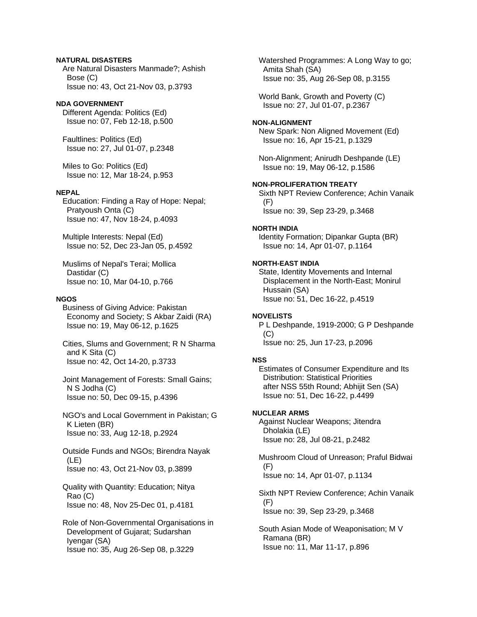## **NATURAL DISASTERS**

 Are Natural Disasters Manmade?; Ashish Bose (C) Issue no: 43, Oct 21-Nov 03, p.3793

## **NDA GOVERNMENT**

 Different Agenda: Politics (Ed) Issue no: 07, Feb 12-18, p.500

 Faultlines: Politics (Ed) Issue no: 27, Jul 01-07, p.2348

 Miles to Go: Politics (Ed) Issue no: 12, Mar 18-24, p.953

## **NEPAL**

 Education: Finding a Ray of Hope: Nepal; Pratyoush Onta (C) Issue no: 47, Nov 18-24, p.4093

 Multiple Interests: Nepal (Ed) Issue no: 52, Dec 23-Jan 05, p.4592

 Muslims of Nepal's Terai; Mollica Dastidar (C) Issue no: 10, Mar 04-10, p.766

### **NGOS**

 Business of Giving Advice: Pakistan Economy and Society; S Akbar Zaidi (RA) Issue no: 19, May 06-12, p.1625

 Cities, Slums and Government; R N Sharma and K Sita (C) Issue no: 42, Oct 14-20, p.3733

 Joint Management of Forests: Small Gains; N S Jodha (C) Issue no: 50, Dec 09-15, p.4396

 NGO's and Local Government in Pakistan; G K Lieten (BR) Issue no: 33, Aug 12-18, p.2924

 Outside Funds and NGOs; Birendra Nayak (LE) Issue no: 43, Oct 21-Nov 03, p.3899

 Quality with Quantity: Education; Nitya Rao (C) Issue no: 48, Nov 25-Dec 01, p.4181

 Role of Non-Governmental Organisations in Development of Gujarat; Sudarshan Iyengar (SA) Issue no: 35, Aug 26-Sep 08, p.3229

 Watershed Programmes: A Long Way to go; Amita Shah (SA) Issue no: 35, Aug 26-Sep 08, p.3155

 World Bank, Growth and Poverty (C) Issue no: 27, Jul 01-07, p.2367

## **NON-ALIGNMENT**

 New Spark: Non Aligned Movement (Ed) Issue no: 16, Apr 15-21, p.1329

 Non-Alignment; Anirudh Deshpande (LE) Issue no: 19, May 06-12, p.1586

## **NON-PROLIFERATION TREATY**

 Sixth NPT Review Conference; Achin Vanaik (F) Issue no: 39, Sep 23-29, p.3468

#### **NORTH INDIA**

 Identity Formation; Dipankar Gupta (BR) Issue no: 14, Apr 01-07, p.1164

### **NORTH-EAST INDIA**

 State, Identity Movements and Internal Displacement in the North-East; Monirul Hussain (SA) Issue no: 51, Dec 16-22, p.4519

#### **NOVELISTS**

 P L Deshpande, 1919-2000; G P Deshpande  $(C)$ Issue no: 25, Jun 17-23, p.2096

### **NSS**

 Estimates of Consumer Expenditure and Its Distribution: Statistical Priorities after NSS 55th Round; Abhijit Sen (SA) Issue no: 51, Dec 16-22, p.4499

#### **NUCLEAR ARMS**

 Against Nuclear Weapons; Jitendra Dholakia (LE) Issue no: 28, Jul 08-21, p.2482

 Mushroom Cloud of Unreason; Praful Bidwai (F) Issue no: 14, Apr 01-07, p.1134

 Sixth NPT Review Conference; Achin Vanaik (F) Issue no: 39, Sep 23-29, p.3468

 South Asian Mode of Weaponisation; M V Ramana (BR) Issue no: 11, Mar 11-17, p.896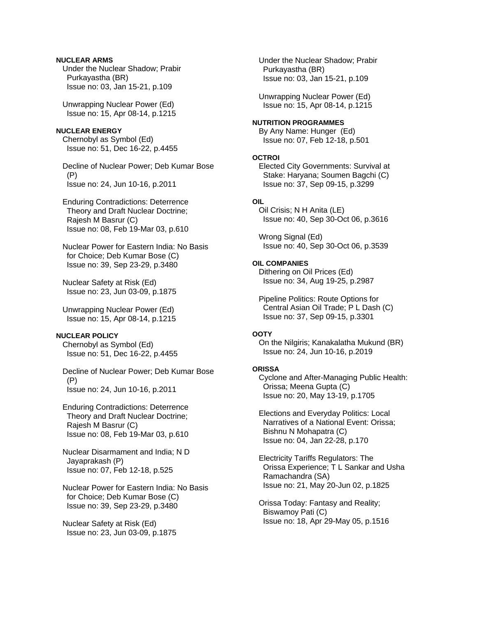# **NUCLEAR ARMS**

 Under the Nuclear Shadow; Prabir Purkayastha (BR) Issue no: 03, Jan 15-21, p.109

 Unwrapping Nuclear Power (Ed) Issue no: 15, Apr 08-14, p.1215

# **NUCLEAR ENERGY**

 Chernobyl as Symbol (Ed) Issue no: 51, Dec 16-22, p.4455

 Decline of Nuclear Power; Deb Kumar Bose (P) Issue no: 24, Jun 10-16, p.2011

 Enduring Contradictions: Deterrence Theory and Draft Nuclear Doctrine; Rajesh M Basrur (C) Issue no: 08, Feb 19-Mar 03, p.610

 Nuclear Power for Eastern India: No Basis for Choice; Deb Kumar Bose (C) Issue no: 39, Sep 23-29, p.3480

 Nuclear Safety at Risk (Ed) Issue no: 23, Jun 03-09, p.1875

 Unwrapping Nuclear Power (Ed) Issue no: 15, Apr 08-14, p.1215

## **NUCLEAR POLICY**

 Chernobyl as Symbol (Ed) Issue no: 51, Dec 16-22, p.4455

 Decline of Nuclear Power; Deb Kumar Bose (P) Issue no: 24, Jun 10-16, p.2011

 Enduring Contradictions: Deterrence Theory and Draft Nuclear Doctrine; Rajesh M Basrur (C) Issue no: 08, Feb 19-Mar 03, p.610

 Nuclear Disarmament and India; N D Jayaprakash (P) Issue no: 07, Feb 12-18, p.525

 Nuclear Power for Eastern India: No Basis for Choice; Deb Kumar Bose (C) Issue no: 39, Sep 23-29, p.3480

 Nuclear Safety at Risk (Ed) Issue no: 23, Jun 03-09, p.1875  Under the Nuclear Shadow; Prabir Purkayastha (BR) Issue no: 03, Jan 15-21, p.109

 Unwrapping Nuclear Power (Ed) Issue no: 15, Apr 08-14, p.1215

### **NUTRITION PROGRAMMES**  By Any Name: Hunger (Ed)

Issue no: 07, Feb 12-18, p.501

## **OCTROI**

 Elected City Governments: Survival at Stake: Haryana; Soumen Bagchi (C) Issue no: 37, Sep 09-15, p.3299

## **OIL**

 Oil Crisis; N H Anita (LE) Issue no: 40, Sep 30-Oct 06, p.3616

 Wrong Signal (Ed) Issue no: 40, Sep 30-Oct 06, p.3539

## **OIL COMPANIES**

 Dithering on Oil Prices (Ed) Issue no: 34, Aug 19-25, p.2987

 Pipeline Politics: Route Options for Central Asian Oil Trade; P L Dash (C) Issue no: 37, Sep 09-15, p.3301

## **OOTY**

 On the Nilgiris; Kanakalatha Mukund (BR) Issue no: 24, Jun 10-16, p.2019

## **ORISSA**

 Cyclone and After-Managing Public Health: Orissa; Meena Gupta (C) Issue no: 20, May 13-19, p.1705

 Elections and Everyday Politics: Local Narratives of a National Event: Orissa; Bishnu N Mohapatra (C) Issue no: 04, Jan 22-28, p.170

 Electricity Tariffs Regulators: The Orissa Experience; T L Sankar and Usha Ramachandra (SA) Issue no: 21, May 20-Jun 02, p.1825

 Orissa Today: Fantasy and Reality; Biswamoy Pati (C) Issue no: 18, Apr 29-May 05, p.1516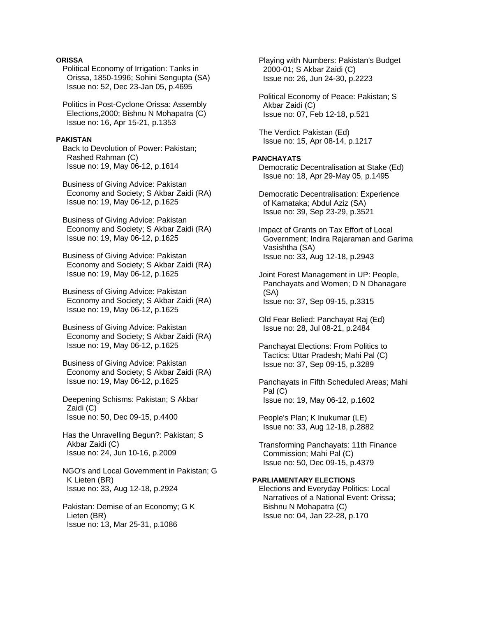## **ORISSA**

- Political Economy of Irrigation: Tanks in Orissa, 1850-1996; Sohini Sengupta (SA) Issue no: 52, Dec 23-Jan 05, p.4695
- Politics in Post-Cyclone Orissa: Assembly Elections,2000; Bishnu N Mohapatra (C) Issue no: 16, Apr 15-21, p.1353

### **PAKISTAN**

 Back to Devolution of Power: Pakistan; Rashed Rahman (C) Issue no: 19, May 06-12, p.1614

 Business of Giving Advice: Pakistan Economy and Society; S Akbar Zaidi (RA) Issue no: 19, May 06-12, p.1625

 Business of Giving Advice: Pakistan Economy and Society; S Akbar Zaidi (RA) Issue no: 19, May 06-12, p.1625

 Business of Giving Advice: Pakistan Economy and Society; S Akbar Zaidi (RA) Issue no: 19, May 06-12, p.1625

 Business of Giving Advice: Pakistan Economy and Society; S Akbar Zaidi (RA) Issue no: 19, May 06-12, p.1625

 Business of Giving Advice: Pakistan Economy and Society; S Akbar Zaidi (RA) Issue no: 19, May 06-12, p.1625

 Business of Giving Advice: Pakistan Economy and Society; S Akbar Zaidi (RA) Issue no: 19, May 06-12, p.1625

 Deepening Schisms: Pakistan; S Akbar Zaidi (C) Issue no: 50, Dec 09-15, p.4400

 Has the Unravelling Begun?: Pakistan; S Akbar Zaidi (C) Issue no: 24, Jun 10-16, p.2009

- NGO's and Local Government in Pakistan; G K Lieten (BR) Issue no: 33, Aug 12-18, p.2924
- Pakistan: Demise of an Economy; G K Lieten (BR) Issue no: 13, Mar 25-31, p.1086

 Playing with Numbers: Pakistan's Budget 2000-01; S Akbar Zaidi (C) Issue no: 26, Jun 24-30, p.2223

 Political Economy of Peace: Pakistan; S Akbar Zaidi (C) Issue no: 07, Feb 12-18, p.521

 The Verdict: Pakistan (Ed) Issue no: 15, Apr 08-14, p.1217

# **PANCHAYATS**

 Democratic Decentralisation at Stake (Ed) Issue no: 18, Apr 29-May 05, p.1495

 Democratic Decentralisation: Experience of Karnataka; Abdul Aziz (SA) Issue no: 39, Sep 23-29, p.3521

- Impact of Grants on Tax Effort of Local Government; Indira Rajaraman and Garima Vasishtha (SA) Issue no: 33, Aug 12-18, p.2943
- Joint Forest Management in UP: People, Panchayats and Women; D N Dhanagare (SA) Issue no: 37, Sep 09-15, p.3315

 Old Fear Belied: Panchayat Raj (Ed) Issue no: 28, Jul 08-21, p.2484

 Panchayat Elections: From Politics to Tactics: Uttar Pradesh; Mahi Pal (C) Issue no: 37, Sep 09-15, p.3289

 Panchayats in Fifth Scheduled Areas; Mahi Pal (C) Issue no: 19, May 06-12, p.1602

 People's Plan; K Inukumar (LE) Issue no: 33, Aug 12-18, p.2882

 Transforming Panchayats: 11th Finance Commission; Mahi Pal (C) Issue no: 50, Dec 09-15, p.4379

## **PARLIAMENTARY ELECTIONS**

 Elections and Everyday Politics: Local Narratives of a National Event: Orissa; Bishnu N Mohapatra (C) Issue no: 04, Jan 22-28, p.170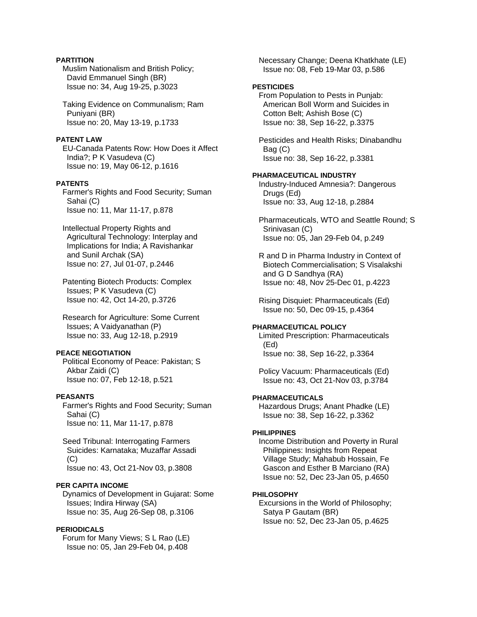# **PARTITION**

 Muslim Nationalism and British Policy; David Emmanuel Singh (BR) Issue no: 34, Aug 19-25, p.3023

 Taking Evidence on Communalism; Ram Puniyani (BR) Issue no: 20, May 13-19, p.1733

### **PATENT LAW**

 EU-Canada Patents Row: How Does it Affect India?; P K Vasudeva (C) Issue no: 19, May 06-12, p.1616

# **PATENTS**

 Farmer's Rights and Food Security; Suman Sahai (C) Issue no: 11, Mar 11-17, p.878

 Intellectual Property Rights and Agricultural Technology: Interplay and Implications for India; A Ravishankar and Sunil Archak (SA) Issue no: 27, Jul 01-07, p.2446

 Patenting Biotech Products: Complex Issues; P K Vasudeva (C) Issue no: 42, Oct 14-20, p.3726

 Research for Agriculture: Some Current Issues; A Vaidyanathan (P) Issue no: 33, Aug 12-18, p.2919

## **PEACE NEGOTIATION**

 Political Economy of Peace: Pakistan; S Akbar Zaidi (C) Issue no: 07, Feb 12-18, p.521

### **PEASANTS**

 Farmer's Rights and Food Security; Suman Sahai (C) Issue no: 11, Mar 11-17, p.878

 Seed Tribunal: Interrogating Farmers Suicides: Karnataka; Muzaffar Assadi (C) Issue no: 43, Oct 21-Nov 03, p.3808

### **PER CAPITA INCOME**

 Dynamics of Development in Gujarat: Some Issues; Indira Hirway (SA) Issue no: 35, Aug 26-Sep 08, p.3106

# **PERIODICALS**

 Forum for Many Views; S L Rao (LE) Issue no: 05, Jan 29-Feb 04, p.408

 Necessary Change; Deena Khatkhate (LE) Issue no: 08, Feb 19-Mar 03, p.586

## **PESTICIDES**

 From Population to Pests in Punjab: American Boll Worm and Suicides in Cotton Belt; Ashish Bose (C) Issue no: 38, Sep 16-22, p.3375

 Pesticides and Health Risks; Dinabandhu Bag (C) Issue no: 38, Sep 16-22, p.3381

### **PHARMACEUTICAL INDUSTRY**

 Industry-Induced Amnesia?: Dangerous Drugs (Ed) Issue no: 33, Aug 12-18, p.2884

 Pharmaceuticals, WTO and Seattle Round; S Srinivasan (C) Issue no: 05, Jan 29-Feb 04, p.249

 R and D in Pharma Industry in Context of Biotech Commercialisation; S Visalakshi and G D Sandhya (RA) Issue no: 48, Nov 25-Dec 01, p.4223

 Rising Disquiet: Pharmaceuticals (Ed) Issue no: 50, Dec 09-15, p.4364

## **PHARMACEUTICAL POLICY**

 Limited Prescription: Pharmaceuticals (Ed) Issue no: 38, Sep 16-22, p.3364

 Policy Vacuum: Pharmaceuticals (Ed) Issue no: 43, Oct 21-Nov 03, p.3784

# **PHARMACEUTICALS**

 Hazardous Drugs; Anant Phadke (LE) Issue no: 38, Sep 16-22, p.3362

## **PHILIPPINES**

 Income Distribution and Poverty in Rural Philippines: Insights from Repeat Village Study; Mahabub Hossain, Fe Gascon and Esther B Marciano (RA) Issue no: 52, Dec 23-Jan 05, p.4650

## **PHILOSOPHY**

 Excursions in the World of Philosophy; Satya P Gautam (BR) Issue no: 52, Dec 23-Jan 05, p.4625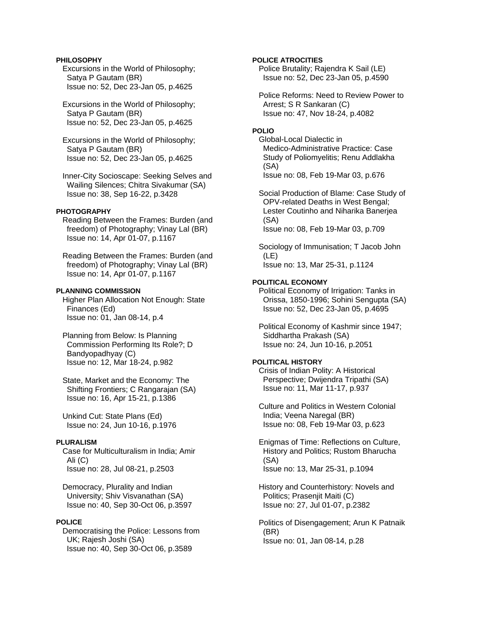## **PHILOSOPHY**

 Excursions in the World of Philosophy; Satya P Gautam (BR) Issue no: 52, Dec 23-Jan 05, p.4625

 Excursions in the World of Philosophy; Satya P Gautam (BR) Issue no: 52, Dec 23-Jan 05, p.4625

 Excursions in the World of Philosophy; Satya P Gautam (BR) Issue no: 52, Dec 23-Jan 05, p.4625

 Inner-City Socioscape: Seeking Selves and Wailing Silences; Chitra Sivakumar (SA) Issue no: 38, Sep 16-22, p.3428

#### **PHOTOGRAPHY**

 Reading Between the Frames: Burden (and freedom) of Photography; Vinay Lal (BR) Issue no: 14, Apr 01-07, p.1167

 Reading Between the Frames: Burden (and freedom) of Photography; Vinay Lal (BR) Issue no: 14, Apr 01-07, p.1167

## **PLANNING COMMISSION**

 Higher Plan Allocation Not Enough: State Finances (Ed) Issue no: 01, Jan 08-14, p.4

 Planning from Below: Is Planning Commission Performing Its Role?; D Bandyopadhyay (C) Issue no: 12, Mar 18-24, p.982

 State, Market and the Economy: The Shifting Frontiers; C Rangarajan (SA) Issue no: 16, Apr 15-21, p.1386

 Unkind Cut: State Plans (Ed) Issue no: 24, Jun 10-16, p.1976

### **PLURALISM**

 Case for Multiculturalism in India; Amir Ali (C) Issue no: 28, Jul 08-21, p.2503

 Democracy, Plurality and Indian University; Shiv Visvanathan (SA) Issue no: 40, Sep 30-Oct 06, p.3597

#### **POLICE**

 Democratising the Police: Lessons from UK; Rajesh Joshi (SA) Issue no: 40, Sep 30-Oct 06, p.3589

## **POLICE ATROCITIES**

 Police Brutality; Rajendra K Sail (LE) Issue no: 52, Dec 23-Jan 05, p.4590

 Police Reforms: Need to Review Power to Arrest; S R Sankaran (C) Issue no: 47, Nov 18-24, p.4082

# **POLIO**

 Global-Local Dialectic in Medico-Administrative Practice: Case Study of Poliomyelitis; Renu Addlakha (SA) Issue no: 08, Feb 19-Mar 03, p.676

 Social Production of Blame: Case Study of OPV-related Deaths in West Bengal; Lester Coutinho and Niharika Banerjea (SA) Issue no: 08, Feb 19-Mar 03, p.709

 Sociology of Immunisation; T Jacob John (LE) Issue no: 13, Mar 25-31, p.1124

### **POLITICAL ECONOMY**

 Political Economy of Irrigation: Tanks in Orissa, 1850-1996; Sohini Sengupta (SA) Issue no: 52, Dec 23-Jan 05, p.4695

 Political Economy of Kashmir since 1947; Siddhartha Prakash (SA) Issue no: 24, Jun 10-16, p.2051

### **POLITICAL HISTORY**

 Crisis of Indian Polity: A Historical Perspective; Dwijendra Tripathi (SA) Issue no: 11, Mar 11-17, p.937

 Culture and Politics in Western Colonial India; Veena Naregal (BR) Issue no: 08, Feb 19-Mar 03, p.623

 Enigmas of Time: Reflections on Culture, History and Politics; Rustom Bharucha (SA) Issue no: 13, Mar 25-31, p.1094

 History and Counterhistory: Novels and Politics; Prasenjit Maiti (C) Issue no: 27, Jul 01-07, p.2382

 Politics of Disengagement; Arun K Patnaik (BR) Issue no: 01, Jan 08-14, p.28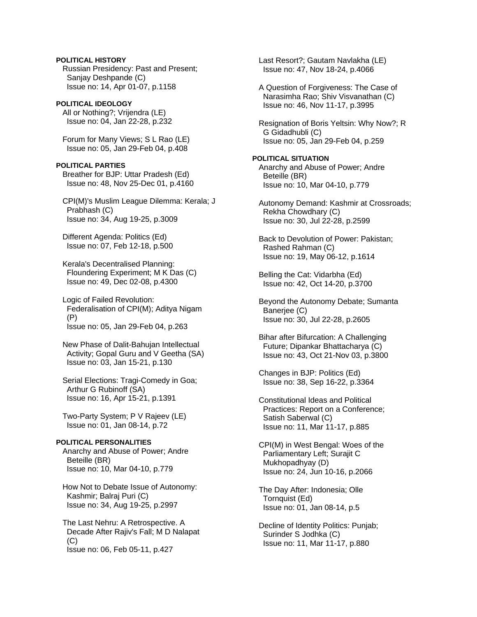# **POLITICAL HISTORY**

 Russian Presidency: Past and Present; Sanjay Deshpande (C) Issue no: 14, Apr 01-07, p.1158

**POLITICAL IDEOLOGY**  All or Nothing?; Vrijendra (LE) Issue no: 04, Jan 22-28, p.232

 Forum for Many Views; S L Rao (LE) Issue no: 05, Jan 29-Feb 04, p.408

## **POLITICAL PARTIES**

 Breather for BJP: Uttar Pradesh (Ed) Issue no: 48, Nov 25-Dec 01, p.4160

 CPI(M)'s Muslim League Dilemma: Kerala; J Prabhash (C) Issue no: 34, Aug 19-25, p.3009

 Different Agenda: Politics (Ed) Issue no: 07, Feb 12-18, p.500

 Kerala's Decentralised Planning: Floundering Experiment; M K Das (C) Issue no: 49, Dec 02-08, p.4300

 Logic of Failed Revolution: Federalisation of CPI(M); Aditya Nigam (P) Issue no: 05, Jan 29-Feb 04, p.263

 New Phase of Dalit-Bahujan Intellectual Activity; Gopal Guru and V Geetha (SA) Issue no: 03, Jan 15-21, p.130

 Serial Elections: Tragi-Comedy in Goa; Arthur G Rubinoff (SA) Issue no: 16, Apr 15-21, p.1391

 Two-Party System; P V Rajeev (LE) Issue no: 01, Jan 08-14, p.72

# **POLITICAL PERSONALITIES**

 Anarchy and Abuse of Power; Andre Beteille (BR) Issue no: 10, Mar 04-10, p.779

 How Not to Debate Issue of Autonomy: Kashmir; Balraj Puri (C) Issue no: 34, Aug 19-25, p.2997

 The Last Nehru: A Retrospective. A Decade After Rajiv's Fall; M D Nalapat  $(C)$ Issue no: 06, Feb 05-11, p.427

 Last Resort?; Gautam Navlakha (LE) Issue no: 47, Nov 18-24, p.4066

 A Question of Forgiveness: The Case of Narasimha Rao; Shiv Visvanathan (C) Issue no: 46, Nov 11-17, p.3995

 Resignation of Boris Yeltsin: Why Now?; R G Gidadhubli (C) Issue no: 05, Jan 29-Feb 04, p.259

## **POLITICAL SITUATION**  Anarchy and Abuse of Power; Andre Beteille (BR)

Issue no: 10, Mar 04-10, p.779

 Autonomy Demand: Kashmir at Crossroads; Rekha Chowdhary (C) Issue no: 30, Jul 22-28, p.2599

 Back to Devolution of Power: Pakistan; Rashed Rahman (C) Issue no: 19, May 06-12, p.1614

 Belling the Cat: Vidarbha (Ed) Issue no: 42, Oct 14-20, p.3700

 Beyond the Autonomy Debate; Sumanta Baneriee (C) Issue no: 30, Jul 22-28, p.2605

 Bihar after Bifurcation: A Challenging Future; Dipankar Bhattacharya (C) Issue no: 43, Oct 21-Nov 03, p.3800

 Changes in BJP: Politics (Ed) Issue no: 38, Sep 16-22, p.3364

 Constitutional Ideas and Political Practices: Report on a Conference; Satish Saberwal (C) Issue no: 11, Mar 11-17, p.885

 CPI(M) in West Bengal: Woes of the Parliamentary Left; Surajit C Mukhopadhyay (D) Issue no: 24, Jun 10-16, p.2066

 The Day After: Indonesia; Olle Tornquist (Ed) Issue no: 01, Jan 08-14, p.5

 Decline of Identity Politics: Punjab; Surinder S Jodhka (C) Issue no: 11, Mar 11-17, p.880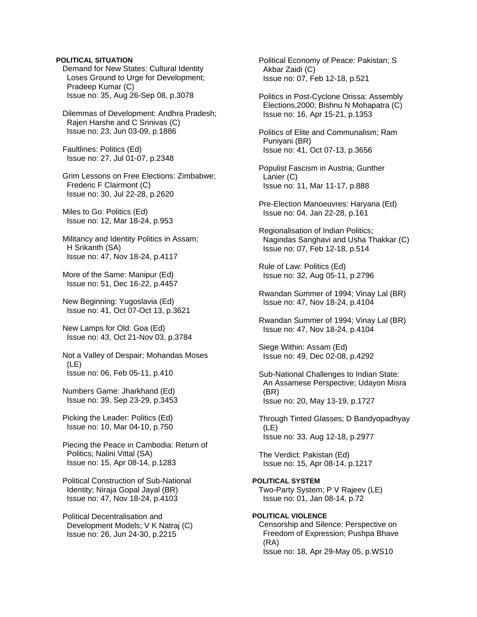## **POLITICAL SITUATION**

 Demand for New States: Cultural Identity Loses Ground to Urge for Development; Pradeep Kumar (C) Issue no: 35, Aug 26-Sep 08, p.3078

 Dilemmas of Development: Andhra Pradesh; Rajen Harshe and C Srinivas (C) Issue no: 23, Jun 03-09, p.1886

 Faultlines: Politics (Ed) Issue no: 27, Jul 01-07, p.2348

 Grim Lessons on Free Elections: Zimbabwe; Frederic F Clairmont (C) Issue no: 30, Jul 22-28, p.2620

 Miles to Go: Politics (Ed) Issue no: 12, Mar 18-24, p.953

 Militancy and Identity Politics in Assam; H Srikanth (SA) Issue no: 47, Nov 18-24, p.4117

 More of the Same: Manipur (Ed) Issue no: 51, Dec 16-22, p.4457

 New Beginning: Yugoslavia (Ed) Issue no: 41, Oct 07-Oct 13, p.3621

 New Lamps for Old: Goa (Ed) Issue no: 43, Oct 21-Nov 03, p.3784

 Not a Valley of Despair; Mohandas Moses (LE) Issue no: 06, Feb 05-11, p.410

 Numbers Game: Jharkhand (Ed) Issue no: 39, Sep 23-29, p.3453

 Picking the Leader: Politics (Ed) Issue no: 10, Mar 04-10, p.750

 Piecing the Peace in Cambodia: Return of Politics; Nalini Vittal (SA) Issue no: 15, Apr 08-14, p.1283

 Political Construction of Sub-National Identity; Niraja Gopal Jayal (BR) Issue no: 47, Nov 18-24, p.4103

 Political Decentralisation and Development Models; V K Natraj (C) Issue no: 26, Jun 24-30, p.2215

 Political Economy of Peace: Pakistan; S Akbar Zaidi (C) Issue no: 07, Feb 12-18, p.521

 Politics in Post-Cyclone Orissa: Assembly Elections,2000; Bishnu N Mohapatra (C) Issue no: 16, Apr 15-21, p.1353

 Politics of Elite and Communalism; Ram Puniyani (BR) Issue no: 41, Oct 07-13, p.3656

- Populist Fascism in Austria; Gunther Lanier (C) Issue no: 11, Mar 11-17, p.888
- Pre-Election Manoeuvres: Haryana (Ed) Issue no: 04, Jan 22-28, p.161
- Regionalisation of Indian Politics; Nagindas Sanghavi and Usha Thakkar (C) Issue no: 07, Feb 12-18, p.514

 Rule of Law: Politics (Ed) Issue no: 32, Aug 05-11, p.2796

 Rwandan Summer of 1994; Vinay Lal (BR) Issue no: 47, Nov 18-24, p.4104

 Rwandan Summer of 1994; Vinay Lal (BR) Issue no: 47, Nov 18-24, p.4104

 Siege Within: Assam (Ed) Issue no: 49, Dec 02-08, p.4292

 Sub-National Challenges to Indian State: An Assamese Perspective; Udayon Misra (BR) Issue no: 20, May 13-19, p.1727

 Through Tinted Glasses; D Bandyopadhyay (LE) Issue no: 33, Aug 12-18, p.2977

 The Verdict: Pakistan (Ed) Issue no: 15, Apr 08-14, p.1217

**POLITICAL SYSTEM**  Two-Party System; P V Rajeev (LE) Issue no: 01, Jan 08-14, p.72

**POLITICAL VIOLENCE**  Censorship and Silence: Perspective on Freedom of Expression; Pushpa Bhave (RA) Issue no: 18, Apr 29-May 05, p.WS10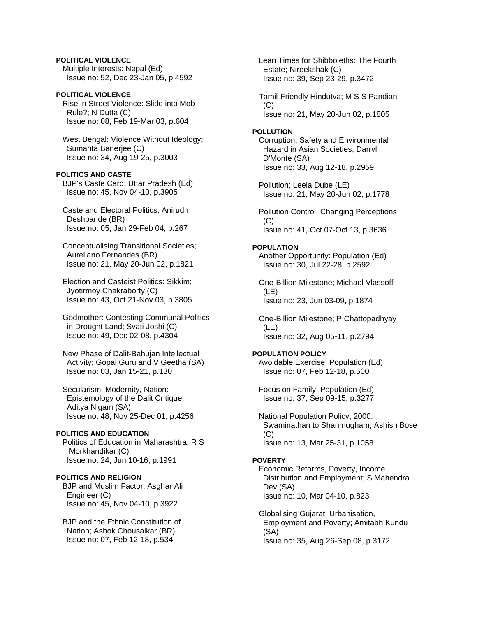# **POLITICAL VIOLENCE**

 Multiple Interests: Nepal (Ed) Issue no: 52, Dec 23-Jan 05, p.4592

**POLITICAL VIOLENCE**  Rise in Street Violence: Slide into Mob Rule?; N Dutta (C) Issue no: 08, Feb 19-Mar 03, p.604

 West Bengal: Violence Without Ideology; Sumanta Banerjee (C) Issue no: 34, Aug 19-25, p.3003

### **POLITICS AND CASTE**

 BJP's Caste Card: Uttar Pradesh (Ed) Issue no: 45, Nov 04-10, p.3905

 Caste and Electoral Politics; Anirudh Deshpande (BR) Issue no: 05, Jan 29-Feb 04, p.267

 Conceptualising Transitional Societies; Aureliano Fernandes (BR) Issue no: 21, May 20-Jun 02, p.1821

 Election and Casteist Politics: Sikkim; Jyotirmoy Chakraborty (C) Issue no: 43, Oct 21-Nov 03, p.3805

 Godmother: Contesting Communal Politics in Drought Land; Svati Joshi (C) Issue no: 49, Dec 02-08, p.4304

 New Phase of Dalit-Bahujan Intellectual Activity; Gopal Guru and V Geetha (SA) Issue no: 03, Jan 15-21, p.130

 Secularism, Modernity, Nation: Epistemology of the Dalit Critique; Aditya Nigam (SA) Issue no: 48, Nov 25-Dec 01, p.4256

# **POLITICS AND EDUCATION**

 Politics of Education in Maharashtra; R S Morkhandikar (C) Issue no: 24, Jun 10-16, p.1991

## **POLITICS AND RELIGION**

 BJP and Muslim Factor; Asghar Ali Engineer (C) Issue no: 45, Nov 04-10, p.3922

 BJP and the Ethnic Constitution of Nation; Ashok Chousalkar (BR) Issue no: 07, Feb 12-18, p.534

 Lean Times for Shibboleths: The Fourth Estate; Nireekshak (C) Issue no: 39, Sep 23-29, p.3472

 Tamil-Friendly Hindutva; M S S Pandian (C) Issue no: 21, May 20-Jun 02, p.1805

### **POLLUTION**

 Corruption, Safety and Environmental Hazard in Asian Societies; Darryl D'Monte (SA) Issue no: 33, Aug 12-18, p.2959

 Pollution; Leela Dube (LE) Issue no: 21, May 20-Jun 02, p.1778

 Pollution Control: Changing Perceptions (C) Issue no: 41, Oct 07-Oct 13, p.3636

### **POPULATION**

 Another Opportunity: Population (Ed) Issue no: 30, Jul 22-28, p.2592

 One-Billion Milestone; Michael Vlassoff (LE) Issue no: 23, Jun 03-09, p.1874

 One-Billion Milestone; P Chattopadhyay (LE) Issue no: 32, Aug 05-11, p.2794

### **POPULATION POLICY**

 Avoidable Exercise: Population (Ed) Issue no: 07, Feb 12-18, p.500

 Focus on Family: Population (Ed) Issue no: 37, Sep 09-15, p.3277

 National Population Policy, 2000: Swaminathan to Shanmugham; Ashish Bose  $(C)$ Issue no: 13, Mar 25-31, p.1058

#### **POVERTY**

 Economic Reforms, Poverty, Income Distribution and Employment; S Mahendra Dev (SA) Issue no: 10, Mar 04-10, p.823

 Globalising Gujarat: Urbanisation, Employment and Poverty; Amitabh Kundu (SA) Issue no: 35, Aug 26-Sep 08, p.3172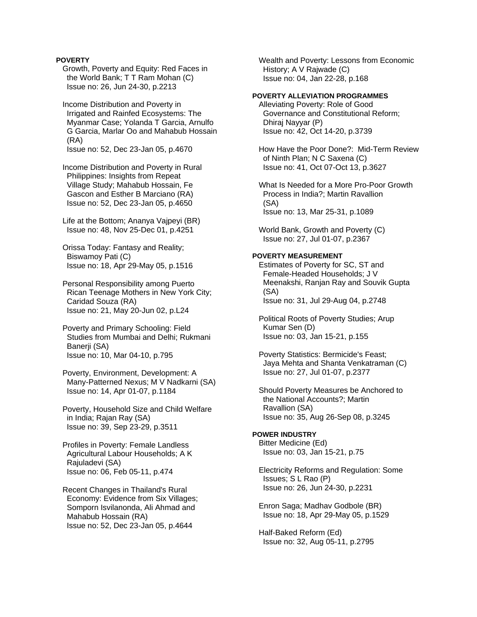## **POVERTY**

 Growth, Poverty and Equity: Red Faces in the World Bank; T T Ram Mohan (C) Issue no: 26, Jun 24-30, p.2213

 Income Distribution and Poverty in Irrigated and Rainfed Ecosystems: The Myanmar Case; Yolanda T Garcia, Arnulfo G Garcia, Marlar Oo and Mahabub Hossain (RA) Issue no: 52, Dec 23-Jan 05, p.4670

 Income Distribution and Poverty in Rural Philippines: Insights from Repeat Village Study; Mahabub Hossain, Fe Gascon and Esther B Marciano (RA) Issue no: 52, Dec 23-Jan 05, p.4650

 Life at the Bottom; Ananya Vajpeyi (BR) Issue no: 48, Nov 25-Dec 01, p.4251

 Orissa Today: Fantasy and Reality; Biswamoy Pati (C) Issue no: 18, Apr 29-May 05, p.1516

 Personal Responsibility among Puerto Rican Teenage Mothers in New York City; Caridad Souza (RA) Issue no: 21, May 20-Jun 02, p.L24

 Poverty and Primary Schooling: Field Studies from Mumbai and Delhi; Rukmani Banerji (SA) Issue no: 10, Mar 04-10, p.795

 Poverty, Environment, Development: A Many-Patterned Nexus; M V Nadkarni (SA) Issue no: 14, Apr 01-07, p.1184

 Poverty, Household Size and Child Welfare in India; Rajan Ray (SA) Issue no: 39, Sep 23-29, p.3511

 Profiles in Poverty: Female Landless Agricultural Labour Households; A K Rajuladevi (SA) Issue no: 06, Feb 05-11, p.474

 Recent Changes in Thailand's Rural Economy: Evidence from Six Villages; Somporn Isvilanonda, Ali Ahmad and Mahabub Hossain (RA) Issue no: 52, Dec 23-Jan 05, p.4644

 Wealth and Poverty: Lessons from Economic History; A V Rajwade (C) Issue no: 04, Jan 22-28, p.168

# **POVERTY ALLEVIATION PROGRAMMES**

 Alleviating Poverty: Role of Good Governance and Constitutional Reform; Dhiraj Nayyar (P) Issue no: 42, Oct 14-20, p.3739

 How Have the Poor Done?: Mid-Term Review of Ninth Plan; N C Saxena (C) Issue no: 41, Oct 07-Oct 13, p.3627

 What Is Needed for a More Pro-Poor Growth Process in India?; Martin Ravallion (SA) Issue no: 13, Mar 25-31, p.1089

 World Bank, Growth and Poverty (C) Issue no: 27, Jul 01-07, p.2367

## **POVERTY MEASUREMENT**

 Estimates of Poverty for SC, ST and Female-Headed Households; J V Meenakshi, Ranjan Ray and Souvik Gupta (SA) Issue no: 31, Jul 29-Aug 04, p.2748

 Political Roots of Poverty Studies; Arup Kumar Sen (D) Issue no: 03, Jan 15-21, p.155

 Poverty Statistics: Bermicide's Feast; Jaya Mehta and Shanta Venkatraman (C) Issue no: 27, Jul 01-07, p.2377

 Should Poverty Measures be Anchored to the National Accounts?; Martin Ravallion (SA) Issue no: 35, Aug 26-Sep 08, p.3245

## **POWER INDUSTRY**

 Bitter Medicine (Ed) Issue no: 03, Jan 15-21, p.75

 Electricity Reforms and Regulation: Some Issues; S L Rao (P) Issue no: 26, Jun 24-30, p.2231

 Enron Saga; Madhav Godbole (BR) Issue no: 18, Apr 29-May 05, p.1529

 Half-Baked Reform (Ed) Issue no: 32, Aug 05-11, p.2795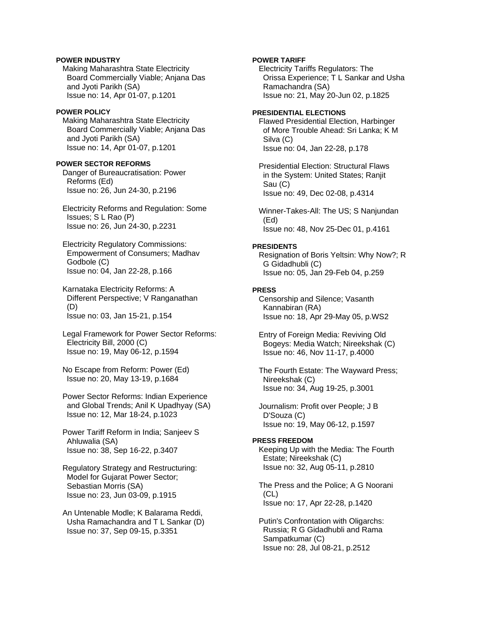# **POWER INDUSTRY**

 Making Maharashtra State Electricity Board Commercially Viable; Anjana Das and Jyoti Parikh (SA) Issue no: 14, Apr 01-07, p.1201

# **POWER POLICY**

 Making Maharashtra State Electricity Board Commercially Viable; Anjana Das and Jyoti Parikh (SA) Issue no: 14, Apr 01-07, p.1201

# **POWER SECTOR REFORMS**

 Danger of Bureaucratisation: Power Reforms (Ed) Issue no: 26, Jun 24-30, p.2196

 Electricity Reforms and Regulation: Some Issues; S L Rao (P) Issue no: 26, Jun 24-30, p.2231

 Electricity Regulatory Commissions: Empowerment of Consumers; Madhav Godbole (C) Issue no: 04, Jan 22-28, p.166

 Karnataka Electricity Reforms: A Different Perspective; V Ranganathan (D) Issue no: 03, Jan 15-21, p.154

 Legal Framework for Power Sector Reforms: Electricity Bill, 2000 (C) Issue no: 19, May 06-12, p.1594

 No Escape from Reform: Power (Ed) Issue no: 20, May 13-19, p.1684

 Power Sector Reforms: Indian Experience and Global Trends; Anil K Upadhyay (SA) Issue no: 12, Mar 18-24, p.1023

 Power Tariff Reform in India; Sanjeev S Ahluwalia (SA) Issue no: 38, Sep 16-22, p.3407

 Regulatory Strategy and Restructuring: Model for Gujarat Power Sector; Sebastian Morris (SA) Issue no: 23, Jun 03-09, p.1915

 An Untenable Modle; K Balarama Reddi, Usha Ramachandra and T L Sankar (D) Issue no: 37, Sep 09-15, p.3351

# **POWER TARIFF**

 Electricity Tariffs Regulators: The Orissa Experience; T L Sankar and Usha Ramachandra (SA) Issue no: 21, May 20-Jun 02, p.1825

#### **PRESIDENTIAL ELECTIONS**

 Flawed Presidential Election, Harbinger of More Trouble Ahead: Sri Lanka; K M Silva (C) Issue no: 04, Jan 22-28, p.178

 Presidential Election: Structural Flaws in the System: United States; Ranjit Sau (C) Issue no: 49, Dec 02-08, p.4314

 Winner-Takes-All: The US; S Nanjundan (Ed) Issue no: 48, Nov 25-Dec 01, p.4161

#### **PRESIDENTS**

 Resignation of Boris Yeltsin: Why Now?; R G Gidadhubli (C) Issue no: 05, Jan 29-Feb 04, p.259

#### **PRESS**

 Censorship and Silence; Vasanth Kannabiran (RA) Issue no: 18, Apr 29-May 05, p.WS2

 Entry of Foreign Media: Reviving Old Bogeys: Media Watch; Nireekshak (C) Issue no: 46, Nov 11-17, p.4000

 The Fourth Estate: The Wayward Press; Nireekshak (C) Issue no: 34, Aug 19-25, p.3001

 Journalism: Profit over People; J B D'Souza (C) Issue no: 19, May 06-12, p.1597

#### **PRESS FREEDOM**

 Keeping Up with the Media: The Fourth Estate; Nireekshak (C) Issue no: 32, Aug 05-11, p.2810

 The Press and the Police; A G Noorani (CL) Issue no: 17, Apr 22-28, p.1420

 Putin's Confrontation with Oligarchs: Russia; R G Gidadhubli and Rama Sampatkumar (C) Issue no: 28, Jul 08-21, p.2512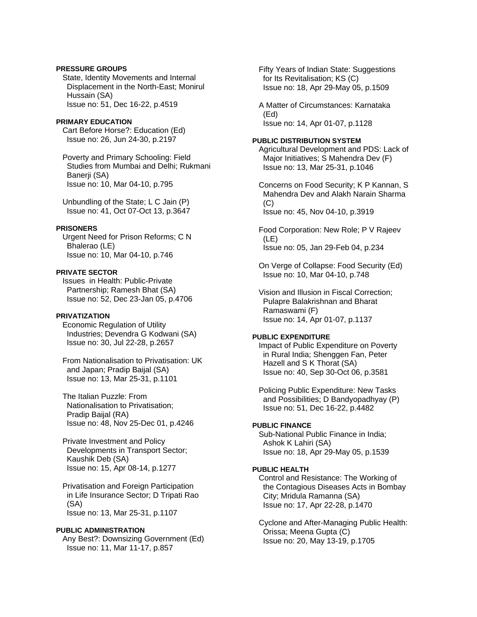# **PRESSURE GROUPS**

 State, Identity Movements and Internal Displacement in the North-East; Monirul Hussain (SA) Issue no: 51, Dec 16-22, p.4519

### **PRIMARY EDUCATION**

 Cart Before Horse?: Education (Ed) Issue no: 26, Jun 24-30, p.2197

 Poverty and Primary Schooling: Field Studies from Mumbai and Delhi; Rukmani Banerii (SA) Issue no: 10, Mar 04-10, p.795

 Unbundling of the State; L C Jain (P) Issue no: 41, Oct 07-Oct 13, p.3647

### **PRISONERS**

 Urgent Need for Prison Reforms; C N Bhalerao (LE) Issue no: 10, Mar 04-10, p.746

# **PRIVATE SECTOR**

 Issues in Health: Public-Private Partnership; Ramesh Bhat (SA) Issue no: 52, Dec 23-Jan 05, p.4706

### **PRIVATIZATION**

 Economic Regulation of Utility Industries; Devendra G Kodwani (SA) Issue no: 30, Jul 22-28, p.2657

 From Nationalisation to Privatisation: UK and Japan; Pradip Baijal (SA) Issue no: 13, Mar 25-31, p.1101

 The Italian Puzzle: From Nationalisation to Privatisation; Pradip Baijal (RA) Issue no: 48, Nov 25-Dec 01, p.4246

 Private Investment and Policy Developments in Transport Sector; Kaushik Deb (SA) Issue no: 15, Apr 08-14, p.1277

 Privatisation and Foreign Participation in Life Insurance Sector; D Tripati Rao (SA) Issue no: 13, Mar 25-31, p.1107

#### **PUBLIC ADMINISTRATION**

 Any Best?: Downsizing Government (Ed) Issue no: 11, Mar 11-17, p.857

 Fifty Years of Indian State: Suggestions for Its Revitalisation; KS (C) Issue no: 18, Apr 29-May 05, p.1509

 A Matter of Circumstances: Karnataka (Ed) Issue no: 14, Apr 01-07, p.1128

#### **PUBLIC DISTRIBUTION SYSTEM**

 Agricultural Development and PDS: Lack of Major Initiatives; S Mahendra Dev (F) Issue no: 13, Mar 25-31, p.1046

 Concerns on Food Security; K P Kannan, S Mahendra Dev and Alakh Narain Sharma  $(C)$ Issue no: 45, Nov 04-10, p.3919

 Food Corporation: New Role; P V Rajeev (LE)

Issue no: 05, Jan 29-Feb 04, p.234

 On Verge of Collapse: Food Security (Ed) Issue no: 10, Mar 04-10, p.748

 Vision and Illusion in Fiscal Correction; Pulapre Balakrishnan and Bharat Ramaswami (F) Issue no: 14, Apr 01-07, p.1137

### **PUBLIC EXPENDITURE**

 Impact of Public Expenditure on Poverty in Rural India; Shenggen Fan, Peter Hazell and S K Thorat (SA) Issue no: 40, Sep 30-Oct 06, p.3581

 Policing Public Expenditure: New Tasks and Possibilities; D Bandyopadhyay (P) Issue no: 51, Dec 16-22, p.4482

#### **PUBLIC FINANCE**

 Sub-National Public Finance in India; Ashok K Lahiri (SA) Issue no: 18, Apr 29-May 05, p.1539

# **PUBLIC HEALTH**

 Control and Resistance: The Working of the Contagious Diseases Acts in Bombay City; Mridula Ramanna (SA) Issue no: 17, Apr 22-28, p.1470

 Cyclone and After-Managing Public Health: Orissa; Meena Gupta (C) Issue no: 20, May 13-19, p.1705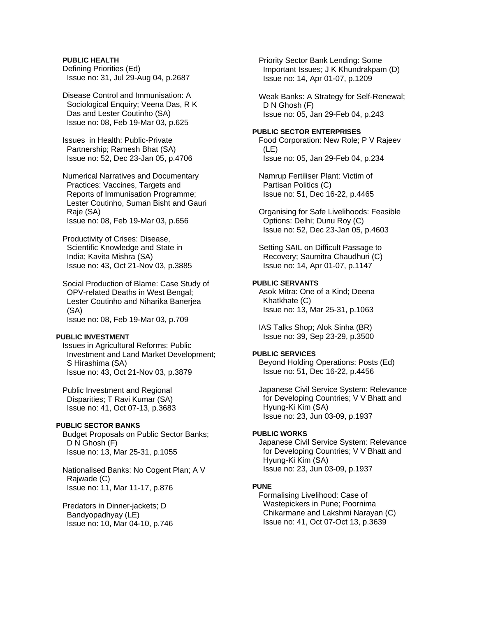# **PUBLIC HEALTH**

 Defining Priorities (Ed) Issue no: 31, Jul 29-Aug 04, p.2687

 Disease Control and Immunisation: A Sociological Enquiry; Veena Das, R K Das and Lester Coutinho (SA) Issue no: 08, Feb 19-Mar 03, p.625

 Issues in Health: Public-Private Partnership; Ramesh Bhat (SA) Issue no: 52, Dec 23-Jan 05, p.4706

 Numerical Narratives and Documentary Practices: Vaccines, Targets and Reports of Immunisation Programme; Lester Coutinho, Suman Bisht and Gauri Raje (SA) Issue no: 08, Feb 19-Mar 03, p.656

 Productivity of Crises: Disease, Scientific Knowledge and State in India; Kavita Mishra (SA) Issue no: 43, Oct 21-Nov 03, p.3885

 Social Production of Blame: Case Study of OPV-related Deaths in West Bengal; Lester Coutinho and Niharika Banerjea (SA) Issue no: 08, Feb 19-Mar 03, p.709

#### **PUBLIC INVESTMENT**

 Issues in Agricultural Reforms: Public Investment and Land Market Development; S Hirashima (SA) Issue no: 43, Oct 21-Nov 03, p.3879

 Public Investment and Regional Disparities; T Ravi Kumar (SA) Issue no: 41, Oct 07-13, p.3683

#### **PUBLIC SECTOR BANKS**

 Budget Proposals on Public Sector Banks; D N Ghosh (F) Issue no: 13, Mar 25-31, p.1055

 Nationalised Banks: No Cogent Plan; A V Rajwade (C) Issue no: 11, Mar 11-17, p.876

 Predators in Dinner-jackets; D Bandyopadhyay (LE) Issue no: 10, Mar 04-10, p.746  Priority Sector Bank Lending: Some Important Issues; J K Khundrakpam (D) Issue no: 14, Apr 01-07, p.1209

 Weak Banks: A Strategy for Self-Renewal; D N Ghosh (F) Issue no: 05, Jan 29-Feb 04, p.243

#### **PUBLIC SECTOR ENTERPRISES**

 Food Corporation: New Role; P V Rajeev (LE) Issue no: 05, Jan 29-Feb 04, p.234

 Namrup Fertiliser Plant: Victim of Partisan Politics (C) Issue no: 51, Dec 16-22, p.4465

 Organising for Safe Livelihoods: Feasible Options: Delhi; Dunu Roy (C) Issue no: 52, Dec 23-Jan 05, p.4603

 Setting SAIL on Difficult Passage to Recovery; Saumitra Chaudhuri (C) Issue no: 14, Apr 01-07, p.1147

### **PUBLIC SERVANTS**

 Asok Mitra: One of a Kind; Deena Khatkhate (C) Issue no: 13, Mar 25-31, p.1063

 IAS Talks Shop; Alok Sinha (BR) Issue no: 39, Sep 23-29, p.3500

#### **PUBLIC SERVICES**

 Beyond Holding Operations: Posts (Ed) Issue no: 51, Dec 16-22, p.4456

 Japanese Civil Service System: Relevance for Developing Countries; V V Bhatt and Hyung-Ki Kim (SA) Issue no: 23, Jun 03-09, p.1937

### **PUBLIC WORKS**

 Japanese Civil Service System: Relevance for Developing Countries; V V Bhatt and Hyung-Ki Kim (SA) Issue no: 23, Jun 03-09, p.1937

# **PUNE**

 Formalising Livelihood: Case of Wastepickers in Pune; Poornima Chikarmane and Lakshmi Narayan (C) Issue no: 41, Oct 07-Oct 13, p.3639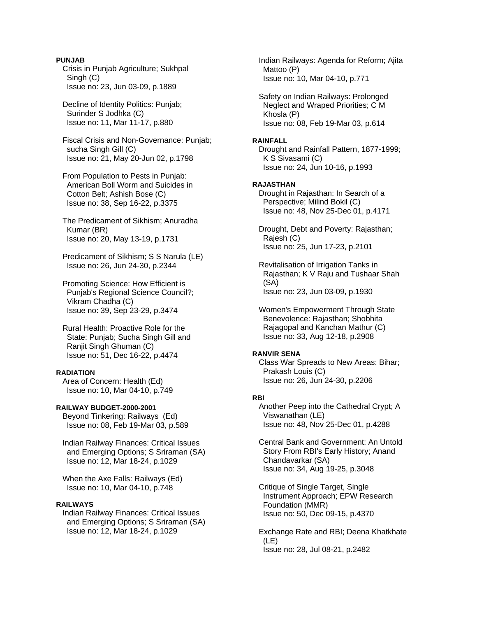### **PUNJAB**

 Crisis in Punjab Agriculture; Sukhpal Singh (C) Issue no: 23, Jun 03-09, p.1889

 Decline of Identity Politics: Punjab; Surinder S Jodhka (C) Issue no: 11, Mar 11-17, p.880

 Fiscal Crisis and Non-Governance: Punjab; sucha Singh Gill (C) Issue no: 21, May 20-Jun 02, p.1798

 From Population to Pests in Punjab: American Boll Worm and Suicides in Cotton Belt; Ashish Bose (C) Issue no: 38, Sep 16-22, p.3375

 The Predicament of Sikhism; Anuradha Kumar (BR) Issue no: 20, May 13-19, p.1731

 Predicament of Sikhism; S S Narula (LE) Issue no: 26, Jun 24-30, p.2344

 Promoting Science: How Efficient is Punjab's Regional Science Council?; Vikram Chadha (C) Issue no: 39, Sep 23-29, p.3474

 Rural Health: Proactive Role for the State: Punjab; Sucha Singh Gill and Ranjit Singh Ghuman (C) Issue no: 51, Dec 16-22, p.4474

# **RADIATION**

 Area of Concern: Health (Ed) Issue no: 10, Mar 04-10, p.749

# **RAILWAY BUDGET-2000-2001**

 Beyond Tinkering: Railways (Ed) Issue no: 08, Feb 19-Mar 03, p.589

 Indian Railway Finances: Critical Issues and Emerging Options; S Sriraman (SA) Issue no: 12, Mar 18-24, p.1029

 When the Axe Falls: Railways (Ed) Issue no: 10, Mar 04-10, p.748

### **RAILWAYS**

 Indian Railway Finances: Critical Issues and Emerging Options; S Sriraman (SA) Issue no: 12, Mar 18-24, p.1029

 Indian Railways: Agenda for Reform; Ajita Mattoo (P) Issue no: 10, Mar 04-10, p.771

 Safety on Indian Railways: Prolonged Neglect and Wraped Priorities; C M Khosla (P) Issue no: 08, Feb 19-Mar 03, p.614

### **RAINFALL**

 Drought and Rainfall Pattern, 1877-1999; K S Sivasami (C) Issue no: 24, Jun 10-16, p.1993

# **RAJASTHAN**

 Drought in Rajasthan: In Search of a Perspective; Milind Bokil (C) Issue no: 48, Nov 25-Dec 01, p.4171

 Drought, Debt and Poverty: Rajasthan; Rajesh (C) Issue no: 25, Jun 17-23, p.2101

 Revitalisation of Irrigation Tanks in Rajasthan; K V Raju and Tushaar Shah (SA) Issue no: 23, Jun 03-09, p.1930

 Women's Empowerment Through State Benevolence: Rajasthan; Shobhita Rajagopal and Kanchan Mathur (C) Issue no: 33, Aug 12-18, p.2908

#### **RANVIR SENA**

 Class War Spreads to New Areas: Bihar; Prakash Louis (C) Issue no: 26, Jun 24-30, p.2206

# **RBI**

 Another Peep into the Cathedral Crypt; A Viswanathan (LE) Issue no: 48, Nov 25-Dec 01, p.4288

 Central Bank and Government: An Untold Story From RBI's Early History; Anand Chandavarkar (SA) Issue no: 34, Aug 19-25, p.3048

 Critique of Single Target, Single Instrument Approach; EPW Research Foundation (MMR) Issue no: 50, Dec 09-15, p.4370

 Exchange Rate and RBI; Deena Khatkhate (LE) Issue no: 28, Jul 08-21, p.2482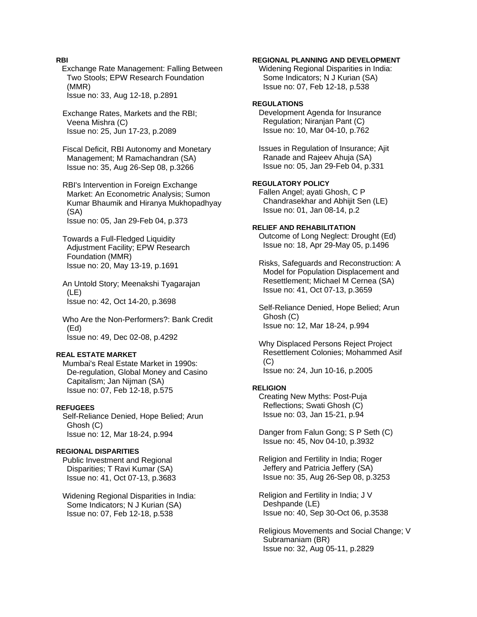# **RBI**

**Exchange Rate Management: Falling Between**  Two Stools; EPW Research Foundation (MMR) Issue no: 33, Aug 12-18, p.2891

 Exchange Rates, Markets and the RBI; Veena Mishra (C) Issue no: 25, Jun 17-23, p.2089

 Fiscal Deficit, RBI Autonomy and Monetary Management; M Ramachandran (SA) Issue no: 35, Aug 26-Sep 08, p.3266

 RBI's Intervention in Foreign Exchange Market: An Econometric Analysis; Sumon Kumar Bhaumik and Hiranya Mukhopadhyay (SA) Issue no: 05, Jan 29-Feb 04, p.373

 Towards a Full-Fledged Liquidity Adjustment Facility; EPW Research Foundation (MMR) Issue no: 20, May 13-19, p.1691

 An Untold Story; Meenakshi Tyagarajan (LE) Issue no: 42, Oct 14-20, p.3698

 Who Are the Non-Performers?: Bank Credit (Ed) Issue no: 49, Dec 02-08, p.4292

#### **REAL ESTATE MARKET**

 Mumbai's Real Estate Market in 1990s: De-regulation, Global Money and Casino Capitalism; Jan Nijman (SA) Issue no: 07, Feb 12-18, p.575

# **REFUGEES**

 Self-Reliance Denied, Hope Belied; Arun Ghosh (C) Issue no: 12, Mar 18-24, p.994

# **REGIONAL DISPARITIES**

 Public Investment and Regional Disparities; T Ravi Kumar (SA) Issue no: 41, Oct 07-13, p.3683

 Widening Regional Disparities in India: Some Indicators; N J Kurian (SA) Issue no: 07, Feb 12-18, p.538

# **REGIONAL PLANNING AND DEVELOPMENT**

 Widening Regional Disparities in India: Some Indicators; N J Kurian (SA) Issue no: 07, Feb 12-18, p.538

# **REGULATIONS**

 Development Agenda for Insurance Regulation; Niranjan Pant (C) Issue no: 10, Mar 04-10, p.762

 Issues in Regulation of Insurance; Ajit Ranade and Rajeev Ahuja (SA) Issue no: 05, Jan 29-Feb 04, p.331

# **REGULATORY POLICY**

 Fallen Angel; ayati Ghosh, C P Chandrasekhar and Abhijit Sen (LE) Issue no: 01, Jan 08-14, p.2

# **RELIEF AND REHABILITATION**

 Outcome of Long Neglect: Drought (Ed) Issue no: 18, Apr 29-May 05, p.1496

 Risks, Safeguards and Reconstruction: A Model for Population Displacement and Resettlement; Michael M Cernea (SA) Issue no: 41, Oct 07-13, p.3659

 Self-Reliance Denied, Hope Belied; Arun Ghosh (C) Issue no: 12, Mar 18-24, p.994

 Why Displaced Persons Reject Project Resettlement Colonies; Mohammed Asif (C) Issue no: 24, Jun 10-16, p.2005

#### **RELIGION**

 Creating New Myths: Post-Puja Reflections; Swati Ghosh (C) Issue no: 03, Jan 15-21, p.94

 Danger from Falun Gong; S P Seth (C) Issue no: 45, Nov 04-10, p.3932

 Religion and Fertility in India; Roger Jeffery and Patricia Jeffery (SA) Issue no: 35, Aug 26-Sep 08, p.3253

 Religion and Fertility in India; J V Deshpande (LE) Issue no: 40, Sep 30-Oct 06, p.3538

 Religious Movements and Social Change; V Subramaniam (BR) Issue no: 32, Aug 05-11, p.2829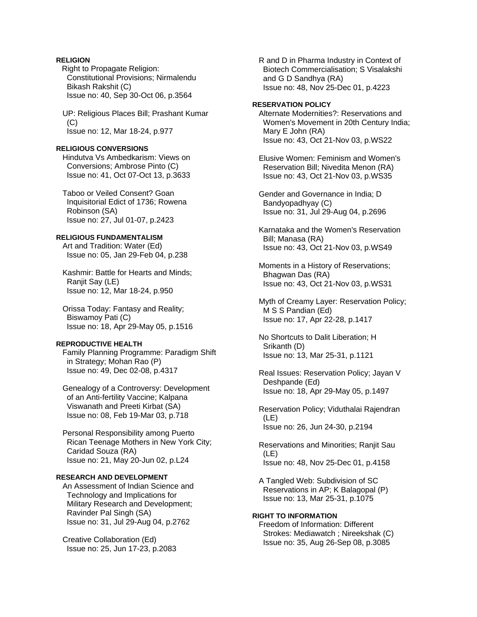# **RELIGION**

**Right to Propagate Religion:**  Constitutional Provisions; Nirmalendu Bikash Rakshit (C) Issue no: 40, Sep 30-Oct 06, p.3564

 UP: Religious Places Bill; Prashant Kumar (C) Issue no: 12, Mar 18-24, p.977

# **RELIGIOUS CONVERSIONS**

 Hindutva Vs Ambedkarism: Views on Conversions; Ambrose Pinto (C) Issue no: 41, Oct 07-Oct 13, p.3633

 Taboo or Veiled Consent? Goan Inquisitorial Edict of 1736; Rowena Robinson (SA) Issue no: 27, Jul 01-07, p.2423

# **RELIGIOUS FUNDAMENTALISM**

 Art and Tradition: Water (Ed) Issue no: 05, Jan 29-Feb 04, p.238

 Kashmir: Battle for Hearts and Minds; Ranjit Say (LE) Issue no: 12, Mar 18-24, p.950

 Orissa Today: Fantasy and Reality; Biswamoy Pati (C) Issue no: 18, Apr 29-May 05, p.1516

# **REPRODUCTIVE HEALTH**

 Family Planning Programme: Paradigm Shift in Strategy; Mohan Rao (P) Issue no: 49, Dec 02-08, p.4317

 Genealogy of a Controversy: Development of an Anti-fertility Vaccine; Kalpana Viswanath and Preeti Kirbat (SA) Issue no: 08, Feb 19-Mar 03, p.718

 Personal Responsibility among Puerto Rican Teenage Mothers in New York City; Caridad Souza (RA) Issue no: 21, May 20-Jun 02, p.L24

# **RESEARCH AND DEVELOPMENT**

 An Assessment of Indian Science and Technology and Implications for Military Research and Development; Ravinder Pal Singh (SA) Issue no: 31, Jul 29-Aug 04, p.2762

 Creative Collaboration (Ed) Issue no: 25, Jun 17-23, p.2083  R and D in Pharma Industry in Context of Biotech Commercialisation; S Visalakshi and G D Sandhya (RA) Issue no: 48, Nov 25-Dec 01, p.4223

### **RESERVATION POLICY**

 Alternate Modernities?: Reservations and Women's Movement in 20th Century India; Mary E John (RA) Issue no: 43, Oct 21-Nov 03, p.WS22

 Elusive Women: Feminism and Women's Reservation Bill; Nivedita Menon (RA) Issue no: 43, Oct 21-Nov 03, p.WS35

 Gender and Governance in India; D Bandyopadhyay (C) Issue no: 31, Jul 29-Aug 04, p.2696

 Karnataka and the Women's Reservation Bill; Manasa (RA) Issue no: 43, Oct 21-Nov 03, p.WS49

 Moments in a History of Reservations; Bhagwan Das (RA) Issue no: 43, Oct 21-Nov 03, p.WS31

 Myth of Creamy Layer: Reservation Policy; M S S Pandian (Ed) Issue no: 17, Apr 22-28, p.1417

 No Shortcuts to Dalit Liberation; H Srikanth (D) Issue no: 13, Mar 25-31, p.1121

 Real Issues: Reservation Policy; Jayan V Deshpande (Ed) Issue no: 18, Apr 29-May 05, p.1497

 Reservation Policy; Viduthalai Rajendran (LE) Issue no: 26, Jun 24-30, p.2194

 Reservations and Minorities; Ranjit Sau (LE) Issue no: 48, Nov 25-Dec 01, p.4158

 A Tangled Web: Subdivision of SC Reservations in AP; K Balagopal (P) Issue no: 13, Mar 25-31, p.1075

**RIGHT TO INFORMATION**  Freedom of Information: Different Strokes: Mediawatch ; Nireekshak (C) Issue no: 35, Aug 26-Sep 08, p.3085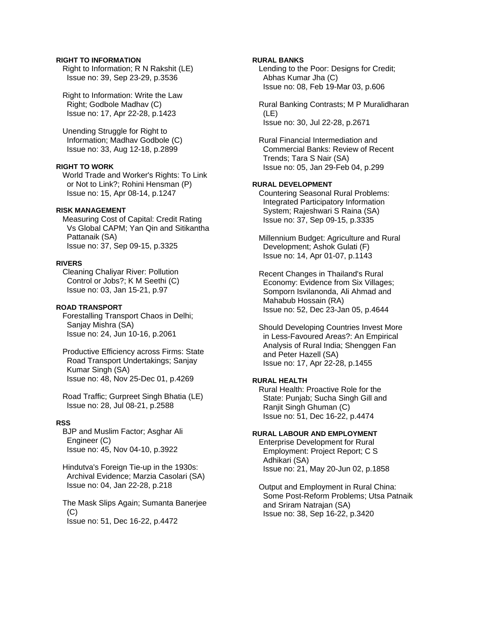# **RIGHT TO INFORMATION**

 Right to Information; R N Rakshit (LE) Issue no: 39, Sep 23-29, p.3536

 Right to Information: Write the Law Right; Godbole Madhav (C) Issue no: 17, Apr 22-28, p.1423

 Unending Struggle for Right to Information; Madhav Godbole (C) Issue no: 33, Aug 12-18, p.2899

# **RIGHT TO WORK**

 World Trade and Worker's Rights: To Link or Not to Link?; Rohini Hensman (P) Issue no: 15, Apr 08-14, p.1247

# **RISK MANAGEMENT**

 Measuring Cost of Capital: Credit Rating Vs Global CAPM; Yan Qin and Sitikantha Pattanaik (SA) Issue no: 37, Sep 09-15, p.3325

#### **RIVERS**

 Cleaning Chaliyar River: Pollution Control or Jobs?; K M Seethi (C) Issue no: 03, Jan 15-21, p.97

### **ROAD TRANSPORT**

 Forestalling Transport Chaos in Delhi; Sanjay Mishra (SA) Issue no: 24, Jun 10-16, p.2061

 Productive Efficiency across Firms: State Road Transport Undertakings; Sanjay Kumar Singh (SA) Issue no: 48, Nov 25-Dec 01, p.4269

 Road Traffic; Gurpreet Singh Bhatia (LE) Issue no: 28, Jul 08-21, p.2588

#### **RSS**

 BJP and Muslim Factor; Asghar Ali Engineer (C) Issue no: 45, Nov 04-10, p.3922

 Hindutva's Foreign Tie-up in the 1930s: Archival Evidence; Marzia Casolari (SA) Issue no: 04, Jan 22-28, p.218

 The Mask Slips Again; Sumanta Banerjee  $(C)$ Issue no: 51, Dec 16-22, p.4472

# **RURAL BANKS**

 Lending to the Poor: Designs for Credit; Abhas Kumar Jha (C) Issue no: 08, Feb 19-Mar 03, p.606

 Rural Banking Contrasts; M P Muralidharan (LE) Issue no: 30, Jul 22-28, p.2671

 Rural Financial Intermediation and Commercial Banks: Review of Recent Trends; Tara S Nair (SA) Issue no: 05, Jan 29-Feb 04, p.299

# **RURAL DEVELOPMENT**

 Countering Seasonal Rural Problems: Integrated Participatory Information System; Rajeshwari S Raina (SA) Issue no: 37, Sep 09-15, p.3335

 Millennium Budget: Agriculture and Rural Development; Ashok Gulati (F) Issue no: 14, Apr 01-07, p.1143

 Recent Changes in Thailand's Rural Economy: Evidence from Six Villages; Somporn Isvilanonda, Ali Ahmad and Mahabub Hossain (RA) Issue no: 52, Dec 23-Jan 05, p.4644

 Should Developing Countries Invest More in Less-Favoured Areas?: An Empirical Analysis of Rural India; Shenggen Fan and Peter Hazell (SA) Issue no: 17, Apr 22-28, p.1455

# **RURAL HEALTH**

 Rural Health: Proactive Role for the State: Punjab; Sucha Singh Gill and Ranjit Singh Ghuman (C) Issue no: 51, Dec 16-22, p.4474

# **RURAL LABOUR AND EMPLOYMENT**

 Enterprise Development for Rural Employment: Project Report; C S Adhikari (SA) Issue no: 21, May 20-Jun 02, p.1858

 Output and Employment in Rural China: Some Post-Reform Problems; Utsa Patnaik and Sriram Natrajan (SA) Issue no: 38, Sep 16-22, p.3420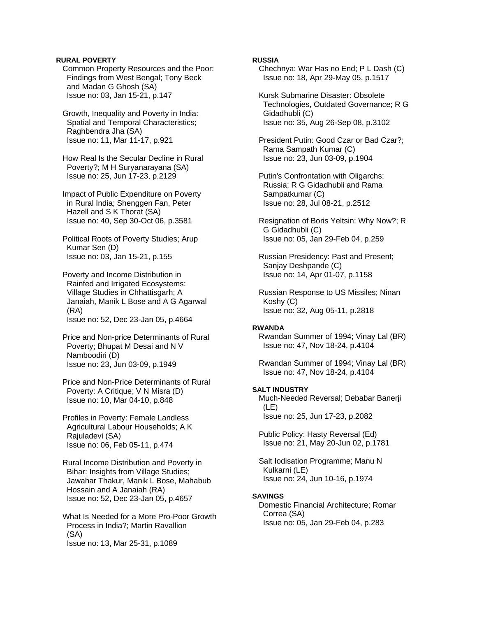### **RURAL POVERTY**

 Common Property Resources and the Poor: Findings from West Bengal; Tony Beck and Madan G Ghosh (SA) Issue no: 03, Jan 15-21, p.147

 Growth, Inequality and Poverty in India: Spatial and Temporal Characteristics; Raghbendra Jha (SA) Issue no: 11, Mar 11-17, p.921

 How Real Is the Secular Decline in Rural Poverty?; M H Suryanarayana (SA) Issue no: 25, Jun 17-23, p.2129

 Impact of Public Expenditure on Poverty in Rural India; Shenggen Fan, Peter Hazell and S K Thorat (SA) Issue no: 40, Sep 30-Oct 06, p.3581

 Political Roots of Poverty Studies; Arup Kumar Sen (D) Issue no: 03, Jan 15-21, p.155

 Poverty and Income Distribution in Rainfed and Irrigated Ecosystems: Village Studies in Chhattisgarh; A Janaiah, Manik L Bose and A G Agarwal (RA) Issue no: 52, Dec 23-Jan 05, p.4664

```
 Price and Non-price Determinants of Rural 
Poverty; Bhupat M Desai and N V 
Namboodiri (D) 
Issue no: 23, Jun 03-09, p.1949
```
 Price and Non-Price Determinants of Rural Poverty: A Critique; V N Misra (D) Issue no: 10, Mar 04-10, p.848

 Profiles in Poverty: Female Landless Agricultural Labour Households; A K Rajuladevi (SA) Issue no: 06, Feb 05-11, p.474

 Rural Income Distribution and Poverty in Bihar: Insights from Village Studies; Jawahar Thakur, Manik L Bose, Mahabub Hossain and A Janaiah (RA) Issue no: 52, Dec 23-Jan 05, p.4657

 What Is Needed for a More Pro-Poor Growth Process in India?; Martin Ravallion (SA) Issue no: 13, Mar 25-31, p.1089

# **RUSSIA**

 Chechnya: War Has no End; P L Dash (C) Issue no: 18, Apr 29-May 05, p.1517

 Kursk Submarine Disaster: Obsolete Technologies, Outdated Governance; R G Gidadhubli (C) Issue no: 35, Aug 26-Sep 08, p.3102

 President Putin: Good Czar or Bad Czar?; Rama Sampath Kumar (C) Issue no: 23, Jun 03-09, p.1904

 Putin's Confrontation with Oligarchs: Russia; R G Gidadhubli and Rama Sampatkumar (C) Issue no: 28, Jul 08-21, p.2512

 Resignation of Boris Yeltsin: Why Now?; R G Gidadhubli (C) Issue no: 05, Jan 29-Feb 04, p.259

 Russian Presidency: Past and Present; Sanjay Deshpande (C) Issue no: 14, Apr 01-07, p.1158

 Russian Response to US Missiles; Ninan Koshy (C) Issue no: 32, Aug 05-11, p.2818

#### **RWANDA**

 Rwandan Summer of 1994; Vinay Lal (BR) Issue no: 47, Nov 18-24, p.4104

 Rwandan Summer of 1994; Vinay Lal (BR) Issue no: 47, Nov 18-24, p.4104

# **SALT INDUSTRY**

 Much-Needed Reversal; Debabar Banerji (LE) Issue no: 25, Jun 17-23, p.2082

 Public Policy: Hasty Reversal (Ed) Issue no: 21, May 20-Jun 02, p.1781

 Salt Iodisation Programme; Manu N Kulkarni (LE) Issue no: 24, Jun 10-16, p.1974

### **SAVINGS**

 Domestic Financial Architecture; Romar Correa (SA) Issue no: 05, Jan 29-Feb 04, p.283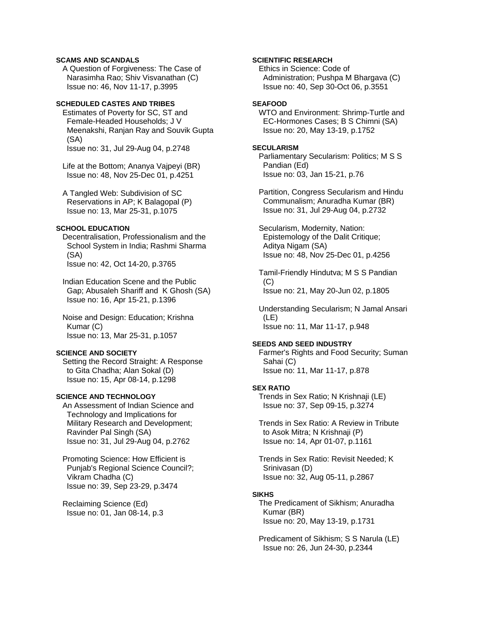# **SCAMS AND SCANDALS**

 A Question of Forgiveness: The Case of Narasimha Rao; Shiv Visvanathan (C) Issue no: 46, Nov 11-17, p.3995

# **SCHEDULED CASTES AND TRIBES**

 Estimates of Poverty for SC, ST and Female-Headed Households; J V Meenakshi, Ranjan Ray and Souvik Gupta (SA) Issue no: 31, Jul 29-Aug 04, p.2748

 Life at the Bottom; Ananya Vajpeyi (BR) Issue no: 48, Nov 25-Dec 01, p.4251

 A Tangled Web: Subdivision of SC Reservations in AP; K Balagopal (P) Issue no: 13, Mar 25-31, p.1075

#### **SCHOOL EDUCATION**

 Decentralisation, Professionalism and the School System in India; Rashmi Sharma (SA) Issue no: 42, Oct 14-20, p.3765

 Indian Education Scene and the Public Gap; Abusaleh Shariff and K Ghosh (SA) Issue no: 16, Apr 15-21, p.1396

 Noise and Design: Education; Krishna Kumar (C) Issue no: 13, Mar 25-31, p.1057

# **SCIENCE AND SOCIETY**

 Setting the Record Straight: A Response to Gita Chadha; Alan Sokal (D) Issue no: 15, Apr 08-14, p.1298

#### **SCIENCE AND TECHNOLOGY**

 An Assessment of Indian Science and Technology and Implications for Military Research and Development; Ravinder Pal Singh (SA) Issue no: 31, Jul 29-Aug 04, p.2762

 Promoting Science: How Efficient is Punjab's Regional Science Council?; Vikram Chadha (C) Issue no: 39, Sep 23-29, p.3474

 Reclaiming Science (Ed) Issue no: 01, Jan 08-14, p.3

# **SCIENTIFIC RESEARCH**

 Ethics in Science: Code of Administration; Pushpa M Bhargava (C) Issue no: 40, Sep 30-Oct 06, p.3551

# **SEAFOOD**

 WTO and Environment: Shrimp-Turtle and EC-Hormones Cases; B S Chimni (SA) Issue no: 20, May 13-19, p.1752

### **SECULARISM**

 Parliamentary Secularism: Politics; M S S Pandian (Ed) Issue no: 03, Jan 15-21, p.76

 Partition, Congress Secularism and Hindu Communalism; Anuradha Kumar (BR) Issue no: 31, Jul 29-Aug 04, p.2732

 Secularism, Modernity, Nation: Epistemology of the Dalit Critique; Aditya Nigam (SA) Issue no: 48, Nov 25-Dec 01, p.4256

 Tamil-Friendly Hindutva; M S S Pandian  $(C)$ Issue no: 21, May 20-Jun 02, p.1805

 Understanding Secularism; N Jamal Ansari (LE) Issue no: 11, Mar 11-17, p.948

### **SEEDS AND SEED INDUSTRY**

 Farmer's Rights and Food Security; Suman Sahai (C) Issue no: 11, Mar 11-17, p.878

# **SEX RATIO**

 Trends in Sex Ratio; N Krishnaji (LE) Issue no: 37, Sep 09-15, p.3274

 Trends in Sex Ratio: A Review in Tribute to Asok Mitra; N Krishnaji (P) Issue no: 14, Apr 01-07, p.1161

 Trends in Sex Ratio: Revisit Needed; K Srinivasan (D) Issue no: 32, Aug 05-11, p.2867

#### **SIKHS**

 The Predicament of Sikhism; Anuradha Kumar (BR) Issue no: 20, May 13-19, p.1731

 Predicament of Sikhism; S S Narula (LE) Issue no: 26, Jun 24-30, p.2344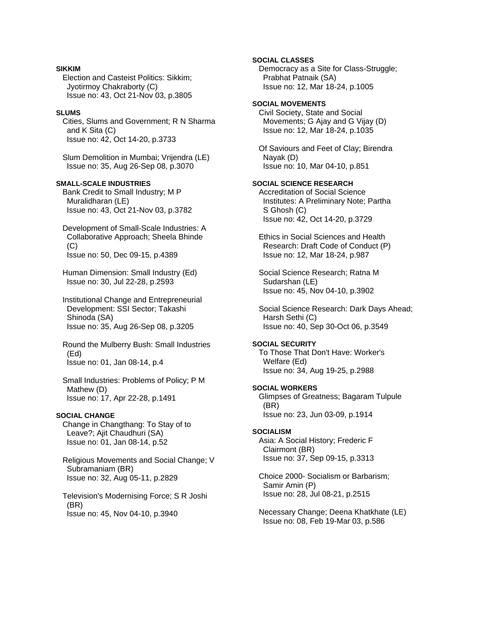### **SIKKIM**

 Election and Casteist Politics: Sikkim; Jyotirmoy Chakraborty (C) Issue no: 43, Oct 21-Nov 03, p.3805

### **SLUMS**

 Cities, Slums and Government; R N Sharma and K Sita (C) Issue no: 42, Oct 14-20, p.3733

 Slum Demolition in Mumbai; Vrijendra (LE) Issue no: 35, Aug 26-Sep 08, p.3070

# **SMALL-SCALE INDUSTRIES**

 Bank Credit to Small Industry; M P Muralidharan (LE) Issue no: 43, Oct 21-Nov 03, p.3782

 Development of Small-Scale Industries: A Collaborative Approach; Sheela Bhinde (C) Issue no: 50, Dec 09-15, p.4389

 Human Dimension: Small Industry (Ed) Issue no: 30, Jul 22-28, p.2593

 Institutional Change and Entrepreneurial Development: SSI Sector; Takashi Shinoda (SA) Issue no: 35, Aug 26-Sep 08, p.3205

 Round the Mulberry Bush: Small Industries (Ed) Issue no: 01, Jan 08-14, p.4

 Small Industries: Problems of Policy; P M Mathew (D) Issue no: 17, Apr 22-28, p.1491

# **SOCIAL CHANGE**

 Change in Changthang: To Stay of to Leave?; Ajit Chaudhuri (SA) Issue no: 01, Jan 08-14, p.52

 Religious Movements and Social Change; V Subramaniam (BR) Issue no: 32, Aug 05-11, p.2829

 Television's Modernising Force; S R Joshi (BR) Issue no: 45, Nov 04-10, p.3940

**SOCIAL CLASSES**  Democracy as a Site for Class-Struggle; Prabhat Patnaik (SA) Issue no: 12, Mar 18-24, p.1005

# **SOCIAL MOVEMENTS**

 Civil Society, State and Social Movements; G Ajay and G Vijay (D) Issue no: 12, Mar 18-24, p.1035

 Of Saviours and Feet of Clay; Birendra Nayak (D) Issue no: 10, Mar 04-10, p.851

# **SOCIAL SCIENCE RESEARCH**

 Accreditation of Social Science Institutes: A Preliminary Note; Partha S Ghosh (C) Issue no: 42, Oct 14-20, p.3729

 Ethics in Social Sciences and Health Research: Draft Code of Conduct (P) Issue no: 12, Mar 18-24, p.987

 Social Science Research; Ratna M Sudarshan (LE) Issue no: 45, Nov 04-10, p.3902

 Social Science Research: Dark Days Ahead; Harsh Sethi (C) Issue no: 40, Sep 30-Oct 06, p.3549

# **SOCIAL SECURITY**

 To Those That Don't Have: Worker's Welfare (Ed) Issue no: 34, Aug 19-25, p.2988

# **SOCIAL WORKERS**

 Glimpses of Greatness; Bagaram Tulpule (BR) Issue no: 23, Jun 03-09, p.1914

### **SOCIALISM**

 Asia: A Social History; Frederic F Clairmont (BR) Issue no: 37, Sep 09-15, p.3313

 Choice 2000- Socialism or Barbarism; Samir Amin (P) Issue no: 28, Jul 08-21, p.2515

 Necessary Change; Deena Khatkhate (LE) Issue no: 08, Feb 19-Mar 03, p.586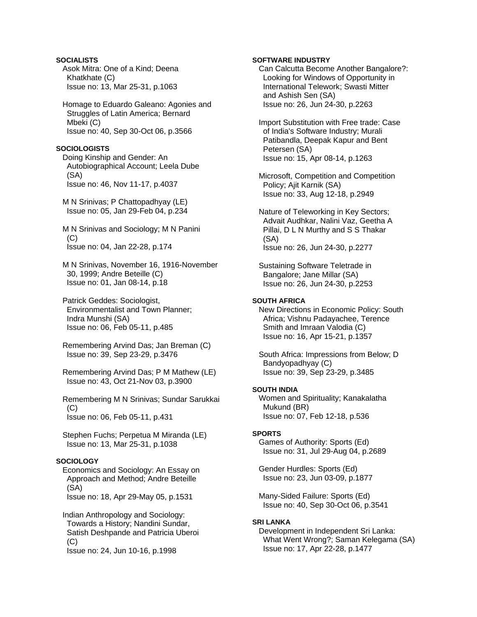**SOCIALISTS**  Asok Mitra: One of a Kind; Deena Khatkhate (C) Issue no: 13, Mar 25-31, p.1063 Homage to Eduardo Galeano: Agonies and Struggles of Latin America; Bernard Mbeki (C) Issue no: 40, Sep 30-Oct 06, p.3566 **SOCIOLOGISTS**  Doing Kinship and Gender: An Autobiographical Account; Leela Dube (SA) Issue no: 46, Nov 11-17, p.4037 M N Srinivas; P Chattopadhyay (LE) Issue no: 05, Jan 29-Feb 04, p.234 M N Srinivas and Sociology; M N Panini  $(C)$  Issue no: 04, Jan 22-28, p.174 M N Srinivas, November 16, 1916-November 30, 1999; Andre Beteille (C) Issue no: 01, Jan 08-14, p.18 Patrick Geddes: Sociologist, Environmentalist and Town Planner; Indra Munshi (SA) Issue no: 06, Feb 05-11, p.485 Remembering Arvind Das; Jan Breman (C) Issue no: 39, Sep 23-29, p.3476 Remembering Arvind Das; P M Mathew (LE) Issue no: 43, Oct 21-Nov 03, p.3900 Remembering M N Srinivas; Sundar Sarukkai  $(C)$  Issue no: 06, Feb 05-11, p.431 Stephen Fuchs; Perpetua M Miranda (LE) Issue no: 13, Mar 25-31, p.1038 **SOCIOLOGY**  Economics and Sociology: An Essay on Approach and Method; Andre Beteille (SA) Issue no: 18, Apr 29-May 05, p.1531 Indian Anthropology and Sociology: Towards a History; Nandini Sundar, Satish Deshpande and Patricia Uberoi  $(C)$ 

Issue no: 24, Jun 10-16, p.1998

### **SOFTWARE INDUSTRY**

 Can Calcutta Become Another Bangalore?: Looking for Windows of Opportunity in International Telework; Swasti Mitter and Ashish Sen (SA) Issue no: 26, Jun 24-30, p.2263

 Import Substitution with Free trade: Case of India's Software Industry; Murali Patibandla, Deepak Kapur and Bent Petersen (SA) Issue no: 15, Apr 08-14, p.1263

 Microsoft, Competition and Competition Policy; Ajit Karnik (SA) Issue no: 33, Aug 12-18, p.2949

 Nature of Teleworking in Key Sectors; Advait Audhkar, Nalini Vaz, Geetha A Pillai, D L N Murthy and S S Thakar (SA) Issue no: 26, Jun 24-30, p.2277

 Sustaining Software Teletrade in Bangalore; Jane Millar (SA) Issue no: 26, Jun 24-30, p.2253

# **SOUTH AFRICA**

 New Directions in Economic Policy: South Africa; Vishnu Padayachee, Terence Smith and Imraan Valodia (C) Issue no: 16, Apr 15-21, p.1357

 South Africa: Impressions from Below; D Bandyopadhyay (C) Issue no: 39, Sep 23-29, p.3485

# **SOUTH INDIA**

 Women and Spirituality; Kanakalatha Mukund (BR) Issue no: 07, Feb 12-18, p.536

# **SPORTS**

 Games of Authority: Sports (Ed) Issue no: 31, Jul 29-Aug 04, p.2689

 Gender Hurdles: Sports (Ed) Issue no: 23, Jun 03-09, p.1877

 Many-Sided Failure: Sports (Ed) Issue no: 40, Sep 30-Oct 06, p.3541

# **SRI LANKA**

 Development in Independent Sri Lanka: What Went Wrong?; Saman Kelegama (SA) Issue no: 17, Apr 22-28, p.1477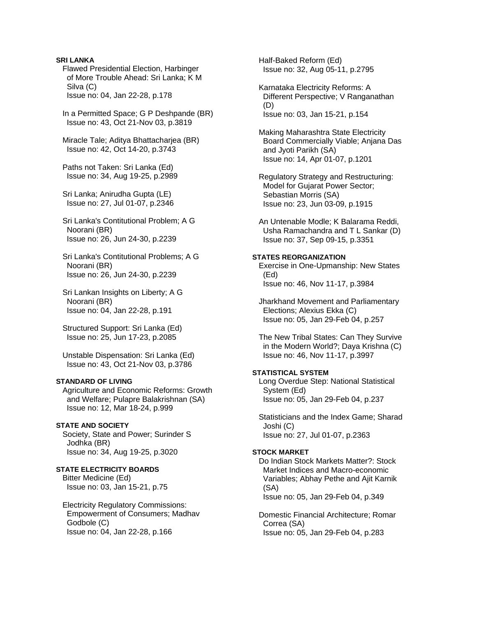# **SRI LANKA**

 Flawed Presidential Election, Harbinger of More Trouble Ahead: Sri Lanka; K M Silva (C) Issue no: 04, Jan 22-28, p.178

 In a Permitted Space; G P Deshpande (BR) Issue no: 43, Oct 21-Nov 03, p.3819

 Miracle Tale; Aditya Bhattacharjea (BR) Issue no: 42, Oct 14-20, p.3743

 Paths not Taken: Sri Lanka (Ed) Issue no: 34, Aug 19-25, p.2989

 Sri Lanka; Anirudha Gupta (LE) Issue no: 27, Jul 01-07, p.2346

 Sri Lanka's Contitutional Problem; A G Noorani (BR) Issue no: 26, Jun 24-30, p.2239

- Sri Lanka's Contitutional Problems; A G Noorani (BR) Issue no: 26, Jun 24-30, p.2239
- Sri Lankan Insights on Liberty; A G Noorani (BR) Issue no: 04, Jan 22-28, p.191

 Structured Support: Sri Lanka (Ed) Issue no: 25, Jun 17-23, p.2085

 Unstable Dispensation: Sri Lanka (Ed) Issue no: 43, Oct 21-Nov 03, p.3786

# **STANDARD OF LIVING**

 Agriculture and Economic Reforms: Growth and Welfare; Pulapre Balakrishnan (SA) Issue no: 12, Mar 18-24, p.999

#### **STATE AND SOCIETY**

 Society, State and Power; Surinder S Jodhka (BR) Issue no: 34, Aug 19-25, p.3020

# **STATE ELECTRICITY BOARDS**

 Bitter Medicine (Ed) Issue no: 03, Jan 15-21, p.75

 Electricity Regulatory Commissions: Empowerment of Consumers; Madhav Godbole (C) Issue no: 04, Jan 22-28, p.166

 Half-Baked Reform (Ed) Issue no: 32, Aug 05-11, p.2795

 Karnataka Electricity Reforms: A Different Perspective; V Ranganathan (D) Issue no: 03, Jan 15-21, p.154

 Making Maharashtra State Electricity Board Commercially Viable; Anjana Das and Jyoti Parikh (SA) Issue no: 14, Apr 01-07, p.1201

 Regulatory Strategy and Restructuring: Model for Gujarat Power Sector; Sebastian Morris (SA) Issue no: 23, Jun 03-09, p.1915

 An Untenable Modle; K Balarama Reddi, Usha Ramachandra and T L Sankar (D) Issue no: 37, Sep 09-15, p.3351

### **STATES REORGANIZATION**

 Exercise in One-Upmanship: New States (Ed) Issue no: 46, Nov 11-17, p.3984

 Jharkhand Movement and Parliamentary Elections; Alexius Ekka (C) Issue no: 05, Jan 29-Feb 04, p.257

 The New Tribal States: Can They Survive in the Modern World?; Daya Krishna (C) Issue no: 46, Nov 11-17, p.3997

# **STATISTICAL SYSTEM**

 Long Overdue Step: National Statistical System (Ed) Issue no: 05, Jan 29-Feb 04, p.237

 Statisticians and the Index Game; Sharad Joshi (C) Issue no: 27, Jul 01-07, p.2363

### **STOCK MARKET**

 Do Indian Stock Markets Matter?: Stock Market Indices and Macro-economic Variables; Abhay Pethe and Ajit Karnik (SA) Issue no: 05, Jan 29-Feb 04, p.349

 Domestic Financial Architecture; Romar Correa (SA) Issue no: 05, Jan 29-Feb 04, p.283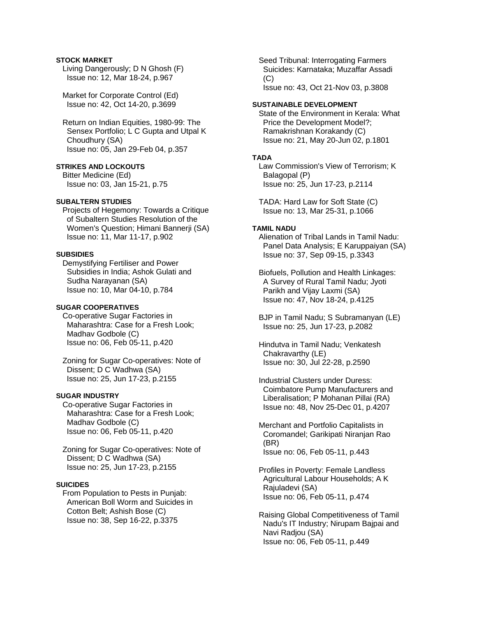# **STOCK MARKET**

 Living Dangerously; D N Ghosh (F) Issue no: 12, Mar 18-24, p.967

 Market for Corporate Control (Ed) Issue no: 42, Oct 14-20, p.3699

 Return on Indian Equities, 1980-99: The Sensex Portfolio; L C Gupta and Utpal K Choudhury (SA) Issue no: 05, Jan 29-Feb 04, p.357

# **STRIKES AND LOCKOUTS**

 Bitter Medicine (Ed) Issue no: 03, Jan 15-21, p.75

# **SUBALTERN STUDIES**

 Projects of Hegemony: Towards a Critique of Subaltern Studies Resolution of the Women's Question; Himani Bannerji (SA) Issue no: 11, Mar 11-17, p.902

# **SUBSIDIES**

 Demystifying Fertiliser and Power Subsidies in India; Ashok Gulati and Sudha Narayanan (SA) Issue no: 10, Mar 04-10, p.784

#### **SUGAR COOPERATIVES**

 Co-operative Sugar Factories in Maharashtra: Case for a Fresh Look; Madhav Godbole (C) Issue no: 06, Feb 05-11, p.420

 Zoning for Sugar Co-operatives: Note of Dissent; D C Wadhwa (SA) Issue no: 25, Jun 17-23, p.2155

# **SUGAR INDUSTRY**

 Co-operative Sugar Factories in Maharashtra: Case for a Fresh Look; Madhav Godbole (C) Issue no: 06, Feb 05-11, p.420

 Zoning for Sugar Co-operatives: Note of Dissent; D C Wadhwa (SA) Issue no: 25, Jun 17-23, p.2155

# **SUICIDES**

 From Population to Pests in Punjab: American Boll Worm and Suicides in Cotton Belt; Ashish Bose (C) Issue no: 38, Sep 16-22, p.3375

 Seed Tribunal: Interrogating Farmers Suicides: Karnataka; Muzaffar Assadi  $(C)$ Issue no: 43, Oct 21-Nov 03, p.3808

# **SUSTAINABLE DEVELOPMENT**

 State of the Environment in Kerala: What Price the Development Model?; Ramakrishnan Korakandy (C) Issue no: 21, May 20-Jun 02, p.1801

# **TADA**

 Law Commission's View of Terrorism; K Balagopal (P) Issue no: 25, Jun 17-23, p.2114

 TADA: Hard Law for Soft State (C) Issue no: 13, Mar 25-31, p.1066

#### **TAMIL NADU**

 Alienation of Tribal Lands in Tamil Nadu: Panel Data Analysis; E Karuppaiyan (SA) Issue no: 37, Sep 09-15, p.3343

 Biofuels, Pollution and Health Linkages: A Survey of Rural Tamil Nadu; Jyoti Parikh and Vijay Laxmi (SA) Issue no: 47, Nov 18-24, p.4125

 BJP in Tamil Nadu; S Subramanyan (LE) Issue no: 25, Jun 17-23, p.2082

 Hindutva in Tamil Nadu; Venkatesh Chakravarthy (LE) Issue no: 30, Jul 22-28, p.2590

 Industrial Clusters under Duress: Coimbatore Pump Manufacturers and Liberalisation; P Mohanan Pillai (RA) Issue no: 48, Nov 25-Dec 01, p.4207

 Merchant and Portfolio Capitalists in Coromandel; Garikipati Niranjan Rao (BR) Issue no: 06, Feb 05-11, p.443

 Profiles in Poverty: Female Landless Agricultural Labour Households; A K Rajuladevi (SA) Issue no: 06, Feb 05-11, p.474

 Raising Global Competitiveness of Tamil Nadu's IT Industry; Nirupam Bajpai and Navi Radjou (SA) Issue no: 06, Feb 05-11, p.449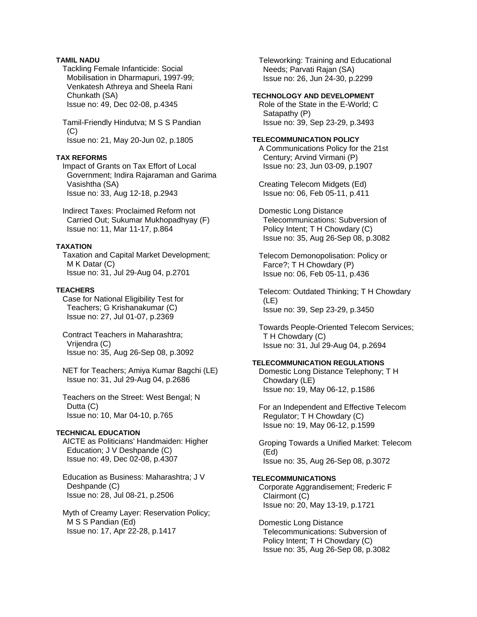# **TAMIL NADU**

 Tackling Female Infanticide: Social Mobilisation in Dharmapuri, 1997-99; Venkatesh Athreya and Sheela Rani Chunkath (SA) Issue no: 49, Dec 02-08, p.4345

 Tamil-Friendly Hindutva; M S S Pandian  $(C)$ Issue no: 21, May 20-Jun 02, p.1805

# **TAX REFORMS**

 Impact of Grants on Tax Effort of Local Government; Indira Rajaraman and Garima Vasishtha (SA) Issue no: 33, Aug 12-18, p.2943

 Indirect Taxes: Proclaimed Reform not Carried Out; Sukumar Mukhopadhyay (F) Issue no: 11, Mar 11-17, p.864

# **TAXATION**

 Taxation and Capital Market Development; M K Datar (C) Issue no: 31, Jul 29-Aug 04, p.2701

# **TEACHERS**

 Case for National Eligibility Test for Teachers; G Krishanakumar (C) Issue no: 27, Jul 01-07, p.2369

 Contract Teachers in Maharashtra; Vrijendra (C) Issue no: 35, Aug 26-Sep 08, p.3092

 NET for Teachers; Amiya Kumar Bagchi (LE) Issue no: 31, Jul 29-Aug 04, p.2686

 Teachers on the Street: West Bengal; N Dutta (C) Issue no: 10, Mar 04-10, p.765

# **TECHNICAL EDUCATION**

 AICTE as Politicians' Handmaiden: Higher Education; J V Deshpande (C) Issue no: 49, Dec 02-08, p.4307

 Education as Business: Maharashtra; J V Deshpande (C) Issue no: 28, Jul 08-21, p.2506

 Myth of Creamy Layer: Reservation Policy; M S S Pandian (Ed) Issue no: 17, Apr 22-28, p.1417

 Teleworking: Training and Educational Needs; Parvati Rajan (SA) Issue no: 26, Jun 24-30, p.2299

# **TECHNOLOGY AND DEVELOPMENT**

 Role of the State in the E-World; C Satapathy (P) Issue no: 39, Sep 23-29, p.3493

# **TELECOMMUNICATION POLICY**

 A Communications Policy for the 21st Century; Arvind Virmani (P) Issue no: 23, Jun 03-09, p.1907

 Creating Telecom Midgets (Ed) Issue no: 06, Feb 05-11, p.411

 Domestic Long Distance Telecommunications: Subversion of Policy Intent; T H Chowdary (C) Issue no: 35, Aug 26-Sep 08, p.3082

 Telecom Demonopolisation: Policy or Farce?; T H Chowdary (P) Issue no: 06, Feb 05-11, p.436

 Telecom: Outdated Thinking; T H Chowdary (LE) Issue no: 39, Sep 23-29, p.3450

 Towards People-Oriented Telecom Services; T H Chowdary (C) Issue no: 31, Jul 29-Aug 04, p.2694

# **TELECOMMUNICATION REGULATIONS**

 Domestic Long Distance Telephony; T H Chowdary (LE) Issue no: 19, May 06-12, p.1586

 For an Independent and Effective Telecom Regulator; T H Chowdary (C) Issue no: 19, May 06-12, p.1599

 Groping Towards a Unified Market: Telecom (Ed) Issue no: 35, Aug 26-Sep 08, p.3072

### **TELECOMMUNICATIONS**

 Corporate Aggrandisement; Frederic F Clairmont (C) Issue no: 20, May 13-19, p.1721

 Domestic Long Distance Telecommunications: Subversion of Policy Intent; T H Chowdary (C) Issue no: 35, Aug 26-Sep 08, p.3082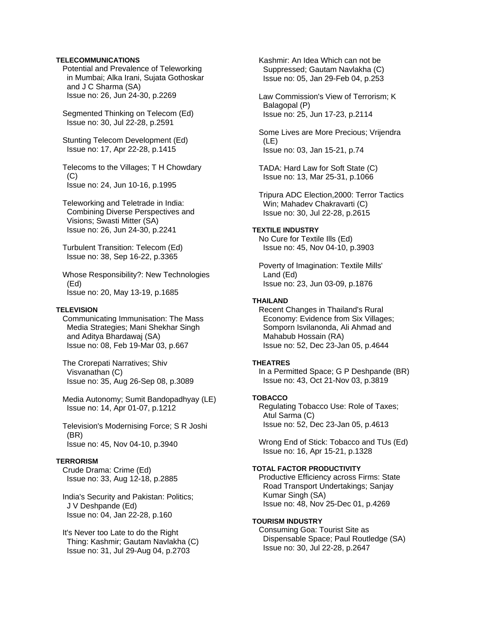# **TELECOMMUNICATIONS**

 Potential and Prevalence of Teleworking in Mumbai; Alka Irani, Sujata Gothoskar and J C Sharma (SA) Issue no: 26, Jun 24-30, p.2269

 Segmented Thinking on Telecom (Ed) Issue no: 30, Jul 22-28, p.2591

 Stunting Telecom Development (Ed) Issue no: 17, Apr 22-28, p.1415

 Telecoms to the Villages; T H Chowdary (C) Issue no: 24, Jun 10-16, p.1995

 Teleworking and Teletrade in India: Combining Diverse Perspectives and Visions; Swasti Mitter (SA) Issue no: 26, Jun 24-30, p.2241

 Turbulent Transition: Telecom (Ed) Issue no: 38, Sep 16-22, p.3365

 Whose Responsibility?: New Technologies (Ed) Issue no: 20, May 13-19, p.1685

### **TELEVISION**

 Communicating Immunisation: The Mass Media Strategies; Mani Shekhar Singh and Aditya Bhardawaj (SA) Issue no: 08, Feb 19-Mar 03, p.667

 The Crorepati Narratives; Shiv Visvanathan (C) Issue no: 35, Aug 26-Sep 08, p.3089

 Media Autonomy; Sumit Bandopadhyay (LE) Issue no: 14, Apr 01-07, p.1212

 Television's Modernising Force; S R Joshi (BR) Issue no: 45, Nov 04-10, p.3940

### **TERRORISM**

 Crude Drama: Crime (Ed) Issue no: 33, Aug 12-18, p.2885

 India's Security and Pakistan: Politics; J V Deshpande (Ed) Issue no: 04, Jan 22-28, p.160

 It's Never too Late to do the Right Thing: Kashmir; Gautam Navlakha (C) Issue no: 31, Jul 29-Aug 04, p.2703

 Kashmir: An Idea Which can not be Suppressed; Gautam Navlakha (C) Issue no: 05, Jan 29-Feb 04, p.253

 Law Commission's View of Terrorism; K Balagopal (P) Issue no: 25, Jun 17-23, p.2114

 Some Lives are More Precious; Vrijendra (LE) Issue no: 03, Jan 15-21, p.74

 TADA: Hard Law for Soft State (C) Issue no: 13, Mar 25-31, p.1066

 Tripura ADC Election,2000: Terror Tactics Win; Mahadev Chakravarti (C) Issue no: 30, Jul 22-28, p.2615

# **TEXTILE INDUSTRY**

 No Cure for Textile Ills (Ed) Issue no: 45, Nov 04-10, p.3903

 Poverty of Imagination: Textile Mills' Land (Ed) Issue no: 23, Jun 03-09, p.1876

# **THAILAND**

 Recent Changes in Thailand's Rural Economy: Evidence from Six Villages; Somporn Isvilanonda, Ali Ahmad and Mahabub Hossain (RA) Issue no: 52, Dec 23-Jan 05, p.4644

### **THEATRES**

 In a Permitted Space; G P Deshpande (BR) Issue no: 43, Oct 21-Nov 03, p.3819

# **TOBACCO**

 Regulating Tobacco Use: Role of Taxes; Atul Sarma (C) Issue no: 52, Dec 23-Jan 05, p.4613

 Wrong End of Stick: Tobacco and TUs (Ed) Issue no: 16, Apr 15-21, p.1328

# **TOTAL FACTOR PRODUCTIVITY**

 Productive Efficiency across Firms: State Road Transport Undertakings; Sanjay Kumar Singh (SA) Issue no: 48, Nov 25-Dec 01, p.4269

### **TOURISM INDUSTRY**

 Consuming Goa: Tourist Site as Dispensable Space; Paul Routledge (SA) Issue no: 30, Jul 22-28, p.2647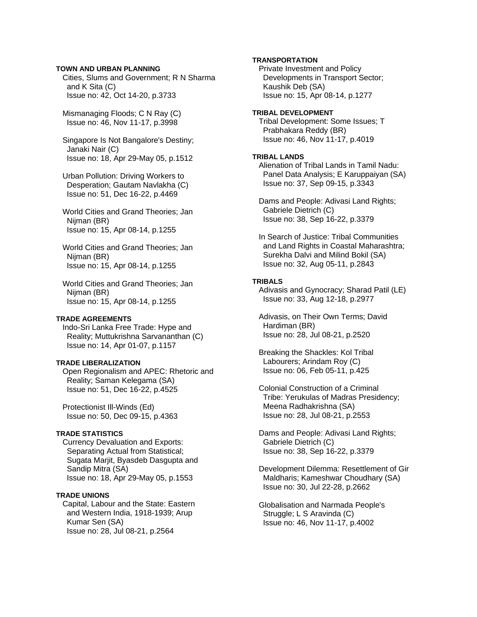# **TOWN AND URBAN PLANNING**

 Cities, Slums and Government; R N Sharma and K Sita (C) Issue no: 42, Oct 14-20, p.3733

 Mismanaging Floods; C N Ray (C) Issue no: 46, Nov 11-17, p.3998

 Singapore Is Not Bangalore's Destiny; Janaki Nair (C) Issue no: 18, Apr 29-May 05, p.1512

 Urban Pollution: Driving Workers to Desperation; Gautam Navlakha (C) Issue no: 51, Dec 16-22, p.4469

 World Cities and Grand Theories; Jan Niiman (BR) Issue no: 15, Apr 08-14, p.1255

 World Cities and Grand Theories; Jan Nijman (BR) Issue no: 15, Apr 08-14, p.1255

 World Cities and Grand Theories; Jan Nijman (BR) Issue no: 15, Apr 08-14, p.1255

#### **TRADE AGREEMENTS**

 Indo-Sri Lanka Free Trade: Hype and Reality; Muttukrishna Sarvananthan (C) Issue no: 14, Apr 01-07, p.1157

#### **TRADE LIBERALIZATION**

 Open Regionalism and APEC: Rhetoric and Reality; Saman Kelegama (SA) Issue no: 51, Dec 16-22, p.4525

 Protectionist Ill-Winds (Ed) Issue no: 50, Dec 09-15, p.4363

# **TRADE STATISTICS**

 Currency Devaluation and Exports: Separating Actual from Statistical; Sugata Marjit, Byasdeb Dasgupta and Sandip Mitra (SA) Issue no: 18, Apr 29-May 05, p.1553

#### **TRADE UNIONS**

 Capital, Labour and the State: Eastern and Western India, 1918-1939; Arup Kumar Sen (SA) Issue no: 28, Jul 08-21, p.2564

# **TRANSPORTATION**

 Private Investment and Policy Developments in Transport Sector; Kaushik Deb (SA) Issue no: 15, Apr 08-14, p.1277

#### **TRIBAL DEVELOPMENT**

 Tribal Development: Some Issues; T Prabhakara Reddy (BR) Issue no: 46, Nov 11-17, p.4019

#### **TRIBAL LANDS**

 Alienation of Tribal Lands in Tamil Nadu: Panel Data Analysis; E Karuppaiyan (SA) Issue no: 37, Sep 09-15, p.3343

 Dams and People: Adivasi Land Rights; Gabriele Dietrich (C) Issue no: 38, Sep 16-22, p.3379

 In Search of Justice: Tribal Communities and Land Rights in Coastal Maharashtra; Surekha Dalvi and Milind Bokil (SA) Issue no: 32, Aug 05-11, p.2843

#### **TRIBALS**

 Adivasis and Gynocracy; Sharad Patil (LE) Issue no: 33, Aug 12-18, p.2977

 Adivasis, on Their Own Terms; David Hardiman (BR) Issue no: 28, Jul 08-21, p.2520

 Breaking the Shackles: Kol Tribal Labourers; Arindam Roy (C) Issue no: 06, Feb 05-11, p.425

 Colonial Construction of a Criminal Tribe: Yerukulas of Madras Presidency; Meena Radhakrishna (SA) Issue no: 28, Jul 08-21, p.2553

 Dams and People: Adivasi Land Rights; Gabriele Dietrich (C) Issue no: 38, Sep 16-22, p.3379

 Development Dilemma: Resettlement of Gir Maldharis; Kameshwar Choudhary (SA) Issue no: 30, Jul 22-28, p.2662

 Globalisation and Narmada People's Struggle; L S Aravinda (C) Issue no: 46, Nov 11-17, p.4002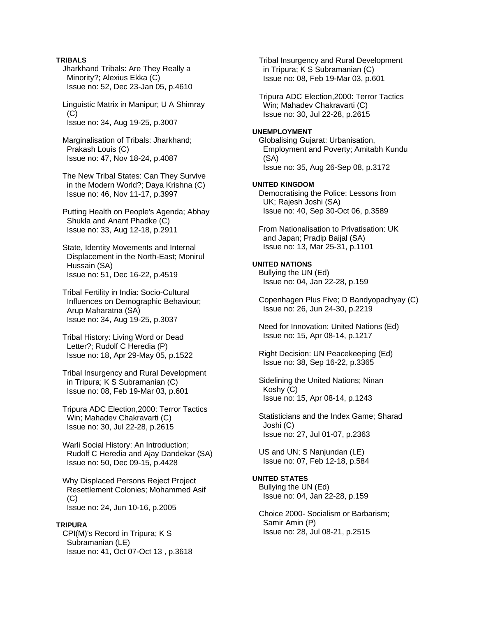# **TRIBALS**

 Jharkhand Tribals: Are They Really a Minority?; Alexius Ekka (C) Issue no: 52, Dec 23-Jan 05, p.4610

 Linguistic Matrix in Manipur; U A Shimray  $(C)$ Issue no: 34, Aug 19-25, p.3007

 Marginalisation of Tribals: Jharkhand; Prakash Louis (C) Issue no: 47, Nov 18-24, p.4087

 The New Tribal States: Can They Survive in the Modern World?; Daya Krishna (C) Issue no: 46, Nov 11-17, p.3997

 Putting Health on People's Agenda; Abhay Shukla and Anant Phadke (C) Issue no: 33, Aug 12-18, p.2911

 State, Identity Movements and Internal Displacement in the North-East; Monirul Hussain (SA) Issue no: 51, Dec 16-22, p.4519

 Tribal Fertility in India: Socio-Cultural Influences on Demographic Behaviour; Arup Maharatna (SA) Issue no: 34, Aug 19-25, p.3037

 Tribal History: Living Word or Dead Letter?; Rudolf C Heredia (P) Issue no: 18, Apr 29-May 05, p.1522

 Tribal Insurgency and Rural Development in Tripura; K S Subramanian (C) Issue no: 08, Feb 19-Mar 03, p.601

 Tripura ADC Election,2000: Terror Tactics Win; Mahadev Chakravarti (C) Issue no: 30, Jul 22-28, p.2615

 Warli Social History: An Introduction; Rudolf C Heredia and Ajay Dandekar (SA) Issue no: 50, Dec 09-15, p.4428

 Why Displaced Persons Reject Project Resettlement Colonies; Mohammed Asif  $(C)$ Issue no: 24, Jun 10-16, p.2005

#### **TRIPURA**

 CPI(M)'s Record in Tripura; K S Subramanian (LE) Issue no: 41, Oct 07-Oct 13 , p.3618  Tribal Insurgency and Rural Development in Tripura; K S Subramanian (C) Issue no: 08, Feb 19-Mar 03, p.601

 Tripura ADC Election,2000: Terror Tactics Win; Mahadev Chakravarti (C) Issue no: 30, Jul 22-28, p.2615

#### **UNEMPLOYMENT**

 Globalising Gujarat: Urbanisation, Employment and Poverty; Amitabh Kundu (SA) Issue no: 35, Aug 26-Sep 08, p.3172

### **UNITED KINGDOM**

 Democratising the Police: Lessons from UK; Rajesh Joshi (SA) Issue no: 40, Sep 30-Oct 06, p.3589

 From Nationalisation to Privatisation: UK and Japan; Pradip Baijal (SA) Issue no: 13, Mar 25-31, p.1101

#### **UNITED NATIONS**

 Bullying the UN (Ed) Issue no: 04, Jan 22-28, p.159

 Copenhagen Plus Five; D Bandyopadhyay (C) Issue no: 26, Jun 24-30, p.2219

 Need for Innovation: United Nations (Ed) Issue no: 15, Apr 08-14, p.1217

 Right Decision: UN Peacekeeping (Ed) Issue no: 38, Sep 16-22, p.3365

 Sidelining the United Nations; Ninan Koshy (C) Issue no: 15, Apr 08-14, p.1243

 Statisticians and the Index Game; Sharad Joshi (C) Issue no: 27, Jul 01-07, p.2363

 US and UN; S Nanjundan (LE) Issue no: 07, Feb 12-18, p.584

#### **UNITED STATES**

 Bullying the UN (Ed) Issue no: 04, Jan 22-28, p.159

 Choice 2000- Socialism or Barbarism; Samir Amin (P) Issue no: 28, Jul 08-21, p.2515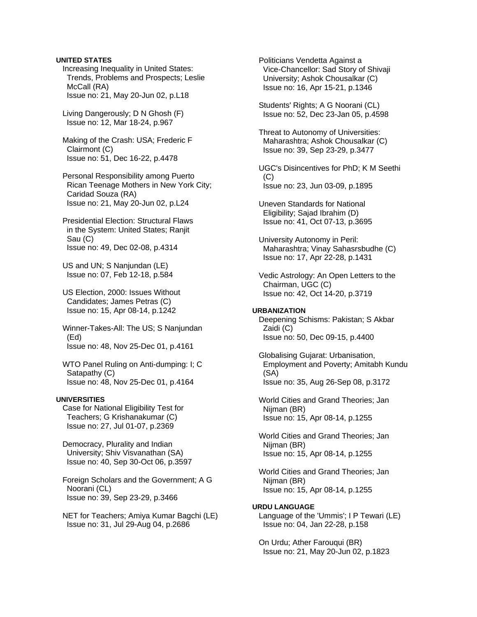### **UNITED STATES**

 Increasing Inequality in United States: Trends, Problems and Prospects; Leslie McCall (RA) Issue no: 21, May 20-Jun 02, p.L18

 Living Dangerously; D N Ghosh (F) Issue no: 12, Mar 18-24, p.967

 Making of the Crash: USA; Frederic F Clairmont (C) Issue no: 51, Dec 16-22, p.4478

 Personal Responsibility among Puerto Rican Teenage Mothers in New York City; Caridad Souza (RA) Issue no: 21, May 20-Jun 02, p.L24

 Presidential Election: Structural Flaws in the System: United States; Ranjit Sau (C) Issue no: 49, Dec 02-08, p.4314

 US and UN; S Nanjundan (LE) Issue no: 07, Feb 12-18, p.584

 US Election, 2000: Issues Without Candidates; James Petras (C) Issue no: 15, Apr 08-14, p.1242

 Winner-Takes-All: The US; S Nanjundan (Ed) Issue no: 48, Nov 25-Dec 01, p.4161

 WTO Panel Ruling on Anti-dumping: I; C Satapathy (C) Issue no: 48, Nov 25-Dec 01, p.4164

### **UNIVERSITIES**

 Case for National Eligibility Test for Teachers; G Krishanakumar (C) Issue no: 27, Jul 01-07, p.2369

 Democracy, Plurality and Indian University; Shiv Visvanathan (SA) Issue no: 40, Sep 30-Oct 06, p.3597

 Foreign Scholars and the Government; A G Noorani (CL) Issue no: 39, Sep 23-29, p.3466

 NET for Teachers; Amiya Kumar Bagchi (LE) Issue no: 31, Jul 29-Aug 04, p.2686

 Politicians Vendetta Against a Vice-Chancellor: Sad Story of Shivaji University; Ashok Chousalkar (C) Issue no: 16, Apr 15-21, p.1346

 Students' Rights; A G Noorani (CL) Issue no: 52, Dec 23-Jan 05, p.4598

 Threat to Autonomy of Universities: Maharashtra; Ashok Chousalkar (C) Issue no: 39, Sep 23-29, p.3477

 UGC's Disincentives for PhD; K M Seethi (C) Issue no: 23, Jun 03-09, p.1895

 Uneven Standards for National Eligibility; Sajad Ibrahim (D) Issue no: 41, Oct 07-13, p.3695

 University Autonomy in Peril: Maharashtra; Vinay Sahasrsbudhe (C) Issue no: 17, Apr 22-28, p.1431

 Vedic Astrology: An Open Letters to the Chairman, UGC (C) Issue no: 42, Oct 14-20, p.3719

#### **URBANIZATION**

 Deepening Schisms: Pakistan; S Akbar Zaidi (C) Issue no: 50, Dec 09-15, p.4400

 Globalising Gujarat: Urbanisation, Employment and Poverty; Amitabh Kundu (SA) Issue no: 35, Aug 26-Sep 08, p.3172

 World Cities and Grand Theories; Jan Nijman (BR) Issue no: 15, Apr 08-14, p.1255

 World Cities and Grand Theories; Jan Nijman (BR) Issue no: 15, Apr 08-14, p.1255

 World Cities and Grand Theories; Jan Nijman (BR) Issue no: 15, Apr 08-14, p.1255

### **URDU LANGUAGE**

 Language of the 'Ummis'; I P Tewari (LE) Issue no: 04, Jan 22-28, p.158

 On Urdu; Ather Farouqui (BR) Issue no: 21, May 20-Jun 02, p.1823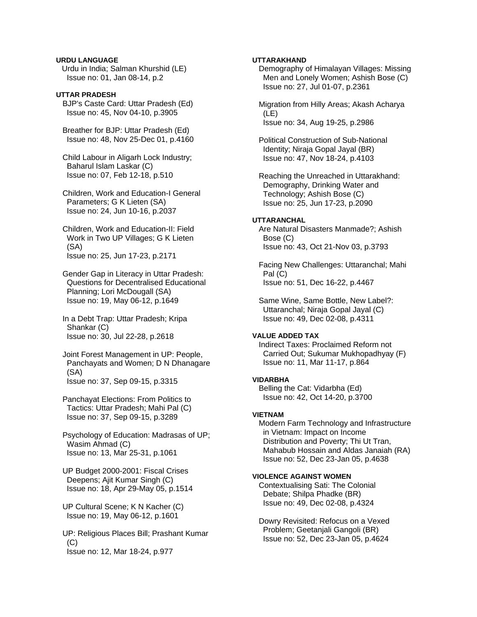# **URDU LANGUAGE**

Urdu in India; Salman Khurshid (LE) Issue no: 01, Jan 08-14, p.2

# **UTTAR PRADESH**

 BJP's Caste Card: Uttar Pradesh (Ed) Issue no: 45, Nov 04-10, p.3905

 Breather for BJP: Uttar Pradesh (Ed) Issue no: 48, Nov 25-Dec 01, p.4160

 Child Labour in Aligarh Lock Industry; Baharul Islam Laskar (C) Issue no: 07, Feb 12-18, p.510

 Children, Work and Education-I General Parameters; G K Lieten (SA) Issue no: 24, Jun 10-16, p.2037

 Children, Work and Education-II: Field Work in Two UP Villages; G K Lieten (SA) Issue no: 25, Jun 17-23, p.2171

 Gender Gap in Literacy in Uttar Pradesh: Questions for Decentralised Educational Planning; Lori McDougall (SA) Issue no: 19, May 06-12, p.1649

 In a Debt Trap: Uttar Pradesh; Kripa Shankar (C) Issue no: 30, Jul 22-28, p.2618

 Joint Forest Management in UP: People, Panchayats and Women; D N Dhanagare (SA) Issue no: 37, Sep 09-15, p.3315

 Panchayat Elections: From Politics to Tactics: Uttar Pradesh; Mahi Pal (C) Issue no: 37, Sep 09-15, p.3289

 Psychology of Education: Madrasas of UP; Wasim Ahmad (C) Issue no: 13, Mar 25-31, p.1061

 UP Budget 2000-2001: Fiscal Crises Deepens; Ajit Kumar Singh (C) Issue no: 18, Apr 29-May 05, p.1514

 UP Cultural Scene; K N Kacher (C) Issue no: 19, May 06-12, p.1601

 UP: Religious Places Bill; Prashant Kumar (C) Issue no: 12, Mar 18-24, p.977

# **UTTARAKHAND**

 Demography of Himalayan Villages: Missing Men and Lonely Women; Ashish Bose (C) Issue no: 27, Jul 01-07, p.2361

 Migration from Hilly Areas; Akash Acharya (LE) Issue no: 34, Aug 19-25, p.2986

 Political Construction of Sub-National Identity; Niraja Gopal Jayal (BR) Issue no: 47, Nov 18-24, p.4103

 Reaching the Unreached in Uttarakhand: Demography, Drinking Water and Technology; Ashish Bose (C) Issue no: 25, Jun 17-23, p.2090

# **UTTARANCHAL**

 Are Natural Disasters Manmade?; Ashish Bose (C) Issue no: 43, Oct 21-Nov 03, p.3793

 Facing New Challenges: Uttaranchal; Mahi Pal (C) Issue no: 51, Dec 16-22, p.4467

 Same Wine, Same Bottle, New Label?: Uttaranchal; Niraja Gopal Jayal (C) Issue no: 49, Dec 02-08, p.4311

# **VALUE ADDED TAX**

 Indirect Taxes: Proclaimed Reform not Carried Out; Sukumar Mukhopadhyay (F) Issue no: 11, Mar 11-17, p.864

#### **VIDARBHA**

 Belling the Cat: Vidarbha (Ed) Issue no: 42, Oct 14-20, p.3700

#### **VIETNAM**

 Modern Farm Technology and Infrastructure in Vietnam: Impact on Income Distribution and Poverty; Thi Ut Tran, Mahabub Hossain and Aldas Janaiah (RA) Issue no: 52, Dec 23-Jan 05, p.4638

# **VIOLENCE AGAINST WOMEN**

 Contextualising Sati: The Colonial Debate; Shilpa Phadke (BR) Issue no: 49, Dec 02-08, p.4324

 Dowry Revisited: Refocus on a Vexed Problem; Geetanjali Gangoli (BR) Issue no: 52, Dec 23-Jan 05, p.4624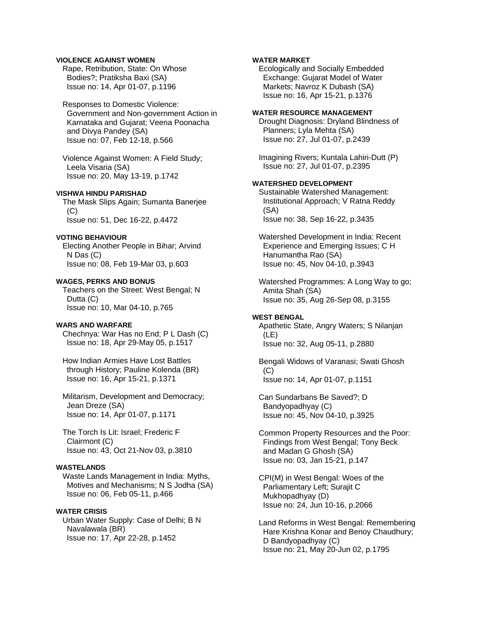### **VIOLENCE AGAINST WOMEN**

 Rape, Retribution, State: On Whose Bodies?; Pratiksha Baxi (SA) Issue no: 14, Apr 01-07, p.1196

 Responses to Domestic Violence: Government and Non-government Action in Karnataka and Gujarat; Veena Poonacha and Divya Pandey (SA) Issue no: 07, Feb 12-18, p.566

 Violence Against Women: A Field Study; Leela Visaria (SA) Issue no: 20, May 13-19, p.1742

### **VISHWA HINDU PARISHAD**

 The Mask Slips Again; Sumanta Banerjee  $(C)$ Issue no: 51, Dec 16-22, p.4472

# **VOTING BEHAVIOUR**

 Electing Another People in Bihar; Arvind N Das (C) Issue no: 08, Feb 19-Mar 03, p.603

#### **WAGES, PERKS AND BONUS**

 Teachers on the Street: West Bengal; N Dutta (C) Issue no: 10, Mar 04-10, p.765

### **WARS AND WARFARE**

 Chechnya: War Has no End; P L Dash (C) Issue no: 18, Apr 29-May 05, p.1517

 How Indian Armies Have Lost Battles through History; Pauline Kolenda (BR) Issue no: 16, Apr 15-21, p.1371

 Militarism, Development and Democracy; Jean Dreze (SA) Issue no: 14, Apr 01-07, p.1171

 The Torch Is Lit: Israel; Frederic F Clairmont (C) Issue no: 43, Oct 21-Nov 03, p.3810

# **WASTELANDS**

 Waste Lands Management in India: Myths, Motives and Mechanisms; N S Jodha (SA) Issue no: 06, Feb 05-11, p.466

# **WATER CRISIS**

 Urban Water Supply: Case of Delhi; B N Navalawala (BR) Issue no: 17, Apr 22-28, p.1452

# **WATER MARKET**

 Ecologically and Socially Embedded Exchange: Gujarat Model of Water Markets; Navroz K Dubash (SA) Issue no: 16, Apr 15-21, p.1376

#### **WATER RESOURCE MANAGEMENT**

 Drought Diagnosis: Dryland Blindness of Planners; Lyla Mehta (SA) Issue no: 27, Jul 01-07, p.2439

 Imagining Rivers; Kuntala Lahiri-Dutt (P) Issue no: 27, Jul 01-07, p.2395

# **WATERSHED DEVELOPMENT**

 Sustainable Watershed Management: Institutional Approach; V Ratna Reddy (SA) Issue no: 38, Sep 16-22, p.3435

 Watershed Development in India: Recent Experience and Emerging Issues; C H Hanumantha Rao (SA) Issue no: 45, Nov 04-10, p.3943

 Watershed Programmes: A Long Way to go; Amita Shah (SA) Issue no: 35, Aug 26-Sep 08, p.3155

#### **WEST BENGAL**

 Apathetic State, Angry Waters; S Nilanjan (LE) Issue no: 32, Aug 05-11, p.2880

 Bengali Widows of Varanasi; Swati Ghosh (C) Issue no: 14, Apr 01-07, p.1151

 Can Sundarbans Be Saved?; D Bandyopadhyay (C) Issue no: 45, Nov 04-10, p.3925

 Common Property Resources and the Poor: Findings from West Bengal; Tony Beck and Madan G Ghosh (SA) Issue no: 03, Jan 15-21, p.147

 CPI(M) in West Bengal: Woes of the Parliamentary Left; Surajit C Mukhopadhyay (D) Issue no: 24, Jun 10-16, p.2066

 Land Reforms in West Bengal: Remembering Hare Krishna Konar and Benoy Chaudhury; D Bandyopadhyay (C) Issue no: 21, May 20-Jun 02, p.1795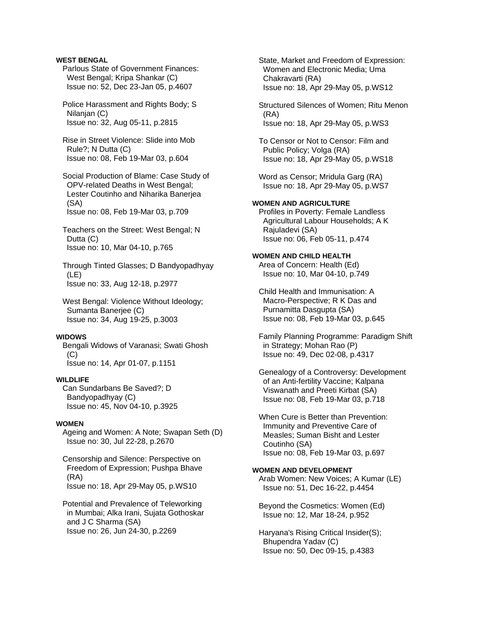# **WEST BENGAL**

 Parlous State of Government Finances: West Bengal; Kripa Shankar (C) Issue no: 52, Dec 23-Jan 05, p.4607

 Police Harassment and Rights Body; S Nilanian (C) Issue no: 32, Aug 05-11, p.2815

 Rise in Street Violence: Slide into Mob Rule?; N Dutta (C) Issue no: 08, Feb 19-Mar 03, p.604

 Social Production of Blame: Case Study of OPV-related Deaths in West Bengal; Lester Coutinho and Niharika Banerjea (SA) Issue no: 08, Feb 19-Mar 03, p.709

 Teachers on the Street: West Bengal; N Dutta (C) Issue no: 10, Mar 04-10, p.765

 Through Tinted Glasses; D Bandyopadhyay (LE) Issue no: 33, Aug 12-18, p.2977

 West Bengal: Violence Without Ideology; Sumanta Banerjee (C) Issue no: 34, Aug 19-25, p.3003

### **WIDOWS**

 Bengali Widows of Varanasi; Swati Ghosh  $(C)$ 

Issue no: 14, Apr 01-07, p.1151

# **WILDLIFE**

 Can Sundarbans Be Saved?; D Bandyopadhyay (C) Issue no: 45, Nov 04-10, p.3925

### **WOMEN**

 Ageing and Women: A Note; Swapan Seth (D) Issue no: 30, Jul 22-28, p.2670

 Censorship and Silence: Perspective on Freedom of Expression; Pushpa Bhave (RA) Issue no: 18, Apr 29-May 05, p.WS10

 Potential and Prevalence of Teleworking in Mumbai; Alka Irani, Sujata Gothoskar and J C Sharma (SA) Issue no: 26, Jun 24-30, p.2269

 State, Market and Freedom of Expression: Women and Electronic Media; Uma Chakravarti (RA) Issue no: 18, Apr 29-May 05, p.WS12

 Structured Silences of Women; Ritu Menon (RA) Issue no: 18, Apr 29-May 05, p.WS3

 To Censor or Not to Censor: Film and Public Policy; Volga (RA) Issue no: 18, Apr 29-May 05, p.WS18

 Word as Censor; Mridula Garg (RA) Issue no: 18, Apr 29-May 05, p.WS7

# **WOMEN AND AGRICULTURE**

 Profiles in Poverty: Female Landless Agricultural Labour Households; A K Rajuladevi (SA) Issue no: 06, Feb 05-11, p.474

#### **WOMEN AND CHILD HEALTH**  Area of Concern: Health (Ed)

Issue no: 10, Mar 04-10, p.749

 Child Health and Immunisation: A Macro-Perspective; R K Das and Purnamitta Dasgupta (SA) Issue no: 08, Feb 19-Mar 03, p.645

 Family Planning Programme: Paradigm Shift in Strategy; Mohan Rao (P) Issue no: 49, Dec 02-08, p.4317

 Genealogy of a Controversy: Development of an Anti-fertility Vaccine; Kalpana Viswanath and Preeti Kirbat (SA) Issue no: 08, Feb 19-Mar 03, p.718

 When Cure is Better than Prevention: Immunity and Preventive Care of Measles; Suman Bisht and Lester Coutinho (SA) Issue no: 08, Feb 19-Mar 03, p.697

### **WOMEN AND DEVELOPMENT**

 Arab Women: New Voices; A Kumar (LE) Issue no: 51, Dec 16-22, p.4454

 Beyond the Cosmetics: Women (Ed) Issue no: 12, Mar 18-24, p.952

 Haryana's Rising Critical Insider(S); Bhupendra Yadav (C) Issue no: 50, Dec 09-15, p.4383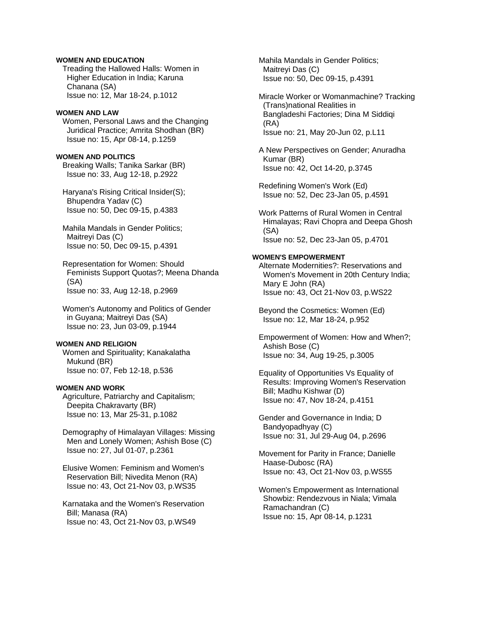# **WOMEN AND EDUCATION**

 Treading the Hallowed Halls: Women in Higher Education in India; Karuna Chanana (SA) Issue no: 12, Mar 18-24, p.1012

#### **WOMEN AND LAW**

 Women, Personal Laws and the Changing Juridical Practice; Amrita Shodhan (BR) Issue no: 15, Apr 08-14, p.1259

# **WOMEN AND POLITICS**

 Breaking Walls; Tanika Sarkar (BR) Issue no: 33, Aug 12-18, p.2922

 Haryana's Rising Critical Insider(S); Bhupendra Yadav (C) Issue no: 50, Dec 09-15, p.4383

 Mahila Mandals in Gender Politics; Maitreyi Das (C) Issue no: 50, Dec 09-15, p.4391

 Representation for Women: Should Feminists Support Quotas?; Meena Dhanda (SA) Issue no: 33, Aug 12-18, p.2969

 Women's Autonomy and Politics of Gender in Guyana; Maitreyi Das (SA) Issue no: 23, Jun 03-09, p.1944

# **WOMEN AND RELIGION**

 Women and Spirituality; Kanakalatha Mukund (BR) Issue no: 07, Feb 12-18, p.536

# **WOMEN AND WORK**

 Agriculture, Patriarchy and Capitalism; Deepita Chakravarty (BR) Issue no: 13, Mar 25-31, p.1082

 Demography of Himalayan Villages: Missing Men and Lonely Women; Ashish Bose (C) Issue no: 27, Jul 01-07, p.2361

 Elusive Women: Feminism and Women's Reservation Bill; Nivedita Menon (RA) Issue no: 43, Oct 21-Nov 03, p.WS35

 Karnataka and the Women's Reservation Bill; Manasa (RA) Issue no: 43, Oct 21-Nov 03, p.WS49

 Mahila Mandals in Gender Politics; Maitreyi Das (C) Issue no: 50, Dec 09-15, p.4391

 Miracle Worker or Womanmachine? Tracking (Trans)national Realities in Bangladeshi Factories; Dina M Siddiqi (RA) Issue no: 21, May 20-Jun 02, p.L11

 A New Perspectives on Gender; Anuradha Kumar (BR) Issue no: 42, Oct 14-20, p.3745

 Redefining Women's Work (Ed) Issue no: 52, Dec 23-Jan 05, p.4591

 Work Patterns of Rural Women in Central Himalayas; Ravi Chopra and Deepa Ghosh (SA) Issue no: 52, Dec 23-Jan 05, p.4701

#### **WOMEN'S EMPOWERMENT**

 Alternate Modernities?: Reservations and Women's Movement in 20th Century India; Mary E John (RA) Issue no: 43, Oct 21-Nov 03, p.WS22

 Beyond the Cosmetics: Women (Ed) Issue no: 12, Mar 18-24, p.952

 Empowerment of Women: How and When?; Ashish Bose (C) Issue no: 34, Aug 19-25, p.3005

 Equality of Opportunities Vs Equality of Results: Improving Women's Reservation Bill; Madhu Kishwar (D) Issue no: 47, Nov 18-24, p.4151

 Gender and Governance in India; D Bandyopadhyay (C) Issue no: 31, Jul 29-Aug 04, p.2696

 Movement for Parity in France; Danielle Haase-Dubosc (RA) Issue no: 43, Oct 21-Nov 03, p.WS55

 Women's Empowerment as International Showbiz: Rendezvous in Niala; Vimala Ramachandran (C) Issue no: 15, Apr 08-14, p.1231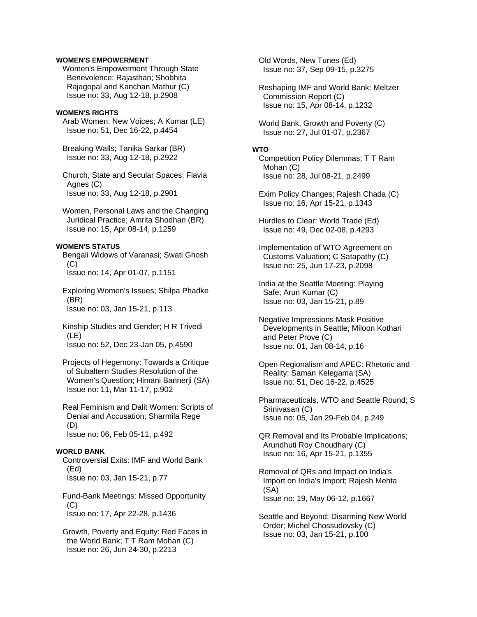# **WOMEN'S EMPOWERMENT**

 Women's Empowerment Through State Benevolence: Rajasthan; Shobhita Rajagopal and Kanchan Mathur (C) Issue no: 33, Aug 12-18, p.2908

#### **WOMEN'S RIGHTS**

 Arab Women: New Voices; A Kumar (LE) Issue no: 51, Dec 16-22, p.4454

 Breaking Walls; Tanika Sarkar (BR) Issue no: 33, Aug 12-18, p.2922

 Church, State and Secular Spaces; Flavia Agnes (C) Issue no: 33, Aug 12-18, p.2901

 Women, Personal Laws and the Changing Juridical Practice; Amrita Shodhan (BR) Issue no: 15, Apr 08-14, p.1259

### **WOMEN'S STATUS**

 Bengali Widows of Varanasi; Swati Ghosh  $(C)$ Issue no: 14, Apr 01-07, p.1151

 Exploring Women's Issues; Shilpa Phadke (BR) Issue no: 03, Jan 15-21, p.113

 Kinship Studies and Gender; H R Trivedi (LE) Issue no: 52, Dec 23-Jan 05, p.4590

 Projects of Hegemony: Towards a Critique of Subaltern Studies Resolution of the Women's Question; Himani Bannerji (SA) Issue no: 11, Mar 11-17, p.902

 Real Feminism and Dalit Women: Scripts of Denial and Accusation; Sharmila Rege (D) Issue no: 06, Feb 05-11, p.492

### **WORLD BANK**

 Controversial Exits: IMF and World Bank (Ed) Issue no: 03, Jan 15-21, p.77

 Fund-Bank Meetings: Missed Opportunity (C) Issue no: 17, Apr 22-28, p.1436

 Growth, Poverty and Equity: Red Faces in the World Bank; T T Ram Mohan (C) Issue no: 26, Jun 24-30, p.2213

 Old Words, New Tunes (Ed) Issue no: 37, Sep 09-15, p.3275

 Reshaping IMF and World Bank: Meltzer Commission Report (C) Issue no: 15, Apr 08-14, p.1232

 World Bank, Growth and Poverty (C) Issue no: 27, Jul 01-07, p.2367

# **WTO**

 Competition Policy Dilemmas; T T Ram Mohan (C) Issue no: 28, Jul 08-21, p.2499

 Exim Policy Changes; Rajesh Chada (C) Issue no: 16, Apr 15-21, p.1343

 Hurdles to Clear: World Trade (Ed) Issue no: 49, Dec 02-08, p.4293

 Implementation of WTO Agreement on Customs Valuation; C Satapathy (C) Issue no: 25, Jun 17-23, p.2098

 India at the Seattle Meeting: Playing Safe; Arun Kumar (C) Issue no: 03, Jan 15-21, p.89

 Negative Impressions Mask Positive Developments in Seattle; Miloon Kothari and Peter Prove (C) Issue no: 01, Jan 08-14, p.16

 Open Regionalism and APEC: Rhetoric and Reality; Saman Kelegama (SA) Issue no: 51, Dec 16-22, p.4525

 Pharmaceuticals, WTO and Seattle Round; S Srinivasan (C) Issue no: 05, Jan 29-Feb 04, p.249

 QR Removal and Its Probable Implications; Arundhuti Roy Choudhary (C) Issue no: 16, Apr 15-21, p.1355

 Removal of QRs and Impact on India's Import on India's Import; Rajesh Mehta (SA) Issue no: 19, May 06-12, p.1667

 Seattle and Beyond: Disarming New World Order; Michel Chossudovsky (C) Issue no: 03, Jan 15-21, p.100